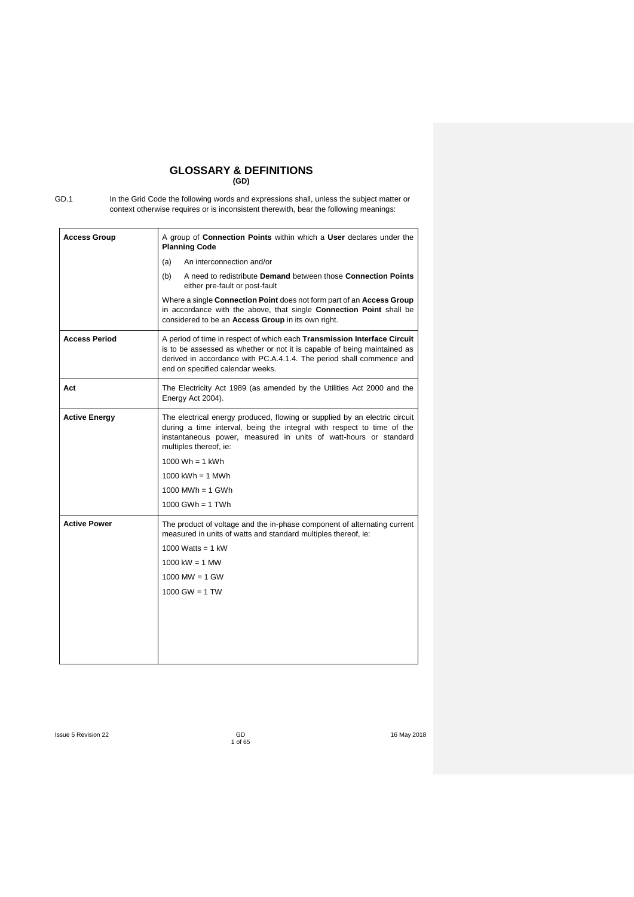## **GLOSSARY & DEFINITIONS (GD)**

GD.1 In the Grid Code the following words and expressions shall, unless the subject matter or context otherwise requires or is inconsistent therewith, bear the following meanings:

| <b>Access Group</b>  | A group of <b>Connection Points</b> within which a <b>User</b> declares under the<br><b>Planning Code</b>                                                                                                                                                        |  |  |  |
|----------------------|------------------------------------------------------------------------------------------------------------------------------------------------------------------------------------------------------------------------------------------------------------------|--|--|--|
|                      | An interconnection and/or<br>(a)                                                                                                                                                                                                                                 |  |  |  |
|                      | (b)<br>A need to redistribute Demand between those Connection Points<br>either pre-fault or post-fault                                                                                                                                                           |  |  |  |
|                      | Where a single Connection Point does not form part of an Access Group<br>in accordance with the above, that single Connection Point shall be<br>considered to be an Access Group in its own right.                                                               |  |  |  |
| <b>Access Period</b> | A period of time in respect of which each Transmission Interface Circuit<br>is to be assessed as whether or not it is capable of being maintained as<br>derived in accordance with PC.A.4.1.4. The period shall commence and<br>end on specified calendar weeks. |  |  |  |
| Act                  | The Electricity Act 1989 (as amended by the Utilities Act 2000 and the<br>Energy Act 2004).                                                                                                                                                                      |  |  |  |
| <b>Active Energy</b> | The electrical energy produced, flowing or supplied by an electric circuit<br>during a time interval, being the integral with respect to time of the<br>instantaneous power, measured in units of watt-hours or standard<br>multiples thereof, ie:               |  |  |  |
|                      | $1000$ Wh = 1 kWh                                                                                                                                                                                                                                                |  |  |  |
|                      | $1000$ kWh = 1 MWh                                                                                                                                                                                                                                               |  |  |  |
|                      | $1000$ MWh = 1 GWh                                                                                                                                                                                                                                               |  |  |  |
|                      | $1000$ GWh = 1 TWh                                                                                                                                                                                                                                               |  |  |  |
| <b>Active Power</b>  | The product of voltage and the in-phase component of alternating current<br>measured in units of watts and standard multiples thereof, ie:                                                                                                                       |  |  |  |
|                      | 1000 Watts = $1$ kW                                                                                                                                                                                                                                              |  |  |  |
|                      | $1000 \text{ kW} = 1 \text{ MW}$                                                                                                                                                                                                                                 |  |  |  |
|                      | $1000$ MW = 1 GW                                                                                                                                                                                                                                                 |  |  |  |
|                      | $1000$ GW = 1 TW                                                                                                                                                                                                                                                 |  |  |  |
|                      |                                                                                                                                                                                                                                                                  |  |  |  |
|                      |                                                                                                                                                                                                                                                                  |  |  |  |
|                      |                                                                                                                                                                                                                                                                  |  |  |  |
|                      |                                                                                                                                                                                                                                                                  |  |  |  |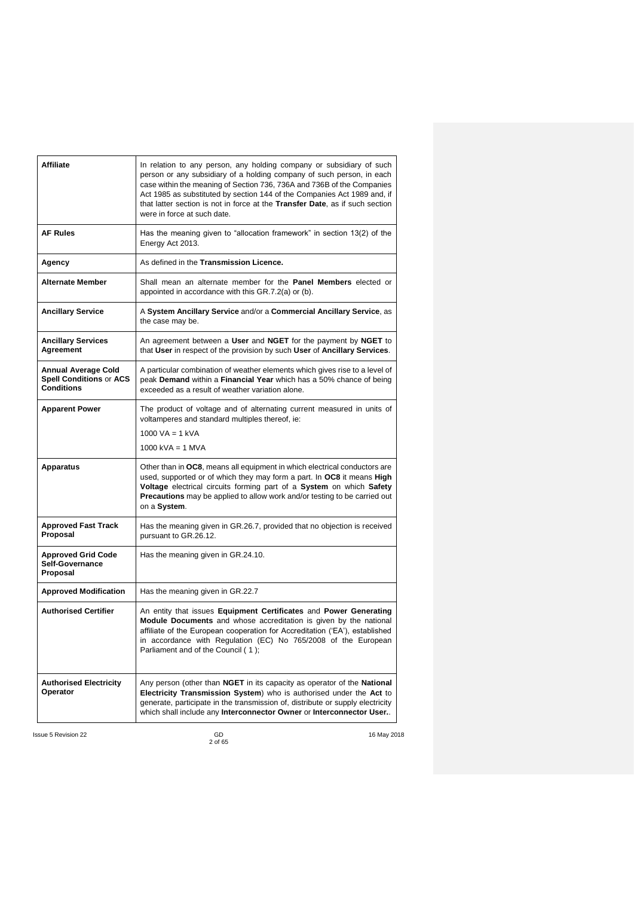| Affiliate                                                                  | In relation to any person, any holding company or subsidiary of such<br>person or any subsidiary of a holding company of such person, in each<br>case within the meaning of Section 736, 736A and 736B of the Companies<br>Act 1985 as substituted by section 144 of the Companies Act 1989 and, if<br>that latter section is not in force at the Transfer Date, as if such section<br>were in force at such date. |
|----------------------------------------------------------------------------|--------------------------------------------------------------------------------------------------------------------------------------------------------------------------------------------------------------------------------------------------------------------------------------------------------------------------------------------------------------------------------------------------------------------|
| <b>AF Rules</b>                                                            | Has the meaning given to "allocation framework" in section 13(2) of the<br>Energy Act 2013.                                                                                                                                                                                                                                                                                                                        |
| Agency                                                                     | As defined in the Transmission Licence.                                                                                                                                                                                                                                                                                                                                                                            |
| <b>Alternate Member</b>                                                    | Shall mean an alternate member for the <b>Panel Members</b> elected or<br>appointed in accordance with this GR.7.2(a) or (b).                                                                                                                                                                                                                                                                                      |
| <b>Ancillary Service</b>                                                   | A System Ancillary Service and/or a Commercial Ancillary Service, as<br>the case may be.                                                                                                                                                                                                                                                                                                                           |
| <b>Ancillary Services</b><br>Agreement                                     | An agreement between a User and NGET for the payment by NGET to<br>that User in respect of the provision by such User of Ancillary Services.                                                                                                                                                                                                                                                                       |
| Annual Average Cold<br><b>Spell Conditions or ACS</b><br><b>Conditions</b> | A particular combination of weather elements which gives rise to a level of<br>peak Demand within a Financial Year which has a 50% chance of being<br>exceeded as a result of weather variation alone.                                                                                                                                                                                                             |
| <b>Apparent Power</b>                                                      | The product of voltage and of alternating current measured in units of<br>voltamperes and standard multiples thereof, ie:<br>1000 VA = 1 kVA                                                                                                                                                                                                                                                                       |
|                                                                            | 1000 kVA = 1 MVA                                                                                                                                                                                                                                                                                                                                                                                                   |
| <b>Apparatus</b>                                                           | Other than in OC8, means all equipment in which electrical conductors are<br>used, supported or of which they may form a part. In OC8 it means High<br>Voltage electrical circuits forming part of a System on which Safety<br><b>Precautions</b> may be applied to allow work and/or testing to be carried out<br>on a System.                                                                                    |
| <b>Approved Fast Track</b><br>Proposal                                     | Has the meaning given in GR.26.7, provided that no objection is received<br>pursuant to GR.26.12.                                                                                                                                                                                                                                                                                                                  |
| <b>Approved Grid Code</b><br>Self-Governance<br>Proposal                   | Has the meaning given in GR.24.10.                                                                                                                                                                                                                                                                                                                                                                                 |
| <b>Approved Modification</b>                                               | Has the meaning given in GR.22.7                                                                                                                                                                                                                                                                                                                                                                                   |
| <b>Authorised Certifier</b>                                                | An entity that issues Equipment Certificates and Power Generating<br>Module Documents and whose accreditation is given by the national<br>affiliate of the European cooperation for Accreditation ('EA'), established<br>in accordance with Regulation (EC) No 765/2008 of the European<br>Parliament and of the Council (1);                                                                                      |
| <b>Authorised Electricity</b><br>Operator                                  | Any person (other than NGET in its capacity as operator of the National<br><b>Electricity Transmission System</b> ) who is authorised under the Act to<br>generate, participate in the transmission of, distribute or supply electricity<br>which shall include any Interconnector Owner or Interconnector User                                                                                                    |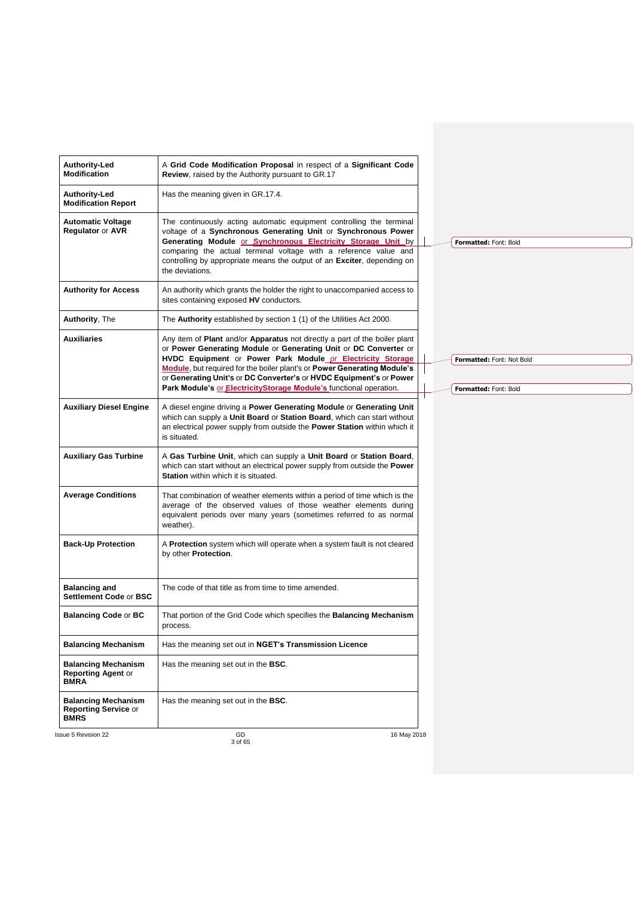| Authority-Led<br><b>Modification Report</b><br><b>Automatic Voltage</b>  | Has the meaning given in GR.17.4.                                                                                                                                                                                                                                                                                                                                                                                                     |                                                    |
|--------------------------------------------------------------------------|---------------------------------------------------------------------------------------------------------------------------------------------------------------------------------------------------------------------------------------------------------------------------------------------------------------------------------------------------------------------------------------------------------------------------------------|----------------------------------------------------|
|                                                                          |                                                                                                                                                                                                                                                                                                                                                                                                                                       |                                                    |
| <b>Regulator or AVR</b>                                                  | The continuously acting automatic equipment controlling the terminal<br>voltage of a Synchronous Generating Unit or Synchronous Power<br>Generating Module or Synchronous Electricity Storage Unit by<br>comparing the actual terminal voltage with a reference value and<br>controlling by appropriate means the output of an Exciter, depending on<br>the deviations.                                                               | Formatted: Font: Bold                              |
| <b>Authority for Access</b>                                              | An authority which grants the holder the right to unaccompanied access to<br>sites containing exposed HV conductors.                                                                                                                                                                                                                                                                                                                  |                                                    |
| <b>Authority, The</b>                                                    | The <b>Authority</b> established by section 1 (1) of the Utilities Act 2000.                                                                                                                                                                                                                                                                                                                                                          |                                                    |
| <b>Auxiliaries</b>                                                       | Any item of Plant and/or Apparatus not directly a part of the boiler plant<br>or Power Generating Module or Generating Unit or DC Converter or<br>HVDC Equipment or Power Park Module or Electricity Storage<br>Module, but required for the boiler plant's or Power Generating Module's<br>or Generating Unit's or DC Converter's or HVDC Equipment's or Power<br>Park Module's or ElectricityStorage Module's functional operation. | Formatted: Font: Not Bold<br>Formatted: Font: Bold |
| <b>Auxiliary Diesel Engine</b>                                           | A diesel engine driving a Power Generating Module or Generating Unit<br>which can supply a Unit Board or Station Board, which can start without<br>an electrical power supply from outside the Power Station within which it<br>is situated.                                                                                                                                                                                          |                                                    |
| <b>Auxiliary Gas Turbine</b>                                             | A Gas Turbine Unit, which can supply a Unit Board or Station Board,<br>which can start without an electrical power supply from outside the Power<br>Station within which it is situated.                                                                                                                                                                                                                                              |                                                    |
| <b>Average Conditions</b>                                                | That combination of weather elements within a period of time which is the<br>average of the observed values of those weather elements during<br>equivalent periods over many years (sometimes referred to as normal<br>weather).                                                                                                                                                                                                      |                                                    |
| <b>Back-Up Protection</b>                                                | A Protection system which will operate when a system fault is not cleared<br>by other Protection.                                                                                                                                                                                                                                                                                                                                     |                                                    |
| <b>Balancing and</b><br>Settlement Code or BSC                           | The code of that title as from time to time amended.                                                                                                                                                                                                                                                                                                                                                                                  |                                                    |
| <b>Balancing Code or BC</b>                                              | That portion of the Grid Code which specifies the <b>Balancing Mechanism</b><br>process.                                                                                                                                                                                                                                                                                                                                              |                                                    |
| <b>Balancing Mechanism</b>                                               | Has the meaning set out in NGET's Transmission Licence                                                                                                                                                                                                                                                                                                                                                                                |                                                    |
| <b>Balancing Mechanism</b><br><b>Reporting Agent or</b><br><b>BMRA</b>   | Has the meaning set out in the <b>BSC</b> .                                                                                                                                                                                                                                                                                                                                                                                           |                                                    |
| <b>Balancing Mechanism</b><br><b>Reporting Service or</b><br><b>BMRS</b> | Has the meaning set out in the <b>BSC</b> .                                                                                                                                                                                                                                                                                                                                                                                           |                                                    |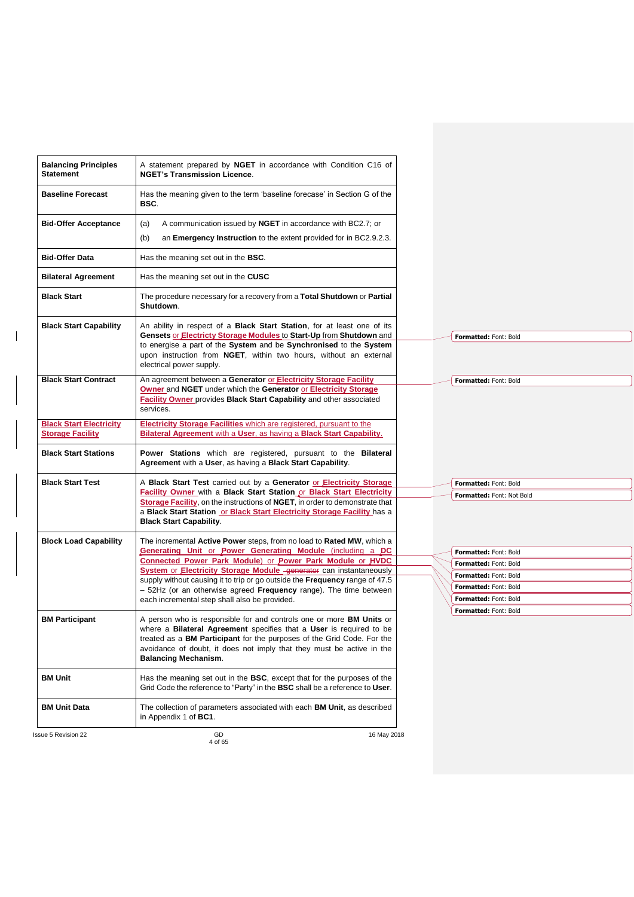| <b>BM Unit Data</b>                                       | in Appendix 1 of <b>BC1</b> .                                                                                                                                                                                                                                                                                                               |                                                |  |
|-----------------------------------------------------------|---------------------------------------------------------------------------------------------------------------------------------------------------------------------------------------------------------------------------------------------------------------------------------------------------------------------------------------------|------------------------------------------------|--|
|                                                           | The collection of parameters associated with each <b>BM Unit</b> , as described                                                                                                                                                                                                                                                             |                                                |  |
| <b>BM Unit</b>                                            | Has the meaning set out in the <b>BSC</b> , except that for the purposes of the<br>Grid Code the reference to "Party" in the BSC shall be a reference to User.                                                                                                                                                                              |                                                |  |
| <b>BM Participant</b>                                     | A person who is responsible for and controls one or more <b>BM Units</b> or<br>where a Bilateral Agreement specifies that a User is required to be<br>treated as a <b>BM Participant</b> for the purposes of the Grid Code. For the<br>avoidance of doubt, it does not imply that they must be active in the<br><b>Balancing Mechanism.</b> |                                                |  |
|                                                           | each incremental step shall also be provided.                                                                                                                                                                                                                                                                                               | Formatted: Font: Bold<br>Formatted: Font: Bold |  |
|                                                           | supply without causing it to trip or go outside the Frequency range of 47.5<br>- 52Hz (or an otherwise agreed Frequency range). The time between                                                                                                                                                                                            | Formatted: Font: Bold                          |  |
|                                                           | <b>System or Electricity Storage Module_generator</b> can instantaneously                                                                                                                                                                                                                                                                   | Formatted: Font: Bold                          |  |
|                                                           | Generating Unit or Power Generating Module (including a DC<br>Connected Power Park Module) or Power Park Module or HVDC                                                                                                                                                                                                                     | Formatted: Font: Bold<br>Formatted: Font: Bold |  |
| <b>Block Load Capability</b>                              | The incremental Active Power steps, from no load to Rated MW, which a                                                                                                                                                                                                                                                                       |                                                |  |
|                                                           | Storage Facility, on the instructions of NGET, in order to demonstrate that<br>a Black Start Station or Black Start Electricity Storage Facility has a<br><b>Black Start Capability.</b>                                                                                                                                                    | Formatted: Font: Not Bold                      |  |
| <b>Black Start Test</b>                                   | A Black Start Test carried out by a Generator or Electricity Storage<br><b>Facility Owner with a Black Start Station or Black Start Electricity</b>                                                                                                                                                                                         | Formatted: Font: Bold                          |  |
| <b>Black Start Stations</b>                               | Power Stations which are registered, pursuant to the Bilateral<br>Agreement with a User, as having a Black Start Capability.                                                                                                                                                                                                                |                                                |  |
| <b>Black Start Electricity</b><br><b>Storage Facility</b> | <b>Electricity Storage Facilities</b> which are registered, pursuant to the<br>Bilateral Agreement with a User, as having a Black Start Capability.                                                                                                                                                                                         |                                                |  |
|                                                           | Owner and NGET under which the Generator or Electricity Storage<br>Facility Owner provides Black Start Capability and other associated<br>services.                                                                                                                                                                                         |                                                |  |
| <b>Black Start Contract</b>                               | upon instruction from NGET, within two hours, without an external<br>electrical power supply.<br>An agreement between a Generator or Electricity Storage Facility                                                                                                                                                                           | Formatted: Font: Bold                          |  |
| <b>Black Start Capability</b>                             | An ability in respect of a <b>Black Start Station</b> , for at least one of its<br>Gensets or Electricty Storage Modules to Start-Up from Shutdown and<br>to energise a part of the System and be Synchronised to the System                                                                                                                | Formatted: Font: Bold                          |  |
| <b>Black Start</b>                                        | The procedure necessary for a recovery from a Total Shutdown or Partial<br>Shutdown.                                                                                                                                                                                                                                                        |                                                |  |
| <b>Bilateral Agreement</b>                                | Has the meaning set out in the CUSC                                                                                                                                                                                                                                                                                                         |                                                |  |
| <b>Bid-Offer Data</b>                                     | Has the meaning set out in the BSC.                                                                                                                                                                                                                                                                                                         |                                                |  |
|                                                           | an <b>Emergency Instruction</b> to the extent provided for in BC2.9.2.3.<br>(b)                                                                                                                                                                                                                                                             |                                                |  |
| <b>Bid-Offer Acceptance</b>                               | A communication issued by <b>NGET</b> in accordance with BC2.7; or<br>(a)                                                                                                                                                                                                                                                                   |                                                |  |
| <b>Baseline Forecast</b>                                  | Has the meaning given to the term 'baseline forecase' in Section G of the<br>BSC.                                                                                                                                                                                                                                                           |                                                |  |
| <b>Balancing Principles</b><br><b>Statement</b>           | A statement prepared by <b>NGET</b> in accordance with Condition C16 of<br><b>NGET's Transmission Licence.</b>                                                                                                                                                                                                                              |                                                |  |

 $\begin{array}{c} \hline \end{array}$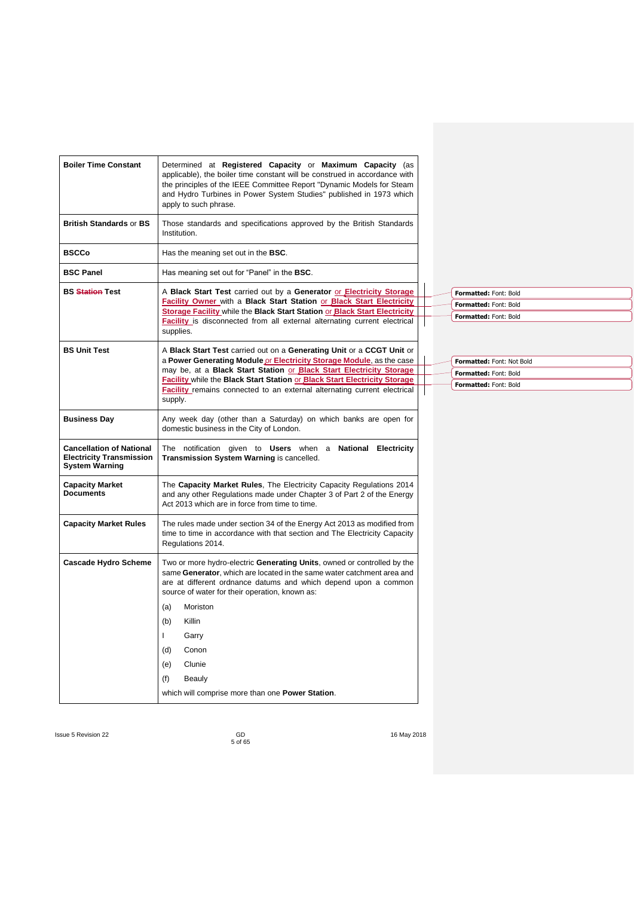| <b>Boiler Time Constant</b>                                                                 | Determined at Registered Capacity or Maximum Capacity (as<br>applicable), the boiler time constant will be construed in accordance with<br>the principles of the IEEE Committee Report "Dynamic Models for Steam<br>and Hydro Turbines in Power System Studies" published in 1973 which<br>apply to such phrase.                                                                         |  |  |  |
|---------------------------------------------------------------------------------------------|------------------------------------------------------------------------------------------------------------------------------------------------------------------------------------------------------------------------------------------------------------------------------------------------------------------------------------------------------------------------------------------|--|--|--|
| <b>British Standards or BS</b>                                                              | Those standards and specifications approved by the British Standards<br>Institution.                                                                                                                                                                                                                                                                                                     |  |  |  |
| <b>BSCCo</b>                                                                                | Has the meaning set out in the <b>BSC</b> .                                                                                                                                                                                                                                                                                                                                              |  |  |  |
| <b>BSC Panel</b>                                                                            | Has meaning set out for "Panel" in the <b>BSC</b> .                                                                                                                                                                                                                                                                                                                                      |  |  |  |
| <b>BS Station Test</b>                                                                      | A Black Start Test carried out by a Generator or Electricity Storage<br>Facility Owner with a Black Start Station or Black Start Electricity<br>Storage Facility while the Black Start Station or Black Start Electricity<br><b>Facility</b> is disconnected from all external alternating current electrical<br>supplies.                                                               |  |  |  |
| <b>BS Unit Test</b>                                                                         | A Black Start Test carried out on a Generating Unit or a CCGT Unit or<br>a Power Generating Module or Electricity Storage Module, as the case<br>may be, at a Black Start Station or Black Start Electricity Storage<br>Facility while the Black Start Station or Black Start Electricity Storage<br>Facility remains connected to an external alternating current electrical<br>supply. |  |  |  |
| <b>Business Day</b>                                                                         | Any week day (other than a Saturday) on which banks are open for<br>domestic business in the City of London.                                                                                                                                                                                                                                                                             |  |  |  |
| <b>Cancellation of National</b><br><b>Electricity Transmission</b><br><b>System Warning</b> | The<br>notification given to Users when a National Electricity<br>Transmission System Warning is cancelled.                                                                                                                                                                                                                                                                              |  |  |  |
| <b>Capacity Market</b><br><b>Documents</b>                                                  | The Capacity Market Rules, The Electricity Capacity Regulations 2014<br>and any other Regulations made under Chapter 3 of Part 2 of the Energy<br>Act 2013 which are in force from time to time.                                                                                                                                                                                         |  |  |  |
| <b>Capacity Market Rules</b>                                                                | The rules made under section 34 of the Energy Act 2013 as modified from<br>time to time in accordance with that section and The Electricity Capacity<br>Regulations 2014.                                                                                                                                                                                                                |  |  |  |
| <b>Cascade Hydro Scheme</b>                                                                 | Two or more hydro-electric Generating Units, owned or controlled by the<br>same Generator, which are located in the same water catchment area and<br>are at different ordnance datums and which depend upon a common<br>source of water for their operation, known as:                                                                                                                   |  |  |  |
|                                                                                             | (a)<br>Moriston                                                                                                                                                                                                                                                                                                                                                                          |  |  |  |
|                                                                                             | (b)<br>Killin                                                                                                                                                                                                                                                                                                                                                                            |  |  |  |
|                                                                                             | L<br>Garry                                                                                                                                                                                                                                                                                                                                                                               |  |  |  |
|                                                                                             | (d)<br>Conon                                                                                                                                                                                                                                                                                                                                                                             |  |  |  |
|                                                                                             | (e)<br>Clunie                                                                                                                                                                                                                                                                                                                                                                            |  |  |  |
|                                                                                             | (f)<br>Beauly                                                                                                                                                                                                                                                                                                                                                                            |  |  |  |
|                                                                                             | which will comprise more than one <b>Power Station</b> .                                                                                                                                                                                                                                                                                                                                 |  |  |  |
|                                                                                             |                                                                                                                                                                                                                                                                                                                                                                                          |  |  |  |

| Formatted: Font: Bold |
|-----------------------|
| Formatted: Font: Bold |
| Formatted: Font: Bold |

| Formatted: Font: Not Bold |
|---------------------------|
| Formatted: Font: Bold     |
| Formatted: Font: Bold     |

Issue 5 Revision 22 GD CONSERVISTING CONSERVATION CONSERVATION OF THE SAFE OF THE SAFE OF THE SAFE OF THE SAFE OF THE SAFE OF THE SAFE OF THE SAFE OF THE SAFE OF THE SAFE OF THE SAFE OF THE SAFE OF THE SAFE OF THE SAFE OF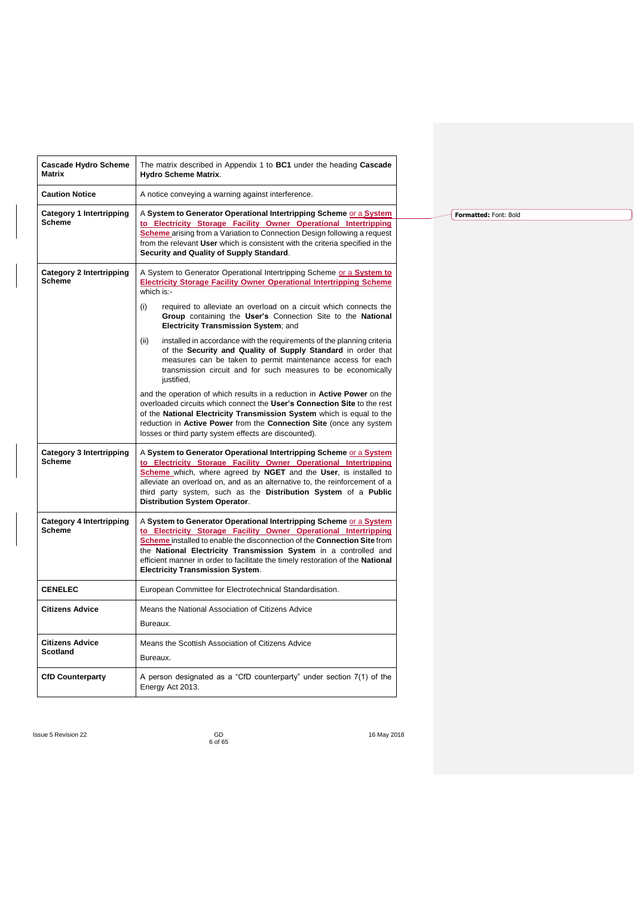| <b>Cascade Hydro Scheme</b><br>Matrix            | The matrix described in Appendix 1 to BC1 under the heading Cascade<br><b>Hydro Scheme Matrix.</b>                                                                                                                                                                                                                                                                                                                 |
|--------------------------------------------------|--------------------------------------------------------------------------------------------------------------------------------------------------------------------------------------------------------------------------------------------------------------------------------------------------------------------------------------------------------------------------------------------------------------------|
| <b>Caution Notice</b>                            | A notice conveying a warning against interference.                                                                                                                                                                                                                                                                                                                                                                 |
| <b>Category 1 Intertripping</b><br><b>Scheme</b> | A System to Generator Operational Intertripping Scheme or a System<br>to Electricity Storage Facility Owner Operational Intertripping<br><b>Scheme</b> arising from a Variation to Connection Design following a request<br>from the relevant User which is consistent with the criteria specified in the<br>Security and Quality of Supply Standard.                                                              |
| <b>Category 2 Intertripping</b><br><b>Scheme</b> | A System to Generator Operational Intertripping Scheme or a System to<br><b>Electricity Storage Facility Owner Operational Intertripping Scheme</b><br>which $is$ :-                                                                                                                                                                                                                                               |
|                                                  | (i)<br>required to alleviate an overload on a circuit which connects the<br>Group containing the User's Connection Site to the National<br><b>Electricity Transmission System; and</b>                                                                                                                                                                                                                             |
|                                                  | (ii)<br>installed in accordance with the requirements of the planning criteria<br>of the Security and Quality of Supply Standard in order that<br>measures can be taken to permit maintenance access for each<br>transmission circuit and for such measures to be economically<br>justified,                                                                                                                       |
|                                                  | and the operation of which results in a reduction in <b>Active Power</b> on the<br>overloaded circuits which connect the User's Connection Site to the rest<br>of the National Electricity Transmission System which is equal to the<br>reduction in Active Power from the Connection Site (once any system<br>losses or third party system effects are discounted).                                               |
| <b>Category 3 Intertripping</b><br><b>Scheme</b> | A System to Generator Operational Intertripping Scheme or a System<br>to Electricity Storage Facility Owner Operational Intertripping<br>Scheme which, where agreed by NGET and the User, is installed to<br>alleviate an overload on, and as an alternative to, the reinforcement of a<br>third party system, such as the Distribution System of a Public<br>Distribution System Operator.                        |
| <b>Category 4 Intertripping</b><br><b>Scheme</b> | A System to Generator Operational Intertripping Scheme or a System<br>to Electricity Storage Facility Owner Operational Intertripping<br>Scheme installed to enable the disconnection of the Connection Site from<br>the National Electricity Transmission System in a controlled and<br>efficient manner in order to facilitate the timely restoration of the National<br><b>Electricity Transmission System.</b> |
| <b>CENELEC</b>                                   | European Committee for Electrotechnical Standardisation.                                                                                                                                                                                                                                                                                                                                                           |
| <b>Citizens Advice</b>                           | Means the National Association of Citizens Advice<br>Bureaux.                                                                                                                                                                                                                                                                                                                                                      |
| <b>Citizens Advice</b><br><b>Scotland</b>        | Means the Scottish Association of Citizens Advice<br>Bureaux.                                                                                                                                                                                                                                                                                                                                                      |
| <b>CfD Counterparty</b>                          | A person designated as a "CfD counterparty" under section 7(1) of the<br>Energy Act 2013.                                                                                                                                                                                                                                                                                                                          |

**Formatted:** Font: Bold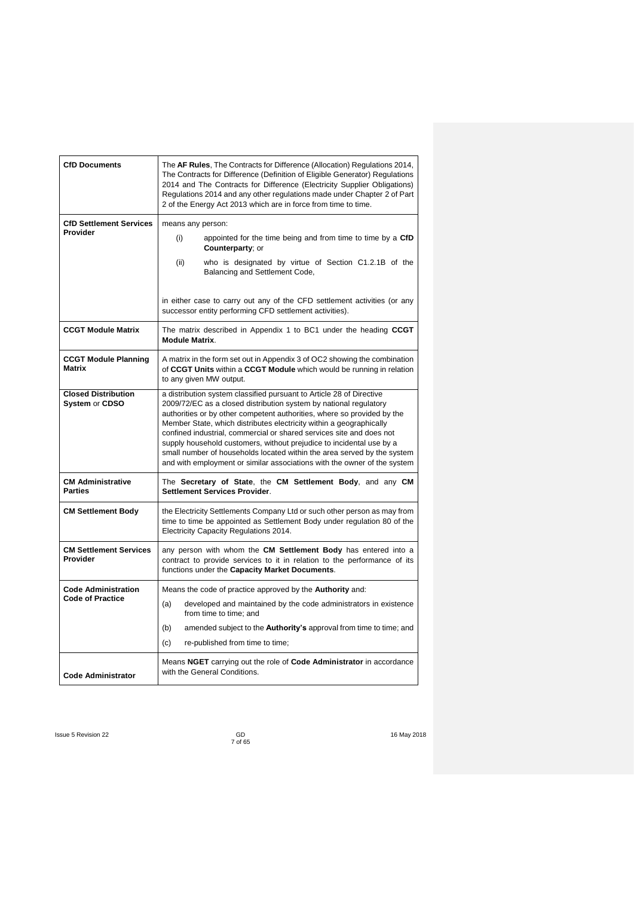| <b>CfD Documents</b>                         | The AF Rules, The Contracts for Difference (Allocation) Regulations 2014,<br>The Contracts for Difference (Definition of Eligible Generator) Regulations<br>2014 and The Contracts for Difference (Electricity Supplier Obligations)<br>Regulations 2014 and any other regulations made under Chapter 2 of Part<br>2 of the Energy Act 2013 which are in force from time to time.                                                                                                                                                                                                                  |
|----------------------------------------------|----------------------------------------------------------------------------------------------------------------------------------------------------------------------------------------------------------------------------------------------------------------------------------------------------------------------------------------------------------------------------------------------------------------------------------------------------------------------------------------------------------------------------------------------------------------------------------------------------|
| <b>CfD Settlement Services</b>               | means any person:                                                                                                                                                                                                                                                                                                                                                                                                                                                                                                                                                                                  |
| Provider                                     | appointed for the time being and from time to time by a CfD<br>(i)<br><b>Counterparty</b> ; or                                                                                                                                                                                                                                                                                                                                                                                                                                                                                                     |
|                                              | (ii)<br>who is designated by virtue of Section C1.2.1B of the<br>Balancing and Settlement Code,                                                                                                                                                                                                                                                                                                                                                                                                                                                                                                    |
|                                              | in either case to carry out any of the CFD settlement activities (or any<br>successor entity performing CFD settlement activities).                                                                                                                                                                                                                                                                                                                                                                                                                                                                |
| <b>CCGT Module Matrix</b>                    | The matrix described in Appendix 1 to BC1 under the heading CCGT<br><b>Module Matrix.</b>                                                                                                                                                                                                                                                                                                                                                                                                                                                                                                          |
| <b>CCGT Module Planning</b><br><b>Matrix</b> | A matrix in the form set out in Appendix 3 of OC2 showing the combination<br>of CCGT Units within a CCGT Module which would be running in relation<br>to any given MW output.                                                                                                                                                                                                                                                                                                                                                                                                                      |
| <b>Closed Distribution</b><br>System or CDSO | a distribution system classified pursuant to Article 28 of Directive<br>2009/72/EC as a closed distribution system by national regulatory<br>authorities or by other competent authorities, where so provided by the<br>Member State, which distributes electricity within a geographically<br>confined industrial, commercial or shared services site and does not<br>supply household customers, without prejudice to incidental use by a<br>small number of households located within the area served by the system<br>and with employment or similar associations with the owner of the system |
| <b>CM Administrative</b><br><b>Parties</b>   | The Secretary of State, the CM Settlement Body, and any CM<br>Settlement Services Provider.                                                                                                                                                                                                                                                                                                                                                                                                                                                                                                        |
| <b>CM Settlement Body</b>                    | the Electricity Settlements Company Ltd or such other person as may from<br>time to time be appointed as Settlement Body under regulation 80 of the<br>Electricity Capacity Regulations 2014.                                                                                                                                                                                                                                                                                                                                                                                                      |
| <b>CM Settlement Services</b><br>Provider    | any person with whom the CM Settlement Body has entered into a<br>contract to provide services to it in relation to the performance of its<br>functions under the Capacity Market Documents.                                                                                                                                                                                                                                                                                                                                                                                                       |
| <b>Code Administration</b>                   | Means the code of practice approved by the Authority and:                                                                                                                                                                                                                                                                                                                                                                                                                                                                                                                                          |
| Code of Practice                             | developed and maintained by the code administrators in existence<br>(a)<br>from time to time; and                                                                                                                                                                                                                                                                                                                                                                                                                                                                                                  |
|                                              | (b)<br>amended subject to the <b>Authority's</b> approval from time to time; and                                                                                                                                                                                                                                                                                                                                                                                                                                                                                                                   |
|                                              | re-published from time to time;<br>(c)                                                                                                                                                                                                                                                                                                                                                                                                                                                                                                                                                             |
| <b>Code Administrator</b>                    | Means NGET carrying out the role of Code Administrator in accordance<br>with the General Conditions.                                                                                                                                                                                                                                                                                                                                                                                                                                                                                               |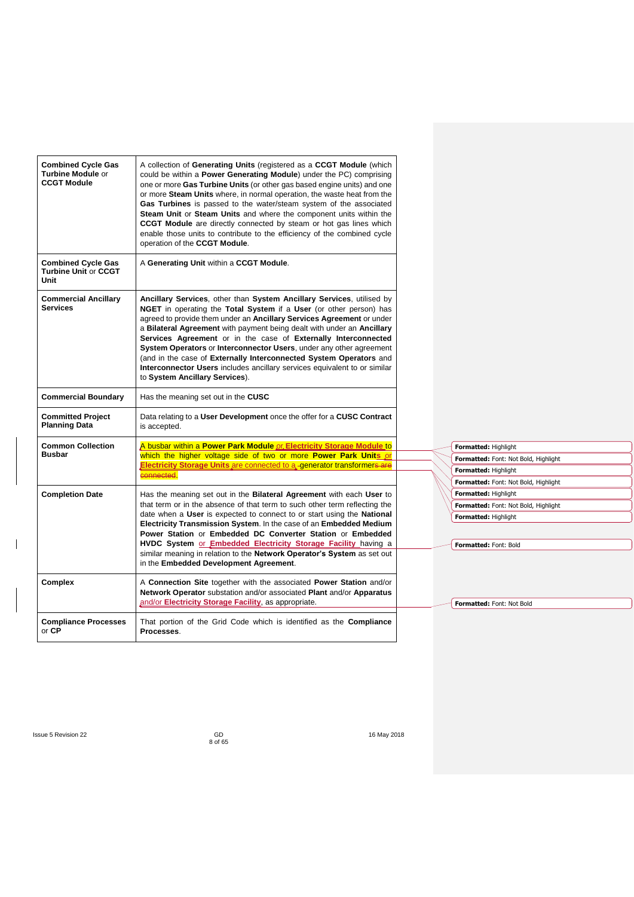| <b>Combined Cycle Gas</b><br><b>Turbine Module or</b><br><b>CCGT Module</b> | A collection of Generating Units (registered as a CCGT Module (which<br>could be within a <b>Power Generating Module</b> ) under the PC) comprising<br>one or more Gas Turbine Units (or other gas based engine units) and one<br>or more Steam Units where, in normal operation, the waste heat from the<br>Gas Turbines is passed to the water/steam system of the associated<br>Steam Unit or Steam Units and where the component units within the<br><b>CCGT Module</b> are directly connected by steam or hot gas lines which<br>enable those units to contribute to the efficiency of the combined cycle<br>operation of the CCGT Module. |  |                                      |
|-----------------------------------------------------------------------------|-------------------------------------------------------------------------------------------------------------------------------------------------------------------------------------------------------------------------------------------------------------------------------------------------------------------------------------------------------------------------------------------------------------------------------------------------------------------------------------------------------------------------------------------------------------------------------------------------------------------------------------------------|--|--------------------------------------|
| <b>Combined Cycle Gas</b><br><b>Turbine Unit or CCGT</b><br>Unit            | A Generating Unit within a CCGT Module.                                                                                                                                                                                                                                                                                                                                                                                                                                                                                                                                                                                                         |  |                                      |
| <b>Commercial Ancillary</b><br><b>Services</b>                              | Ancillary Services, other than System Ancillary Services, utilised by<br>NGET in operating the Total System if a User (or other person) has<br>agreed to provide them under an Ancillary Services Agreement or under<br>a Bilateral Agreement with payment being dealt with under an Ancillary<br>Services Agreement or in the case of Externally Interconnected<br>System Operators or Interconnector Users, under any other agreement<br>(and in the case of Externally Interconnected System Operators and<br>Interconnector Users includes ancillary services equivalent to or similar<br>to System Ancillary Services).                    |  |                                      |
| <b>Commercial Boundary</b>                                                  | Has the meaning set out in the CUSC                                                                                                                                                                                                                                                                                                                                                                                                                                                                                                                                                                                                             |  |                                      |
| <b>Committed Project</b><br><b>Planning Data</b>                            | Data relating to a User Development once the offer for a CUSC Contract<br>is accepted.                                                                                                                                                                                                                                                                                                                                                                                                                                                                                                                                                          |  |                                      |
| <b>Common Collection</b>                                                    | A busbar within a Power Park Module or Electricity Storage Module to                                                                                                                                                                                                                                                                                                                                                                                                                                                                                                                                                                            |  | Formatted: Highlight                 |
| <b>Busbar</b>                                                               | which the higher voltage side of two or more Power Park Units or                                                                                                                                                                                                                                                                                                                                                                                                                                                                                                                                                                                |  | Formatted: Font: Not Bold, Highlight |
|                                                                             | Electricity Storage Units are connected to a generator transformers are<br>connected.                                                                                                                                                                                                                                                                                                                                                                                                                                                                                                                                                           |  | Formatted: Highlight                 |
|                                                                             |                                                                                                                                                                                                                                                                                                                                                                                                                                                                                                                                                                                                                                                 |  | Formatted: Font: Not Bold, Highlight |
| <b>Completion Date</b>                                                      | Has the meaning set out in the Bilateral Agreement with each User to                                                                                                                                                                                                                                                                                                                                                                                                                                                                                                                                                                            |  | <b>Formatted: Highlight</b>          |
|                                                                             | that term or in the absence of that term to such other term reflecting the                                                                                                                                                                                                                                                                                                                                                                                                                                                                                                                                                                      |  | Formatted: Font: Not Bold, Highlight |
|                                                                             | date when a User is expected to connect to or start using the National                                                                                                                                                                                                                                                                                                                                                                                                                                                                                                                                                                          |  | Formatted: Highlight                 |
|                                                                             | Electricity Transmission System. In the case of an Embedded Medium<br>Power Station or Embedded DC Converter Station or Embedded                                                                                                                                                                                                                                                                                                                                                                                                                                                                                                                |  |                                      |
|                                                                             | HVDC System or Embedded Electricity Storage Facility having a                                                                                                                                                                                                                                                                                                                                                                                                                                                                                                                                                                                   |  | Formatted: Font: Bold                |
|                                                                             | similar meaning in relation to the Network Operator's System as set out<br>in the Embedded Development Agreement.                                                                                                                                                                                                                                                                                                                                                                                                                                                                                                                               |  |                                      |
| <b>Complex</b>                                                              | A Connection Site together with the associated Power Station and/or<br>Network Operator substation and/or associated Plant and/or Apparatus<br>and/or Electricity Storage Facility, as appropriate.                                                                                                                                                                                                                                                                                                                                                                                                                                             |  | Formatted: Font: Not Bold            |
| <b>Compliance Processes</b><br>or CP                                        | That portion of the Grid Code which is identified as the <b>Compliance</b><br>Processes.                                                                                                                                                                                                                                                                                                                                                                                                                                                                                                                                                        |  |                                      |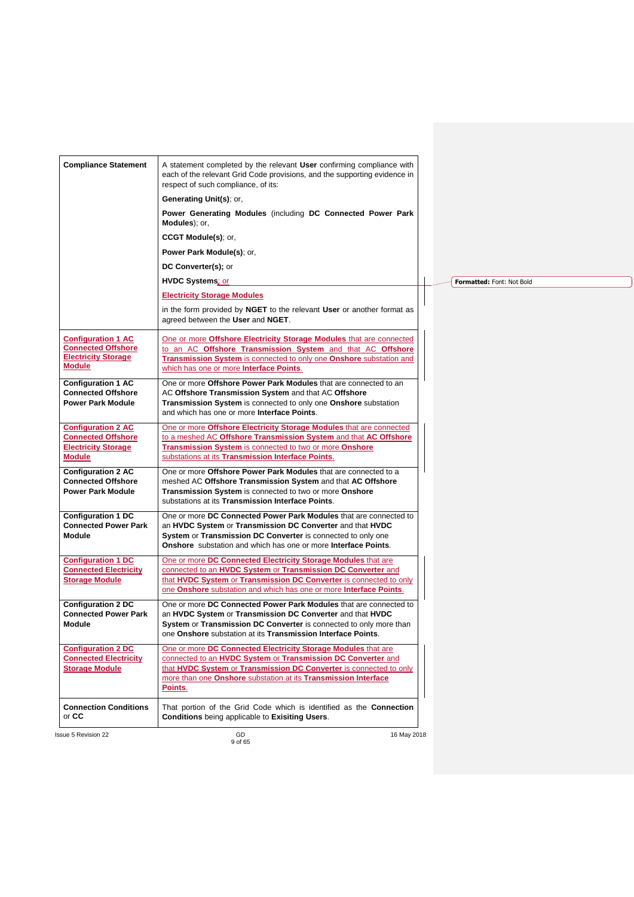| A statement completed by the relevant User confirming compliance with<br><b>Compliance Statement</b><br>each of the relevant Grid Code provisions, and the supporting evidence in      |  |
|----------------------------------------------------------------------------------------------------------------------------------------------------------------------------------------|--|
| respect of such compliance, of its:                                                                                                                                                    |  |
| Generating Unit(s); or,                                                                                                                                                                |  |
| Power Generating Modules (including DC Connected Power Park<br>Modules); or,                                                                                                           |  |
| CCGT Module(s); or,                                                                                                                                                                    |  |
| <b>Power Park Module(s)</b> ; or,                                                                                                                                                      |  |
| DC Converter(s); or                                                                                                                                                                    |  |
| <b>HVDC Systems</b> ; or<br>Formatted: Font: Not Bold                                                                                                                                  |  |
| <b>Electricity Storage Modules</b>                                                                                                                                                     |  |
| in the form provided by <b>NGET</b> to the relevant User or another format as<br>agreed between the User and NGET.                                                                     |  |
| <b>Configuration 1 AC</b><br>One or more Offshore Electricity Storage Modules that are connected                                                                                       |  |
| <b>Connected Offshore</b><br>to an AC Offshore Transmission System and that AC Offshore<br><b>Electricity Storage</b>                                                                  |  |
| Transmission System is connected to only one Onshore substation and<br><b>Module</b><br>which has one or more Interface Points.                                                        |  |
| <b>Configuration 1 AC</b><br>One or more Offshore Power Park Modules that are connected to an<br><b>Connected Offshore</b><br>AC Offshore Transmission System and that AC Offshore     |  |
| <b>Power Park Module</b><br>Transmission System is connected to only one Onshore substation                                                                                            |  |
| and which has one or more Interface Points.                                                                                                                                            |  |
| One or more Offshore Electricity Storage Modules that are connected<br><b>Configuration 2 AC</b>                                                                                       |  |
| <b>Connected Offshore</b><br>to a meshed AC Offshore Transmission System and that AC Offshore<br><b>Electricity Storage</b><br>Transmission System is connected to two or more Onshore |  |
| substations at its Transmission Interface Points.<br><b>Module</b>                                                                                                                     |  |
| <b>Configuration 2 AC</b><br>One or more Offshore Power Park Modules that are connected to a                                                                                           |  |
| <b>Connected Offshore</b><br>meshed AC Offshore Transmission System and that AC Offshore                                                                                               |  |
| <b>Power Park Module</b><br>Transmission System is connected to two or more Onshore<br>substations at its Transmission Interface Points.                                               |  |
| <b>Configuration 1 DC</b><br>One or more DC Connected Power Park Modules that are connected to                                                                                         |  |
| <b>Connected Power Park</b><br>an HVDC System or Transmission DC Converter and that HVDC<br><b>Module</b><br>System or Transmission DC Converter is connected to only one              |  |
| Onshore substation and which has one or more Interface Points.                                                                                                                         |  |
| <b>Configuration 1 DC</b><br>One or more DC Connected Electricity Storage Modules that are                                                                                             |  |
| <b>Connected Electricity</b><br>connected to an HVDC System or Transmission DC Converter and                                                                                           |  |
| <b>Storage Module</b><br>that HVDC System or Transmission DC Converter is connected to only<br>one Onshore substation and which has one or more Interface Points.                      |  |
| One or more DC Connected Power Park Modules that are connected to<br><b>Configuration 2 DC</b>                                                                                         |  |
| <b>Connected Power Park</b><br>an HVDC System or Transmission DC Converter and that HVDC                                                                                               |  |
| System or Transmission DC Converter is connected to only more than<br>Module<br>one Onshore substation at its Transmission Interface Points.                                           |  |
| <b>Configuration 2 DC</b><br>One or more DC Connected Electricity Storage Modules that are                                                                                             |  |
| <b>Connected Electricity</b><br>connected to an HVDC System or Transmission DC Converter and                                                                                           |  |
| <b>Storage Module</b><br>that HVDC System or Transmission DC Converter is connected to only<br>more than one Onshore substation at its Transmission Interface                          |  |
| Points.                                                                                                                                                                                |  |
| <b>Connection Conditions</b><br>That portion of the Grid Code which is identified as the Connection<br>or CC<br><b>Conditions</b> being applicable to <b>Exisiting Users</b> .         |  |
| GD<br>16 May 2018<br>ssue 5 Revision 22<br>9 of 65                                                                                                                                     |  |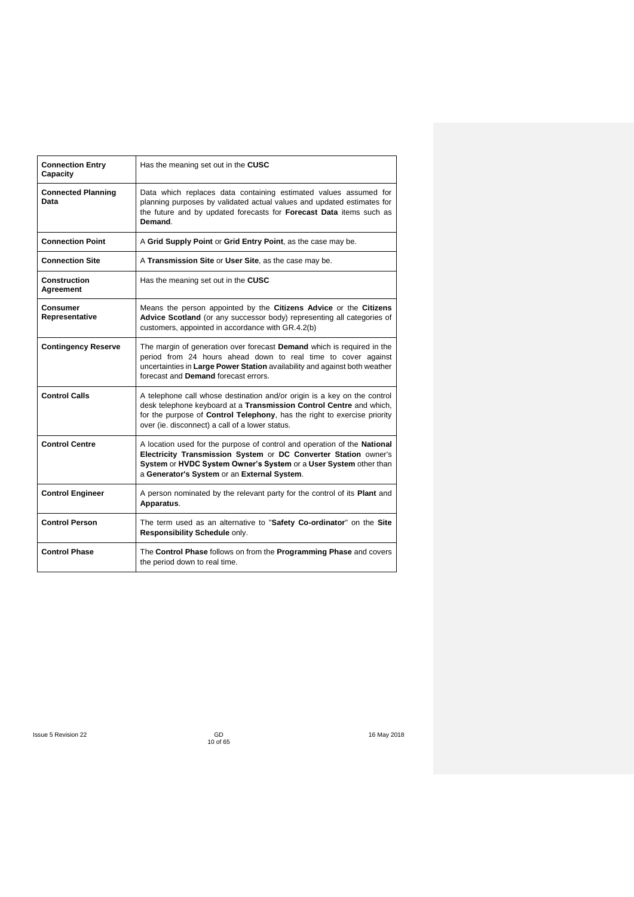| <b>Connection Entry</b><br>Capacity | Has the meaning set out in the CUSC                                                                                                                                                                                                                                            |
|-------------------------------------|--------------------------------------------------------------------------------------------------------------------------------------------------------------------------------------------------------------------------------------------------------------------------------|
| <b>Connected Planning</b><br>Data   | Data which replaces data containing estimated values assumed for<br>planning purposes by validated actual values and updated estimates for<br>the future and by updated forecasts for Forecast Data items such as<br>Demand.                                                   |
| <b>Connection Point</b>             | A Grid Supply Point or Grid Entry Point, as the case may be.                                                                                                                                                                                                                   |
| <b>Connection Site</b>              | A Transmission Site or User Site, as the case may be.                                                                                                                                                                                                                          |
| Construction<br>Agreement           | Has the meaning set out in the CUSC                                                                                                                                                                                                                                            |
| <b>Consumer</b><br>Representative   | Means the person appointed by the Citizens Advice or the Citizens<br>Advice Scotland (or any successor body) representing all categories of<br>customers, appointed in accordance with GR.4.2(b)                                                                               |
| <b>Contingency Reserve</b>          | The margin of generation over forecast Demand which is required in the<br>period from 24 hours ahead down to real time to cover against<br>uncertainties in Large Power Station availability and against both weather<br>forecast and Demand forecast errors.                  |
| <b>Control Calls</b>                | A telephone call whose destination and/or origin is a key on the control<br>desk telephone keyboard at a Transmission Control Centre and which,<br>for the purpose of Control Telephony, has the right to exercise priority<br>over (ie. disconnect) a call of a lower status. |
| <b>Control Centre</b>               | A location used for the purpose of control and operation of the National<br>Electricity Transmission System or DC Converter Station owner's<br>System or HVDC System Owner's System or a User System other than<br>a Generator's System or an External System.                 |
| <b>Control Engineer</b>             | A person nominated by the relevant party for the control of its Plant and<br>Apparatus.                                                                                                                                                                                        |
| <b>Control Person</b>               | The term used as an alternative to "Safety Co-ordinator" on the Site<br>Responsibility Schedule only.                                                                                                                                                                          |
| <b>Control Phase</b>                | The Control Phase follows on from the Programming Phase and covers<br>the period down to real time.                                                                                                                                                                            |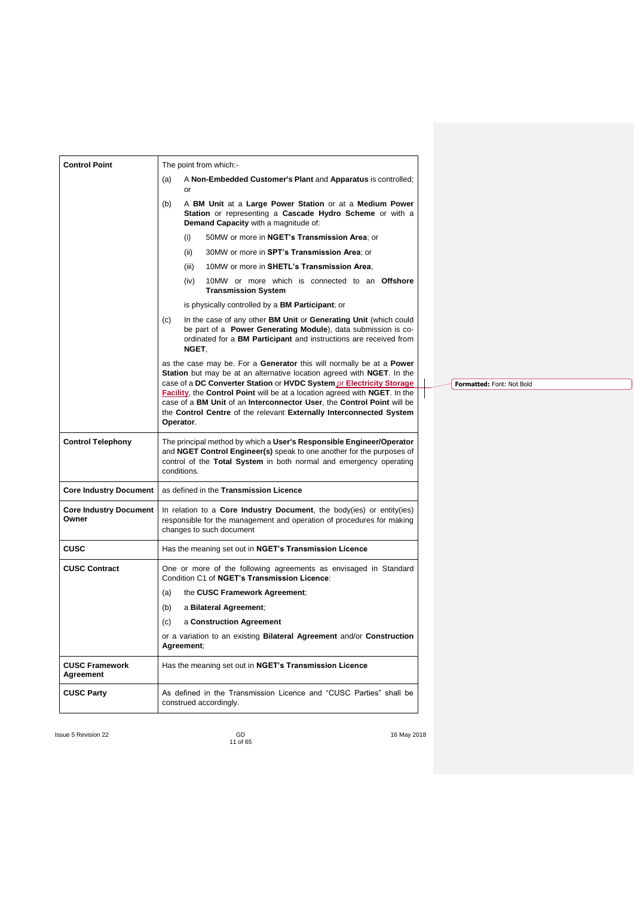| <b>Control Point</b>                   | The point from which:-                                                                                                                                                                                                                          |  |  |  |
|----------------------------------------|-------------------------------------------------------------------------------------------------------------------------------------------------------------------------------------------------------------------------------------------------|--|--|--|
|                                        | A Non-Embedded Customer's Plant and Apparatus is controlled;<br>(a)<br>or                                                                                                                                                                       |  |  |  |
|                                        | (b)<br>A BM Unit at a Large Power Station or at a Medium Power<br>Station or representing a Cascade Hydro Scheme or with a<br>Demand Capacity with a magnitude of:                                                                              |  |  |  |
|                                        | 50MW or more in NGET's Transmission Area; or<br>(i)                                                                                                                                                                                             |  |  |  |
|                                        | (ii)<br>30MW or more in SPT's Transmission Area; or                                                                                                                                                                                             |  |  |  |
|                                        | 10MW or more in SHETL's Transmission Area.<br>(iii)                                                                                                                                                                                             |  |  |  |
|                                        | (iv)<br>10MW or more which is connected to an Offshore<br><b>Transmission System</b>                                                                                                                                                            |  |  |  |
|                                        | is physically controlled by a <b>BM Participant</b> ; or                                                                                                                                                                                        |  |  |  |
|                                        | (c)<br>In the case of any other <b>BM Unit</b> or <b>Generating Unit</b> (which could<br>be part of a <b>Power Generating Module</b> ), data submission is co-<br>ordinated for a BM Participant and instructions are received from<br>NGET.    |  |  |  |
|                                        | as the case may be. For a Generator this will normally be at a <b>Power</b>                                                                                                                                                                     |  |  |  |
|                                        | <b>Station</b> but may be at an alternative location agreed with <b>NGET</b> . In the<br>case of a DC Converter Station or HVDC System or Electricity Storage                                                                                   |  |  |  |
|                                        | <b>Facility, the Control Point will be at a location agreed with NGET.</b> In the<br>case of a BM Unit of an Interconnector User, the Control Point will be<br>the Control Centre of the relevant Externally Interconnected System<br>Operator. |  |  |  |
| <b>Control Telephony</b>               | The principal method by which a User's Responsible Engineer/Operator<br>and NGET Control Engineer(s) speak to one another for the purposes of<br>control of the Total System in both normal and emergency operating<br>conditions.              |  |  |  |
| <b>Core Industry Document</b>          | as defined in the Transmission Licence                                                                                                                                                                                                          |  |  |  |
| <b>Core Industry Document</b><br>Owner | In relation to a <b>Core Industry Document</b> , the body(ies) or entity(ies)<br>responsible for the management and operation of procedures for making<br>changes to such document                                                              |  |  |  |
| CUSC                                   | Has the meaning set out in NGET's Transmission Licence                                                                                                                                                                                          |  |  |  |
| <b>CUSC Contract</b>                   | One or more of the following agreements as envisaged in Standard<br>Condition C1 of NGET's Transmission Licence:                                                                                                                                |  |  |  |
|                                        | the CUSC Framework Agreement;<br>(a)                                                                                                                                                                                                            |  |  |  |
|                                        | (b)<br>a Bilateral Agreement;                                                                                                                                                                                                                   |  |  |  |
|                                        | (c)<br>a Construction Agreement                                                                                                                                                                                                                 |  |  |  |
|                                        | or a variation to an existing <b>Bilateral Agreement</b> and/or <b>Construction</b><br>Agreement;                                                                                                                                               |  |  |  |
| <b>CUSC Framework</b><br>Agreement     | Has the meaning set out in NGET's Transmission Licence                                                                                                                                                                                          |  |  |  |
| <b>CUSC Party</b>                      | As defined in the Transmission Licence and "CUSC Parties" shall be<br>construed accordingly.                                                                                                                                                    |  |  |  |

**Formatted:** Font: Not Bold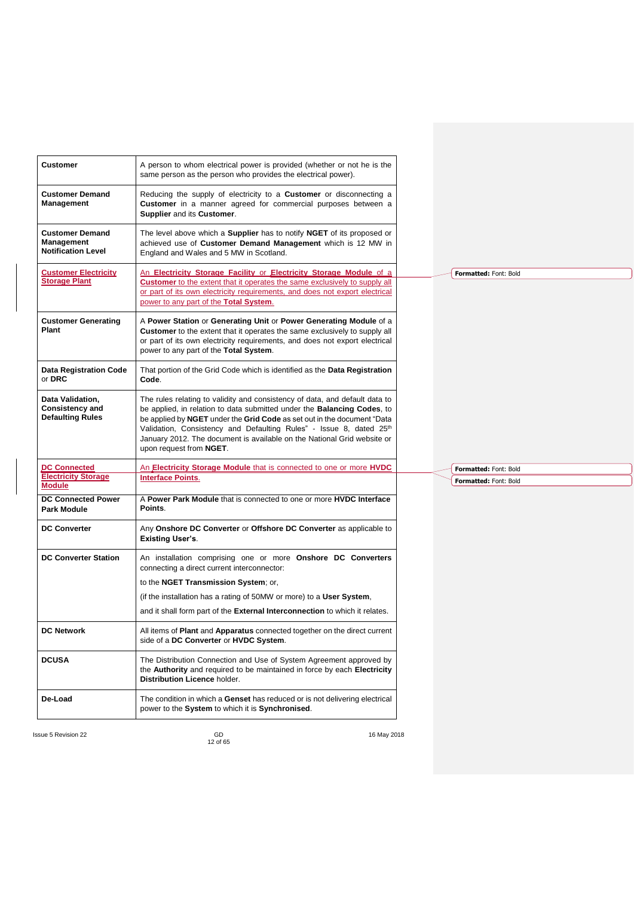| <b>Customer</b>                                                       | A person to whom electrical power is provided (whether or not he is the<br>same person as the person who provides the electrical power).                                                                                                                                                                                                                                                                               |
|-----------------------------------------------------------------------|------------------------------------------------------------------------------------------------------------------------------------------------------------------------------------------------------------------------------------------------------------------------------------------------------------------------------------------------------------------------------------------------------------------------|
| <b>Customer Demand</b><br>Management                                  | Reducing the supply of electricity to a <b>Customer</b> or disconnecting a<br>Customer in a manner agreed for commercial purposes between a<br>Supplier and its Customer.                                                                                                                                                                                                                                              |
| <b>Customer Demand</b><br>Management<br><b>Notification Level</b>     | The level above which a <b>Supplier</b> has to notify <b>NGET</b> of its proposed or<br>achieved use of Customer Demand Management which is 12 MW in<br>England and Wales and 5 MW in Scotland.                                                                                                                                                                                                                        |
| <b>Customer Electricity</b><br><b>Storage Plant</b>                   | An Electricity Storage Facility or Electricity Storage Module of a<br><b>Customer</b> to the extent that it operates the same exclusively to supply all<br>or part of its own electricity requirements, and does not export electrical<br>power to any part of the Total System.                                                                                                                                       |
| <b>Customer Generating</b><br>Plant                                   | A Power Station or Generating Unit or Power Generating Module of a<br>Customer to the extent that it operates the same exclusively to supply all<br>or part of its own electricity requirements, and does not export electrical<br>power to any part of the Total System.                                                                                                                                              |
| <b>Data Registration Code</b><br>or DRC                               | That portion of the Grid Code which is identified as the Data Registration<br>Code.                                                                                                                                                                                                                                                                                                                                    |
| Data Validation,<br><b>Consistency and</b><br><b>Defaulting Rules</b> | The rules relating to validity and consistency of data, and default data to<br>be applied, in relation to data submitted under the <b>Balancing Codes</b> , to<br>be applied by NGET under the Grid Code as set out in the document "Data<br>Validation, Consistency and Defaulting Rules" - Issue 8, dated 25th<br>January 2012. The document is available on the National Grid website or<br>upon request from NGET. |
| <b>DC Connected</b>                                                   | An <b>Electricity Storage Module</b> that is connected to one or more <b>HVDC</b>                                                                                                                                                                                                                                                                                                                                      |
| <b>Electricity Storage</b><br><b>Module</b>                           | <b>Interface Points.</b>                                                                                                                                                                                                                                                                                                                                                                                               |
| <b>DC Connected Power</b><br><b>Park Module</b>                       | A Power Park Module that is connected to one or more HVDC Interface<br>Points.                                                                                                                                                                                                                                                                                                                                         |
| <b>DC Converter</b>                                                   | Any Onshore DC Converter or Offshore DC Converter as applicable to<br><b>Existing User's.</b>                                                                                                                                                                                                                                                                                                                          |
| <b>DC Converter Station</b>                                           | An installation comprising one or more Onshore DC Converters<br>connecting a direct current interconnector:                                                                                                                                                                                                                                                                                                            |
|                                                                       | to the NGET Transmission System; or,                                                                                                                                                                                                                                                                                                                                                                                   |
|                                                                       | (if the installation has a rating of 50MW or more) to a User System.                                                                                                                                                                                                                                                                                                                                                   |
|                                                                       | and it shall form part of the <b>External Interconnection</b> to which it relates.                                                                                                                                                                                                                                                                                                                                     |
| <b>DC Network</b>                                                     | All items of <b>Plant</b> and <b>Apparatus</b> connected together on the direct current<br>side of a DC Converter or HVDC System.                                                                                                                                                                                                                                                                                      |
| <b>DCUSA</b>                                                          | The Distribution Connection and Use of System Agreement approved by<br>the Authority and required to be maintained in force by each Electricity<br>Distribution Licence holder.                                                                                                                                                                                                                                        |
| De-Load                                                               | The condition in which a Genset has reduced or is not delivering electrical<br>power to the System to which it is Synchronised.                                                                                                                                                                                                                                                                                        |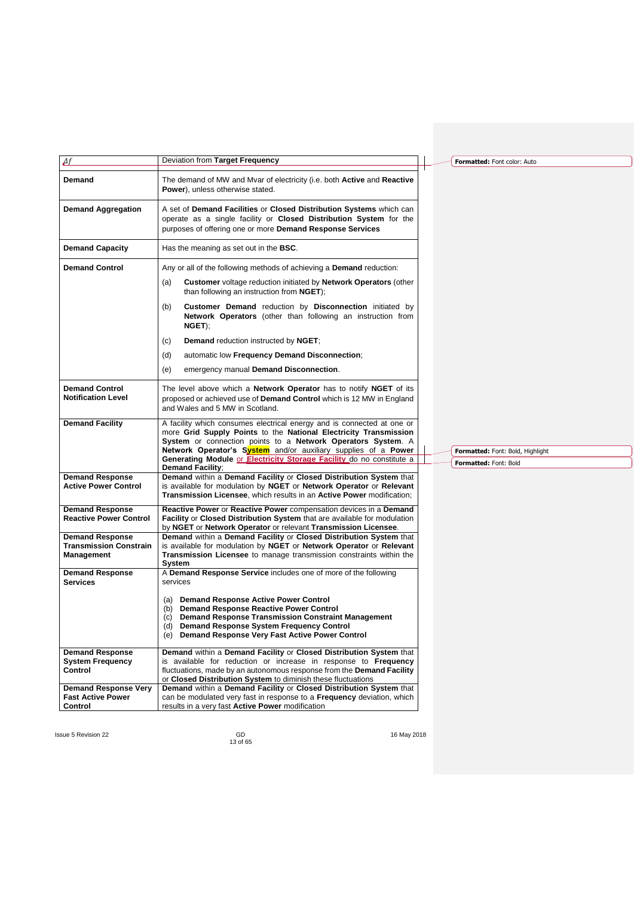| $\Delta f$                                                            | Deviation from Target Frequency                                                                                                                                                                                                                                                                                                                      | Formatted: Font color: Auto                               |
|-----------------------------------------------------------------------|------------------------------------------------------------------------------------------------------------------------------------------------------------------------------------------------------------------------------------------------------------------------------------------------------------------------------------------------------|-----------------------------------------------------------|
| Demand                                                                | The demand of MW and Mvar of electricity (i.e. both Active and Reactive<br><b>Power</b> ), unless otherwise stated.                                                                                                                                                                                                                                  |                                                           |
| <b>Demand Aggregation</b>                                             | A set of Demand Facilities or Closed Distribution Systems which can<br>operate as a single facility or <b>Closed Distribution System</b> for the<br>purposes of offering one or more Demand Response Services                                                                                                                                        |                                                           |
| <b>Demand Capacity</b>                                                | Has the meaning as set out in the <b>BSC</b> .                                                                                                                                                                                                                                                                                                       |                                                           |
| <b>Demand Control</b>                                                 | Any or all of the following methods of achieving a <b>Demand</b> reduction:                                                                                                                                                                                                                                                                          |                                                           |
|                                                                       | Customer voltage reduction initiated by Network Operators (other<br>(a)<br>than following an instruction from NGET);                                                                                                                                                                                                                                 |                                                           |
|                                                                       | <b>Customer Demand</b> reduction by <b>Disconnection</b> initiated by<br>(b)<br>Network Operators (other than following an instruction from<br>NGET);                                                                                                                                                                                                |                                                           |
|                                                                       | <b>Demand reduction instructed by NGET,</b><br>(c)                                                                                                                                                                                                                                                                                                   |                                                           |
|                                                                       | automatic low Frequency Demand Disconnection;<br>(d)                                                                                                                                                                                                                                                                                                 |                                                           |
|                                                                       | emergency manual Demand Disconnection.<br>(e)                                                                                                                                                                                                                                                                                                        |                                                           |
| <b>Demand Control</b><br><b>Notification Level</b>                    | The level above which a <b>Network Operator</b> has to notify <b>NGET</b> of its<br>proposed or achieved use of Demand Control which is 12 MW in England<br>and Wales and 5 MW in Scotland.                                                                                                                                                          |                                                           |
| <b>Demand Facility</b>                                                | A facility which consumes electrical energy and is connected at one or<br>more Grid Supply Points to the National Electricity Transmission<br>System or connection points to a Network Operators System. A<br>Network Operator's System and/or auxiliary supplies of a Power<br>Generating Module or Electricity Storage Facility do no constitute a | Formatted: Font: Bold, Highlight<br>Formatted: Font: Bold |
| <b>Demand Response</b>                                                | <b>Demand Facility;</b><br>Demand within a Demand Facility or Closed Distribution System that                                                                                                                                                                                                                                                        |                                                           |
| <b>Active Power Control</b>                                           | is available for modulation by NGET or Network Operator or Relevant<br>Transmission Licensee, which results in an Active Power modification;                                                                                                                                                                                                         |                                                           |
| <b>Demand Response</b><br><b>Reactive Power Control</b>               | Reactive Power or Reactive Power compensation devices in a Demand<br><b>Facility or Closed Distribution System that are available for modulation</b><br>by NGET or Network Operator or relevant Transmission Licensee.                                                                                                                               |                                                           |
| <b>Demand Response</b><br><b>Transmission Constrain</b><br>Management | Demand within a Demand Facility or Closed Distribution System that<br>is available for modulation by NGET or Network Operator or Relevant<br>Transmission Licensee to manage transmission constraints within the<br>System                                                                                                                           |                                                           |
| <b>Demand Response</b><br><b>Services</b>                             | A Demand Response Service includes one of more of the following<br>services                                                                                                                                                                                                                                                                          |                                                           |
|                                                                       | <b>Demand Response Active Power Control</b><br>(a)<br><b>Demand Response Reactive Power Control</b><br>(b)<br><b>Demand Response Transmission Constraint Management</b><br>(c)<br><b>Demand Response System Frequency Control</b><br>(d)<br>(e) Demand Response Very Fast Active Power Control                                                       |                                                           |
| <b>Demand Response</b><br><b>System Frequency</b><br>Control          | Demand within a Demand Facility or Closed Distribution System that<br>is available for reduction or increase in response to Frequency<br>fluctuations, made by an autonomous response from the <b>Demand Facility</b><br>or Closed Distribution System to diminish these fluctuations                                                                |                                                           |
| <b>Demand Response Very</b><br><b>Fast Active Power</b><br>Control    | Demand within a Demand Facility or Closed Distribution System that<br>can be modulated very fast in response to a Frequency deviation, which<br>results in a very fast Active Power modification                                                                                                                                                     |                                                           |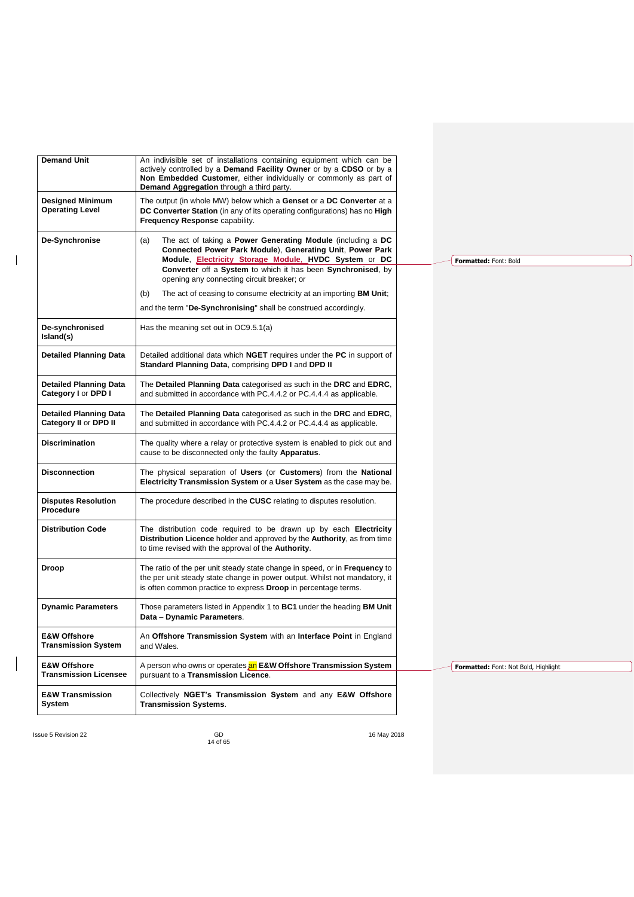| <b>Demand Unit</b>                                            | An indivisible set of installations containing equipment which can be<br>actively controlled by a Demand Facility Owner or by a CDSO or by a<br>Non Embedded Customer, either individually or commonly as part of<br><b>Demand Aggregation through a third party.</b> |                                      |
|---------------------------------------------------------------|-----------------------------------------------------------------------------------------------------------------------------------------------------------------------------------------------------------------------------------------------------------------------|--------------------------------------|
| <b>Designed Minimum</b><br><b>Operating Level</b>             | The output (in whole MW) below which a Genset or a DC Converter at a<br>DC Converter Station (in any of its operating configurations) has no High<br>Frequency Response capability.                                                                                   |                                      |
| De-Synchronise                                                | The act of taking a <b>Power Generating Module</b> (including a DC<br>(a)<br>Connected Power Park Module), Generating Unit, Power Park<br>Module, <b>Electricity Storage Module</b> . HVDC System or DC                                                               | Formatted: Font: Bold                |
|                                                               | Converter off a System to which it has been Synchronised, by<br>opening any connecting circuit breaker; or                                                                                                                                                            |                                      |
|                                                               | The act of ceasing to consume electricity at an importing <b>BM Unit</b> ;<br>(b)                                                                                                                                                                                     |                                      |
|                                                               | and the term "De-Synchronising" shall be construed accordingly.                                                                                                                                                                                                       |                                      |
| De-synchronised<br>Island(s)                                  | Has the meaning set out in OC9.5.1(a)                                                                                                                                                                                                                                 |                                      |
| <b>Detailed Planning Data</b>                                 | Detailed additional data which NGET requires under the PC in support of<br>Standard Planning Data, comprising DPD I and DPD II                                                                                                                                        |                                      |
| <b>Detailed Planning Data</b><br>Category I or DPD I          | The Detailed Planning Data categorised as such in the DRC and EDRC,<br>and submitted in accordance with PC.4.4.2 or PC.4.4.4 as applicable.                                                                                                                           |                                      |
| <b>Detailed Planning Data</b><br><b>Category II or DPD II</b> | The Detailed Planning Data categorised as such in the DRC and EDRC,<br>and submitted in accordance with PC.4.4.2 or PC.4.4.4 as applicable.                                                                                                                           |                                      |
| <b>Discrimination</b>                                         | The quality where a relay or protective system is enabled to pick out and<br>cause to be disconnected only the faulty Apparatus.                                                                                                                                      |                                      |
| <b>Disconnection</b>                                          | The physical separation of Users (or Customers) from the National<br>Electricity Transmission System or a User System as the case may be.                                                                                                                             |                                      |
| <b>Disputes Resolution</b><br>Procedure                       | The procedure described in the <b>CUSC</b> relating to disputes resolution.                                                                                                                                                                                           |                                      |
| <b>Distribution Code</b>                                      | The distribution code required to be drawn up by each Electricity<br>Distribution Licence holder and approved by the Authority, as from time<br>to time revised with the approval of the Authority.                                                                   |                                      |
| Droop                                                         | The ratio of the per unit steady state change in speed, or in Frequency to<br>the per unit steady state change in power output. Whilst not mandatory, it<br>is often common practice to express <b>Droop</b> in percentage terms.                                     |                                      |
| <b>Dynamic Parameters</b>                                     | Those parameters listed in Appendix 1 to <b>BC1</b> under the heading <b>BM Unit</b><br>Data - Dynamic Parameters.                                                                                                                                                    |                                      |
| <b>E&amp;W Offshore</b><br><b>Transmission System</b>         | An Offshore Transmission System with an Interface Point in England<br>and Wales.                                                                                                                                                                                      |                                      |
| <b>E&amp;W Offshore</b><br><b>Transmission Licensee</b>       | A person who owns or operates an E&W Offshore Transmission System<br>pursuant to a Transmission Licence.                                                                                                                                                              | Formatted: Font: Not Bold, Highlight |
| <b>E&amp;W Transmission</b><br>System                         | Collectively NGET's Transmission System and any E&W Offshore<br><b>Transmission Systems.</b>                                                                                                                                                                          |                                      |
|                                                               |                                                                                                                                                                                                                                                                       |                                      |

 $\begin{array}{c} \hline \end{array}$ 

 $\begin{array}{c} \hline \end{array}$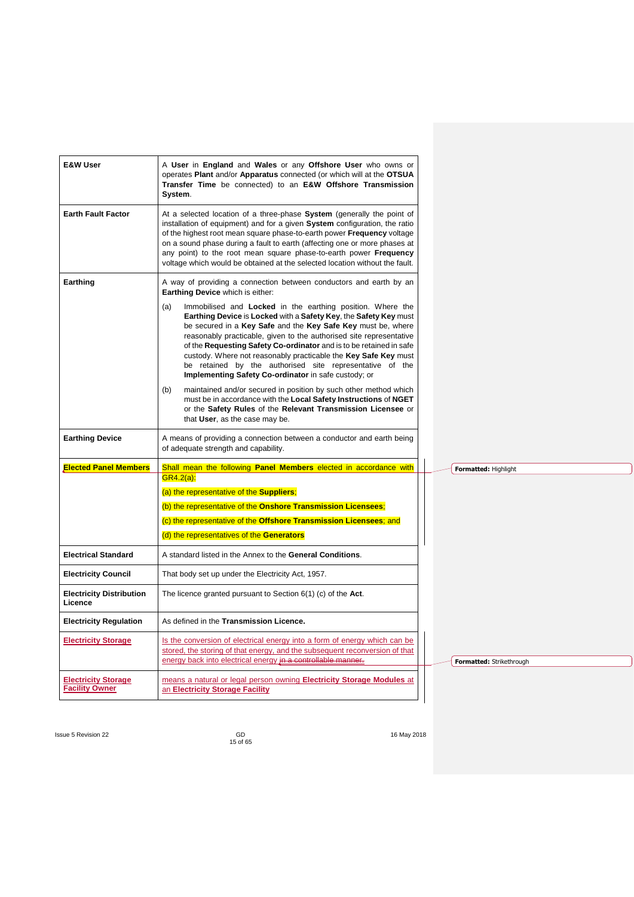| <b>E&amp;W User</b>                                 | A User in England and Wales or any Offshore User who owns or<br>operates Plant and/or Apparatus connected (or which will at the OTSUA<br>Transfer Time be connected) to an E&W Offshore Transmission<br>System.                                                                                                                                                                                                                                                                                                                                                                                                                                                                                                                                                                                                                                                                                              |  |                          |  |  |
|-----------------------------------------------------|--------------------------------------------------------------------------------------------------------------------------------------------------------------------------------------------------------------------------------------------------------------------------------------------------------------------------------------------------------------------------------------------------------------------------------------------------------------------------------------------------------------------------------------------------------------------------------------------------------------------------------------------------------------------------------------------------------------------------------------------------------------------------------------------------------------------------------------------------------------------------------------------------------------|--|--------------------------|--|--|
| <b>Earth Fault Factor</b>                           | At a selected location of a three-phase System (generally the point of<br>installation of equipment) and for a given System configuration, the ratio<br>of the highest root mean square phase-to-earth power Frequency voltage<br>on a sound phase during a fault to earth (affecting one or more phases at<br>any point) to the root mean square phase-to-earth power Frequency<br>voltage which would be obtained at the selected location without the fault.                                                                                                                                                                                                                                                                                                                                                                                                                                              |  |                          |  |  |
| Earthing                                            | A way of providing a connection between conductors and earth by an<br>Earthing Device which is either:<br>Immobilised and <b>Locked</b> in the earthing position. Where the<br>(a)<br>Earthing Device is Locked with a Safety Key, the Safety Key must<br>be secured in a Key Safe and the Key Safe Key must be, where<br>reasonably practicable, given to the authorised site representative<br>of the Requesting Safety Co-ordinator and is to be retained in safe<br>custody. Where not reasonably practicable the Key Safe Key must<br>be retained by the authorised site representative of the<br>Implementing Safety Co-ordinator in safe custody; or<br>maintained and/or secured in position by such other method which<br>(b)<br>must be in accordance with the Local Safety Instructions of NGET<br>or the Safety Rules of the Relevant Transmission Licensee or<br>that User, as the case may be. |  |                          |  |  |
| <b>Earthing Device</b>                              | A means of providing a connection between a conductor and earth being<br>of adequate strength and capability.                                                                                                                                                                                                                                                                                                                                                                                                                                                                                                                                                                                                                                                                                                                                                                                                |  |                          |  |  |
| <b>Elected Panel Members</b>                        | Shall mean the following Panel Members elected in accordance with<br>$GR4.2(a)$ :<br>(a) the representative of the Suppliers;<br>(b) the representative of the Onshore Transmission Licensees;<br>(c) the representative of the Offshore Transmission Licensees; and<br>(d) the representatives of the Generators                                                                                                                                                                                                                                                                                                                                                                                                                                                                                                                                                                                            |  | Formatted: Highlight     |  |  |
| <b>Electrical Standard</b>                          | A standard listed in the Annex to the General Conditions.                                                                                                                                                                                                                                                                                                                                                                                                                                                                                                                                                                                                                                                                                                                                                                                                                                                    |  |                          |  |  |
| <b>Electricity Council</b>                          | That body set up under the Electricity Act, 1957.                                                                                                                                                                                                                                                                                                                                                                                                                                                                                                                                                                                                                                                                                                                                                                                                                                                            |  |                          |  |  |
| <b>Electricity Distribution</b><br>Licence          | The licence granted pursuant to Section $6(1)$ (c) of the Act.                                                                                                                                                                                                                                                                                                                                                                                                                                                                                                                                                                                                                                                                                                                                                                                                                                               |  |                          |  |  |
| <b>Electricity Regulation</b>                       | As defined in the Transmission Licence.                                                                                                                                                                                                                                                                                                                                                                                                                                                                                                                                                                                                                                                                                                                                                                                                                                                                      |  |                          |  |  |
| <b>Electricity Storage</b>                          | Is the conversion of electrical energy into a form of energy which can be<br>stored, the storing of that energy, and the subsequent reconversion of that<br>energy back into electrical energy in a controllable manner.                                                                                                                                                                                                                                                                                                                                                                                                                                                                                                                                                                                                                                                                                     |  | Formatted: Strikethrough |  |  |
| <b>Electricity Storage</b><br><b>Facility Owner</b> | means a natural or legal person owning Electricity Storage Modules at<br>an Electricity Storage Facility                                                                                                                                                                                                                                                                                                                                                                                                                                                                                                                                                                                                                                                                                                                                                                                                     |  |                          |  |  |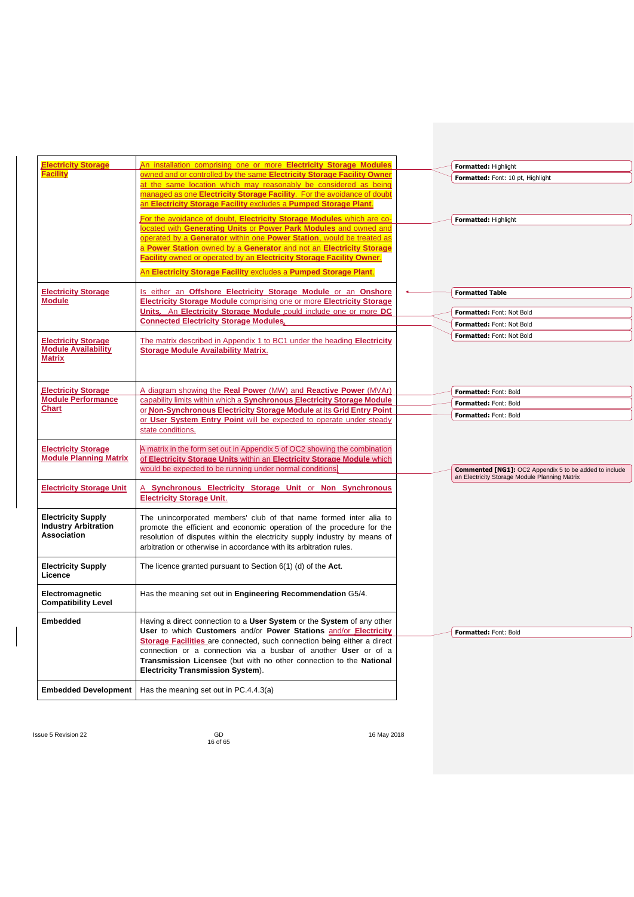| <b>Electricity Storage</b>                              | An installation comprising one or more Electricity Storage Modules                                                                                | Formatted: Highlight                                          |
|---------------------------------------------------------|---------------------------------------------------------------------------------------------------------------------------------------------------|---------------------------------------------------------------|
| <b>Facility</b>                                         | owned and or controlled by the same Electricity Storage Facility Owner                                                                            | Formatted: Font: 10 pt, Highlight                             |
|                                                         | at the same location which may reasonably be considered as being                                                                                  |                                                               |
|                                                         | managed as one Electricity Storage Facility. For the avoidance of doubt                                                                           |                                                               |
|                                                         | an Electricity Storage Facility excludes a Pumped Storage Plant.                                                                                  |                                                               |
|                                                         | For the avoidance of doubt, Electricity Storage Modules which are co-                                                                             | Formatted: Highlight                                          |
|                                                         | located with Generating Units or Power Park Modules and owned and                                                                                 |                                                               |
|                                                         | operated by a Generator within one Power Station, would be treated as                                                                             |                                                               |
|                                                         | a Power Station owned by a Generator and not an Electricity Storage                                                                               |                                                               |
|                                                         | Facility owned or operated by an Electricity Storage Facility Owner.                                                                              |                                                               |
|                                                         | An Electricity Storage Facility excludes a Pumped Storage Plant.                                                                                  |                                                               |
|                                                         |                                                                                                                                                   |                                                               |
| <b>Electricity Storage</b><br><b>Module</b>             | Is either an Offshore Electricity Storage Module or an Onshore                                                                                    | <b>Formatted Table</b>                                        |
|                                                         | <b>Electricity Storage Module comprising one or more Electricity Storage</b><br>Units. An Electricity Storage Module could include one or more DC |                                                               |
|                                                         | <b>Connected Electricity Storage Modules,</b>                                                                                                     | Formatted: Font: Not Bold                                     |
|                                                         |                                                                                                                                                   | Formatted: Font: Not Bold                                     |
| <b>Electricity Storage</b>                              | The matrix described in Appendix 1 to BC1 under the heading Electricity                                                                           | Formatted: Font: Not Bold                                     |
| <b>Module Availability</b>                              | <b>Storage Module Availability Matrix.</b>                                                                                                        |                                                               |
| <b>Matrix</b>                                           |                                                                                                                                                   |                                                               |
|                                                         |                                                                                                                                                   |                                                               |
|                                                         |                                                                                                                                                   |                                                               |
| <b>Electricity Storage</b><br><b>Module Performance</b> | A diagram showing the Real Power (MW) and Reactive Power (MVAr)                                                                                   | Formatted: Font: Bold                                         |
| <b>Chart</b>                                            | capability limits within which a Synchronous Electricity Storage Module<br>or Non-Synchronous Electricity Storage Module at its Grid Entry Point  | Formatted: Font: Bold                                         |
|                                                         | or User System Entry Point will be expected to operate under steady                                                                               | Formatted: Font: Bold                                         |
|                                                         | state conditions.                                                                                                                                 |                                                               |
|                                                         |                                                                                                                                                   |                                                               |
| <b>Electricity Storage</b>                              | A matrix in the form set out in Appendix 5 of OC2 showing the combination                                                                         |                                                               |
| <b>Module Planning Matrix</b>                           | of Electricity Storage Units within an Electricity Storage Module which                                                                           |                                                               |
|                                                         | would be expected to be running under normal conditions.                                                                                          | <b>Commented [NG1]: OC2 Appendix 5 to be added to include</b> |
|                                                         |                                                                                                                                                   | an Electricity Storage Module Planning Matrix                 |
| <b>Electricity Storage Unit</b>                         | A Synchronous Electricity Storage Unit or Non Synchronous<br><b>Electricity Storage Unit.</b>                                                     |                                                               |
|                                                         |                                                                                                                                                   |                                                               |
| <b>Electricity Supply</b>                               | The unincorporated members' club of that name formed inter alia to                                                                                |                                                               |
| <b>Industry Arbitration</b>                             | promote the efficient and economic operation of the procedure for the                                                                             |                                                               |
| Association                                             | resolution of disputes within the electricity supply industry by means of                                                                         |                                                               |
|                                                         | arbitration or otherwise in accordance with its arbitration rules.                                                                                |                                                               |
|                                                         |                                                                                                                                                   |                                                               |
| <b>Electricity Supply</b>                               | The licence granted pursuant to Section $6(1)$ (d) of the Act.                                                                                    |                                                               |
| Licence                                                 |                                                                                                                                                   |                                                               |
| Electromagnetic                                         | Has the meaning set out in Engineering Recommendation G5/4.                                                                                       |                                                               |
| <b>Compatibility Level</b>                              |                                                                                                                                                   |                                                               |
|                                                         |                                                                                                                                                   |                                                               |
| <b>Embedded</b>                                         | Having a direct connection to a User System or the System of any other                                                                            |                                                               |
|                                                         | User to which Customers and/or Power Stations and/or Electricity                                                                                  | Formatted: Font: Bold                                         |
|                                                         | Storage Facilities are connected, such connection being either a direct<br>connection or a connection via a busbar of another User or of a        |                                                               |
|                                                         | Transmission Licensee (but with no other connection to the National                                                                               |                                                               |
|                                                         | <b>Electricity Transmission System).</b>                                                                                                          |                                                               |
|                                                         |                                                                                                                                                   |                                                               |
| <b>Embedded Development</b>                             | Has the meaning set out in PC.4.4.3(a)                                                                                                            |                                                               |
|                                                         |                                                                                                                                                   |                                                               |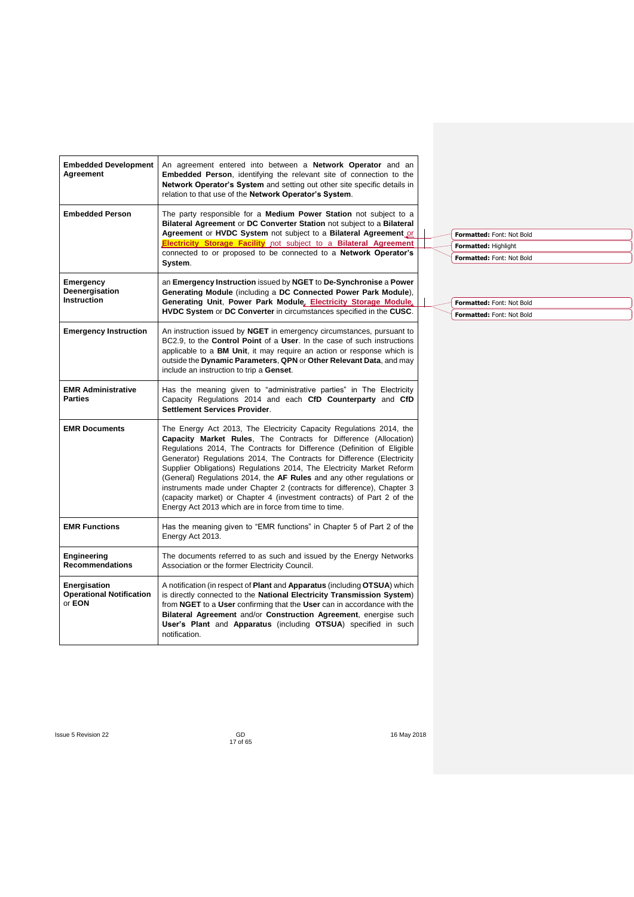| <b>Embedded Development</b><br>Agreement                  | An agreement entered into between a <b>Network Operator</b> and an<br><b>Embedded Person, identifying the relevant site of connection to the</b><br>Network Operator's System and setting out other site specific details in<br>relation to that use of the Network Operator's System.                                                                                                                                                                                                                                                                                                                                                                     |  |                                                        |  |
|-----------------------------------------------------------|------------------------------------------------------------------------------------------------------------------------------------------------------------------------------------------------------------------------------------------------------------------------------------------------------------------------------------------------------------------------------------------------------------------------------------------------------------------------------------------------------------------------------------------------------------------------------------------------------------------------------------------------------------|--|--------------------------------------------------------|--|
| <b>Embedded Person</b>                                    | The party responsible for a <b>Medium Power Station</b> not subject to a<br>Bilateral Agreement or DC Converter Station not subject to a Bilateral<br>Agreement or HVDC System not subject to a Bilateral Agreement or                                                                                                                                                                                                                                                                                                                                                                                                                                     |  | Formatted: Font: Not Bold                              |  |
|                                                           | <b>Electricity Storage Facility</b> not subject to a <b>Bilateral Agreement</b>                                                                                                                                                                                                                                                                                                                                                                                                                                                                                                                                                                            |  | Formatted: Highlight                                   |  |
|                                                           | connected to or proposed to be connected to a Network Operator's<br>System.                                                                                                                                                                                                                                                                                                                                                                                                                                                                                                                                                                                |  | Formatted: Font: Not Bold                              |  |
| Emergency<br>Deenergisation<br><b>Instruction</b>         | an Emergency Instruction issued by NGET to De-Synchronise a Power<br>Generating Module (including a DC Connected Power Park Module).<br>Generating Unit, Power Park Module, Electricity Storage Module,                                                                                                                                                                                                                                                                                                                                                                                                                                                    |  |                                                        |  |
|                                                           | <b>HVDC System or DC Converter in circumstances specified in the CUSC.</b>                                                                                                                                                                                                                                                                                                                                                                                                                                                                                                                                                                                 |  | Formatted: Font: Not Bold<br>Formatted: Font: Not Bold |  |
| <b>Emergency Instruction</b>                              | An instruction issued by <b>NGET</b> in emergency circumstances, pursuant to<br>BC2.9, to the <b>Control Point</b> of a User. In the case of such instructions<br>applicable to a <b>BM Unit</b> , it may require an action or response which is<br>outside the Dynamic Parameters, QPN or Other Relevant Data, and may<br>include an instruction to trip a Genset.                                                                                                                                                                                                                                                                                        |  |                                                        |  |
| <b>EMR Administrative</b><br><b>Parties</b>               | Has the meaning given to "administrative parties" in The Electricity<br>Capacity Regulations 2014 and each CfD Counterparty and CfD<br><b>Settlement Services Provider.</b>                                                                                                                                                                                                                                                                                                                                                                                                                                                                                |  |                                                        |  |
| <b>EMR Documents</b>                                      | The Energy Act 2013, The Electricity Capacity Regulations 2014, the<br>Capacity Market Rules, The Contracts for Difference (Allocation)<br>Regulations 2014, The Contracts for Difference (Definition of Eligible<br>Generator) Regulations 2014, The Contracts for Difference (Electricity<br>Supplier Obligations) Regulations 2014, The Electricity Market Reform<br>(General) Regulations 2014, the AF Rules and any other regulations or<br>instruments made under Chapter 2 (contracts for difference), Chapter 3<br>(capacity market) or Chapter 4 (investment contracts) of Part 2 of the<br>Energy Act 2013 which are in force from time to time. |  |                                                        |  |
| <b>EMR Functions</b>                                      | Has the meaning given to "EMR functions" in Chapter 5 of Part 2 of the<br>Energy Act 2013.                                                                                                                                                                                                                                                                                                                                                                                                                                                                                                                                                                 |  |                                                        |  |
| Engineering<br><b>Recommendations</b>                     | The documents referred to as such and issued by the Energy Networks<br>Association or the former Electricity Council.                                                                                                                                                                                                                                                                                                                                                                                                                                                                                                                                      |  |                                                        |  |
| Energisation<br><b>Operational Notification</b><br>or EON | A notification (in respect of <b>Plant</b> and <b>Apparatus</b> (including <b>OTSUA</b> ) which<br>is directly connected to the National Electricity Transmission System)<br>from NGET to a User confirming that the User can in accordance with the<br>Bilateral Agreement and/or Construction Agreement, energise such<br>User's Plant and Apparatus (including OTSUA) specified in such<br>notification.                                                                                                                                                                                                                                                |  |                                                        |  |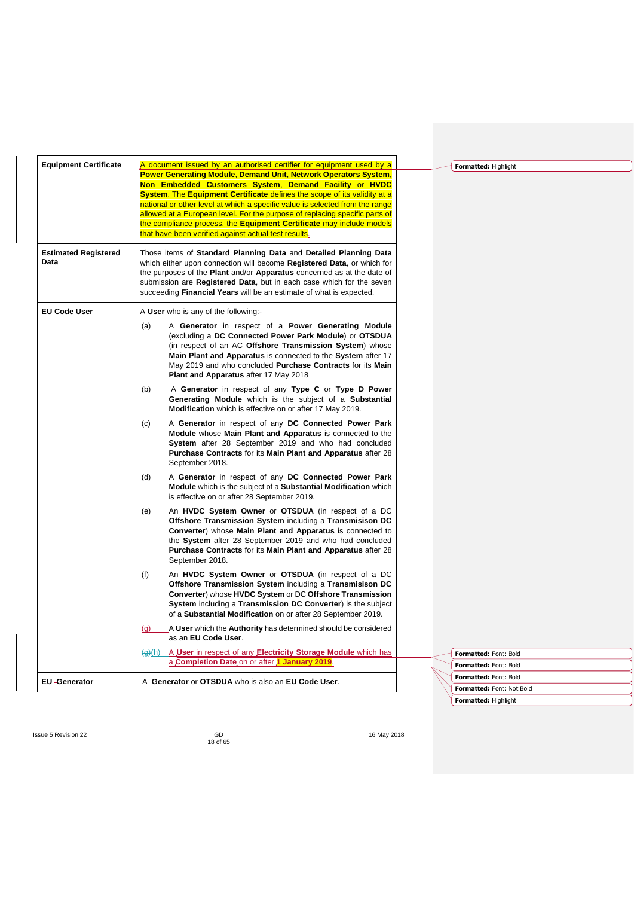| <b>Equipment Certificate</b>        | A document issued by an authorised certifier for equipment used by a<br><b>Power Generating Module, Demand Unit, Network Operators System,</b><br>Non Embedded Customers System, Demand Facility or HVDC<br>System. The Equipment Certificate defines the scope of its validity at a<br>national or other level at which a specific value is selected from the range<br>allowed at a European level. For the purpose of replacing specific parts of<br>the compliance process, the Equipment Certificate may include models<br>that have been verified against actual test results. | Formatted: Highlight      |
|-------------------------------------|-------------------------------------------------------------------------------------------------------------------------------------------------------------------------------------------------------------------------------------------------------------------------------------------------------------------------------------------------------------------------------------------------------------------------------------------------------------------------------------------------------------------------------------------------------------------------------------|---------------------------|
| <b>Estimated Registered</b><br>Data | Those items of Standard Planning Data and Detailed Planning Data<br>which either upon connection will become Registered Data, or which for<br>the purposes of the <b>Plant</b> and/or <b>Apparatus</b> concerned as at the date of<br>submission are <b>Registered Data</b> , but in each case which for the seven<br>succeeding Financial Years will be an estimate of what is expected.                                                                                                                                                                                           |                           |
| <b>EU Code User</b>                 | A User who is any of the following -                                                                                                                                                                                                                                                                                                                                                                                                                                                                                                                                                |                           |
|                                     | A Generator in respect of a Power Generating Module<br>(a)<br>(excluding a DC Connected Power Park Module) or OTSDUA<br>(in respect of an AC Offshore Transmission System) whose<br>Main Plant and Apparatus is connected to the System after 17<br>May 2019 and who concluded Purchase Contracts for its Main<br>Plant and Apparatus after 17 May 2018                                                                                                                                                                                                                             |                           |
|                                     | (b)<br>A Generator in respect of any Type C or Type D Power<br>Generating Module which is the subject of a Substantial<br>Modification which is effective on or after 17 May 2019.                                                                                                                                                                                                                                                                                                                                                                                                  |                           |
|                                     | (c)<br>A Generator in respect of any DC Connected Power Park<br>Module whose Main Plant and Apparatus is connected to the<br>System after 28 September 2019 and who had concluded<br>Purchase Contracts for its Main Plant and Apparatus after 28<br>September 2018.                                                                                                                                                                                                                                                                                                                |                           |
|                                     | (d)<br>A Generator in respect of any DC Connected Power Park<br>Module which is the subject of a Substantial Modification which<br>is effective on or after 28 September 2019.                                                                                                                                                                                                                                                                                                                                                                                                      |                           |
|                                     | An HVDC System Owner or OTSDUA (in respect of a DC<br>(e)<br>Offshore Transmission System including a Transmisison DC<br><b>Converter</b> ) whose <b>Main Plant and Apparatus</b> is connected to<br>the System after 28 September 2019 and who had concluded<br>Purchase Contracts for its Main Plant and Apparatus after 28<br>September 2018.                                                                                                                                                                                                                                    |                           |
|                                     | An HVDC System Owner or OTSDUA (in respect of a DC<br>(f)<br>Offshore Transmission System including a Transmisison DC<br>Converter) whose HVDC System or DC Offshore Transmission<br>System including a Transmission DC Converter) is the subject<br>of a Substantial Modification on or after 28 September 2019.                                                                                                                                                                                                                                                                   |                           |
|                                     | A User which the Authority has determined should be considered<br>(q)<br>as an EU Code User.                                                                                                                                                                                                                                                                                                                                                                                                                                                                                        |                           |
|                                     | A User in respect of any Electricity Storage Module which has<br><del>(g)</del> (h)                                                                                                                                                                                                                                                                                                                                                                                                                                                                                                 | Formatted: Font: Bold     |
|                                     | a Completion Date on or after 1 January 2019.                                                                                                                                                                                                                                                                                                                                                                                                                                                                                                                                       | Formatted: Font: Bold     |
| <b>EU-Generator</b>                 | A Generator or OTSDUA who is also an EU Code User.                                                                                                                                                                                                                                                                                                                                                                                                                                                                                                                                  | Formatted: Font: Bold     |
|                                     |                                                                                                                                                                                                                                                                                                                                                                                                                                                                                                                                                                                     | Formatted: Font: Not Bold |
|                                     |                                                                                                                                                                                                                                                                                                                                                                                                                                                                                                                                                                                     | Formatted: Highlight      |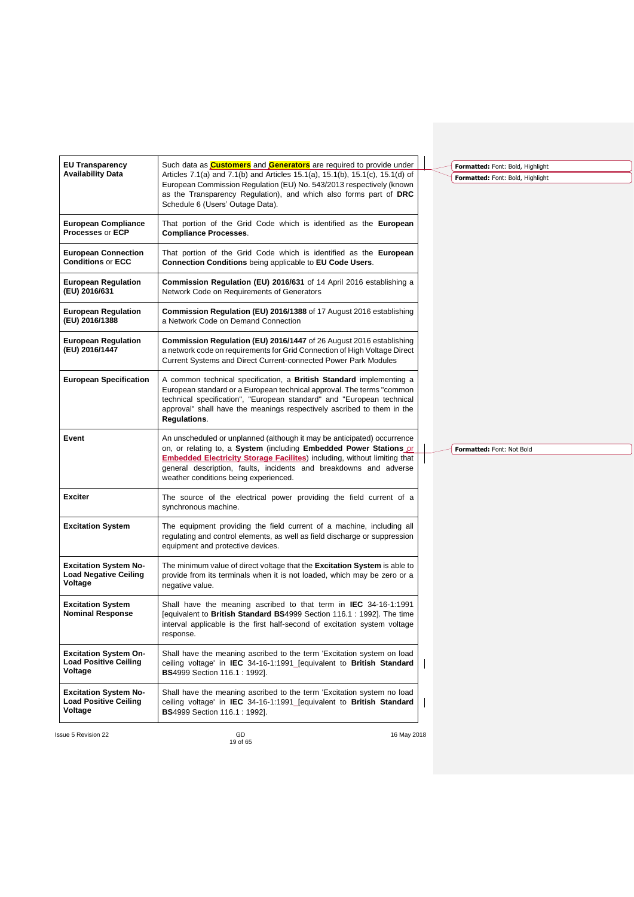| <b>EU Transparency</b>                                                  | Such data as <b>Customers</b> and <b>Generators</b> are required to provide under                                                                                                                                                                                                                                                               |                                                                      |
|-------------------------------------------------------------------------|-------------------------------------------------------------------------------------------------------------------------------------------------------------------------------------------------------------------------------------------------------------------------------------------------------------------------------------------------|----------------------------------------------------------------------|
| <b>Availability Data</b>                                                | Articles 7.1(a) and 7.1(b) and Articles 15.1(a), 15.1(b), 15.1(c), 15.1(d) of<br>European Commission Regulation (EU) No. 543/2013 respectively (known<br>as the Transparency Regulation), and which also forms part of DRC<br>Schedule 6 (Users' Outage Data).                                                                                  | Formatted: Font: Bold, Highlight<br>Formatted: Font: Bold, Highlight |
| <b>European Compliance</b><br>Processes or ECP                          | That portion of the Grid Code which is identified as the European<br><b>Compliance Processes.</b>                                                                                                                                                                                                                                               |                                                                      |
| <b>European Connection</b><br><b>Conditions or ECC</b>                  | That portion of the Grid Code which is identified as the European<br>Connection Conditions being applicable to EU Code Users.                                                                                                                                                                                                                   |                                                                      |
| <b>European Regulation</b><br>(EU) 2016/631                             | Commission Regulation (EU) 2016/631 of 14 April 2016 establishing a<br>Network Code on Requirements of Generators                                                                                                                                                                                                                               |                                                                      |
| <b>European Regulation</b><br>(EU) 2016/1388                            | <b>Commission Regulation (EU) 2016/1388</b> of 17 August 2016 establishing<br>a Network Code on Demand Connection                                                                                                                                                                                                                               |                                                                      |
| <b>European Regulation</b><br>(EU) 2016/1447                            | Commission Regulation (EU) 2016/1447 of 26 August 2016 establishing<br>a network code on requirements for Grid Connection of High Voltage Direct<br>Current Systems and Direct Current-connected Power Park Modules                                                                                                                             |                                                                      |
| <b>European Specification</b>                                           | A common technical specification, a <b>British Standard</b> implementing a<br>European standard or a European technical approval. The terms "common<br>technical specification", "European standard" and "European technical<br>approval" shall have the meanings respectively ascribed to them in the<br>Regulations.                          |                                                                      |
| Event                                                                   | An unscheduled or unplanned (although it may be anticipated) occurrence<br>on, or relating to, a System (including Embedded Power Stations or<br><b>Embedded Electricity Storage Facilites</b> ) including, without limiting that<br>general description, faults, incidents and breakdowns and adverse<br>weather conditions being experienced. | Formatted: Font: Not Bold                                            |
| <b>Exciter</b>                                                          | The source of the electrical power providing the field current of a<br>synchronous machine.                                                                                                                                                                                                                                                     |                                                                      |
| <b>Excitation System</b>                                                | The equipment providing the field current of a machine, including all<br>regulating and control elements, as well as field discharge or suppression<br>equipment and protective devices.                                                                                                                                                        |                                                                      |
| <b>Excitation System No-</b><br><b>Load Negative Ceiling</b><br>Voltage | The minimum value of direct voltage that the <b>Excitation System</b> is able to<br>provide from its terminals when it is not loaded, which may be zero or a<br>negative value.                                                                                                                                                                 |                                                                      |
| <b>Excitation System</b><br><b>Nominal Response</b>                     | Shall have the meaning ascribed to that term in IEC 34-16-1:1991<br>[equivalent to British Standard BS4999 Section 116.1 : 1992]. The time<br>interval applicable is the first half-second of excitation system voltage<br>response.                                                                                                            |                                                                      |
| <b>Excitation System On-</b><br><b>Load Positive Ceiling</b><br>Voltage | Shall have the meaning ascribed to the term 'Excitation system on load<br>ceiling voltage' in IEC 34-16-1:1991_Jequivalent to British Standard<br><b>BS</b> 4999 Section 116.1 : 1992].                                                                                                                                                         |                                                                      |
| <b>Excitation System No-</b><br><b>Load Positive Ceiling</b><br>Voltage | Shall have the meaning ascribed to the term 'Excitation system no load<br>ceiling voltage' in IEC 34-16-1:1991 [equivalent to British Standard<br><b>BS</b> 4999 Section 116.1 : 1992].                                                                                                                                                         |                                                                      |
| <b>Issue 5 Revision 22</b>                                              | GD<br>16 May 2018                                                                                                                                                                                                                                                                                                                               |                                                                      |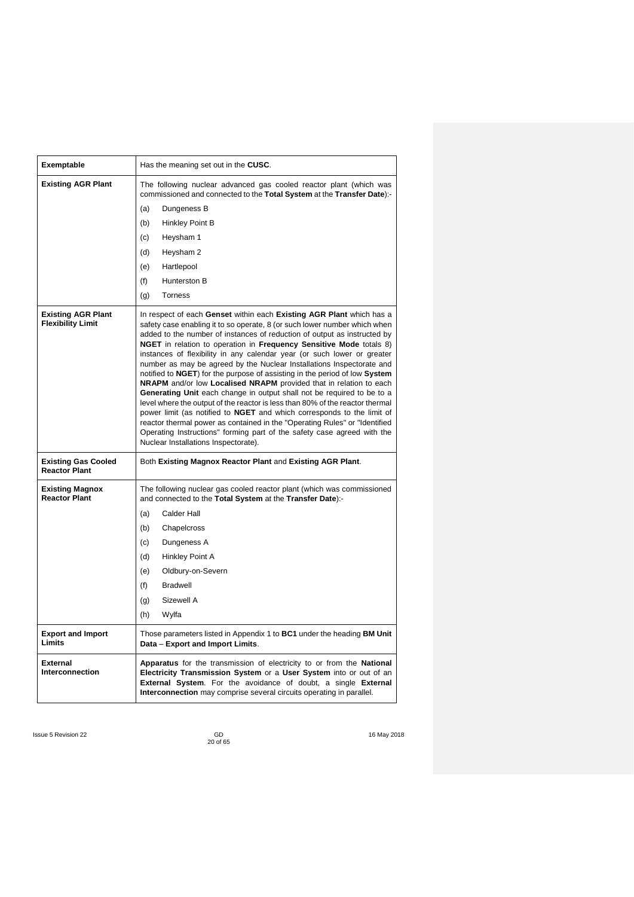| Exemptable                                            | Has the meaning set out in the CUSC.                                                                                                                                                                                                                                                                                                                                                                                                                                                                                                                                                                                                                                                                                                                                                                                                                                                                                                                                                                                                               |
|-------------------------------------------------------|----------------------------------------------------------------------------------------------------------------------------------------------------------------------------------------------------------------------------------------------------------------------------------------------------------------------------------------------------------------------------------------------------------------------------------------------------------------------------------------------------------------------------------------------------------------------------------------------------------------------------------------------------------------------------------------------------------------------------------------------------------------------------------------------------------------------------------------------------------------------------------------------------------------------------------------------------------------------------------------------------------------------------------------------------|
| <b>Existing AGR Plant</b>                             | The following nuclear advanced gas cooled reactor plant (which was<br>commissioned and connected to the Total System at the Transfer Date):-                                                                                                                                                                                                                                                                                                                                                                                                                                                                                                                                                                                                                                                                                                                                                                                                                                                                                                       |
|                                                       | Dungeness B<br>(a)                                                                                                                                                                                                                                                                                                                                                                                                                                                                                                                                                                                                                                                                                                                                                                                                                                                                                                                                                                                                                                 |
|                                                       | (b)<br>Hinkley Point B                                                                                                                                                                                                                                                                                                                                                                                                                                                                                                                                                                                                                                                                                                                                                                                                                                                                                                                                                                                                                             |
|                                                       | Heysham 1<br>(c)                                                                                                                                                                                                                                                                                                                                                                                                                                                                                                                                                                                                                                                                                                                                                                                                                                                                                                                                                                                                                                   |
|                                                       | (d)<br>Heysham 2                                                                                                                                                                                                                                                                                                                                                                                                                                                                                                                                                                                                                                                                                                                                                                                                                                                                                                                                                                                                                                   |
|                                                       | Hartlepool<br>(e)                                                                                                                                                                                                                                                                                                                                                                                                                                                                                                                                                                                                                                                                                                                                                                                                                                                                                                                                                                                                                                  |
|                                                       | (f)<br>Hunterston B                                                                                                                                                                                                                                                                                                                                                                                                                                                                                                                                                                                                                                                                                                                                                                                                                                                                                                                                                                                                                                |
|                                                       | <b>Torness</b><br>(g)                                                                                                                                                                                                                                                                                                                                                                                                                                                                                                                                                                                                                                                                                                                                                                                                                                                                                                                                                                                                                              |
| <b>Existing AGR Plant</b><br><b>Flexibility Limit</b> | In respect of each Genset within each Existing AGR Plant which has a<br>safety case enabling it to so operate, 8 (or such lower number which when<br>added to the number of instances of reduction of output as instructed by<br>NGET in relation to operation in Frequency Sensitive Mode totals 8)<br>instances of flexibility in any calendar year (or such lower or greater<br>number as may be agreed by the Nuclear Installations Inspectorate and<br>notified to NGET) for the purpose of assisting in the period of low System<br>NRAPM and/or low Localised NRAPM provided that in relation to each<br>Generating Unit each change in output shall not be required to be to a<br>level where the output of the reactor is less than 80% of the reactor thermal<br>power limit (as notified to NGET and which corresponds to the limit of<br>reactor thermal power as contained in the "Operating Rules" or "Identified<br>Operating Instructions" forming part of the safety case agreed with the<br>Nuclear Installations Inspectorate). |
| <b>Existing Gas Cooled</b><br><b>Reactor Plant</b>    | Both Existing Magnox Reactor Plant and Existing AGR Plant.                                                                                                                                                                                                                                                                                                                                                                                                                                                                                                                                                                                                                                                                                                                                                                                                                                                                                                                                                                                         |
| <b>Existing Magnox</b><br><b>Reactor Plant</b>        | The following nuclear gas cooled reactor plant (which was commissioned<br>and connected to the Total System at the Transfer Date):-                                                                                                                                                                                                                                                                                                                                                                                                                                                                                                                                                                                                                                                                                                                                                                                                                                                                                                                |
|                                                       | Calder Hall<br>(a)                                                                                                                                                                                                                                                                                                                                                                                                                                                                                                                                                                                                                                                                                                                                                                                                                                                                                                                                                                                                                                 |
|                                                       | (b)<br>Chapelcross                                                                                                                                                                                                                                                                                                                                                                                                                                                                                                                                                                                                                                                                                                                                                                                                                                                                                                                                                                                                                                 |
|                                                       | (c)<br>Dungeness A                                                                                                                                                                                                                                                                                                                                                                                                                                                                                                                                                                                                                                                                                                                                                                                                                                                                                                                                                                                                                                 |
|                                                       | Hinkley Point A<br>(d)                                                                                                                                                                                                                                                                                                                                                                                                                                                                                                                                                                                                                                                                                                                                                                                                                                                                                                                                                                                                                             |
|                                                       | Oldbury-on-Severn<br>(e)                                                                                                                                                                                                                                                                                                                                                                                                                                                                                                                                                                                                                                                                                                                                                                                                                                                                                                                                                                                                                           |
|                                                       | (f)<br><b>Bradwell</b>                                                                                                                                                                                                                                                                                                                                                                                                                                                                                                                                                                                                                                                                                                                                                                                                                                                                                                                                                                                                                             |
|                                                       | Sizewell A<br>(g)                                                                                                                                                                                                                                                                                                                                                                                                                                                                                                                                                                                                                                                                                                                                                                                                                                                                                                                                                                                                                                  |
|                                                       | (h)<br>Wylfa                                                                                                                                                                                                                                                                                                                                                                                                                                                                                                                                                                                                                                                                                                                                                                                                                                                                                                                                                                                                                                       |
| <b>Export and Import</b><br>Limits                    | Those parameters listed in Appendix 1 to BC1 under the heading BM Unit<br>Data - Export and Import Limits.                                                                                                                                                                                                                                                                                                                                                                                                                                                                                                                                                                                                                                                                                                                                                                                                                                                                                                                                         |
| <b>External</b><br>Interconnection                    | Apparatus for the transmission of electricity to or from the National<br>Electricity Transmission System or a User System into or out of an<br>External System. For the avoidance of doubt, a single External<br>Interconnection may comprise several circuits operating in parallel.                                                                                                                                                                                                                                                                                                                                                                                                                                                                                                                                                                                                                                                                                                                                                              |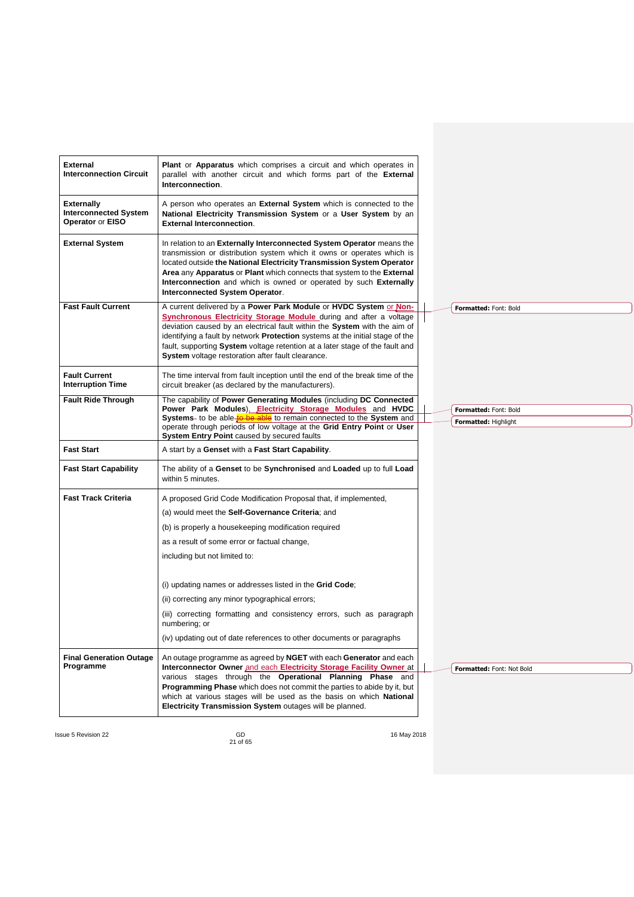| <b>External</b><br><b>Plant</b> or <b>Apparatus</b> which comprises a circuit and which operates in<br><b>Interconnection Circuit</b><br>parallel with another circuit and which forms part of the External<br>Interconnection.<br>A person who operates an External System which is connected to the<br><b>Externally</b><br><b>Interconnected System</b><br>National Electricity Transmission System or a User System by an<br>Operator or EISO<br><b>External Interconnection.</b><br><b>External System</b><br>In relation to an Externally Interconnected System Operator means the<br>transmission or distribution system which it owns or operates which is<br>located outside the National Electricity Transmission System Operator<br>Area any Apparatus or Plant which connects that system to the External<br>Interconnection and which is owned or operated by such Externally<br><b>Interconnected System Operator.</b><br><b>Fast Fault Current</b><br>A current delivered by a Power Park Module or HVDC System or Non-<br>Formatted: Font: Bold<br><b>Synchronous Electricity Storage Module during and after a voltage</b><br>deviation caused by an electrical fault within the System with the aim of<br>identifying a fault by network Protection systems at the initial stage of the<br>fault, supporting System voltage retention at a later stage of the fault and<br><b>System</b> voltage restoration after fault clearance.<br><b>Fault Current</b><br>The time interval from fault inception until the end of the break time of the<br><b>Interruption Time</b><br>circuit breaker (as declared by the manufacturers).<br>The capability of Power Generating Modules (including DC Connected<br><b>Fault Ride Through</b><br>Power Park Modules), Electricity Storage Modules and HVDC<br>Formatted: Font: Bold<br>Systems- to be able to be able to remain connected to the System and<br>Formatted: Highlight<br>operate through periods of low voltage at the Grid Entry Point or User<br><b>System Entry Point caused by secured faults</b><br><b>Fast Start</b><br>A start by a Genset with a Fast Start Capability.<br><b>Fast Start Capability</b><br>The ability of a Genset to be Synchronised and Loaded up to full Load<br>within 5 minutes.<br><b>Fast Track Criteria</b><br>A proposed Grid Code Modification Proposal that, if implemented,<br>(a) would meet the Self-Governance Criteria; and<br>(b) is properly a housekeeping modification required<br>as a result of some error or factual change,<br>including but not limited to:<br>(i) updating names or addresses listed in the Grid Code;<br>(ii) correcting any minor typographical errors;<br>(iii) correcting formatting and consistency errors, such as paragraph<br>numbering; or<br>(iv) updating out of date references to other documents or paragraphs<br><b>Final Generation Outage</b><br>An outage programme as agreed by NGET with each Generator and each<br>Programme<br>Interconnector Owner and each Electricity Storage Facility Owner at<br>Formatted: Font: Not Bold<br>various stages through the Operational Planning Phase and<br><b>Programming Phase</b> which does not commit the parties to abide by it, but<br>which at various stages will be used as the basis on which National<br>Electricity Transmission System outages will be planned. |  |  |  |
|--------------------------------------------------------------------------------------------------------------------------------------------------------------------------------------------------------------------------------------------------------------------------------------------------------------------------------------------------------------------------------------------------------------------------------------------------------------------------------------------------------------------------------------------------------------------------------------------------------------------------------------------------------------------------------------------------------------------------------------------------------------------------------------------------------------------------------------------------------------------------------------------------------------------------------------------------------------------------------------------------------------------------------------------------------------------------------------------------------------------------------------------------------------------------------------------------------------------------------------------------------------------------------------------------------------------------------------------------------------------------------------------------------------------------------------------------------------------------------------------------------------------------------------------------------------------------------------------------------------------------------------------------------------------------------------------------------------------------------------------------------------------------------------------------------------------------------------------------------------------------------------------------------------------------------------------------------------------------------------------------------------------------------------------------------------------------------------------------------------------------------------------------------------------------------------------------------------------------------------------------------------------------------------------------------------------------------------------------------------------------------------------------------------------------------------------------------------------------------------------------------------------------------------------------------------------------------------------------------------------------------------------------------------------------------------------------------------------------------------------------------------------------------------------------------------------------------------------------------------------------------------------------------------------------------------------------------------------------------------------------------------------------------------------------------------------------------------------------------------------------------------------------------------------------------------------------------------------------------------------------------------------------------------------------------------------------------------------------------------------------------|--|--|--|
|                                                                                                                                                                                                                                                                                                                                                                                                                                                                                                                                                                                                                                                                                                                                                                                                                                                                                                                                                                                                                                                                                                                                                                                                                                                                                                                                                                                                                                                                                                                                                                                                                                                                                                                                                                                                                                                                                                                                                                                                                                                                                                                                                                                                                                                                                                                                                                                                                                                                                                                                                                                                                                                                                                                                                                                                                                                                                                                                                                                                                                                                                                                                                                                                                                                                                                                                                                                |  |  |  |
|                                                                                                                                                                                                                                                                                                                                                                                                                                                                                                                                                                                                                                                                                                                                                                                                                                                                                                                                                                                                                                                                                                                                                                                                                                                                                                                                                                                                                                                                                                                                                                                                                                                                                                                                                                                                                                                                                                                                                                                                                                                                                                                                                                                                                                                                                                                                                                                                                                                                                                                                                                                                                                                                                                                                                                                                                                                                                                                                                                                                                                                                                                                                                                                                                                                                                                                                                                                |  |  |  |
|                                                                                                                                                                                                                                                                                                                                                                                                                                                                                                                                                                                                                                                                                                                                                                                                                                                                                                                                                                                                                                                                                                                                                                                                                                                                                                                                                                                                                                                                                                                                                                                                                                                                                                                                                                                                                                                                                                                                                                                                                                                                                                                                                                                                                                                                                                                                                                                                                                                                                                                                                                                                                                                                                                                                                                                                                                                                                                                                                                                                                                                                                                                                                                                                                                                                                                                                                                                |  |  |  |
|                                                                                                                                                                                                                                                                                                                                                                                                                                                                                                                                                                                                                                                                                                                                                                                                                                                                                                                                                                                                                                                                                                                                                                                                                                                                                                                                                                                                                                                                                                                                                                                                                                                                                                                                                                                                                                                                                                                                                                                                                                                                                                                                                                                                                                                                                                                                                                                                                                                                                                                                                                                                                                                                                                                                                                                                                                                                                                                                                                                                                                                                                                                                                                                                                                                                                                                                                                                |  |  |  |
|                                                                                                                                                                                                                                                                                                                                                                                                                                                                                                                                                                                                                                                                                                                                                                                                                                                                                                                                                                                                                                                                                                                                                                                                                                                                                                                                                                                                                                                                                                                                                                                                                                                                                                                                                                                                                                                                                                                                                                                                                                                                                                                                                                                                                                                                                                                                                                                                                                                                                                                                                                                                                                                                                                                                                                                                                                                                                                                                                                                                                                                                                                                                                                                                                                                                                                                                                                                |  |  |  |
|                                                                                                                                                                                                                                                                                                                                                                                                                                                                                                                                                                                                                                                                                                                                                                                                                                                                                                                                                                                                                                                                                                                                                                                                                                                                                                                                                                                                                                                                                                                                                                                                                                                                                                                                                                                                                                                                                                                                                                                                                                                                                                                                                                                                                                                                                                                                                                                                                                                                                                                                                                                                                                                                                                                                                                                                                                                                                                                                                                                                                                                                                                                                                                                                                                                                                                                                                                                |  |  |  |
|                                                                                                                                                                                                                                                                                                                                                                                                                                                                                                                                                                                                                                                                                                                                                                                                                                                                                                                                                                                                                                                                                                                                                                                                                                                                                                                                                                                                                                                                                                                                                                                                                                                                                                                                                                                                                                                                                                                                                                                                                                                                                                                                                                                                                                                                                                                                                                                                                                                                                                                                                                                                                                                                                                                                                                                                                                                                                                                                                                                                                                                                                                                                                                                                                                                                                                                                                                                |  |  |  |
|                                                                                                                                                                                                                                                                                                                                                                                                                                                                                                                                                                                                                                                                                                                                                                                                                                                                                                                                                                                                                                                                                                                                                                                                                                                                                                                                                                                                                                                                                                                                                                                                                                                                                                                                                                                                                                                                                                                                                                                                                                                                                                                                                                                                                                                                                                                                                                                                                                                                                                                                                                                                                                                                                                                                                                                                                                                                                                                                                                                                                                                                                                                                                                                                                                                                                                                                                                                |  |  |  |
|                                                                                                                                                                                                                                                                                                                                                                                                                                                                                                                                                                                                                                                                                                                                                                                                                                                                                                                                                                                                                                                                                                                                                                                                                                                                                                                                                                                                                                                                                                                                                                                                                                                                                                                                                                                                                                                                                                                                                                                                                                                                                                                                                                                                                                                                                                                                                                                                                                                                                                                                                                                                                                                                                                                                                                                                                                                                                                                                                                                                                                                                                                                                                                                                                                                                                                                                                                                |  |  |  |
|                                                                                                                                                                                                                                                                                                                                                                                                                                                                                                                                                                                                                                                                                                                                                                                                                                                                                                                                                                                                                                                                                                                                                                                                                                                                                                                                                                                                                                                                                                                                                                                                                                                                                                                                                                                                                                                                                                                                                                                                                                                                                                                                                                                                                                                                                                                                                                                                                                                                                                                                                                                                                                                                                                                                                                                                                                                                                                                                                                                                                                                                                                                                                                                                                                                                                                                                                                                |  |  |  |
|                                                                                                                                                                                                                                                                                                                                                                                                                                                                                                                                                                                                                                                                                                                                                                                                                                                                                                                                                                                                                                                                                                                                                                                                                                                                                                                                                                                                                                                                                                                                                                                                                                                                                                                                                                                                                                                                                                                                                                                                                                                                                                                                                                                                                                                                                                                                                                                                                                                                                                                                                                                                                                                                                                                                                                                                                                                                                                                                                                                                                                                                                                                                                                                                                                                                                                                                                                                |  |  |  |
|                                                                                                                                                                                                                                                                                                                                                                                                                                                                                                                                                                                                                                                                                                                                                                                                                                                                                                                                                                                                                                                                                                                                                                                                                                                                                                                                                                                                                                                                                                                                                                                                                                                                                                                                                                                                                                                                                                                                                                                                                                                                                                                                                                                                                                                                                                                                                                                                                                                                                                                                                                                                                                                                                                                                                                                                                                                                                                                                                                                                                                                                                                                                                                                                                                                                                                                                                                                |  |  |  |
|                                                                                                                                                                                                                                                                                                                                                                                                                                                                                                                                                                                                                                                                                                                                                                                                                                                                                                                                                                                                                                                                                                                                                                                                                                                                                                                                                                                                                                                                                                                                                                                                                                                                                                                                                                                                                                                                                                                                                                                                                                                                                                                                                                                                                                                                                                                                                                                                                                                                                                                                                                                                                                                                                                                                                                                                                                                                                                                                                                                                                                                                                                                                                                                                                                                                                                                                                                                |  |  |  |
|                                                                                                                                                                                                                                                                                                                                                                                                                                                                                                                                                                                                                                                                                                                                                                                                                                                                                                                                                                                                                                                                                                                                                                                                                                                                                                                                                                                                                                                                                                                                                                                                                                                                                                                                                                                                                                                                                                                                                                                                                                                                                                                                                                                                                                                                                                                                                                                                                                                                                                                                                                                                                                                                                                                                                                                                                                                                                                                                                                                                                                                                                                                                                                                                                                                                                                                                                                                |  |  |  |
|                                                                                                                                                                                                                                                                                                                                                                                                                                                                                                                                                                                                                                                                                                                                                                                                                                                                                                                                                                                                                                                                                                                                                                                                                                                                                                                                                                                                                                                                                                                                                                                                                                                                                                                                                                                                                                                                                                                                                                                                                                                                                                                                                                                                                                                                                                                                                                                                                                                                                                                                                                                                                                                                                                                                                                                                                                                                                                                                                                                                                                                                                                                                                                                                                                                                                                                                                                                |  |  |  |
|                                                                                                                                                                                                                                                                                                                                                                                                                                                                                                                                                                                                                                                                                                                                                                                                                                                                                                                                                                                                                                                                                                                                                                                                                                                                                                                                                                                                                                                                                                                                                                                                                                                                                                                                                                                                                                                                                                                                                                                                                                                                                                                                                                                                                                                                                                                                                                                                                                                                                                                                                                                                                                                                                                                                                                                                                                                                                                                                                                                                                                                                                                                                                                                                                                                                                                                                                                                |  |  |  |
|                                                                                                                                                                                                                                                                                                                                                                                                                                                                                                                                                                                                                                                                                                                                                                                                                                                                                                                                                                                                                                                                                                                                                                                                                                                                                                                                                                                                                                                                                                                                                                                                                                                                                                                                                                                                                                                                                                                                                                                                                                                                                                                                                                                                                                                                                                                                                                                                                                                                                                                                                                                                                                                                                                                                                                                                                                                                                                                                                                                                                                                                                                                                                                                                                                                                                                                                                                                |  |  |  |
|                                                                                                                                                                                                                                                                                                                                                                                                                                                                                                                                                                                                                                                                                                                                                                                                                                                                                                                                                                                                                                                                                                                                                                                                                                                                                                                                                                                                                                                                                                                                                                                                                                                                                                                                                                                                                                                                                                                                                                                                                                                                                                                                                                                                                                                                                                                                                                                                                                                                                                                                                                                                                                                                                                                                                                                                                                                                                                                                                                                                                                                                                                                                                                                                                                                                                                                                                                                |  |  |  |
|                                                                                                                                                                                                                                                                                                                                                                                                                                                                                                                                                                                                                                                                                                                                                                                                                                                                                                                                                                                                                                                                                                                                                                                                                                                                                                                                                                                                                                                                                                                                                                                                                                                                                                                                                                                                                                                                                                                                                                                                                                                                                                                                                                                                                                                                                                                                                                                                                                                                                                                                                                                                                                                                                                                                                                                                                                                                                                                                                                                                                                                                                                                                                                                                                                                                                                                                                                                |  |  |  |
|                                                                                                                                                                                                                                                                                                                                                                                                                                                                                                                                                                                                                                                                                                                                                                                                                                                                                                                                                                                                                                                                                                                                                                                                                                                                                                                                                                                                                                                                                                                                                                                                                                                                                                                                                                                                                                                                                                                                                                                                                                                                                                                                                                                                                                                                                                                                                                                                                                                                                                                                                                                                                                                                                                                                                                                                                                                                                                                                                                                                                                                                                                                                                                                                                                                                                                                                                                                |  |  |  |
|                                                                                                                                                                                                                                                                                                                                                                                                                                                                                                                                                                                                                                                                                                                                                                                                                                                                                                                                                                                                                                                                                                                                                                                                                                                                                                                                                                                                                                                                                                                                                                                                                                                                                                                                                                                                                                                                                                                                                                                                                                                                                                                                                                                                                                                                                                                                                                                                                                                                                                                                                                                                                                                                                                                                                                                                                                                                                                                                                                                                                                                                                                                                                                                                                                                                                                                                                                                |  |  |  |
|                                                                                                                                                                                                                                                                                                                                                                                                                                                                                                                                                                                                                                                                                                                                                                                                                                                                                                                                                                                                                                                                                                                                                                                                                                                                                                                                                                                                                                                                                                                                                                                                                                                                                                                                                                                                                                                                                                                                                                                                                                                                                                                                                                                                                                                                                                                                                                                                                                                                                                                                                                                                                                                                                                                                                                                                                                                                                                                                                                                                                                                                                                                                                                                                                                                                                                                                                                                |  |  |  |
|                                                                                                                                                                                                                                                                                                                                                                                                                                                                                                                                                                                                                                                                                                                                                                                                                                                                                                                                                                                                                                                                                                                                                                                                                                                                                                                                                                                                                                                                                                                                                                                                                                                                                                                                                                                                                                                                                                                                                                                                                                                                                                                                                                                                                                                                                                                                                                                                                                                                                                                                                                                                                                                                                                                                                                                                                                                                                                                                                                                                                                                                                                                                                                                                                                                                                                                                                                                |  |  |  |
|                                                                                                                                                                                                                                                                                                                                                                                                                                                                                                                                                                                                                                                                                                                                                                                                                                                                                                                                                                                                                                                                                                                                                                                                                                                                                                                                                                                                                                                                                                                                                                                                                                                                                                                                                                                                                                                                                                                                                                                                                                                                                                                                                                                                                                                                                                                                                                                                                                                                                                                                                                                                                                                                                                                                                                                                                                                                                                                                                                                                                                                                                                                                                                                                                                                                                                                                                                                |  |  |  |
|                                                                                                                                                                                                                                                                                                                                                                                                                                                                                                                                                                                                                                                                                                                                                                                                                                                                                                                                                                                                                                                                                                                                                                                                                                                                                                                                                                                                                                                                                                                                                                                                                                                                                                                                                                                                                                                                                                                                                                                                                                                                                                                                                                                                                                                                                                                                                                                                                                                                                                                                                                                                                                                                                                                                                                                                                                                                                                                                                                                                                                                                                                                                                                                                                                                                                                                                                                                |  |  |  |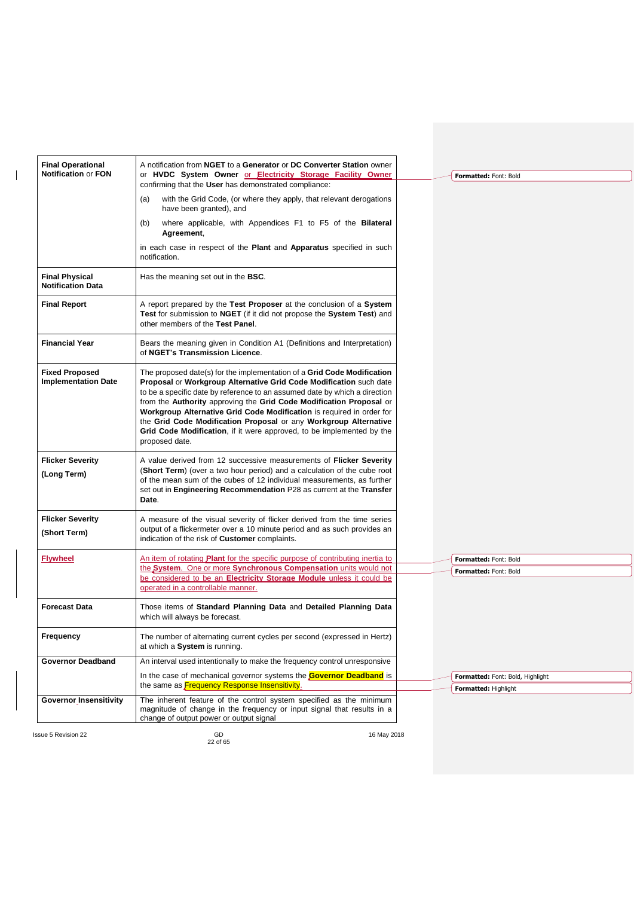| <b>Final Operational</b>                            | A notification from NGET to a Generator or DC Converter Station owner                                                                                                                                                                                                                                                                                                                                                                                                                                                                      |                                  |
|-----------------------------------------------------|--------------------------------------------------------------------------------------------------------------------------------------------------------------------------------------------------------------------------------------------------------------------------------------------------------------------------------------------------------------------------------------------------------------------------------------------------------------------------------------------------------------------------------------------|----------------------------------|
| <b>Notification or FON</b>                          | or HVDC System Owner or Electricity Storage Facility Owner                                                                                                                                                                                                                                                                                                                                                                                                                                                                                 | Formatted: Font: Bold            |
|                                                     | confirming that the User has demonstrated compliance:                                                                                                                                                                                                                                                                                                                                                                                                                                                                                      |                                  |
|                                                     | with the Grid Code, (or where they apply, that relevant derogations<br>(a)<br>have been granted), and                                                                                                                                                                                                                                                                                                                                                                                                                                      |                                  |
|                                                     | where applicable, with Appendices F1 to F5 of the Bilateral<br>(b)<br>Agreement,                                                                                                                                                                                                                                                                                                                                                                                                                                                           |                                  |
|                                                     | in each case in respect of the Plant and Apparatus specified in such<br>notification.                                                                                                                                                                                                                                                                                                                                                                                                                                                      |                                  |
| <b>Final Physical</b><br><b>Notification Data</b>   | Has the meaning set out in the <b>BSC</b> .                                                                                                                                                                                                                                                                                                                                                                                                                                                                                                |                                  |
| <b>Final Report</b>                                 | A report prepared by the Test Proposer at the conclusion of a System<br>Test for submission to NGET (if it did not propose the System Test) and<br>other members of the Test Panel.                                                                                                                                                                                                                                                                                                                                                        |                                  |
| <b>Financial Year</b>                               | Bears the meaning given in Condition A1 (Definitions and Interpretation)<br>of NGET's Transmission Licence.                                                                                                                                                                                                                                                                                                                                                                                                                                |                                  |
| <b>Fixed Proposed</b><br><b>Implementation Date</b> | The proposed date(s) for the implementation of a Grid Code Modification<br>Proposal or Workgroup Alternative Grid Code Modification such date<br>to be a specific date by reference to an assumed date by which a direction<br>from the Authority approving the Grid Code Modification Proposal or<br>Workgroup Alternative Grid Code Modification is required in order for<br>the Grid Code Modification Proposal or any Workgroup Alternative<br>Grid Code Modification, if it were approved, to be implemented by the<br>proposed date. |                                  |
| <b>Flicker Severity</b><br>(Long Term)              | A value derived from 12 successive measurements of Flicker Severity<br>(Short Term) (over a two hour period) and a calculation of the cube root<br>of the mean sum of the cubes of 12 individual measurements, as further<br>set out in Engineering Recommendation P28 as current at the Transfer<br>Date.                                                                                                                                                                                                                                 |                                  |
| <b>Flicker Severity</b><br>(Short Term)             | A measure of the visual severity of flicker derived from the time series<br>output of a flickermeter over a 10 minute period and as such provides an<br>indication of the risk of Customer complaints.                                                                                                                                                                                                                                                                                                                                     |                                  |
| <b>Flywheel</b>                                     | An item of rotating <b>Plant</b> for the specific purpose of contributing inertia to                                                                                                                                                                                                                                                                                                                                                                                                                                                       | Formatted: Font: Bold            |
|                                                     | the System. One or more Synchronous Compensation units would not<br>be considered to be an Electricity Storage Module unless it could be                                                                                                                                                                                                                                                                                                                                                                                                   | Formatted: Font: Bold            |
|                                                     | operated in a controllable manner.                                                                                                                                                                                                                                                                                                                                                                                                                                                                                                         |                                  |
| <b>Forecast Data</b>                                | Those items of Standard Planning Data and Detailed Planning Data<br>which will always be forecast.                                                                                                                                                                                                                                                                                                                                                                                                                                         |                                  |
| <b>Frequency</b>                                    | The number of alternating current cycles per second (expressed in Hertz)<br>at which a System is running.                                                                                                                                                                                                                                                                                                                                                                                                                                  |                                  |
| <b>Governor Deadband</b>                            | An interval used intentionally to make the frequency control unresponsive                                                                                                                                                                                                                                                                                                                                                                                                                                                                  |                                  |
|                                                     | In the case of mechanical governor systems the Governor Deadband is                                                                                                                                                                                                                                                                                                                                                                                                                                                                        | Formatted: Font: Bold, Highlight |
|                                                     | the same as <b>Frequency Response Insensitivity</b> .                                                                                                                                                                                                                                                                                                                                                                                                                                                                                      | <b>Formatted: Highlight</b>      |
| <b>Governor_Insensitivity</b>                       | The inherent feature of the control system specified as the minimum<br>magnitude of change in the frequency or input signal that results in a<br>change of output power or output signal                                                                                                                                                                                                                                                                                                                                                   |                                  |

 $\overline{\phantom{a}}$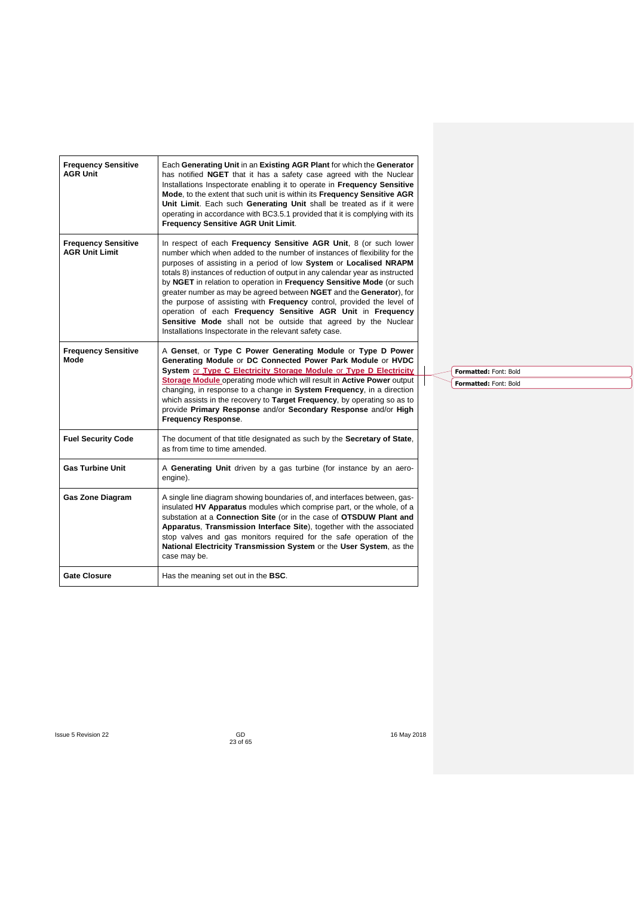| <b>Frequency Sensitive</b><br><b>AGR Unit</b>       | Each Generating Unit in an Existing AGR Plant for which the Generator<br>has notified NGET that it has a safety case agreed with the Nuclear<br>Installations Inspectorate enabling it to operate in Frequency Sensitive<br>Mode, to the extent that such unit is within its Frequency Sensitive AGR<br>Unit Limit. Each such Generating Unit shall be treated as if it were<br>operating in accordance with BC3.5.1 provided that it is complying with its<br>Frequency Sensitive AGR Unit Limit.                                                                                                                                                                                                                           |
|-----------------------------------------------------|------------------------------------------------------------------------------------------------------------------------------------------------------------------------------------------------------------------------------------------------------------------------------------------------------------------------------------------------------------------------------------------------------------------------------------------------------------------------------------------------------------------------------------------------------------------------------------------------------------------------------------------------------------------------------------------------------------------------------|
| <b>Frequency Sensitive</b><br><b>AGR Unit Limit</b> | In respect of each Frequency Sensitive AGR Unit, 8 (or such lower<br>number which when added to the number of instances of flexibility for the<br>purposes of assisting in a period of low System or Localised NRAPM<br>totals 8) instances of reduction of output in any calendar year as instructed<br>by NGET in relation to operation in Frequency Sensitive Mode (or such<br>greater number as may be agreed between NGET and the Generator), for<br>the purpose of assisting with Frequency control, provided the level of<br>operation of each Frequency Sensitive AGR Unit in Frequency<br>Sensitive Mode shall not be outside that agreed by the Nuclear<br>Installations Inspectorate in the relevant safety case. |
| <b>Frequency Sensitive</b><br>Mode                  | A Genset, or Type C Power Generating Module or Type D Power<br>Generating Module or DC Connected Power Park Module or HVDC<br>System or Type C Electricity Storage Module or Type D Electricity<br>Storage Module operating mode which will result in Active Power output<br>changing, in response to a change in System Frequency, in a direction<br>which assists in the recovery to Target Frequency, by operating so as to<br>provide Primary Response and/or Secondary Response and/or High<br><b>Frequency Response.</b>                                                                                                                                                                                               |
| <b>Fuel Security Code</b>                           | The document of that title designated as such by the Secretary of State,<br>as from time to time amended.                                                                                                                                                                                                                                                                                                                                                                                                                                                                                                                                                                                                                    |
| <b>Gas Turbine Unit</b>                             | A Generating Unit driven by a gas turbine (for instance by an aero-<br>engine).                                                                                                                                                                                                                                                                                                                                                                                                                                                                                                                                                                                                                                              |
| <b>Gas Zone Diagram</b>                             | A single line diagram showing boundaries of, and interfaces between, gas-<br>insulated HV Apparatus modules which comprise part, or the whole, of a<br>substation at a Connection Site (or in the case of OTSDUW Plant and<br>Apparatus, Transmission Interface Site), together with the associated<br>stop valves and gas monitors required for the safe operation of the<br>National Electricity Transmission System or the User System, as the<br>case may be.                                                                                                                                                                                                                                                            |
| <b>Gate Closure</b>                                 | Has the meaning set out in the <b>BSC</b> .                                                                                                                                                                                                                                                                                                                                                                                                                                                                                                                                                                                                                                                                                  |

**Formatted:** Font: Bold

**Formatted:** Font: Bold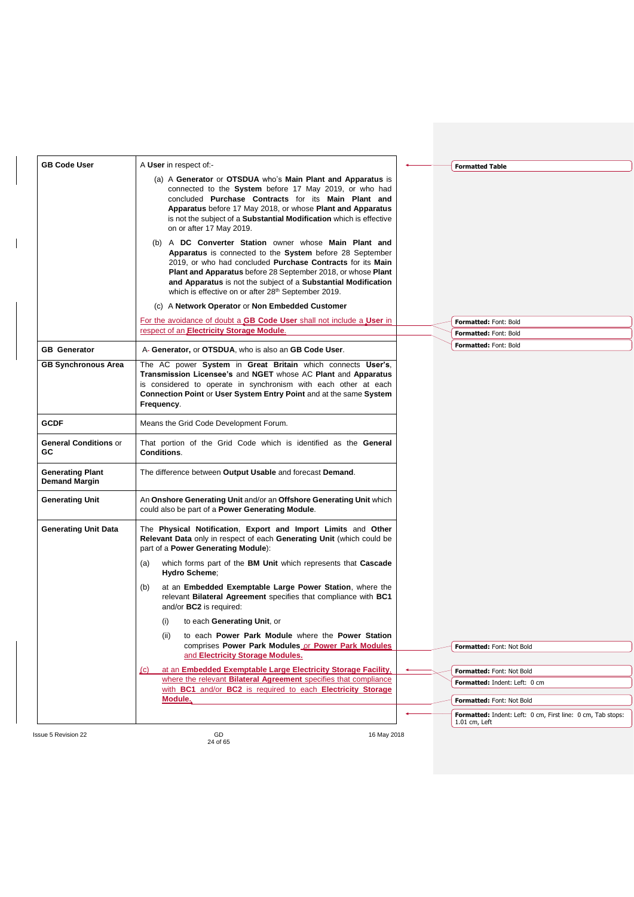| <b>GB Code User</b>                             | A User in respect of -                                                                                                                                                                                                                                                                                                                                                                                           | <b>Formatted Table</b>                                                         |
|-------------------------------------------------|------------------------------------------------------------------------------------------------------------------------------------------------------------------------------------------------------------------------------------------------------------------------------------------------------------------------------------------------------------------------------------------------------------------|--------------------------------------------------------------------------------|
|                                                 | (a) A Generator or OTSDUA who's Main Plant and Apparatus is<br>connected to the System before 17 May 2019, or who had<br>concluded Purchase Contracts for its Main Plant and<br>Apparatus before 17 May 2018, or whose Plant and Apparatus<br>is not the subject of a Substantial Modification which is effective<br>on or after 17 May 2019.                                                                    |                                                                                |
|                                                 | (b) A DC Converter Station owner whose Main Plant and<br><b>Apparatus</b> is connected to the <b>System</b> before 28 September<br>2019, or who had concluded Purchase Contracts for its Main<br><b>Plant and Apparatus</b> before 28 September 2018, or whose <b>Plant</b><br>and Apparatus is not the subject of a Substantial Modification<br>which is effective on or after 28 <sup>th</sup> September 2019. |                                                                                |
|                                                 | (c) A Network Operator or Non Embedded Customer                                                                                                                                                                                                                                                                                                                                                                  |                                                                                |
|                                                 | For the avoidance of doubt a GB Code User shall not include a User in                                                                                                                                                                                                                                                                                                                                            | Formatted: Font: Bold                                                          |
|                                                 | respect of an Electricity Storage Module.                                                                                                                                                                                                                                                                                                                                                                        | Formatted: Font: Bold                                                          |
| <b>GB</b> Generator                             | A- Generator, or OTSDUA, who is also an GB Code User.                                                                                                                                                                                                                                                                                                                                                            | Formatted: Font: Bold                                                          |
| <b>GB Synchronous Area</b>                      | The AC power System in Great Britain which connects User's,<br>Transmission Licensee's and NGET whose AC Plant and Apparatus<br>is considered to operate in synchronism with each other at each<br>Connection Point or User System Entry Point and at the same System<br>Frequency.                                                                                                                              |                                                                                |
| <b>GCDF</b>                                     | Means the Grid Code Development Forum.                                                                                                                                                                                                                                                                                                                                                                           |                                                                                |
| <b>General Conditions or</b><br>GC              | That portion of the Grid Code which is identified as the General<br><b>Conditions.</b>                                                                                                                                                                                                                                                                                                                           |                                                                                |
| <b>Generating Plant</b><br><b>Demand Margin</b> | The difference between Output Usable and forecast Demand.                                                                                                                                                                                                                                                                                                                                                        |                                                                                |
| <b>Generating Unit</b>                          | An Onshore Generating Unit and/or an Offshore Generating Unit which<br>could also be part of a <b>Power Generating Module</b> .                                                                                                                                                                                                                                                                                  |                                                                                |
| <b>Generating Unit Data</b>                     | The Physical Notification, Export and Import Limits and Other<br>Relevant Data only in respect of each Generating Unit (which could be<br>part of a Power Generating Module):                                                                                                                                                                                                                                    |                                                                                |
|                                                 | which forms part of the BM Unit which represents that Cascade<br>(a)<br>Hydro Scheme;                                                                                                                                                                                                                                                                                                                            |                                                                                |
|                                                 | at an Embedded Exemptable Large Power Station, where the<br>(b)<br>relevant Bilateral Agreement specifies that compliance with BC1<br>and/or BC2 is required:                                                                                                                                                                                                                                                    |                                                                                |
|                                                 | to each Generating Unit, or<br>(i)                                                                                                                                                                                                                                                                                                                                                                               |                                                                                |
|                                                 | to each Power Park Module where the Power Station<br>(II)<br>comprises Power Park Modules or Power Park Modules<br>and Electricity Storage Modules.                                                                                                                                                                                                                                                              | Formatted: Font: Not Bold                                                      |
|                                                 |                                                                                                                                                                                                                                                                                                                                                                                                                  |                                                                                |
|                                                 | at an Embedded Exemptable Large Electricity Storage Facility,<br>$\chi$ C)<br>where the relevant Bilateral Agreement specifies that compliance                                                                                                                                                                                                                                                                   | Formatted: Font: Not Bold                                                      |
|                                                 | with BC1 and/or BC2 is required to each Electricity Storage                                                                                                                                                                                                                                                                                                                                                      | Formatted: Indent: Left: 0 cm                                                  |
|                                                 | Module.                                                                                                                                                                                                                                                                                                                                                                                                          | Formatted: Font: Not Bold                                                      |
|                                                 |                                                                                                                                                                                                                                                                                                                                                                                                                  | Formatted: Indent: Left: 0 cm, First line: 0 cm, Tab stops:<br>$1.01$ cm, Left |

 $\begin{array}{c} \hline \end{array}$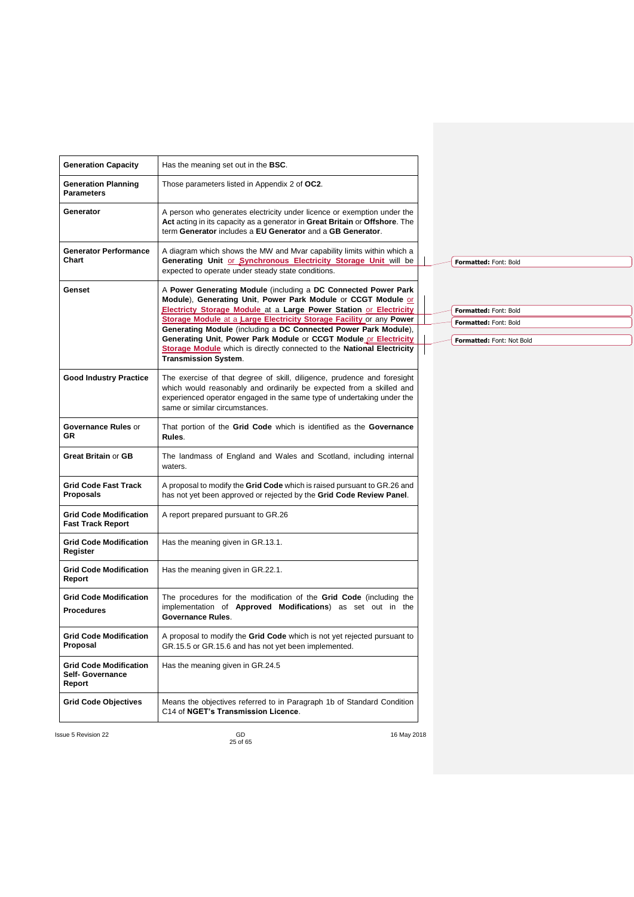| <b>Generation Capacity</b>                                         | Has the meaning set out in the <b>BSC</b> .                                                                                                                                                                                                                                                                         |  |                                                    |
|--------------------------------------------------------------------|---------------------------------------------------------------------------------------------------------------------------------------------------------------------------------------------------------------------------------------------------------------------------------------------------------------------|--|----------------------------------------------------|
| <b>Generation Planning</b><br><b>Parameters</b>                    | Those parameters listed in Appendix 2 of OC2.                                                                                                                                                                                                                                                                       |  |                                                    |
| Generator                                                          | A person who generates electricity under licence or exemption under the<br>Act acting in its capacity as a generator in Great Britain or Offshore. The<br>term Generator includes a EU Generator and a GB Generator.                                                                                                |  |                                                    |
| <b>Generator Performance</b><br>Chart                              | A diagram which shows the MW and Mvar capability limits within which a<br>Generating Unit or Synchronous Electricity Storage Unit will be<br>expected to operate under steady state conditions.                                                                                                                     |  | Formatted: Font: Bold                              |
| Genset                                                             | A Power Generating Module (including a DC Connected Power Park<br>Module), Generating Unit, Power Park Module or CCGT Module or<br>Electricty Storage Module at a Large Power Station or Electricity                                                                                                                |  | Formatted: Font: Bold                              |
|                                                                    | Storage Module at a Large Electricity Storage Facility or any Power<br>Generating Module (including a DC Connected Power Park Module),<br>Generating Unit, Power Park Module or CCGT Module or Electricity<br>Storage Module which is directly connected to the National Electricity<br><b>Transmission System.</b> |  | Formatted: Font: Bold<br>Formatted: Font: Not Bold |
| <b>Good Industry Practice</b>                                      | The exercise of that degree of skill, diligence, prudence and foresight<br>which would reasonably and ordinarily be expected from a skilled and<br>experienced operator engaged in the same type of undertaking under the<br>same or similar circumstances.                                                         |  |                                                    |
| Governance Rules or<br>GR.                                         | That portion of the Grid Code which is identified as the Governance<br>Rules.                                                                                                                                                                                                                                       |  |                                                    |
| <b>Great Britain or GB</b>                                         | The landmass of England and Wales and Scotland, including internal<br>waters.                                                                                                                                                                                                                                       |  |                                                    |
| <b>Grid Code Fast Track</b><br>Proposals                           | A proposal to modify the Grid Code which is raised pursuant to GR.26 and<br>has not yet been approved or rejected by the Grid Code Review Panel.                                                                                                                                                                    |  |                                                    |
| <b>Grid Code Modification</b><br><b>Fast Track Report</b>          | A report prepared pursuant to GR.26                                                                                                                                                                                                                                                                                 |  |                                                    |
| <b>Grid Code Modification</b><br>Register                          | Has the meaning given in GR.13.1.                                                                                                                                                                                                                                                                                   |  |                                                    |
| <b>Grid Code Modification</b><br>Report                            | Has the meaning given in GR.22.1.                                                                                                                                                                                                                                                                                   |  |                                                    |
| <b>Grid Code Modification</b><br><b>Procedures</b>                 | The procedures for the modification of the Grid Code (including the<br>implementation of <b>Approved Modifications</b> ) as set out in the<br>Governance Rules.                                                                                                                                                     |  |                                                    |
| <b>Grid Code Modification</b><br>Proposal                          | A proposal to modify the Grid Code which is not yet rejected pursuant to<br>GR.15.5 or GR.15.6 and has not yet been implemented.                                                                                                                                                                                    |  |                                                    |
| <b>Grid Code Modification</b><br><b>Self- Governance</b><br>Report | Has the meaning given in GR.24.5                                                                                                                                                                                                                                                                                    |  |                                                    |
| <b>Grid Code Objectives</b>                                        | Means the objectives referred to in Paragraph 1b of Standard Condition<br>C14 of NGET's Transmission Licence.                                                                                                                                                                                                       |  |                                                    |
|                                                                    |                                                                                                                                                                                                                                                                                                                     |  |                                                    |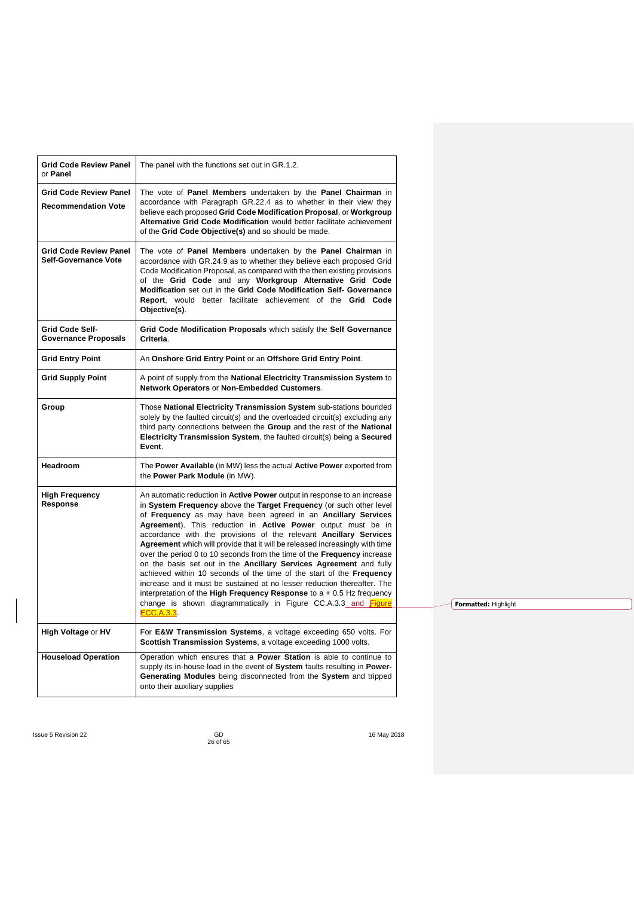| <b>Grid Code Review Panel</b><br>The panel with the functions set out in GR.1.2.<br>or Panel<br>The vote of Panel Members undertaken by the Panel Chairman in<br><b>Grid Code Review Panel</b><br>accordance with Paragraph GR.22.4 as to whether in their view they<br><b>Recommendation Vote</b><br>believe each proposed Grid Code Modification Proposal, or Workgroup                                                                                                                                                                                                                                                                                                                                                                                                                                                                                                                                                                                      |  |
|----------------------------------------------------------------------------------------------------------------------------------------------------------------------------------------------------------------------------------------------------------------------------------------------------------------------------------------------------------------------------------------------------------------------------------------------------------------------------------------------------------------------------------------------------------------------------------------------------------------------------------------------------------------------------------------------------------------------------------------------------------------------------------------------------------------------------------------------------------------------------------------------------------------------------------------------------------------|--|
|                                                                                                                                                                                                                                                                                                                                                                                                                                                                                                                                                                                                                                                                                                                                                                                                                                                                                                                                                                |  |
| Alternative Grid Code Modification would better facilitate achievement<br>of the Grid Code Objective(s) and so should be made.                                                                                                                                                                                                                                                                                                                                                                                                                                                                                                                                                                                                                                                                                                                                                                                                                                 |  |
| <b>Grid Code Review Panel</b><br>The vote of Panel Members undertaken by the Panel Chairman in<br><b>Self-Governance Vote</b><br>accordance with GR.24.9 as to whether they believe each proposed Grid<br>Code Modification Proposal, as compared with the then existing provisions<br>of the Grid Code and any Workgroup Alternative Grid Code<br>Modification set out in the Grid Code Modification Self- Governance<br>Report, would better facilitate achievement of the Grid Code<br>Objective(s).                                                                                                                                                                                                                                                                                                                                                                                                                                                        |  |
| Grid Code Modification Proposals which satisfy the Self Governance<br>Grid Code Self-<br><b>Governance Proposals</b><br>Criteria.                                                                                                                                                                                                                                                                                                                                                                                                                                                                                                                                                                                                                                                                                                                                                                                                                              |  |
| An Onshore Grid Entry Point or an Offshore Grid Entry Point.<br><b>Grid Entry Point</b>                                                                                                                                                                                                                                                                                                                                                                                                                                                                                                                                                                                                                                                                                                                                                                                                                                                                        |  |
| <b>Grid Supply Point</b><br>A point of supply from the National Electricity Transmission System to<br>Network Operators or Non-Embedded Customers.                                                                                                                                                                                                                                                                                                                                                                                                                                                                                                                                                                                                                                                                                                                                                                                                             |  |
| Those National Electricity Transmission System sub-stations bounded<br>Group<br>solely by the faulted circuit(s) and the overloaded circuit(s) excluding any<br>third party connections between the Group and the rest of the National<br>Electricity Transmission System, the faulted circuit(s) being a Secured<br>Event.                                                                                                                                                                                                                                                                                                                                                                                                                                                                                                                                                                                                                                    |  |
| <b>Headroom</b><br>The Power Available (in MW) less the actual Active Power exported from<br>the Power Park Module (in MW).                                                                                                                                                                                                                                                                                                                                                                                                                                                                                                                                                                                                                                                                                                                                                                                                                                    |  |
| <b>High Frequency</b><br>An automatic reduction in <b>Active Power</b> output in response to an increase<br>Response<br>in System Frequency above the Target Frequency (or such other level<br>of Frequency as may have been agreed in an Ancillary Services<br>Agreement). This reduction in Active Power output must be in<br>accordance with the provisions of the relevant Ancillary Services<br>Agreement which will provide that it will be released increasingly with time<br>over the period 0 to 10 seconds from the time of the <b>Frequency</b> increase<br>on the basis set out in the Ancillary Services Agreement and fully<br>achieved within 10 seconds of the time of the start of the Frequency<br>increase and it must be sustained at no lesser reduction thereafter. The<br>interpretation of the High Frequency Response to $a + 0.5$ Hz frequency<br>change is shown diagrammatically in Figure CC.A.3.3 and Figure<br><b>ECC.A.3.3</b> |  |
| High Voltage or HV<br>For E&W Transmission Systems, a voltage exceeding 650 volts. For<br>Scottish Transmission Systems, a voltage exceeding 1000 volts.                                                                                                                                                                                                                                                                                                                                                                                                                                                                                                                                                                                                                                                                                                                                                                                                       |  |
| Operation which ensures that a <b>Power Station</b> is able to continue to<br><b>Houseload Operation</b><br>supply its in-house load in the event of System faults resulting in Power-<br>Generating Modules being disconnected from the System and tripped<br>onto their auxiliary supplies                                                                                                                                                                                                                                                                                                                                                                                                                                                                                                                                                                                                                                                                   |  |

**Formatted:** Highlight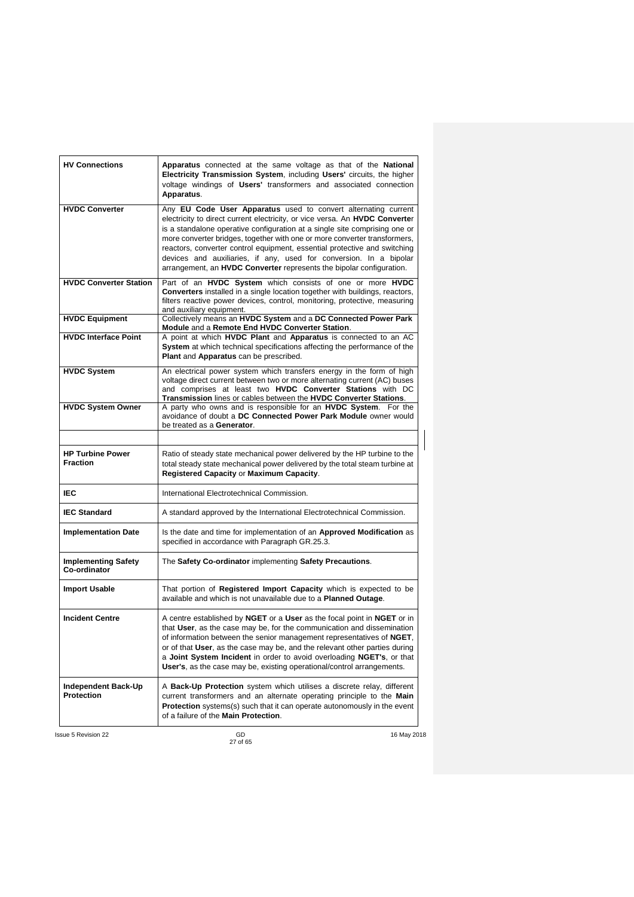| <b>HV Connections</b>                      | Apparatus connected at the same voltage as that of the National<br>Electricity Transmission System, including Users' circuits, the higher<br>voltage windings of Users' transformers and associated connection<br>Apparatus.                                                                                                                                                                                                                                                                                                               |
|--------------------------------------------|--------------------------------------------------------------------------------------------------------------------------------------------------------------------------------------------------------------------------------------------------------------------------------------------------------------------------------------------------------------------------------------------------------------------------------------------------------------------------------------------------------------------------------------------|
| <b>HVDC Converter</b>                      | Any EU Code User Apparatus used to convert alternating current<br>electricity to direct current electricity, or vice versa. An <b>HVDC Converter</b><br>is a standalone operative configuration at a single site comprising one or<br>more converter bridges, together with one or more converter transformers,<br>reactors, converter control equipment, essential protective and switching<br>devices and auxiliaries, if any, used for conversion. In a bipolar<br>arrangement, an HVDC Converter represents the bipolar configuration. |
| <b>HVDC Converter Station</b>              | Part of an HVDC System which consists of one or more HVDC<br><b>Converters</b> installed in a single location together with buildings, reactors,<br>filters reactive power devices, control, monitoring, protective, measuring<br>and auxiliary equipment.                                                                                                                                                                                                                                                                                 |
| <b>HVDC Equipment</b>                      | Collectively means an HVDC System and a DC Connected Power Park<br>Module and a Remote End HVDC Converter Station.                                                                                                                                                                                                                                                                                                                                                                                                                         |
| <b>HVDC Interface Point</b>                | A point at which HVDC Plant and Apparatus is connected to an AC<br>System at which technical specifications affecting the performance of the<br>Plant and Apparatus can be prescribed.                                                                                                                                                                                                                                                                                                                                                     |
| <b>HVDC System</b>                         | An electrical power system which transfers energy in the form of high<br>voltage direct current between two or more alternating current (AC) buses<br>and comprises at least two HVDC Converter Stations with DC<br>Transmission lines or cables between the HVDC Converter Stations.                                                                                                                                                                                                                                                      |
| <b>HVDC System Owner</b>                   | A party who owns and is responsible for an HVDC System. For the<br>avoidance of doubt a DC Connected Power Park Module owner would<br>be treated as a Generator.                                                                                                                                                                                                                                                                                                                                                                           |
| <b>HP Turbine Power</b><br><b>Fraction</b> | Ratio of steady state mechanical power delivered by the HP turbine to the<br>total steady state mechanical power delivered by the total steam turbine at<br>Registered Capacity or Maximum Capacity.                                                                                                                                                                                                                                                                                                                                       |
| IEC                                        | International Electrotechnical Commission.                                                                                                                                                                                                                                                                                                                                                                                                                                                                                                 |
| <b>IEC Standard</b>                        | A standard approved by the International Electrotechnical Commission.                                                                                                                                                                                                                                                                                                                                                                                                                                                                      |
| <b>Implementation Date</b>                 | Is the date and time for implementation of an Approved Modification as<br>specified in accordance with Paragraph GR.25.3.                                                                                                                                                                                                                                                                                                                                                                                                                  |
| <b>Implementing Safety</b><br>Co-ordinator | The Safety Co-ordinator implementing Safety Precautions.                                                                                                                                                                                                                                                                                                                                                                                                                                                                                   |
| <b>Import Usable</b>                       | That portion of <b>Registered Import Capacity</b> which is expected to be<br>available and which is not unavailable due to a Planned Outage.                                                                                                                                                                                                                                                                                                                                                                                               |
| <b>Incident Centre</b>                     | A centre established by <b>NGET</b> or a User as the focal point in NGET or in<br>that User, as the case may be, for the communication and dissemination<br>of information between the senior management representatives of NGET,<br>or of that User, as the case may be, and the relevant other parties during<br>a Joint System Incident in order to avoid overloading NGET's, or that<br><b>User's</b> , as the case may be, existing operational/control arrangements.                                                                 |
| Independent Back-Up<br><b>Protection</b>   | A Back-Up Protection system which utilises a discrete relay, different<br>current transformers and an alternate operating principle to the Main<br><b>Protection</b> systems(s) such that it can operate autonomously in the event<br>of a failure of the Main Protection.                                                                                                                                                                                                                                                                 |
| <b>Issue 5 Revision 22</b>                 | GD<br>16 May 2018                                                                                                                                                                                                                                                                                                                                                                                                                                                                                                                          |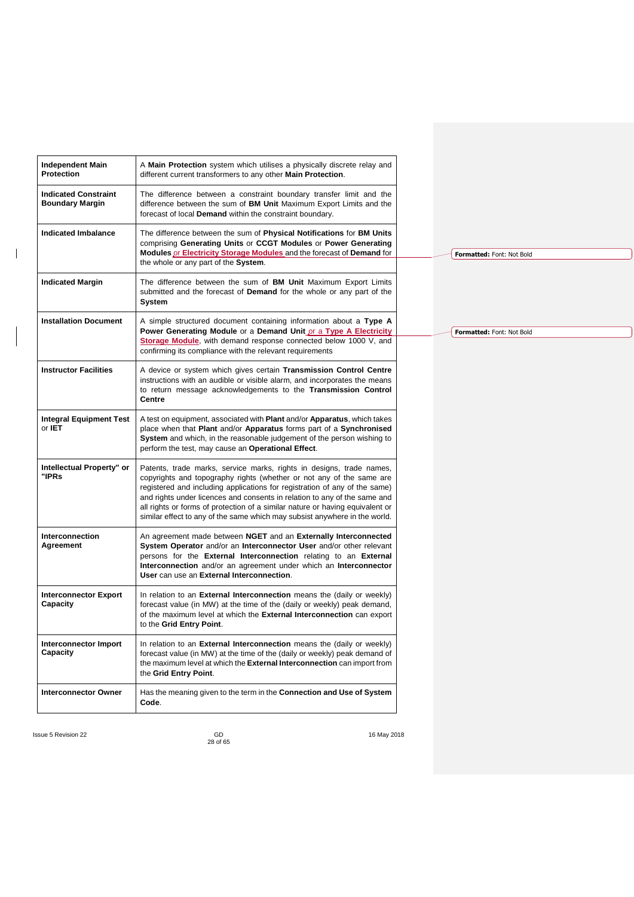| <b>Independent Main</b><br>Protection                 | A Main Protection system which utilises a physically discrete relay and<br>different current transformers to any other Main Protection.                                                                                                                                                                                                                                                                                                                                |
|-------------------------------------------------------|------------------------------------------------------------------------------------------------------------------------------------------------------------------------------------------------------------------------------------------------------------------------------------------------------------------------------------------------------------------------------------------------------------------------------------------------------------------------|
| <b>Indicated Constraint</b><br><b>Boundary Margin</b> | The difference between a constraint boundary transfer limit and the<br>difference between the sum of BM Unit Maximum Export Limits and the<br>forecast of local Demand within the constraint boundary.                                                                                                                                                                                                                                                                 |
| <b>Indicated Imbalance</b>                            | The difference between the sum of Physical Notifications for BM Units<br>comprising Generating Units or CCGT Modules or Power Generating<br>Modules or Electricity Storage Modules and the forecast of Demand for<br>the whole or any part of the System.                                                                                                                                                                                                              |
| <b>Indicated Margin</b>                               | The difference between the sum of BM Unit Maximum Export Limits<br>submitted and the forecast of Demand for the whole or any part of the<br>System                                                                                                                                                                                                                                                                                                                     |
| <b>Installation Document</b>                          | A simple structured document containing information about a Type A<br>Power Generating Module or a Demand Unit or a Type A Electricity<br>Storage Module, with demand response connected below 1000 V, and                                                                                                                                                                                                                                                             |
|                                                       | confirming its compliance with the relevant requirements                                                                                                                                                                                                                                                                                                                                                                                                               |
| <b>Instructor Facilities</b>                          | A device or system which gives certain Transmission Control Centre<br>instructions with an audible or visible alarm, and incorporates the means<br>to return message acknowledgements to the Transmission Control<br>Centre                                                                                                                                                                                                                                            |
| <b>Integral Equipment Test</b><br>or <b>IET</b>       | A test on equipment, associated with Plant and/or Apparatus, which takes<br>place when that Plant and/or Apparatus forms part of a Synchronised<br>System and which, in the reasonable judgement of the person wishing to<br>perform the test, may cause an Operational Effect.                                                                                                                                                                                        |
| Intellectual Property" or<br>"IPRs                    | Patents, trade marks, service marks, rights in designs, trade names,<br>copyrights and topography rights (whether or not any of the same are<br>registered and including applications for registration of any of the same)<br>and rights under licences and consents in relation to any of the same and<br>all rights or forms of protection of a similar nature or having equivalent or<br>similar effect to any of the same which may subsist anywhere in the world. |
| Interconnection<br>Agreement                          | An agreement made between NGET and an Externally Interconnected<br>System Operator and/or an Interconnector User and/or other relevant<br>persons for the External Interconnection relating to an External<br>Interconnection and/or an agreement under which an Interconnector<br>User can use an External Interconnection.                                                                                                                                           |
| <b>Interconnector Export</b><br>Capacity              | In relation to an External Interconnection means the (daily or weekly)<br>forecast value (in MW) at the time of the (daily or weekly) peak demand,<br>of the maximum level at which the <b>External Interconnection</b> can export<br>to the Grid Entry Point.                                                                                                                                                                                                         |
| <b>Interconnector Import</b><br>Capacity              | In relation to an <b>External Interconnection</b> means the (daily or weekly)<br>forecast value (in MW) at the time of the (daily or weekly) peak demand of<br>the maximum level at which the External Interconnection can import from<br>the Grid Entry Point.                                                                                                                                                                                                        |
| <b>Interconnector Owner</b>                           | Has the meaning given to the term in the Connection and Use of System<br>Code.                                                                                                                                                                                                                                                                                                                                                                                         |

 $\overline{\phantom{a}}$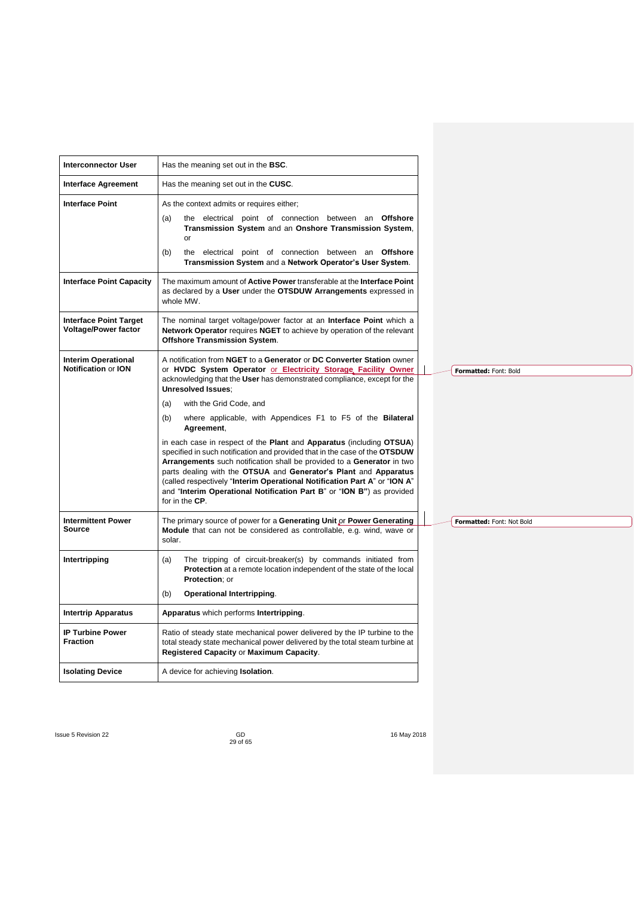| <b>Interconnector User</b>                                   | Has the meaning set out in the <b>BSC</b> .                                                                                                                                                                                                                                                                                                                                                                                                                              |                           |
|--------------------------------------------------------------|--------------------------------------------------------------------------------------------------------------------------------------------------------------------------------------------------------------------------------------------------------------------------------------------------------------------------------------------------------------------------------------------------------------------------------------------------------------------------|---------------------------|
| <b>Interface Agreement</b>                                   | Has the meaning set out in the CUSC.                                                                                                                                                                                                                                                                                                                                                                                                                                     |                           |
| <b>Interface Point</b>                                       | As the context admits or requires either;                                                                                                                                                                                                                                                                                                                                                                                                                                |                           |
|                                                              | the electrical point of connection between an Offshore<br>(a)<br>Transmission System and an Onshore Transmission System,<br>or                                                                                                                                                                                                                                                                                                                                           |                           |
|                                                              | (b)<br>the electrical point of connection between an Offshore<br>Transmission System and a Network Operator's User System.                                                                                                                                                                                                                                                                                                                                               |                           |
| <b>Interface Point Capacity</b>                              | The maximum amount of <b>Active Power</b> transferable at the <b>Interface Point</b><br>as declared by a User under the OTSDUW Arrangements expressed in<br>whole MW.                                                                                                                                                                                                                                                                                                    |                           |
| <b>Interface Point Target</b><br><b>Voltage/Power factor</b> | The nominal target voltage/power factor at an Interface Point which a<br>Network Operator requires NGET to achieve by operation of the relevant<br><b>Offshore Transmission System.</b>                                                                                                                                                                                                                                                                                  |                           |
| <b>Interim Operational</b><br>Notification or ION            | A notification from NGET to a Generator or DC Converter Station owner<br>or HVDC System Operator or Electricity Storage Facility Owner                                                                                                                                                                                                                                                                                                                                   | Formatted: Font: Bold     |
|                                                              | acknowledging that the User has demonstrated compliance, except for the<br><b>Unresolved Issues:</b>                                                                                                                                                                                                                                                                                                                                                                     |                           |
|                                                              | with the Grid Code, and<br>(a)                                                                                                                                                                                                                                                                                                                                                                                                                                           |                           |
|                                                              | where applicable, with Appendices F1 to F5 of the Bilateral<br>(b)<br>Agreement,                                                                                                                                                                                                                                                                                                                                                                                         |                           |
|                                                              | in each case in respect of the Plant and Apparatus (including OTSUA)<br>specified in such notification and provided that in the case of the OTSDUW<br>Arrangements such notification shall be provided to a Generator in two<br>parts dealing with the OTSUA and Generator's Plant and Apparatus<br>(called respectively "Interim Operational Notification Part A" or "ION A"<br>and "Interim Operational Notification Part B" or "ION B") as provided<br>for in the CP. |                           |
| <b>Intermittent Power</b><br><b>Source</b>                   | The primary source of power for a Generating Unit or Power Generating<br>Module that can not be considered as controllable, e.g. wind, wave or<br>solar.                                                                                                                                                                                                                                                                                                                 | Formatted: Font: Not Bold |
| Intertripping                                                | The tripping of circuit-breaker(s) by commands initiated from<br>(a)<br><b>Protection</b> at a remote location independent of the state of the local<br>Protection; or                                                                                                                                                                                                                                                                                                   |                           |
|                                                              | (b)<br>Operational Intertripping.                                                                                                                                                                                                                                                                                                                                                                                                                                        |                           |
| <b>Intertrip Apparatus</b>                                   | Apparatus which performs Intertripping.                                                                                                                                                                                                                                                                                                                                                                                                                                  |                           |
| <b>IP Turbine Power</b><br><b>Fraction</b>                   | Ratio of steady state mechanical power delivered by the IP turbine to the<br>total steady state mechanical power delivered by the total steam turbine at<br>Registered Capacity or Maximum Capacity.                                                                                                                                                                                                                                                                     |                           |
| <b>Isolating Device</b>                                      | A device for achieving <b>Isolation</b> .                                                                                                                                                                                                                                                                                                                                                                                                                                |                           |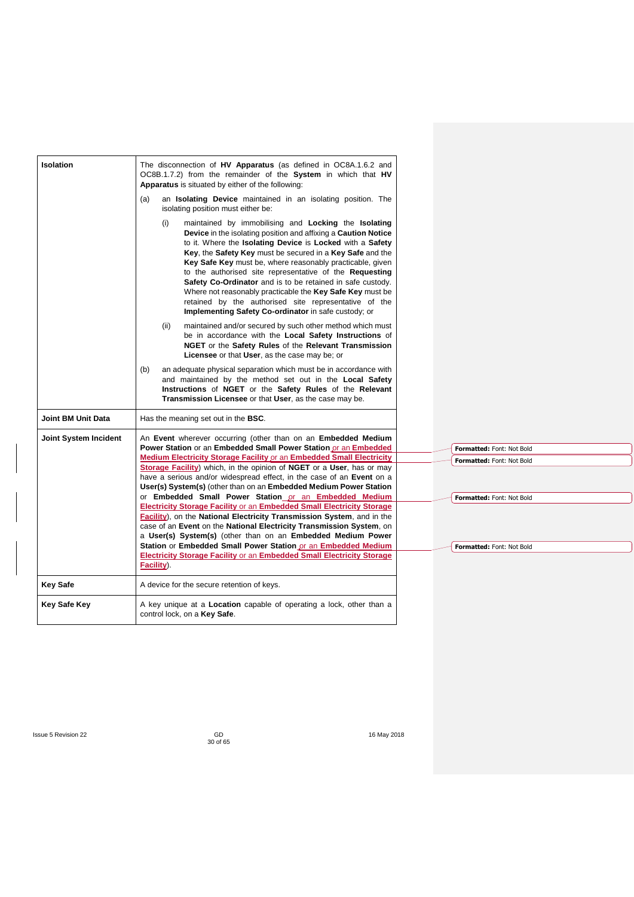| Isolation             | The disconnection of HV Apparatus (as defined in OC8A.1.6.2 and<br>OC8B.1.7.2) from the remainder of the System in which that HV<br>Apparatus is situated by either of the following:                                                                                                                                                                                                                                                                                                                                                                                                                                                            |                           |
|-----------------------|--------------------------------------------------------------------------------------------------------------------------------------------------------------------------------------------------------------------------------------------------------------------------------------------------------------------------------------------------------------------------------------------------------------------------------------------------------------------------------------------------------------------------------------------------------------------------------------------------------------------------------------------------|---------------------------|
|                       | an <b>Isolating Device</b> maintained in an isolating position. The<br>(a)<br>isolating position must either be:                                                                                                                                                                                                                                                                                                                                                                                                                                                                                                                                 |                           |
|                       | maintained by immobilising and Locking the Isolating<br>(i)<br>Device in the isolating position and affixing a Caution Notice<br>to it. Where the <b>Isolating Device</b> is <b>Locked</b> with a Safety<br>Key, the Safety Key must be secured in a Key Safe and the<br>Key Safe Key must be, where reasonably practicable, given<br>to the authorised site representative of the <b>Requesting</b><br>Safety Co-Ordinator and is to be retained in safe custody.<br>Where not reasonably practicable the Key Safe Key must be<br>retained by the authorised site representative of the<br>Implementing Safety Co-ordinator in safe custody; or |                           |
|                       | maintained and/or secured by such other method which must<br>(ii)<br>be in accordance with the Local Safety Instructions of<br>NGET or the Safety Rules of the Relevant Transmission<br>Licensee or that User, as the case may be; or                                                                                                                                                                                                                                                                                                                                                                                                            |                           |
|                       | an adequate physical separation which must be in accordance with<br>(b)<br>and maintained by the method set out in the Local Safety<br>Instructions of NGET or the Safety Rules of the Relevant<br>Transmission Licensee or that User, as the case may be.                                                                                                                                                                                                                                                                                                                                                                                       |                           |
| Joint BM Unit Data    | Has the meaning set out in the <b>BSC</b> .                                                                                                                                                                                                                                                                                                                                                                                                                                                                                                                                                                                                      |                           |
| Joint System Incident | An Event wherever occurring (other than on an Embedded Medium                                                                                                                                                                                                                                                                                                                                                                                                                                                                                                                                                                                    |                           |
|                       | Power Station or an Embedded Small Power Station or an Embedded                                                                                                                                                                                                                                                                                                                                                                                                                                                                                                                                                                                  | Formatted: Font: Not Bold |
|                       | Medium Electricity Storage Facility or an Embedded Small Electricity<br><b>Storage Facility</b> ) which, in the opinion of <b>NGET</b> or a User, has or may<br>have a serious and/or widespread effect, in the case of an <b>Event</b> on a<br>User(s) System(s) (other than on an Embedded Medium Power Station                                                                                                                                                                                                                                                                                                                                | Formatted: Font: Not Bold |
|                       | or Embedded Small Power Station or an Embedded Medium<br><b>Electricity Storage Facility or an Embedded Small Electricity Storage</b><br><b>Facility</b> ), on the National Electricity Transmission System, and in the<br>case of an Event on the National Electricity Transmission System, on<br>a User(s) System(s) (other than on an Embedded Medium Power                                                                                                                                                                                                                                                                                   | Formatted: Font: Not Bold |
|                       | Station or Embedded Small Power Station or an Embedded Medium<br><b>Electricity Storage Facility or an Embedded Small Electricity Storage</b><br>Facility).                                                                                                                                                                                                                                                                                                                                                                                                                                                                                      | Formatted: Font: Not Bold |
| <b>Key Safe</b>       | A device for the secure retention of keys.                                                                                                                                                                                                                                                                                                                                                                                                                                                                                                                                                                                                       |                           |
| <b>Key Safe Key</b>   | A key unique at a <b>Location</b> capable of operating a lock, other than a<br>control lock, on a Key Safe.                                                                                                                                                                                                                                                                                                                                                                                                                                                                                                                                      |                           |
|                       |                                                                                                                                                                                                                                                                                                                                                                                                                                                                                                                                                                                                                                                  |                           |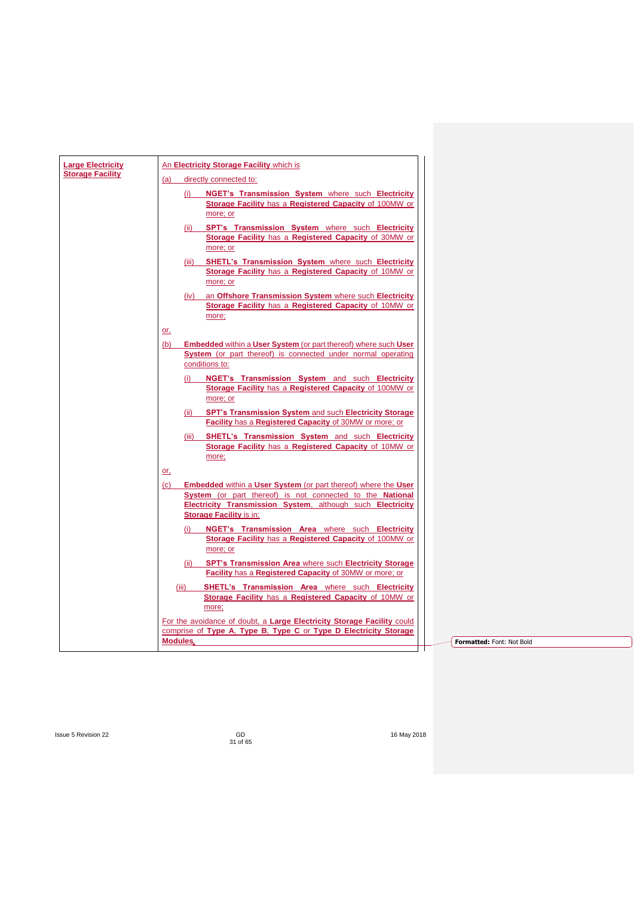| <b>Large Electricity</b> | An Electricity Storage Facility which is                                                                                  |
|--------------------------|---------------------------------------------------------------------------------------------------------------------------|
| <b>Storage Facility</b>  | directly connected to:<br>(a)                                                                                             |
|                          | NGET's Transmission System where such Electricity<br>(i)                                                                  |
|                          | Storage Facility has a Registered Capacity of 100MW or                                                                    |
|                          | more; or                                                                                                                  |
|                          | (ii) SPT's Transmission System where such Electricity                                                                     |
|                          | Storage Facility has a Registered Capacity of 30MW or<br>more; or                                                         |
|                          | (iii) SHETL's Transmission System where such Electricity                                                                  |
|                          | Storage Facility has a Registered Capacity of 10MW or                                                                     |
|                          | more; or                                                                                                                  |
|                          | (iv) an Offshore Transmission System where such Electricity                                                               |
|                          | Storage Facility has a Registered Capacity of 10MW or<br>more;                                                            |
|                          | or.                                                                                                                       |
|                          | <b>Embedded within a User System (or part thereof) where such User</b><br>(b)                                             |
|                          | System (or part thereof) is connected under normal operating                                                              |
|                          | conditions to:                                                                                                            |
|                          | NGET's Transmission System and such Electricity<br>(i)<br>Storage Facility has a Registered Capacity of 100MW or          |
|                          | more; or                                                                                                                  |
|                          | (ii) SPT's Transmission System and such Electricity Storage                                                               |
|                          | Facility has a Registered Capacity of 30MW or more; or                                                                    |
|                          | SHETL's Transmission System and such Electricity<br>(iii)                                                                 |
|                          | Storage Facility has a Registered Capacity of 10MW or<br>more;                                                            |
|                          | or.                                                                                                                       |
|                          | <b>Embedded within a User System (or part thereof) where the User</b><br>(c)                                              |
|                          | System (or part thereof) is not connected to the National                                                                 |
|                          | Electricity Transmission System, although such Electricity<br><b>Storage Facility is in:</b>                              |
|                          | NGET's Transmission Area where such Electricity                                                                           |
|                          | Storage Facility has a Registered Capacity of 100MW or                                                                    |
|                          | more; or                                                                                                                  |
|                          | (ii) SPT's Transmission Area where such Electricity Storage                                                               |
|                          | <b>Facility</b> has a <b>Registered Capacity</b> of 30MW or more; or                                                      |
|                          | <b>SHETL's Transmission Area where such Electricity</b><br>(iii)<br>Storage Facility has a Registered Capacity of 10MW or |
|                          | more;                                                                                                                     |
|                          | For the avoidance of doubt, a Large Electricity Storage Facility could                                                    |
|                          | comprise of Type A, Type B, Type C or Type D Electricity Storage<br><b>Modules</b>                                        |
|                          | Formatted: Font: Not Bold                                                                                                 |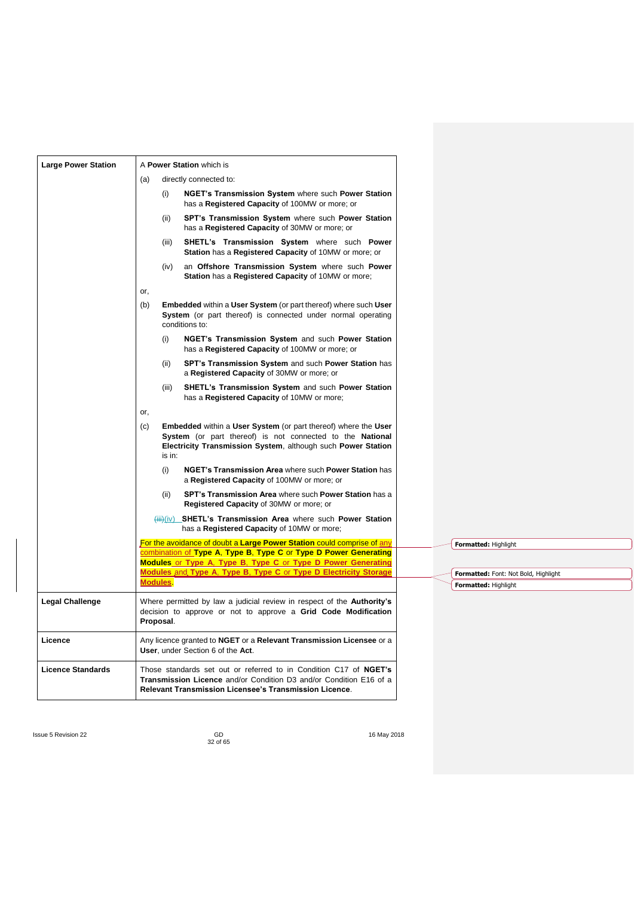| <b>Large Power Station</b> | A Power Station which is                                                                                                                                                                                            |
|----------------------------|---------------------------------------------------------------------------------------------------------------------------------------------------------------------------------------------------------------------|
|                            | directly connected to:<br>(a)                                                                                                                                                                                       |
|                            | (i)<br>NGET's Transmission System where such Power Station<br>has a Registered Capacity of 100MW or more; or                                                                                                        |
|                            | SPT's Transmission System where such Power Station<br>(ii)<br>has a Registered Capacity of 30MW or more; or                                                                                                         |
|                            | SHETL's Transmission System where such Power<br>(iii)<br>Station has a Registered Capacity of 10MW or more; or                                                                                                      |
|                            | an Offshore Transmission System where such Power<br>(iv)<br>Station has a Registered Capacity of 10MW or more;                                                                                                      |
|                            | or,                                                                                                                                                                                                                 |
|                            | Embedded within a User System (or part thereof) where such User<br>(b)<br>System (or part thereof) is connected under normal operating<br>conditions to:                                                            |
|                            | (i)<br>NGET's Transmission System and such Power Station<br>has a Registered Capacity of 100MW or more; or                                                                                                          |
|                            | SPT's Transmission System and such Power Station has<br>(ii)<br>a Registered Capacity of 30MW or more; or                                                                                                           |
|                            | SHETL's Transmission System and such Power Station<br>(iii)<br>has a <b>Registered Capacity</b> of 10MW or more;                                                                                                    |
|                            | or,                                                                                                                                                                                                                 |
|                            | <b>Embedded within a User System (or part thereof) where the User</b><br>(c)<br>System (or part thereof) is not connected to the National<br>Electricity Transmission System, although such Power Station<br>is in: |
|                            | (i)<br>NGET's Transmission Area where such Power Station has<br>a Registered Capacity of 100MW or more; or                                                                                                          |
|                            | SPT's Transmission Area where such Power Station has a<br>(ii)<br><b>Registered Capacity of 30MW or more; or</b>                                                                                                    |
|                            | (iii)(iv) SHETL's Transmission Area where such Power Station<br>has a Registered Capacity of 10MW or more;                                                                                                          |
|                            | For the avoidance of doubt a Large Power Station could comprise of any<br>Formatted: Highlight                                                                                                                      |
|                            | combination of Type A, Type B, Type C or Type D Power Generating<br><b>Modules or Type A. Type B. Type C or Type D Power Generating</b>                                                                             |
|                            | Modules and Type A, Type B, Type C or Type D Electricity Storage<br>Formatted: Font: Not Bold, Highlight                                                                                                            |
|                            | <b>Modules</b><br>Formatted: Highlight                                                                                                                                                                              |
| <b>Legal Challenge</b>     | Where permitted by law a judicial review in respect of the Authority's<br>decision to approve or not to approve a Grid Code Modification<br>Proposal.                                                               |
| Licence                    | Any licence granted to NGET or a Relevant Transmission Licensee or a<br>User, under Section 6 of the Act.                                                                                                           |
| <b>Licence Standards</b>   | Those standards set out or referred to in Condition C17 of NGET's<br>Transmission Licence and/or Condition D3 and/or Condition E16 of a<br>Relevant Transmission Licensee's Transmission Licence.                   |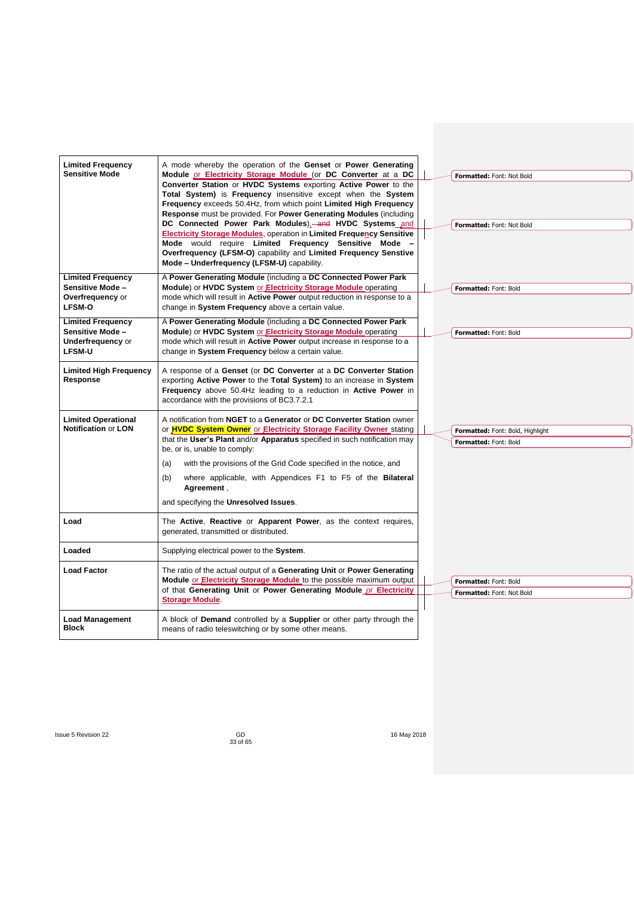| <b>Limited Frequency</b><br><b>Sensitive Mode</b>                                        | A mode whereby the operation of the Genset or Power Generating<br>Module or Electricity Storage Module (or DC Converter at a DC<br>Converter Station or HVDC Systems exporting Active Power to the<br>Total System) is Frequency insensitive except when the System<br>Frequency exceeds 50.4Hz, from which point Limited High Frequency<br>Response must be provided. For Power Generating Modules (including<br>DC Connected Power Park Modules), and HVDC Systems and<br><b>Electricity Storage Modules, operation in Limited Frequency Sensitive</b><br>Mode would require Limited Frequency Sensitive Mode<br>Overfrequency (LFSM-O) capability and Limited Frequency Senstive<br>Mode - Underfrequency (LFSM-U) capability. |  | Formatted: Font: Not Bold<br>Formatted: Font: Not Bold    |
|------------------------------------------------------------------------------------------|-----------------------------------------------------------------------------------------------------------------------------------------------------------------------------------------------------------------------------------------------------------------------------------------------------------------------------------------------------------------------------------------------------------------------------------------------------------------------------------------------------------------------------------------------------------------------------------------------------------------------------------------------------------------------------------------------------------------------------------|--|-----------------------------------------------------------|
| <b>Limited Frequency</b><br>Sensitive Mode-<br>Overfrequency or<br><b>LFSM-O</b>         | A Power Generating Module (including a DC Connected Power Park<br>Module) or HVDC System or Electricity Storage Module operating<br>mode which will result in <b>Active Power</b> output reduction in response to a<br>change in System Frequency above a certain value.                                                                                                                                                                                                                                                                                                                                                                                                                                                          |  | Formatted: Font: Bold                                     |
| <b>Limited Frequency</b><br>Sensitive Mode-<br><b>Underfrequency or</b><br><b>LFSM-U</b> | A Power Generating Module (including a DC Connected Power Park<br>Module) or HVDC System or Electricity Storage Module operating<br>mode which will result in Active Power output increase in response to a<br>change in System Frequency below a certain value.                                                                                                                                                                                                                                                                                                                                                                                                                                                                  |  | Formatted: Font: Bold                                     |
| <b>Limited High Frequency</b><br>Response                                                | A response of a Genset (or DC Converter at a DC Converter Station<br>exporting Active Power to the Total System) to an increase in System<br>Frequency above 50.4Hz leading to a reduction in Active Power in<br>accordance with the provisions of BC3.7.2.1                                                                                                                                                                                                                                                                                                                                                                                                                                                                      |  |                                                           |
| <b>Limited Operational</b><br>Notification or LON                                        | A notification from NGET to a Generator or DC Converter Station owner<br>or <b>HVDC System Owner</b> or <b>Electricity Storage Facility Owner</b> stating<br>that the User's Plant and/or Apparatus specified in such notification may<br>be, or is, unable to comply:<br>with the provisions of the Grid Code specified in the notice, and<br>(a)<br>where applicable, with Appendices F1 to F5 of the Bilateral<br>(b)<br>Agreement,<br>and specifying the Unresolved Issues.                                                                                                                                                                                                                                                   |  | Formatted: Font: Bold, Highlight<br>Formatted: Font: Bold |
| Load                                                                                     | The Active, Reactive or Apparent Power, as the context requires,<br>generated, transmitted or distributed.                                                                                                                                                                                                                                                                                                                                                                                                                                                                                                                                                                                                                        |  |                                                           |
| Loaded                                                                                   | Supplying electrical power to the System.                                                                                                                                                                                                                                                                                                                                                                                                                                                                                                                                                                                                                                                                                         |  |                                                           |
| <b>Load Factor</b>                                                                       | The ratio of the actual output of a Generating Unit or Power Generating<br>Module or Electricity Storage Module to the possible maximum output<br>of that Generating Unit or Power Generating Module or Electricity<br><b>Storage Module</b>                                                                                                                                                                                                                                                                                                                                                                                                                                                                                      |  | Formatted: Font: Bold<br><b>Formatted: Font: Not Bold</b> |
| <b>Load Management</b><br><b>Block</b>                                                   | A block of <b>Demand</b> controlled by a <b>Supplier</b> or other party through the<br>means of radio teleswitching or by some other means.                                                                                                                                                                                                                                                                                                                                                                                                                                                                                                                                                                                       |  |                                                           |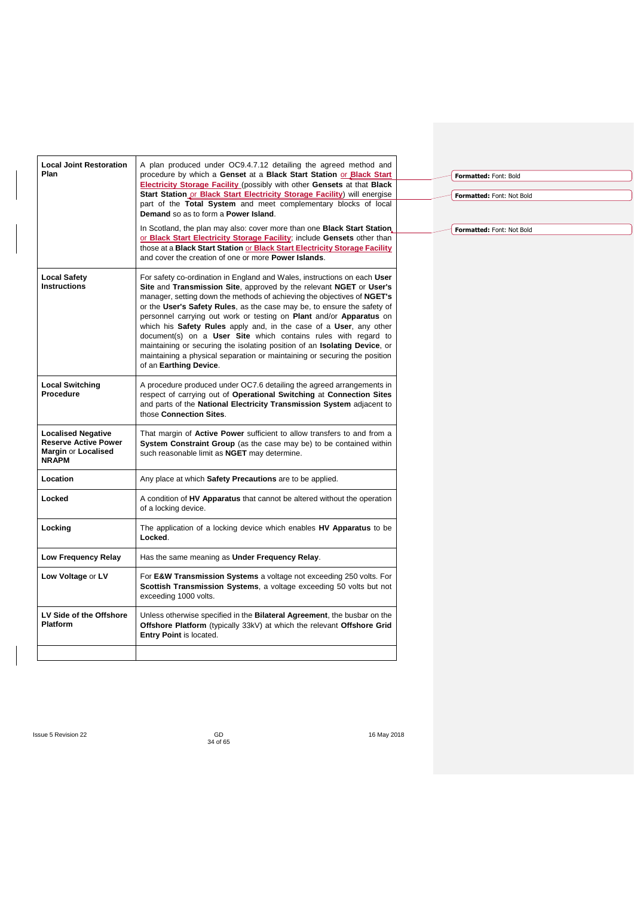| <b>Local Joint Restoration</b>                     | A plan produced under OC9.4.7.12 detailing the agreed method and                                                                                           |                           |
|----------------------------------------------------|------------------------------------------------------------------------------------------------------------------------------------------------------------|---------------------------|
| Plan                                               | procedure by which a Genset at a Black Start Station or Black Start                                                                                        | Formatted: Font: Bold     |
|                                                    | <b>Electricity Storage Facility (possibly with other Gensets at that Black</b><br>Start Station or Black Start Electricity Storage Facility) will energise |                           |
|                                                    | part of the Total System and meet complementary blocks of local                                                                                            | Formatted: Font: Not Bold |
|                                                    | Demand so as to form a Power Island.                                                                                                                       |                           |
|                                                    | In Scotland, the plan may also: cover more than one <b>Black Start Station</b> ,                                                                           | Formatted: Font: Not Bold |
|                                                    | or Black Start Electricity Storage Facility; include Gensets other than                                                                                    |                           |
|                                                    | those at a Black Start Station or Black Start Electricity Storage Facility<br>and cover the creation of one or more <b>Power Islands</b> .                 |                           |
|                                                    |                                                                                                                                                            |                           |
| <b>Local Safety</b><br><b>Instructions</b>         | For safety co-ordination in England and Wales, instructions on each User<br>Site and Transmission Site, approved by the relevant NGET or User's            |                           |
|                                                    | manager, setting down the methods of achieving the objectives of NGET's                                                                                    |                           |
|                                                    | or the User's Safety Rules, as the case may be, to ensure the safety of                                                                                    |                           |
|                                                    | personnel carrying out work or testing on Plant and/or Apparatus on                                                                                        |                           |
|                                                    | which his Safety Rules apply and, in the case of a User, any other<br>document(s) on a User Site which contains rules with regard to                       |                           |
|                                                    | maintaining or securing the isolating position of an <b>Isolating Device</b> , or                                                                          |                           |
|                                                    | maintaining a physical separation or maintaining or securing the position                                                                                  |                           |
|                                                    | of an Earthing Device.                                                                                                                                     |                           |
| <b>Local Switching</b>                             | A procedure produced under OC7.6 detailing the agreed arrangements in                                                                                      |                           |
| Procedure                                          | respect of carrying out of Operational Switching at Connection Sites                                                                                       |                           |
|                                                    | and parts of the National Electricity Transmission System adjacent to<br>those Connection Sites.                                                           |                           |
|                                                    |                                                                                                                                                            |                           |
| <b>Localised Negative</b>                          | That margin of Active Power sufficient to allow transfers to and from a                                                                                    |                           |
| <b>Reserve Active Power</b><br>Margin or Localised | System Constraint Group (as the case may be) to be contained within<br>such reasonable limit as NGET may determine.                                        |                           |
| <b>NRAPM</b>                                       |                                                                                                                                                            |                           |
| Location                                           | Any place at which Safety Precautions are to be applied.                                                                                                   |                           |
| Locked                                             | A condition of HV Apparatus that cannot be altered without the operation                                                                                   |                           |
|                                                    | of a locking device.                                                                                                                                       |                           |
| Locking                                            | The application of a locking device which enables HV Apparatus to be                                                                                       |                           |
|                                                    | Locked.                                                                                                                                                    |                           |
|                                                    |                                                                                                                                                            |                           |
| Low Frequency Relay                                | Has the same meaning as Under Frequency Relay.                                                                                                             |                           |
| Low Voltage or LV                                  | For E&W Transmission Systems a voltage not exceeding 250 volts. For                                                                                        |                           |
|                                                    | Scottish Transmission Systems, a voltage exceeding 50 volts but not                                                                                        |                           |
|                                                    | exceeding 1000 volts.                                                                                                                                      |                           |
| LV Side of the Offshore                            | Unless otherwise specified in the Bilateral Agreement, the busbar on the                                                                                   |                           |
| <b>Platform</b>                                    | Offshore Platform (typically 33kV) at which the relevant Offshore Grid                                                                                     |                           |
|                                                    | <b>Entry Point is located.</b>                                                                                                                             |                           |
|                                                    |                                                                                                                                                            |                           |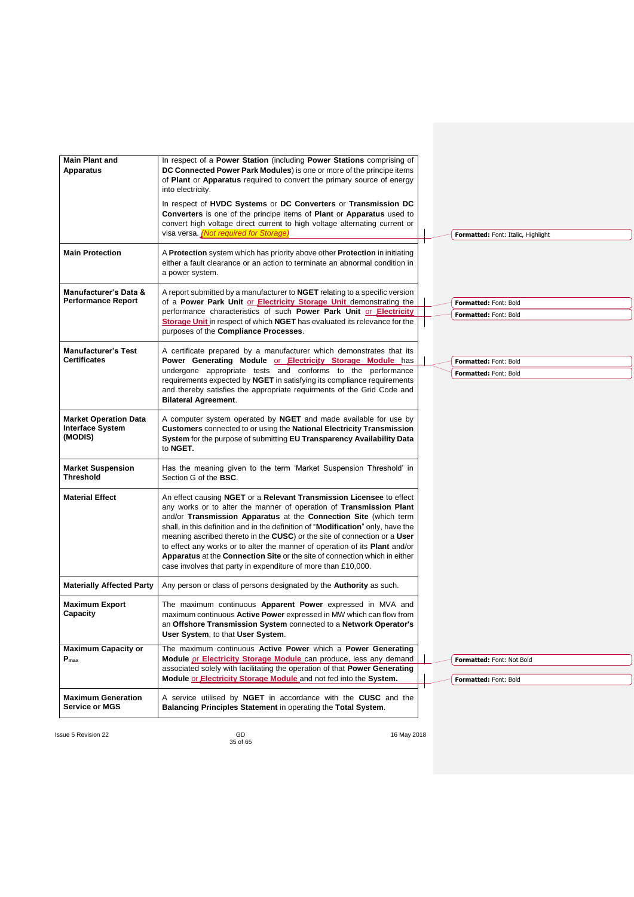| <b>Main Plant and</b><br><b>Apparatus</b>                          | In respect of a Power Station (including Power Stations comprising of<br>DC Connected Power Park Modules) is one or more of the principe items<br>of Plant or Apparatus required to convert the primary source of energy<br>into electricity.                                                                                                                                                                                                                                                                                                                                                                  |  |                                                    |
|--------------------------------------------------------------------|----------------------------------------------------------------------------------------------------------------------------------------------------------------------------------------------------------------------------------------------------------------------------------------------------------------------------------------------------------------------------------------------------------------------------------------------------------------------------------------------------------------------------------------------------------------------------------------------------------------|--|----------------------------------------------------|
|                                                                    | In respect of HVDC Systems or DC Converters or Transmission DC<br>Converters is one of the principe items of Plant or Apparatus used to<br>convert high voltage direct current to high voltage alternating current or<br>visa versa. (Not required for Storage)                                                                                                                                                                                                                                                                                                                                                |  | Formatted: Font: Italic, Highlight                 |
| <b>Main Protection</b>                                             | A Protection system which has priority above other Protection in initiating<br>either a fault clearance or an action to terminate an abnormal condition in<br>a power system.                                                                                                                                                                                                                                                                                                                                                                                                                                  |  |                                                    |
| Manufacturer's Data &<br><b>Performance Report</b>                 | A report submitted by a manufacturer to <b>NGET</b> relating to a specific version<br>of a Power Park Unit or Electricity Storage Unit demonstrating the<br>performance characteristics of such Power Park Unit or Electricity<br>Storage Unit in respect of which NGET has evaluated its relevance for the<br>purposes of the Compliance Processes.                                                                                                                                                                                                                                                           |  | Formatted: Font: Bold<br>Formatted: Font: Bold     |
| <b>Manufacturer's Test</b><br><b>Certificates</b>                  | A certificate prepared by a manufacturer which demonstrates that its<br>Power Generating Module or Electricity Storage Module has                                                                                                                                                                                                                                                                                                                                                                                                                                                                              |  | Formatted: Font: Bold                              |
|                                                                    | undergone appropriate tests and conforms to the performance<br>requirements expected by NGET in satisfying its compliance requirements<br>and thereby satisfies the appropriate requirments of the Grid Code and<br><b>Bilateral Agreement.</b>                                                                                                                                                                                                                                                                                                                                                                |  | Formatted: Font: Bold                              |
| <b>Market Operation Data</b><br><b>Interface System</b><br>(MODIS) | A computer system operated by NGET and made available for use by<br>Customers connected to or using the National Electricity Transmission<br>System for the purpose of submitting EU Transparency Availability Data<br>to NGET.                                                                                                                                                                                                                                                                                                                                                                                |  |                                                    |
| <b>Market Suspension</b><br><b>Threshold</b>                       | Has the meaning given to the term 'Market Suspension Threshold' in<br>Section G of the BSC.                                                                                                                                                                                                                                                                                                                                                                                                                                                                                                                    |  |                                                    |
| <b>Material Effect</b>                                             | An effect causing NGET or a Relevant Transmission Licensee to effect<br>any works or to alter the manner of operation of Transmission Plant<br>and/or Transmission Apparatus at the Connection Site (which term<br>shall, in this definition and in the definition of "Modification" only, have the<br>meaning ascribed thereto in the CUSC) or the site of connection or a User<br>to effect any works or to alter the manner of operation of its Plant and/or<br>Apparatus at the Connection Site or the site of connection which in either<br>case involves that party in expenditure of more than £10,000. |  |                                                    |
| <b>Materially Affected Party</b>                                   | Any person or class of persons designated by the <b>Authority</b> as such.                                                                                                                                                                                                                                                                                                                                                                                                                                                                                                                                     |  |                                                    |
| <b>Maximum Export</b><br>Capacity                                  | The maximum continuous <b>Apparent Power</b> expressed in MVA and<br>maximum continuous Active Power expressed in MW which can flow from<br>an Offshore Transmission System connected to a Network Operator's<br>User System, to that User System.                                                                                                                                                                                                                                                                                                                                                             |  |                                                    |
| <b>Maximum Capacity or</b><br>$P_{\text{max}}$                     | The maximum continuous Active Power which a Power Generating<br>Module or Electricity Storage Module can produce, less any demand<br>associated solely with facilitating the operation of that Power Generating<br>Module or <b>Electricity Storage Module</b> and not fed into the System.                                                                                                                                                                                                                                                                                                                    |  | Formatted: Font: Not Bold<br>Formatted: Font: Bold |
| <b>Maximum Generation</b><br>Service or MGS                        | A service utilised by NGET in accordance with the CUSC and the<br>Balancing Principles Statement in operating the Total System.                                                                                                                                                                                                                                                                                                                                                                                                                                                                                |  |                                                    |

Issue 5 Revision 22 GD CONSERVERSIAN CONSERVERSE CONSERVERSE AND THE SERVERSE OF A SERVERSE AND THE SERVERSE OF A SERVERSE AND THE SERVERSE OF A SERVER OF A SERVER OF A SERVER OF A SERVER OF A SERVER OF A SERVER OF A SERVE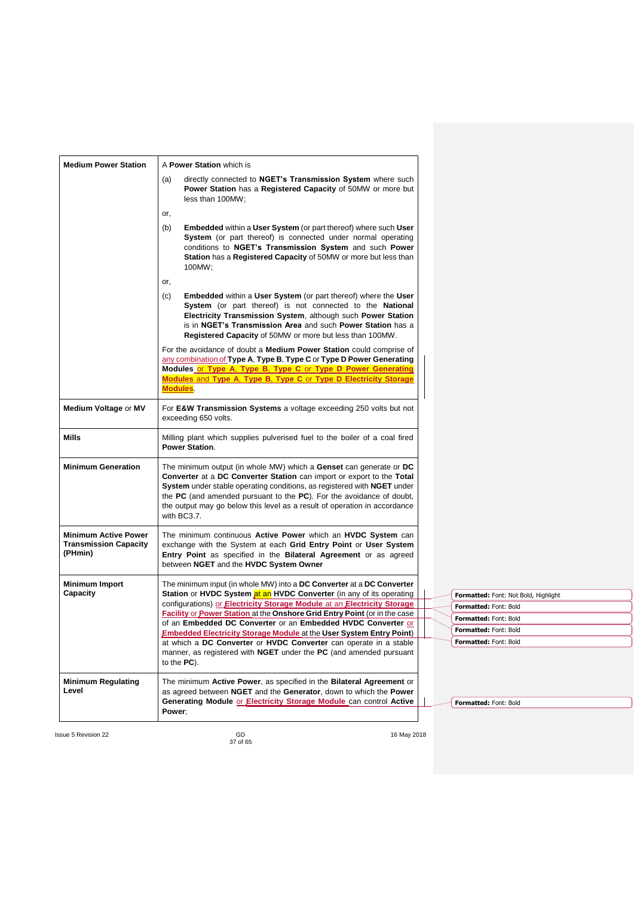| <b>Medium Power Station</b>                                     | A Power Station which is                                                                                                                                                                                                                                                                                                                                                                   |
|-----------------------------------------------------------------|--------------------------------------------------------------------------------------------------------------------------------------------------------------------------------------------------------------------------------------------------------------------------------------------------------------------------------------------------------------------------------------------|
|                                                                 | directly connected to NGET's Transmission System where such<br>(a)<br>Power Station has a Registered Capacity of 50MW or more but<br>less than 100MW;                                                                                                                                                                                                                                      |
|                                                                 | or,                                                                                                                                                                                                                                                                                                                                                                                        |
|                                                                 | <b>Embedded within a User System (or part thereof) where such User</b><br>(b)<br>System (or part thereof) is connected under normal operating<br>conditions to NGET's Transmission System and such Power<br>Station has a Registered Capacity of 50MW or more but less than<br>100MW;                                                                                                      |
|                                                                 | or,                                                                                                                                                                                                                                                                                                                                                                                        |
|                                                                 | <b>Embedded within a User System (or part thereof) where the User</b><br>(c)<br>System (or part thereof) is not connected to the National<br>Electricity Transmission System, although such Power Station<br>is in NGET's Transmission Area and such Power Station has a<br>Registered Capacity of 50MW or more but less than 100MW.                                                       |
|                                                                 | For the avoidance of doubt a <b>Medium Power Station</b> could comprise of<br>any combination of Type A, Type B, Type C or Type D Power Generating<br>Modules or Type A, Type B, Type C or Type D Power Generating<br>Modules and Type A, Type B, Type C or Type D Electricity Storage<br><b>Modules</b>                                                                                   |
| Medium Voltage or MV                                            | For E&W Transmission Systems a voltage exceeding 250 volts but not<br>exceeding 650 volts.                                                                                                                                                                                                                                                                                                 |
| Mills                                                           | Milling plant which supplies pulverised fuel to the boiler of a coal fired<br><b>Power Station.</b>                                                                                                                                                                                                                                                                                        |
| <b>Minimum Generation</b>                                       | The minimum output (in whole MW) which a Genset can generate or DC<br>Converter at a DC Converter Station can import or export to the Total<br>System under stable operating conditions, as registered with NGET under<br>the PC (and amended pursuant to the PC). For the avoidance of doubt,<br>the output may go below this level as a result of operation in accordance<br>with BC3.7. |
| <b>Minimum Active Power</b><br>Transmission Capacity<br>(PHmin) | The minimum continuous Active Power which an HVDC System can<br>exchange with the System at each Grid Entry Point or User System<br>Entry Point as specified in the Bilateral Agreement or as agreed<br>between NGET and the HVDC System Owner                                                                                                                                             |
| Minimum Import                                                  | The minimum input (in whole MW) into a <b>DC Converter</b> at a <b>DC Converter</b>                                                                                                                                                                                                                                                                                                        |
| Capacity                                                        | Station or HVDC System at an HVDC Converter (in any of its operating<br>Formatted: Font: Not Bold, Highlight<br>configurations) or Electricity Storage Module at an Electricity Storage                                                                                                                                                                                                    |
|                                                                 | Formatted: Font: Bold<br><b>Facility or Power Station at the Onshore Grid Entry Point (or in the case</b>                                                                                                                                                                                                                                                                                  |
|                                                                 | Formatted: Font: Bold<br>of an Embedded DC Converter or an Embedded HVDC Converter or                                                                                                                                                                                                                                                                                                      |
|                                                                 | Formatted: Font: Bold<br><b>Embedded Electricity Storage Module at the User System Entry Point)</b><br>Formatted: Font: Bold<br>at which a DC Converter or HVDC Converter can operate in a stable                                                                                                                                                                                          |
|                                                                 | manner, as registered with <b>NGET</b> under the <b>PC</b> (and amended pursuant<br>to the $PC$ ).                                                                                                                                                                                                                                                                                         |
| <b>Minimum Regulating</b><br>Level                              | The minimum Active Power, as specified in the Bilateral Agreement or<br>as agreed between NGET and the Generator, down to which the Power<br><b>Generating Module or Electricity Storage Module can control Active</b><br>Formatted: Font: Bold                                                                                                                                            |
|                                                                 | Power;                                                                                                                                                                                                                                                                                                                                                                                     |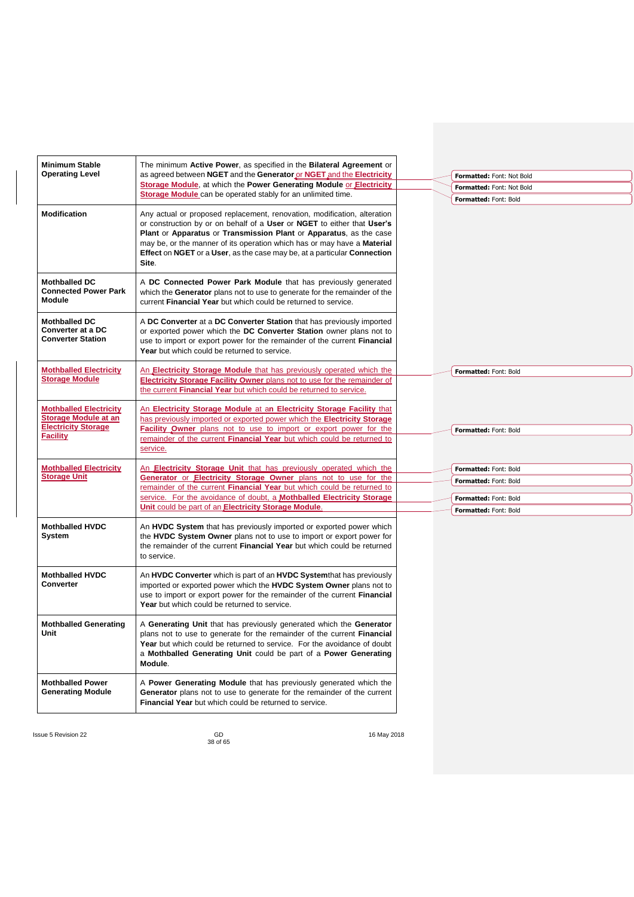| <b>Minimum Stable</b>                                                        | The minimum Active Power, as specified in the Bilateral Agreement or                                                                                                                                                                                                                                                                                                                      |                                                |  |
|------------------------------------------------------------------------------|-------------------------------------------------------------------------------------------------------------------------------------------------------------------------------------------------------------------------------------------------------------------------------------------------------------------------------------------------------------------------------------------|------------------------------------------------|--|
| <b>Operating Level</b>                                                       | as agreed between NGET and the Generator or NGET and the Electricity                                                                                                                                                                                                                                                                                                                      | Formatted: Font: Not Bold                      |  |
|                                                                              | Storage Module, at which the Power Generating Module or Electricity                                                                                                                                                                                                                                                                                                                       | Formatted: Font: Not Bold                      |  |
|                                                                              | Storage Module can be operated stably for an unlimited time.                                                                                                                                                                                                                                                                                                                              | Formatted: Font: Bold                          |  |
| <b>Modification</b>                                                          | Any actual or proposed replacement, renovation, modification, alteration<br>or construction by or on behalf of a User or NGET to either that User's<br>Plant or Apparatus or Transmission Plant or Apparatus, as the case<br>may be, or the manner of its operation which has or may have a Material<br>Effect on NGET or a User, as the case may be, at a particular Connection<br>Site. |                                                |  |
| <b>Mothballed DC</b><br><b>Connected Power Park</b><br><b>Module</b>         | A DC Connected Power Park Module that has previously generated<br>which the Generator plans not to use to generate for the remainder of the<br>current Financial Year but which could be returned to service.                                                                                                                                                                             |                                                |  |
| <b>Mothballed DC</b><br><b>Converter at a DC</b><br><b>Converter Station</b> | A DC Converter at a DC Converter Station that has previously imported<br>or exported power which the DC Converter Station owner plans not to<br>use to import or export power for the remainder of the current Financial<br>Year but which could be returned to service.                                                                                                                  |                                                |  |
| <b>Mothballed Electricity</b>                                                | An Electricity Storage Module that has previously operated which the                                                                                                                                                                                                                                                                                                                      | Formatted: Font: Bold                          |  |
| <b>Storage Module</b>                                                        | Electricity Storage Facility Owner plans not to use for the remainder of<br>the current Financial Year but which could be returned to service.                                                                                                                                                                                                                                            |                                                |  |
| <b>Mothballed Electricity</b><br>Storage Module at an                        | An Electricity Storage Module at an Electricity Storage Facility that<br>has previously imported or exported power which the Electricity Storage                                                                                                                                                                                                                                          |                                                |  |
| <b>Electricity Storage</b><br><b>Facility</b>                                | Facility Owner plans not to use to import or export power for the<br>remainder of the current Financial Year but which could be returned to<br>service.                                                                                                                                                                                                                                   | Formatted: Font: Bold                          |  |
| <b>Mothballed Electricity</b>                                                | An Electricity Storage Unit that has previously operated which the                                                                                                                                                                                                                                                                                                                        | Formatted: Font: Bold                          |  |
| <b>Storage Unit</b>                                                          | Generator or Electricity Storage Owner plans not to use for the                                                                                                                                                                                                                                                                                                                           | Formatted: Font: Bold                          |  |
|                                                                              | remainder of the current Financial Year but which could be returned to<br>service. For the avoidance of doubt, a <b>Mothballed Electricity Storage</b>                                                                                                                                                                                                                                    |                                                |  |
|                                                                              | Unit could be part of an Electricity Storage Module.                                                                                                                                                                                                                                                                                                                                      | Formatted: Font: Bold<br>Formatted: Font: Bold |  |
| <b>Mothballed HVDC</b><br>System                                             | An HVDC System that has previously imported or exported power which<br>the HVDC System Owner plans not to use to import or export power for<br>the remainder of the current <b>Financial Year</b> but which could be returned<br>to service.                                                                                                                                              |                                                |  |
| <b>Mothballed HVDC</b><br><b>Converter</b>                                   | An HVDC Converter which is part of an HVDC Systemthat has previously<br>imported or exported power which the HVDC System Owner plans not to<br>use to import or export power for the remainder of the current Financial<br>Year but which could be returned to service.                                                                                                                   |                                                |  |
| <b>Mothballed Generating</b><br>Unit                                         | A Generating Unit that has previously generated which the Generator<br>plans not to use to generate for the remainder of the current Financial<br><b>Year</b> but which could be returned to service. For the avoidance of doubt<br>a Mothballed Generating Unit could be part of a Power Generating<br>Module.                                                                           |                                                |  |
| <b>Mothballed Power</b><br><b>Generating Module</b>                          | A Power Generating Module that has previously generated which the<br>Generator plans not to use to generate for the remainder of the current<br>Financial Year but which could be returned to service.                                                                                                                                                                                    |                                                |  |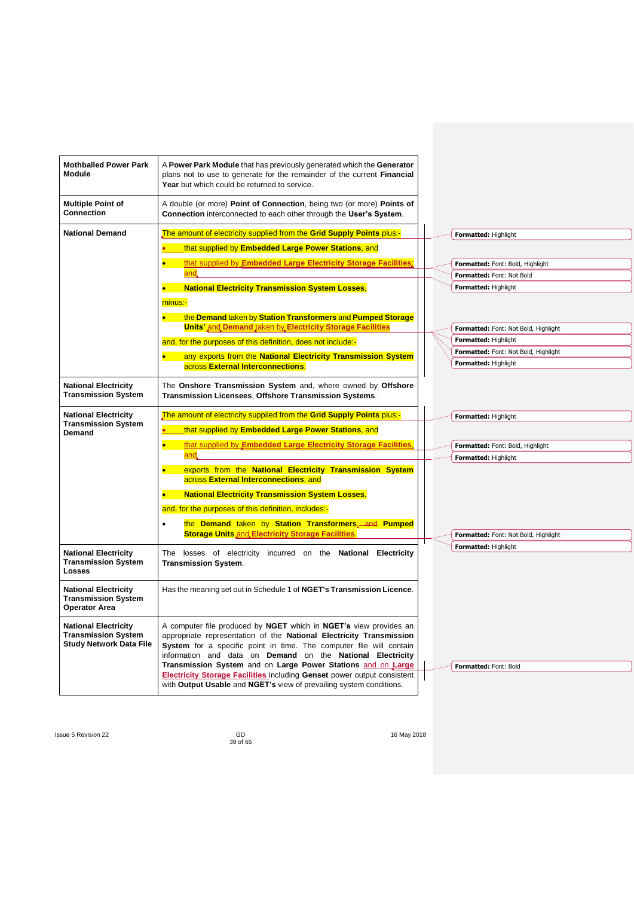| <b>Mothballed Power Park</b><br><b>Module</b>                                               | A Power Park Module that has previously generated which the Generator<br>plans not to use to generate for the remainder of the current Financial<br>Year but which could be returned to service.                                                                                                                                              |  |                                      |
|---------------------------------------------------------------------------------------------|-----------------------------------------------------------------------------------------------------------------------------------------------------------------------------------------------------------------------------------------------------------------------------------------------------------------------------------------------|--|--------------------------------------|
| <b>Multiple Point of</b><br><b>Connection</b>                                               | A double (or more) Point of Connection, being two (or more) Points of<br>Connection interconnected to each other through the User's System.                                                                                                                                                                                                   |  |                                      |
| <b>National Demand</b>                                                                      | The amount of electricity supplied from the Grid Supply Points plus:-                                                                                                                                                                                                                                                                         |  | Formatted: Highlight                 |
|                                                                                             | that supplied by Embedded Large Power Stations, and                                                                                                                                                                                                                                                                                           |  |                                      |
|                                                                                             | that supplied by Embedded Large Electricity Storage Facilities.<br>$\bullet$                                                                                                                                                                                                                                                                  |  | Formatted: Font: Bold, Highlight     |
|                                                                                             | and.                                                                                                                                                                                                                                                                                                                                          |  | Formatted: Font: Not Bold            |
|                                                                                             | <b>National Electricity Transmission System Losses,</b>                                                                                                                                                                                                                                                                                       |  | Formatted: Highlight                 |
|                                                                                             | minus:-                                                                                                                                                                                                                                                                                                                                       |  |                                      |
|                                                                                             | the Demand taken by Station Transformers and Pumped Storage<br>$\bullet$ . The set of $\bullet$                                                                                                                                                                                                                                               |  |                                      |
|                                                                                             | <b>Units' and Demand taken by Electricity Storage Facilities</b>                                                                                                                                                                                                                                                                              |  | Formatted: Font: Not Bold, Highlight |
|                                                                                             | and, for the purposes of this definition, does not include:-                                                                                                                                                                                                                                                                                  |  | Formatted: Highlight                 |
|                                                                                             | any exports from the National Electricity Transmission System                                                                                                                                                                                                                                                                                 |  | Formatted: Font: Not Bold, Highlight |
|                                                                                             | across External Interconnections.                                                                                                                                                                                                                                                                                                             |  | Formatted: Highlight                 |
| <b>National Electricity</b><br><b>Transmission System</b>                                   | The Onshore Transmission System and, where owned by Offshore<br>Transmission Licensees, Offshore Transmission Systems.                                                                                                                                                                                                                        |  |                                      |
| <b>National Electricity</b>                                                                 | The amount of electricity supplied from the Grid Supply Points plus:-                                                                                                                                                                                                                                                                         |  | Formatted: Highlight                 |
| <b>Transmission System</b><br>Demand                                                        | that supplied by Embedded Large Power Stations, and                                                                                                                                                                                                                                                                                           |  |                                      |
|                                                                                             | that supplied by Embedded Large Electricity Storage Facilities,<br>$\bullet$                                                                                                                                                                                                                                                                  |  | Formatted: Font: Bold, Highlight     |
|                                                                                             | and                                                                                                                                                                                                                                                                                                                                           |  | Formatted: Highlight                 |
|                                                                                             | exports from the National Electricity Transmission System<br>across External Interconnections, and                                                                                                                                                                                                                                            |  |                                      |
|                                                                                             | <b>National Electricity Transmission System Losses,</b><br>$\bullet$ .                                                                                                                                                                                                                                                                        |  |                                      |
|                                                                                             | and, for the purposes of this definition, includes:-                                                                                                                                                                                                                                                                                          |  |                                      |
|                                                                                             | the Demand taken by Station Transformers, and Pumped<br>$\bullet$                                                                                                                                                                                                                                                                             |  |                                      |
|                                                                                             | <b>Storage Units and Electricity Storage Facilities</b>                                                                                                                                                                                                                                                                                       |  | Formatted: Font: Not Bold, Highlight |
|                                                                                             |                                                                                                                                                                                                                                                                                                                                               |  | Formatted: Highlight                 |
| <b>National Electricity</b><br><b>Transmission System</b><br>Losses                         | The losses of electricity incurred on the National Electricity<br><b>Transmission System.</b>                                                                                                                                                                                                                                                 |  |                                      |
| <b>National Electricity</b><br><b>Transmission System</b><br><b>Operator Area</b>           | Has the meaning set out in Schedule 1 of NGET's Transmission Licence.                                                                                                                                                                                                                                                                         |  |                                      |
| <b>National Electricity</b><br><b>Transmission System</b><br><b>Study Network Data File</b> | A computer file produced by NGET which in NGET's view provides an<br>appropriate representation of the National Electricity Transmission<br>System for a specific point in time. The computer file will contain<br>information and data on Demand on the National Electricity<br>Transmission System and on Large Power Stations and on Large |  | Formatted: Font: Bold                |
|                                                                                             | <b>Electricity Storage Facilities including Genset power output consistent</b>                                                                                                                                                                                                                                                                |  |                                      |
|                                                                                             | with Output Usable and NGET's view of prevailing system conditions.                                                                                                                                                                                                                                                                           |  |                                      |

GD<br>39 of 65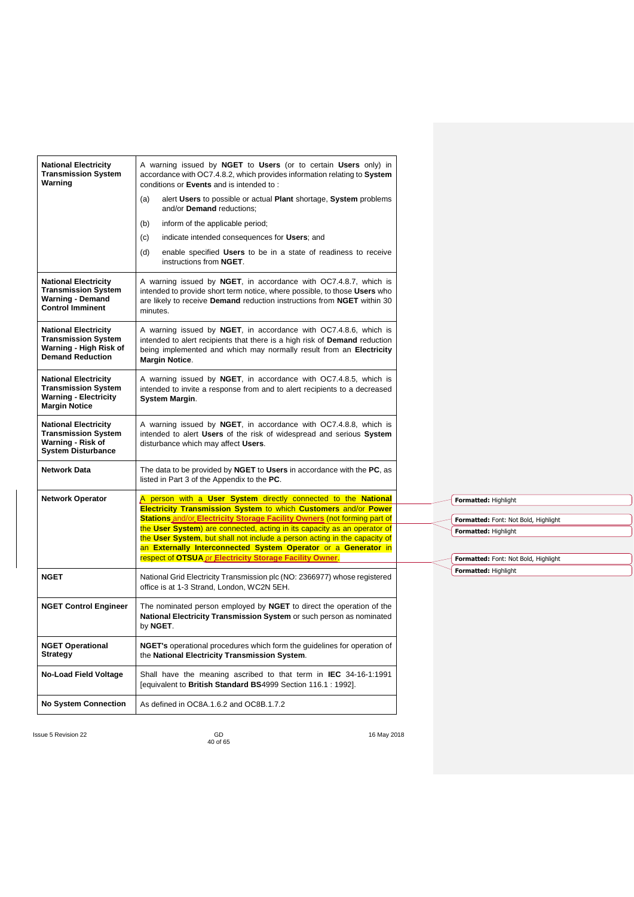| <b>National Electricity</b><br><b>Transmission System</b><br>Warning                                              | A warning issued by NGET to Users (or to certain Users only) in<br>accordance with OC7.4.8.2, which provides information relating to System<br>conditions or Events and is intended to:                                                               |  |                                                              |  |
|-------------------------------------------------------------------------------------------------------------------|-------------------------------------------------------------------------------------------------------------------------------------------------------------------------------------------------------------------------------------------------------|--|--------------------------------------------------------------|--|
|                                                                                                                   | alert Users to possible or actual Plant shortage, System problems<br>(a)<br>and/or Demand reductions:                                                                                                                                                 |  |                                                              |  |
|                                                                                                                   | inform of the applicable period;<br>(b)                                                                                                                                                                                                               |  |                                                              |  |
|                                                                                                                   | indicate intended consequences for Users; and<br>(c)                                                                                                                                                                                                  |  |                                                              |  |
|                                                                                                                   | enable specified Users to be in a state of readiness to receive<br>(d)<br>instructions from NGET.                                                                                                                                                     |  |                                                              |  |
| <b>National Electricity</b><br><b>Transmission System</b><br><b>Warning - Demand</b><br><b>Control Imminent</b>   | A warning issued by NGET, in accordance with OC7.4.8.7, which is<br>intended to provide short term notice, where possible, to those Users who<br>are likely to receive <b>Demand</b> reduction instructions from <b>NGET</b> within 30<br>minutes.    |  |                                                              |  |
| <b>National Electricity</b><br><b>Transmission System</b><br>Warning - High Risk of<br><b>Demand Reduction</b>    | A warning issued by NGET, in accordance with OC7.4.8.6, which is<br>intended to alert recipients that there is a high risk of <b>Demand</b> reduction<br>being implemented and which may normally result from an Electricity<br><b>Margin Notice.</b> |  |                                                              |  |
| <b>National Electricity</b><br><b>Transmission System</b><br><b>Warning - Electricity</b><br><b>Margin Notice</b> | A warning issued by NGET, in accordance with OC7.4.8.5, which is<br>intended to invite a response from and to alert recipients to a decreased<br>System Margin.                                                                                       |  |                                                              |  |
| <b>National Electricity</b><br><b>Transmission System</b><br>Warning - Risk of<br><b>System Disturbance</b>       | A warning issued by NGET, in accordance with OC7.4.8.8, which is<br>intended to alert Users of the risk of widespread and serious System<br>disturbance which may affect Users.                                                                       |  |                                                              |  |
| <b>Network Data</b>                                                                                               | The data to be provided by NGET to Users in accordance with the PC, as<br>listed in Part 3 of the Appendix to the PC.                                                                                                                                 |  |                                                              |  |
| <b>Network Operator</b>                                                                                           | A person with a User System directly connected to the National<br>Electricity Transmission System to which Customers and/or Power<br>Stations and/or Electricity Storage Facility Owners (not forming part of                                         |  | Formatted: Highlight                                         |  |
|                                                                                                                   | the User System) are connected, acting in its capacity as an operator of                                                                                                                                                                              |  | Formatted: Font: Not Bold, Highlight<br>Formatted: Highlight |  |
|                                                                                                                   | the User System, but shall not include a person acting in the capacity of                                                                                                                                                                             |  |                                                              |  |
|                                                                                                                   | an Externally Interconnected System Operator or a Generator in<br>respect of OTSUA or Electricity Storage Facility Owner.                                                                                                                             |  | Formatted: Font: Not Bold, Highlight                         |  |
| NGET                                                                                                              | National Grid Electricity Transmission plc (NO: 2366977) whose registered<br>office is at 1-3 Strand, London, WC2N 5EH.                                                                                                                               |  | Formatted: Highlight                                         |  |
| <b>NGET Control Engineer</b>                                                                                      | The nominated person employed by NGET to direct the operation of the<br>National Electricity Transmission System or such person as nominated<br>by NGET.                                                                                              |  |                                                              |  |
| <b>NGET Operational</b><br>Strategy                                                                               | NGET's operational procedures which form the guidelines for operation of<br>the National Electricity Transmission System.                                                                                                                             |  |                                                              |  |
| No-Load Field Voltage                                                                                             | Shall have the meaning ascribed to that term in <b>IEC</b> 34-16-1:1991<br>Jequivalent to British Standard BS4999 Section 116.1 : 1992].                                                                                                              |  |                                                              |  |
| <b>No System Connection</b>                                                                                       | As defined in OC8A.1.6.2 and OC8B.1.7.2                                                                                                                                                                                                               |  |                                                              |  |
|                                                                                                                   |                                                                                                                                                                                                                                                       |  |                                                              |  |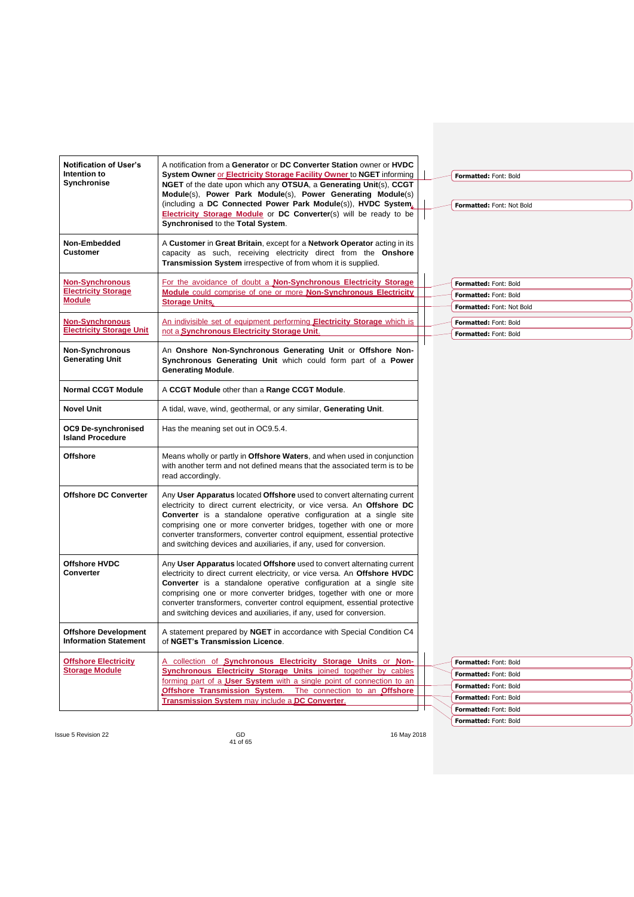| <b>Notification of User's</b><br>Intention to<br>Synchronise   | A notification from a Generator or DC Converter Station owner or HVDC<br>System Owner or Electricity Storage Facility Owner to NGET informing<br>NGET of the date upon which any OTSUA, a Generating Unit(s), CCGT<br>Module(s), Power Park Module(s), Power Generating Module(s)<br>(including a DC Connected Power Park Module(s)), HVDC System.<br>Electricity Storage Module or DC Converter(s) will be ready to be<br>Synchronised to the Total System.  |  | Formatted: Font: Bold<br>Formatted: Font: Not Bold                                                                        |
|----------------------------------------------------------------|---------------------------------------------------------------------------------------------------------------------------------------------------------------------------------------------------------------------------------------------------------------------------------------------------------------------------------------------------------------------------------------------------------------------------------------------------------------|--|---------------------------------------------------------------------------------------------------------------------------|
| Non-Embedded<br>Customer                                       | A Customer in Great Britain, except for a Network Operator acting in its<br>capacity as such, receiving electricity direct from the Onshore<br>Transmission System irrespective of from whom it is supplied.                                                                                                                                                                                                                                                  |  |                                                                                                                           |
| <b>Non-Synchronous</b><br><b>Electricity Storage</b><br>Module | For the avoidance of doubt a Non-Synchronous Electricity Storage<br>Module could comprise of one or more Non-Synchronous Electricity<br><b>Storage Units,</b>                                                                                                                                                                                                                                                                                                 |  | Formatted: Font: Bold<br>Formatted: Font: Bold<br>Formatted: Font: Not Bold                                               |
| <b>Non-Synchronous</b><br><b>Electricity Storage Unit</b>      | An indivisible set of equipment performing Electricity Storage which is<br>not a Synchronous Electricity Storage Unit.                                                                                                                                                                                                                                                                                                                                        |  | Formatted: Font: Bold<br>Formatted: Font: Bold                                                                            |
| Non-Synchronous<br>Generating Unit                             | An Onshore Non-Synchronous Generating Unit or Offshore Non-<br>Synchronous Generating Unit which could form part of a Power<br><b>Generating Module.</b>                                                                                                                                                                                                                                                                                                      |  |                                                                                                                           |
| <b>Normal CCGT Module</b>                                      | A CCGT Module other than a Range CCGT Module.                                                                                                                                                                                                                                                                                                                                                                                                                 |  |                                                                                                                           |
| Novel Unit                                                     | A tidal, wave, wind, geothermal, or any similar, Generating Unit.                                                                                                                                                                                                                                                                                                                                                                                             |  |                                                                                                                           |
| OC9 De-synchronised<br><b>Island Procedure</b>                 | Has the meaning set out in OC9.5.4.                                                                                                                                                                                                                                                                                                                                                                                                                           |  |                                                                                                                           |
| Offshore                                                       | Means wholly or partly in Offshore Waters, and when used in conjunction<br>with another term and not defined means that the associated term is to be<br>read accordingly.                                                                                                                                                                                                                                                                                     |  |                                                                                                                           |
| <b>Offshore DC Converter</b>                                   | Any User Apparatus located Offshore used to convert alternating current<br>electricity to direct current electricity, or vice versa. An Offshore DC<br><b>Converter</b> is a standalone operative configuration at a single site<br>comprising one or more converter bridges, together with one or more<br>converter transformers, converter control equipment, essential protective<br>and switching devices and auxiliaries, if any, used for conversion.   |  |                                                                                                                           |
| <b>Offshore HVDC</b><br>Converter                              | Any User Apparatus located Offshore used to convert alternating current<br>electricity to direct current electricity, or vice versa. An Offshore HVDC<br><b>Converter</b> is a standalone operative configuration at a single site<br>comprising one or more converter bridges, together with one or more<br>converter transformers, converter control equipment, essential protective<br>and switching devices and auxiliaries, if any, used for conversion. |  |                                                                                                                           |
| Offshore Development<br><b>Information Statement</b>           | A statement prepared by NGET in accordance with Special Condition C4<br>of NGET's Transmission Licence.                                                                                                                                                                                                                                                                                                                                                       |  |                                                                                                                           |
| <b>Offshore Electricity</b><br><b>Storage Module</b>           | A collection of Synchronous Electricity Storage Units or Non-<br>Synchronous Electricity Storage Units joined together by cables<br>forming part of a User System with a single point of connection to an<br>Offshore Transmission System. The connection to an Offshore<br>Transmission System may include a DC Converter.                                                                                                                                   |  | Formatted: Font: Bold<br>Formatted: Font: Bold<br>Formatted: Font: Bold<br>Formatted: Font: Bold<br>Formatted: Font: Bold |
|                                                                |                                                                                                                                                                                                                                                                                                                                                                                                                                                               |  |                                                                                                                           |

**Formatted:** Font: Bold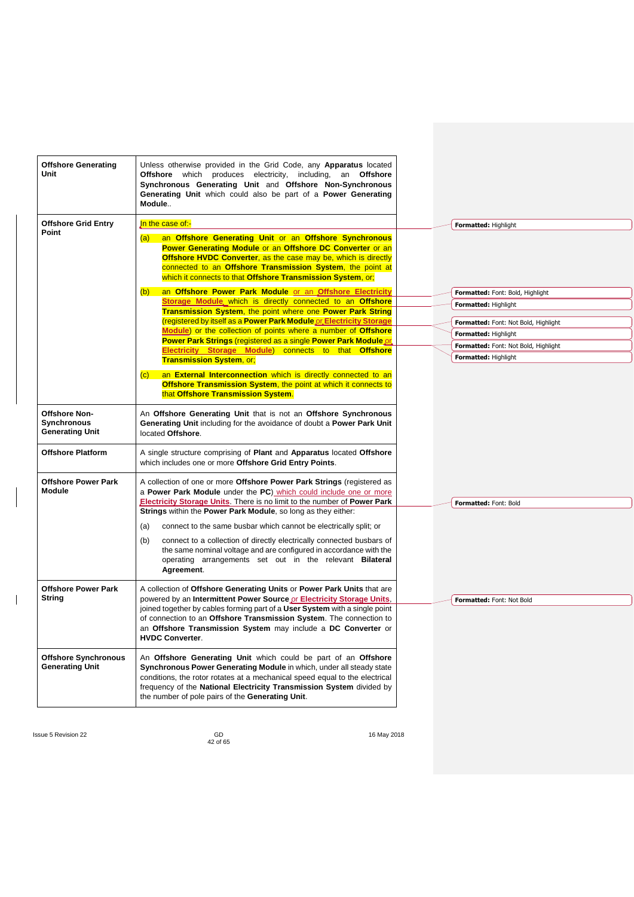| <b>Offshore Generating</b><br><b>Unit</b>                     | Unless otherwise provided in the Grid Code, any <b>Apparatus</b> located<br>Offshore which produces electricity, including, an Offshore<br>Synchronous Generating Unit and Offshore Non-Synchronous<br>Generating Unit which could also be part of a Power Generating<br>Module                                                                   |                                                              |
|---------------------------------------------------------------|---------------------------------------------------------------------------------------------------------------------------------------------------------------------------------------------------------------------------------------------------------------------------------------------------------------------------------------------------|--------------------------------------------------------------|
| <b>Offshore Grid Entry</b>                                    | In the case of:-                                                                                                                                                                                                                                                                                                                                  | Formatted: Highlight                                         |
| Point                                                         | an Offshore Generating Unit or an Offshore Synchronous<br>(a)<br><b>Power Generating Module or an Offshore DC Converter or an</b><br>Offshore HVDC Converter, as the case may be, which is directly<br>connected to an Offshore Transmission System, the point at<br>which it connects to that Offshore Transmission System, or;                  |                                                              |
|                                                               | an Offshore Power Park Module or an Offshore Electricity<br>(b)                                                                                                                                                                                                                                                                                   | Formatted: Font: Bold, Highlight                             |
|                                                               | Storage Module, which is directly connected to an Offshore                                                                                                                                                                                                                                                                                        | Formatted: Highlight                                         |
|                                                               | Transmission System, the point where one Power Park String<br>(registered by itself as a Power Park Module or Electricity Storage                                                                                                                                                                                                                 |                                                              |
|                                                               | Module) or the collection of points where a number of Offshore                                                                                                                                                                                                                                                                                    | Formatted: Font: Not Bold, Highlight<br>Formatted: Highlight |
|                                                               | Power Park Strings (registered as a single Power Park Module or                                                                                                                                                                                                                                                                                   | Formatted: Font: Not Bold, Highlight                         |
|                                                               | Electricity Storage Module) connects to that Offshore                                                                                                                                                                                                                                                                                             | Formatted: Highlight                                         |
|                                                               | <b>Transmission System, or,</b><br>an External Interconnection which is directly connected to an<br>$\left( c\right)$<br>Offshore Transmission System, the point at which it connects to<br>that Offshore Transmission System.                                                                                                                    |                                                              |
| <b>Offshore Non-</b><br>Synchronous<br><b>Generating Unit</b> | An Offshore Generating Unit that is not an Offshore Synchronous<br>Generating Unit including for the avoidance of doubt a Power Park Unit<br>located Offshore.                                                                                                                                                                                    |                                                              |
| <b>Offshore Platform</b>                                      | A single structure comprising of Plant and Apparatus located Offshore<br>which includes one or more Offshore Grid Entry Points.                                                                                                                                                                                                                   |                                                              |
| <b>Offshore Power Park</b><br><b>Module</b>                   | A collection of one or more Offshore Power Park Strings (registered as<br>a Power Park Module under the PC) which could include one or more<br>Electricity Storage Units. There is no limit to the number of Power Park                                                                                                                           | Formatted: Font: Bold                                        |
|                                                               | Strings within the Power Park Module, so long as they either:                                                                                                                                                                                                                                                                                     |                                                              |
|                                                               | connect to the same busbar which cannot be electrically split; or<br>(a)                                                                                                                                                                                                                                                                          |                                                              |
|                                                               | connect to a collection of directly electrically connected busbars of<br>(b)<br>the same nominal voltage and are configured in accordance with the<br>operating arrangements set out in the relevant <b>Bilateral</b><br>Agreement.                                                                                                               |                                                              |
| <b>Offshore Power Park</b>                                    | A collection of Offshore Generating Units or Power Park Units that are                                                                                                                                                                                                                                                                            |                                                              |
| String                                                        | powered by an Intermittent Power Source or Electricity Storage Units,<br>joined together by cables forming part of a User System with a single point<br>of connection to an Offshore Transmission System. The connection to<br>an Offshore Transmission System may include a DC Converter or<br><b>HVDC Converter.</b>                            | Formatted: Font: Not Bold                                    |
| <b>Offshore Synchronous</b><br><b>Generating Unit</b>         | An Offshore Generating Unit which could be part of an Offshore<br>Synchronous Power Generating Module in which, under all steady state<br>conditions, the rotor rotates at a mechanical speed equal to the electrical<br>frequency of the National Electricity Transmission System divided by<br>the number of pole pairs of the Generating Unit. |                                                              |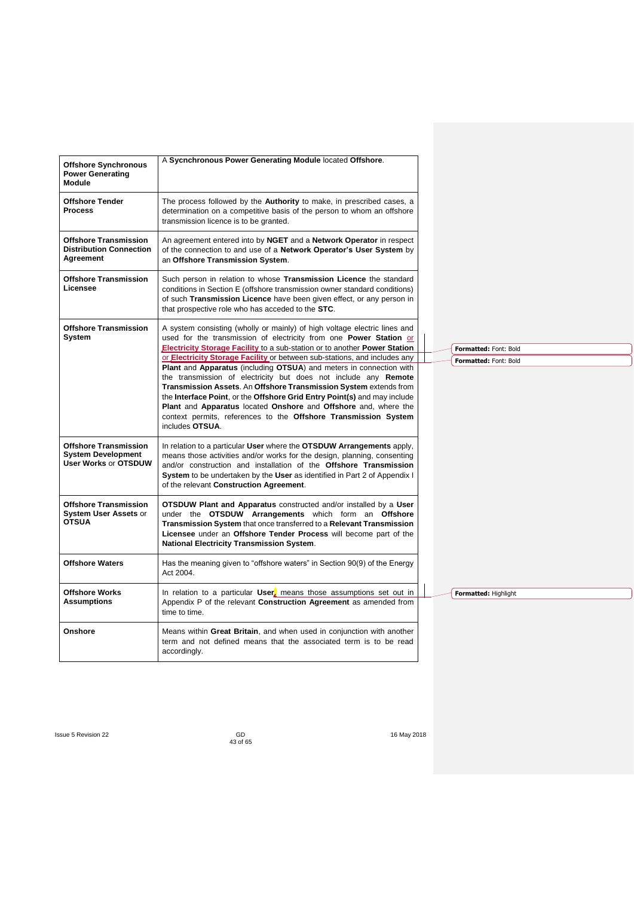| <b>Offshore Synchronous</b><br><b>Power Generating</b><br><b>Module</b>                  | A Sycnchronous Power Generating Module located Offshore.                                                                                                                                                                                                                                                                                              |                       |
|------------------------------------------------------------------------------------------|-------------------------------------------------------------------------------------------------------------------------------------------------------------------------------------------------------------------------------------------------------------------------------------------------------------------------------------------------------|-----------------------|
| <b>Offshore Tender</b><br><b>Process</b>                                                 | The process followed by the Authority to make, in prescribed cases, a<br>determination on a competitive basis of the person to whom an offshore<br>transmission licence is to be granted.                                                                                                                                                             |                       |
| <b>Offshore Transmission</b><br><b>Distribution Connection</b><br>Agreement              | An agreement entered into by NGET and a Network Operator in respect<br>of the connection to and use of a Network Operator's User System by<br>an Offshore Transmission System.                                                                                                                                                                        |                       |
| <b>Offshore Transmission</b><br>Licensee                                                 | Such person in relation to whose Transmission Licence the standard<br>conditions in Section E (offshore transmission owner standard conditions)<br>of such Transmission Licence have been given effect, or any person in<br>that prospective role who has acceded to the STC.                                                                         |                       |
| <b>Offshore Transmission</b><br>System                                                   | A system consisting (wholly or mainly) of high voltage electric lines and<br>used for the transmission of electricity from one Power Station or                                                                                                                                                                                                       |                       |
|                                                                                          | <b>Electricity Storage Facility to a sub-station or to another Power Station</b>                                                                                                                                                                                                                                                                      | Formatted: Font: Bold |
|                                                                                          | or Electricity Storage Facility or between sub-stations, and includes any<br>Plant and Apparatus (including OTSUA) and meters in connection with                                                                                                                                                                                                      | Formatted: Font: Bold |
|                                                                                          | the transmission of electricity but does not include any Remote                                                                                                                                                                                                                                                                                       |                       |
|                                                                                          | Transmission Assets. An Offshore Transmission System extends from<br>the Interface Point, or the Offshore Grid Entry Point(s) and may include                                                                                                                                                                                                         |                       |
|                                                                                          | Plant and Apparatus located Onshore and Offshore and, where the                                                                                                                                                                                                                                                                                       |                       |
|                                                                                          | context permits, references to the Offshore Transmission System<br>includes OTSUA.                                                                                                                                                                                                                                                                    |                       |
| <b>Offshore Transmission</b><br><b>System Development</b><br><b>User Works or OTSDUW</b> | In relation to a particular User where the OTSDUW Arrangements apply,<br>means those activities and/or works for the design, planning, consenting<br>and/or construction and installation of the <b>Offshore Transmission</b><br>System to be undertaken by the User as identified in Part 2 of Appendix I<br>of the relevant Construction Agreement. |                       |
| <b>Offshore Transmission</b><br><b>System User Assets or</b><br><b>OTSUA</b>             | <b>OTSDUW Plant and Apparatus</b> constructed and/or installed by a User<br>under the OTSDUW Arrangements which form an Offshore<br>Transmission System that once transferred to a Relevant Transmission<br>Licensee under an Offshore Tender Process will become part of the<br><b>National Electricity Transmission System.</b>                     |                       |
| <b>Offshore Waters</b>                                                                   | Has the meaning given to "offshore waters" in Section 90(9) of the Energy<br>Act 2004.                                                                                                                                                                                                                                                                |                       |
| <b>Offshore Works</b><br><b>Assumptions</b>                                              | In relation to a particular $User_a$ means those assumptions set out in<br>Appendix P of the relevant Construction Agreement as amended from<br>time to time.                                                                                                                                                                                         | Formatted: Highlight  |
| Onshore                                                                                  | Means within Great Britain, and when used in conjunction with another<br>term and not defined means that the associated term is to be read<br>accordingly.                                                                                                                                                                                            |                       |
|                                                                                          |                                                                                                                                                                                                                                                                                                                                                       |                       |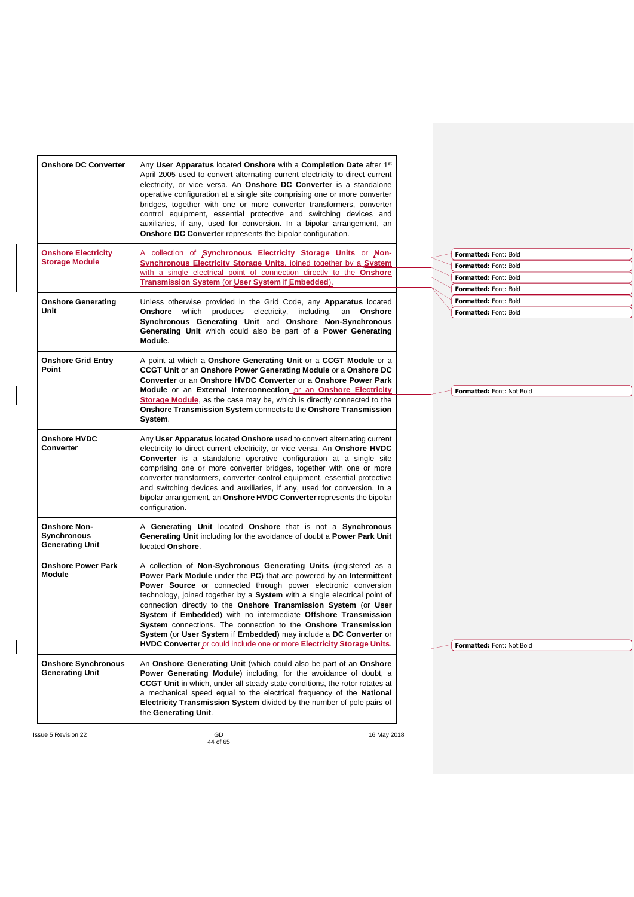| <b>Onshore DC Converter</b>                                         | Any User Apparatus located Onshore with a Completion Date after 1 <sup>st</sup><br>April 2005 used to convert alternating current electricity to direct current<br>electricity, or vice versa. An <b>Onshore DC Converter</b> is a standalone<br>operative configuration at a single site comprising one or more converter<br>bridges, together with one or more converter transformers, converter<br>control equipment, essential protective and switching devices and<br>auxiliaries, if any, used for conversion. In a bipolar arrangement, an                                                                                           |                                                                         |
|---------------------------------------------------------------------|---------------------------------------------------------------------------------------------------------------------------------------------------------------------------------------------------------------------------------------------------------------------------------------------------------------------------------------------------------------------------------------------------------------------------------------------------------------------------------------------------------------------------------------------------------------------------------------------------------------------------------------------|-------------------------------------------------------------------------|
| <b>Onshore Electricity</b><br><b>Storage Module</b>                 | Onshore DC Converter represents the bipolar configuration.<br>A collection of Synchronous Electricity Storage Units or Non-<br>Synchronous Electricity Storage Units, joined together by a System<br>with a single electrical point of connection directly to the <b>Onshore</b><br>Transmission System (or User System if Embedded).                                                                                                                                                                                                                                                                                                       | Formatted: Font: Bold<br>Formatted: Font: Bold<br>Formatted: Font: Bold |
| <b>Onshore Generating</b><br>Unit                                   | Unless otherwise provided in the Grid Code, any Apparatus located<br>Onshore which produces electricity, including, an Onshore<br>Synchronous Generating Unit and Onshore Non-Synchronous<br>Generating Unit which could also be part of a Power Generating<br>Module.                                                                                                                                                                                                                                                                                                                                                                      | Formatted: Font: Bold<br>Formatted: Font: Bold<br>Formatted: Font: Bold |
| <b>Onshore Grid Entry</b><br>Point                                  | A point at which a Onshore Generating Unit or a CCGT Module or a<br>CCGT Unit or an Onshore Power Generating Module or a Onshore DC<br>Converter or an Onshore HVDC Converter or a Onshore Power Park<br>Module or an External Interconnection or an Onshore Electricity<br>Storage Module, as the case may be, which is directly connected to the<br>Onshore Transmission System connects to the Onshore Transmission<br>System.                                                                                                                                                                                                           | Formatted: Font: Not Bold                                               |
| <b>Onshore HVDC</b><br>Converter                                    | Any User Apparatus located Onshore used to convert alternating current<br>electricity to direct current electricity, or vice versa. An Onshore HVDC<br>Converter is a standalone operative configuration at a single site<br>comprising one or more converter bridges, together with one or more<br>converter transformers, converter control equipment, essential protective<br>and switching devices and auxiliaries, if any, used for conversion. In a<br>bipolar arrangement, an Onshore HVDC Converter represents the bipolar<br>configuration.                                                                                        |                                                                         |
| <b>Onshore Non-</b><br><b>Synchronous</b><br><b>Generating Unit</b> | A Generating Unit located Onshore that is not a Synchronous<br>Generating Unit including for the avoidance of doubt a Power Park Unit<br>located Onshore.                                                                                                                                                                                                                                                                                                                                                                                                                                                                                   |                                                                         |
| <b>Onshore Power Park</b><br><b>Module</b>                          | A collection of Non-Sychronous Generating Units (registered as a<br>Power Park Module under the PC) that are powered by an Intermittent<br>Power Source or connected through power electronic conversion<br>technology, joined together by a System with a single electrical point of<br>connection directly to the Onshore Transmission System (or User<br>System if Embedded) with no intermediate Offshore Transmission<br>System connections. The connection to the Onshore Transmission<br>System (or User System if Embedded) may include a DC Converter or<br>HVDC Converter or could include one or more Electricity Storage Units. | Formatted: Font: Not Bold                                               |
| <b>Onshore Synchronous</b><br><b>Generating Unit</b>                | An Onshore Generating Unit (which could also be part of an Onshore<br>Power Generating Module) including, for the avoidance of doubt, a<br><b>CCGT Unit</b> in which, under all steady state conditions, the rotor rotates at<br>a mechanical speed equal to the electrical frequency of the National<br>Electricity Transmission System divided by the number of pole pairs of<br>the Generating Unit.                                                                                                                                                                                                                                     |                                                                         |
| Issue 5 Revision 22                                                 | GD<br>16 May 2018                                                                                                                                                                                                                                                                                                                                                                                                                                                                                                                                                                                                                           |                                                                         |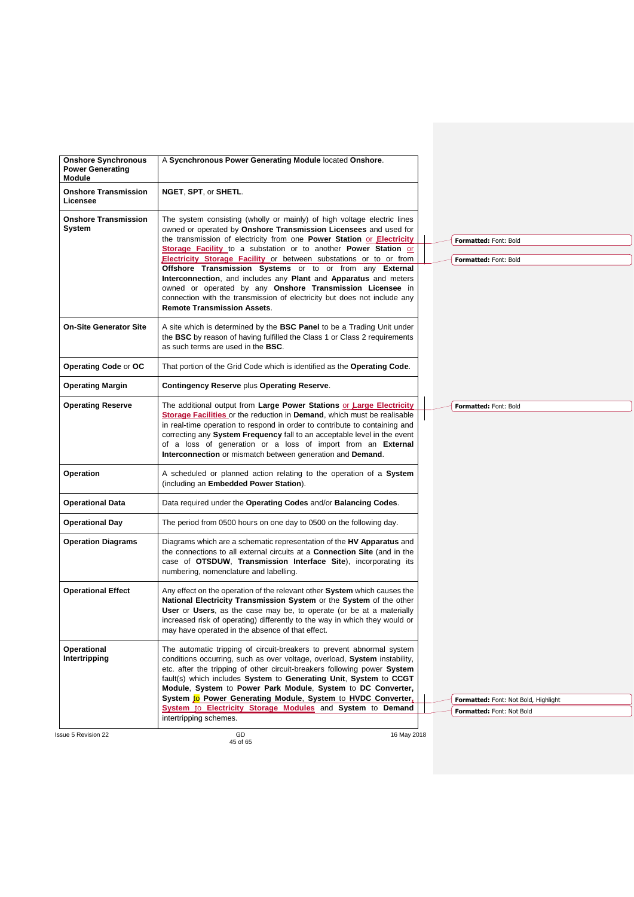| <b>Onshore Synchronous</b><br><b>Power Generating</b><br><b>Module</b> | A Sycnchronous Power Generating Module located Onshore.                                                                                                                                                                                                                                                                                                                                                                                                                                                                                                                                                                                                                     |  |  |                                                                   |  |
|------------------------------------------------------------------------|-----------------------------------------------------------------------------------------------------------------------------------------------------------------------------------------------------------------------------------------------------------------------------------------------------------------------------------------------------------------------------------------------------------------------------------------------------------------------------------------------------------------------------------------------------------------------------------------------------------------------------------------------------------------------------|--|--|-------------------------------------------------------------------|--|
| <b>Onshore Transmission</b><br>Licensee                                | NGET, SPT, or SHETL.                                                                                                                                                                                                                                                                                                                                                                                                                                                                                                                                                                                                                                                        |  |  |                                                                   |  |
| <b>Onshore Transmission</b><br>System                                  | The system consisting (wholly or mainly) of high voltage electric lines<br>owned or operated by Onshore Transmission Licensees and used for<br>the transmission of electricity from one Power Station or Electricity<br>Storage Facility to a substation or to another Power Station or<br>Electricity Storage Facility or between substations or to or from<br>Offshore Transmission Systems or to or from any External<br>Interconnection, and includes any Plant and Apparatus and meters<br>owned or operated by any Onshore Transmission Licensee in<br>connection with the transmission of electricity but does not include any<br><b>Remote Transmission Assets.</b> |  |  | Formatted: Font: Bold<br>Formatted: Font: Bold                    |  |
| <b>On-Site Generator Site</b>                                          | A site which is determined by the <b>BSC Panel</b> to be a Trading Unit under<br>the BSC by reason of having fulfilled the Class 1 or Class 2 requirements<br>as such terms are used in the BSC.                                                                                                                                                                                                                                                                                                                                                                                                                                                                            |  |  |                                                                   |  |
| Operating Code or OC                                                   | That portion of the Grid Code which is identified as the Operating Code.                                                                                                                                                                                                                                                                                                                                                                                                                                                                                                                                                                                                    |  |  |                                                                   |  |
| <b>Operating Margin</b>                                                | <b>Contingency Reserve plus Operating Reserve.</b>                                                                                                                                                                                                                                                                                                                                                                                                                                                                                                                                                                                                                          |  |  |                                                                   |  |
| <b>Operating Reserve</b>                                               | The additional output from Large Power Stations or Large Electricity<br>Storage Facilities or the reduction in Demand, which must be realisable<br>in real-time operation to respond in order to contribute to containing and<br>correcting any System Frequency fall to an acceptable level in the event<br>of a loss of generation or a loss of import from an External<br>Interconnection or mismatch between generation and Demand.                                                                                                                                                                                                                                     |  |  | Formatted: Font: Bold                                             |  |
| Operation                                                              | A scheduled or planned action relating to the operation of a System<br>(including an Embedded Power Station).                                                                                                                                                                                                                                                                                                                                                                                                                                                                                                                                                               |  |  |                                                                   |  |
| <b>Operational Data</b>                                                | Data required under the Operating Codes and/or Balancing Codes.                                                                                                                                                                                                                                                                                                                                                                                                                                                                                                                                                                                                             |  |  |                                                                   |  |
| <b>Operational Day</b>                                                 | The period from 0500 hours on one day to 0500 on the following day.                                                                                                                                                                                                                                                                                                                                                                                                                                                                                                                                                                                                         |  |  |                                                                   |  |
| <b>Operation Diagrams</b>                                              | Diagrams which are a schematic representation of the HV Apparatus and<br>the connections to all external circuits at a <b>Connection Site</b> (and in the<br>case of OTSDUW. Transmission Interface Site), incorporating its<br>numbering, nomenclature and labelling.                                                                                                                                                                                                                                                                                                                                                                                                      |  |  |                                                                   |  |
| <b>Operational Effect</b>                                              | Any effect on the operation of the relevant other System which causes the<br>National Electricity Transmission System or the System of the other<br>User or Users, as the case may be, to operate (or be at a materially<br>increased risk of operating) differently to the way in which they would or<br>may have operated in the absence of that effect.                                                                                                                                                                                                                                                                                                                  |  |  |                                                                   |  |
| Operational<br>Intertripping                                           | The automatic tripping of circuit-breakers to prevent abnormal system<br>conditions occurring, such as over voltage, overload, System instability,<br>etc. after the tripping of other circuit-breakers following power System<br>fault(s) which includes System to Generating Unit, System to CCGT<br>Module, System to Power Park Module, System to DC Converter,<br>System to Power Generating Module, System to HVDC Converter,<br>System to Electricity Storage Modules and System to Demand<br>intertripping schemes.                                                                                                                                                 |  |  | Formatted: Font: Not Bold, Highlight<br>Formatted: Font: Not Bold |  |
| <b>Issue 5 Revision 22</b>                                             | GD<br>16 May 2018                                                                                                                                                                                                                                                                                                                                                                                                                                                                                                                                                                                                                                                           |  |  |                                                                   |  |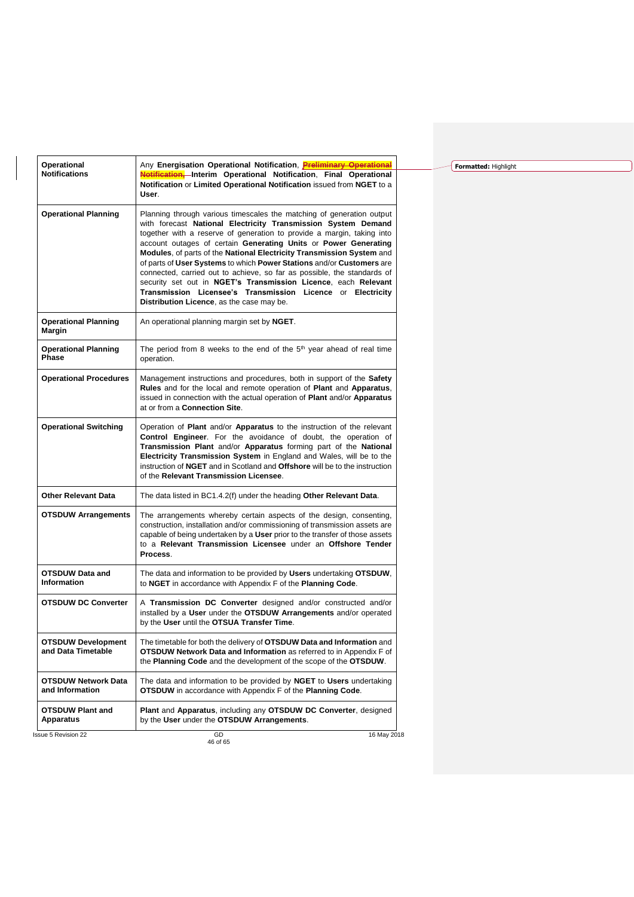| Operational                                     | Any Energisation Operational Notification, <b>Preliminary Operational</b>                                                                                                                                                                                                                                                                                                                                                                                                                                                                                                                                                                                                                      |
|-------------------------------------------------|------------------------------------------------------------------------------------------------------------------------------------------------------------------------------------------------------------------------------------------------------------------------------------------------------------------------------------------------------------------------------------------------------------------------------------------------------------------------------------------------------------------------------------------------------------------------------------------------------------------------------------------------------------------------------------------------|
| <b>Notifications</b>                            | Notification, Interim Operational Notification, Final Operational<br>Notification or Limited Operational Notification issued from NGET to a<br>User.                                                                                                                                                                                                                                                                                                                                                                                                                                                                                                                                           |
| <b>Operational Planning</b>                     | Planning through various timescales the matching of generation output<br>with forecast National Electricity Transmission System Demand<br>together with a reserve of generation to provide a margin, taking into<br>account outages of certain Generating Units or Power Generating<br>Modules, of parts of the National Electricity Transmission System and<br>of parts of User Systems to which Power Stations and/or Customers are<br>connected, carried out to achieve, so far as possible, the standards of<br>security set out in NGET's Transmission Licence, each Relevant<br>Transmission Licensee's Transmission Licence or Electricity<br>Distribution Licence, as the case may be. |
| <b>Operational Planning</b><br>Margin           | An operational planning margin set by NGET.                                                                                                                                                                                                                                                                                                                                                                                                                                                                                                                                                                                                                                                    |
| <b>Operational Planning</b><br>Phase            | The period from 8 weeks to the end of the 5 <sup>th</sup> year ahead of real time<br>operation.                                                                                                                                                                                                                                                                                                                                                                                                                                                                                                                                                                                                |
| <b>Operational Procedures</b>                   | Management instructions and procedures, both in support of the Safety<br>Rules and for the local and remote operation of Plant and Apparatus,<br>issued in connection with the actual operation of Plant and/or Apparatus<br>at or from a Connection Site.                                                                                                                                                                                                                                                                                                                                                                                                                                     |
| <b>Operational Switching</b>                    | Operation of Plant and/or Apparatus to the instruction of the relevant<br>Control Engineer. For the avoidance of doubt, the operation of<br>Transmission Plant and/or Apparatus forming part of the National<br>Electricity Transmission System in England and Wales, will be to the<br>instruction of NGET and in Scotland and Offshore will be to the instruction<br>of the Relevant Transmission Licensee.                                                                                                                                                                                                                                                                                  |
| <b>Other Relevant Data</b>                      | The data listed in BC1.4.2(f) under the heading Other Relevant Data.                                                                                                                                                                                                                                                                                                                                                                                                                                                                                                                                                                                                                           |
| <b>OTSDUW Arrangements</b>                      | The arrangements whereby certain aspects of the design, consenting,<br>construction, installation and/or commissioning of transmission assets are<br>capable of being undertaken by a User prior to the transfer of those assets<br>to a Relevant Transmission Licensee under an Offshore Tender<br>Process.                                                                                                                                                                                                                                                                                                                                                                                   |
| <b>OTSDUW Data and</b><br>Information           | The data and information to be provided by Users undertaking OTSDUW.<br>to NGET in accordance with Appendix F of the Planning Code.                                                                                                                                                                                                                                                                                                                                                                                                                                                                                                                                                            |
| <b>OTSDUW DC Converter</b>                      | A Transmission DC Converter designed and/or constructed and/or<br>installed by a User under the OTSDUW Arrangements and/or operated<br>by the User until the OTSUA Transfer Time.                                                                                                                                                                                                                                                                                                                                                                                                                                                                                                              |
| <b>OTSDUW Development</b><br>and Data Timetable | The timetable for both the delivery of OTSDUW Data and Information and<br>OTSDUW Network Data and Information as referred to in Appendix F of<br>the Planning Code and the development of the scope of the OTSDUW.                                                                                                                                                                                                                                                                                                                                                                                                                                                                             |
| <b>OTSDUW Network Data</b><br>and Information   | The data and information to be provided by NGET to Users undertaking<br><b>OTSDUW</b> in accordance with Appendix F of the <b>Planning Code</b> .                                                                                                                                                                                                                                                                                                                                                                                                                                                                                                                                              |
| <b>OTSDUW Plant and</b><br>Apparatus            | Plant and Apparatus, including any OTSDUW DC Converter, designed<br>by the User under the OTSDUW Arrangements.                                                                                                                                                                                                                                                                                                                                                                                                                                                                                                                                                                                 |
| <b>Issue 5 Revision 22</b>                      | GD<br>16 May 2018                                                                                                                                                                                                                                                                                                                                                                                                                                                                                                                                                                                                                                                                              |

**Formatted:** Highlight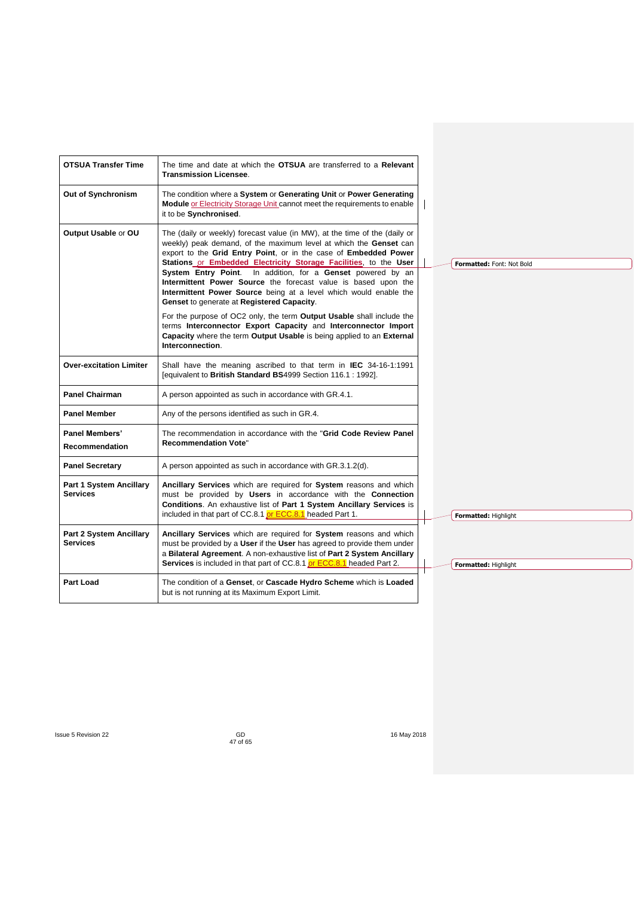| <b>OTSUA Transfer Time</b>                        | The time and date at which the <b>OTSUA</b> are transferred to a <b>Relevant</b><br><b>Transmission Licensee.</b>                                                                                                                                                                                                                                                                                                                                                                                                                                                                                                                                                                                                                                                                   |                           |
|---------------------------------------------------|-------------------------------------------------------------------------------------------------------------------------------------------------------------------------------------------------------------------------------------------------------------------------------------------------------------------------------------------------------------------------------------------------------------------------------------------------------------------------------------------------------------------------------------------------------------------------------------------------------------------------------------------------------------------------------------------------------------------------------------------------------------------------------------|---------------------------|
| Out of Synchronism                                | The condition where a System or Generating Unit or Power Generating<br>Module or Electricity Storage Unit cannot meet the requirements to enable<br>it to be Synchronised.                                                                                                                                                                                                                                                                                                                                                                                                                                                                                                                                                                                                          |                           |
| Output Usable or OU                               | The (daily or weekly) forecast value (in MW), at the time of the (daily or<br>weekly) peak demand, of the maximum level at which the Genset can<br>export to the Grid Entry Point, or in the case of Embedded Power<br>Stations or Embedded Electricity Storage Facilities, to the User<br>System Entry Point. In addition, for a Genset powered by an<br>Intermittent Power Source the forecast value is based upon the<br>Intermittent Power Source being at a level which would enable the<br>Genset to generate at Registered Capacity.<br>For the purpose of OC2 only, the term Output Usable shall include the<br>terms Interconnector Export Capacity and Interconnector Import<br>Capacity where the term Output Usable is being applied to an External<br>Interconnection. | Formatted: Font: Not Bold |
| <b>Over-excitation Limiter</b>                    | Shall have the meaning ascribed to that term in IEC 34-16-1:1991<br>[equivalent to British Standard BS4999 Section 116.1 : 1992].                                                                                                                                                                                                                                                                                                                                                                                                                                                                                                                                                                                                                                                   |                           |
| <b>Panel Chairman</b>                             | A person appointed as such in accordance with GR.4.1.                                                                                                                                                                                                                                                                                                                                                                                                                                                                                                                                                                                                                                                                                                                               |                           |
| <b>Panel Member</b>                               | Any of the persons identified as such in GR.4.                                                                                                                                                                                                                                                                                                                                                                                                                                                                                                                                                                                                                                                                                                                                      |                           |
| Panel Members'<br>Recommendation                  | The recommendation in accordance with the "Grid Code Review Panel<br><b>Recommendation Vote"</b>                                                                                                                                                                                                                                                                                                                                                                                                                                                                                                                                                                                                                                                                                    |                           |
| <b>Panel Secretary</b>                            | A person appointed as such in accordance with GR.3.1.2(d).                                                                                                                                                                                                                                                                                                                                                                                                                                                                                                                                                                                                                                                                                                                          |                           |
| <b>Part 1 System Ancillary</b><br><b>Services</b> | Ancillary Services which are required for System reasons and which<br>must be provided by Users in accordance with the Connection<br><b>Conditions.</b> An exhaustive list of Part 1 System Ancillary Services is<br>included in that part of CC.8.1 or ECC.8.1 headed Part 1.                                                                                                                                                                                                                                                                                                                                                                                                                                                                                                      | Formatted: Highlight      |
| Part 2 System Ancillary<br><b>Services</b>        | Ancillary Services which are required for System reasons and which<br>must be provided by a User if the User has agreed to provide them under<br>a Bilateral Agreement. A non-exhaustive list of Part 2 System Ancillary<br>Services is included in that part of CC.8.1 or ECC.8.1 headed Part 2.                                                                                                                                                                                                                                                                                                                                                                                                                                                                                   | Formatted: Highlight      |
| <b>Part Load</b>                                  | The condition of a Genset, or Cascade Hydro Scheme which is Loaded<br>but is not running at its Maximum Export Limit.                                                                                                                                                                                                                                                                                                                                                                                                                                                                                                                                                                                                                                                               |                           |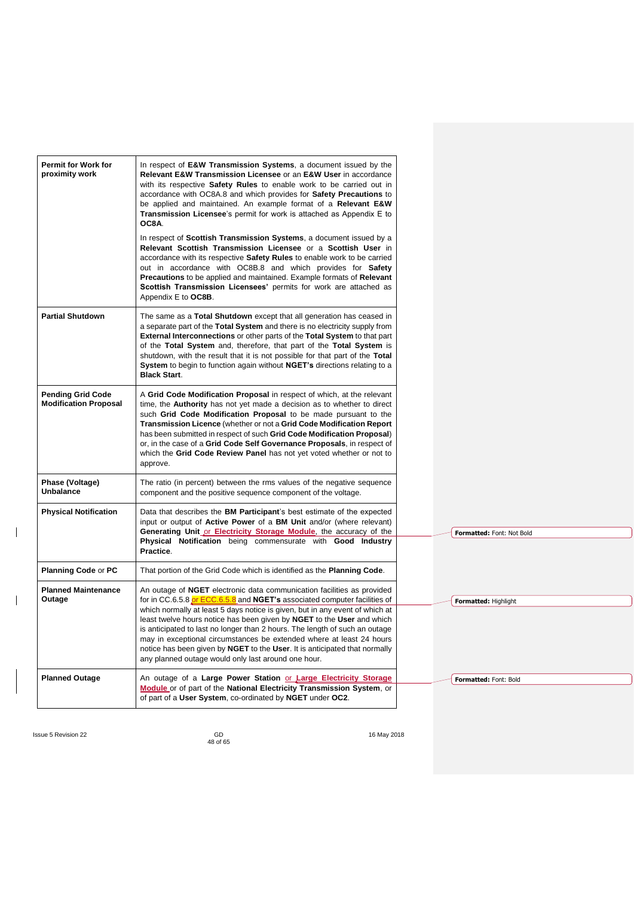| Permit for Work for<br>proximity work                    | In respect of E&W Transmission Systems, a document issued by the<br>Relevant E&W Transmission Licensee or an E&W User in accordance<br>with its respective <b>Safety Rules</b> to enable work to be carried out in<br>accordance with OC8A.8 and which provides for Safety Precautions to<br>be applied and maintained. An example format of a Relevant E&W<br><b>Transmission Licensee</b> 's permit for work is attached as Appendix E to<br>OC8A.                                                                                                                                                             |                           |
|----------------------------------------------------------|------------------------------------------------------------------------------------------------------------------------------------------------------------------------------------------------------------------------------------------------------------------------------------------------------------------------------------------------------------------------------------------------------------------------------------------------------------------------------------------------------------------------------------------------------------------------------------------------------------------|---------------------------|
|                                                          | In respect of <b>Scottish Transmission Systems</b> , a document issued by a<br>Relevant Scottish Transmission Licensee or a Scottish User in<br>accordance with its respective Safety Rules to enable work to be carried<br>out in accordance with OC8B.8 and which provides for Safety<br>Precautions to be applied and maintained. Example formats of Relevant<br>Scottish Transmission Licensees' permits for work are attached as<br>Appendix E to OC8B.                                                                                                                                                     |                           |
| <b>Partial Shutdown</b>                                  | The same as a Total Shutdown except that all generation has ceased in<br>a separate part of the <b>Total System</b> and there is no electricity supply from<br><b>External Interconnections</b> or other parts of the Total System to that part<br>of the Total System and, therefore, that part of the Total System is<br>shutdown, with the result that it is not possible for that part of the <b>Total</b><br>System to begin to function again without NGET's directions relating to a<br><b>Black Start.</b>                                                                                               |                           |
| <b>Pending Grid Code</b><br><b>Modification Proposal</b> | A Grid Code Modification Proposal in respect of which, at the relevant<br>time, the Authority has not yet made a decision as to whether to direct<br>such Grid Code Modification Proposal to be made pursuant to the<br>Transmission Licence (whether or not a Grid Code Modification Report<br>has been submitted in respect of such Grid Code Modification Proposal)<br>or, in the case of a Grid Code Self Governance Proposals, in respect of<br>which the Grid Code Review Panel has not yet voted whether or not to<br>approve.                                                                            |                           |
| Phase (Voltage)<br><b>Unbalance</b>                      | The ratio (in percent) between the rms values of the negative sequence<br>component and the positive sequence component of the voltage.                                                                                                                                                                                                                                                                                                                                                                                                                                                                          |                           |
| <b>Physical Notification</b>                             | Data that describes the <b>BM Participant</b> 's best estimate of the expected<br>input or output of <b>Active Power</b> of a <b>BM Unit</b> and/or (where relevant)<br>Generating Unit or Electricity Storage Module, the accuracy of the<br>Physical Notification being commensurate with Good Industry<br>Practice.                                                                                                                                                                                                                                                                                           | Formatted: Font: Not Bold |
| <b>Planning Code or PC</b>                               | That portion of the Grid Code which is identified as the <b>Planning Code</b> .                                                                                                                                                                                                                                                                                                                                                                                                                                                                                                                                  |                           |
| <b>Planned Maintenance</b><br>Outage                     | An outage of <b>NGET</b> electronic data communication facilities as provided<br>for in CC.6.5.8 or ECC.6.5.8 and NGET's associated computer facilities of<br>which normally at least 5 days notice is given, but in any event of which at<br>least twelve hours notice has been given by NGET to the User and which<br>is anticipated to last no longer than 2 hours. The length of such an outage<br>may in exceptional circumstances be extended where at least 24 hours<br>notice has been given by NGET to the User. It is anticipated that normally<br>any planned outage would only last around one hour. | Formatted: Highlight      |
| <b>Planned Outage</b>                                    | An outage of a Large Power Station or Large Electricity Storage<br>Module or of part of the National Electricity Transmission System, or<br>of part of a User System, co-ordinated by NGET under OC2.                                                                                                                                                                                                                                                                                                                                                                                                            | Formatted: Font: Bold     |

 $\overline{\phantom{a}}$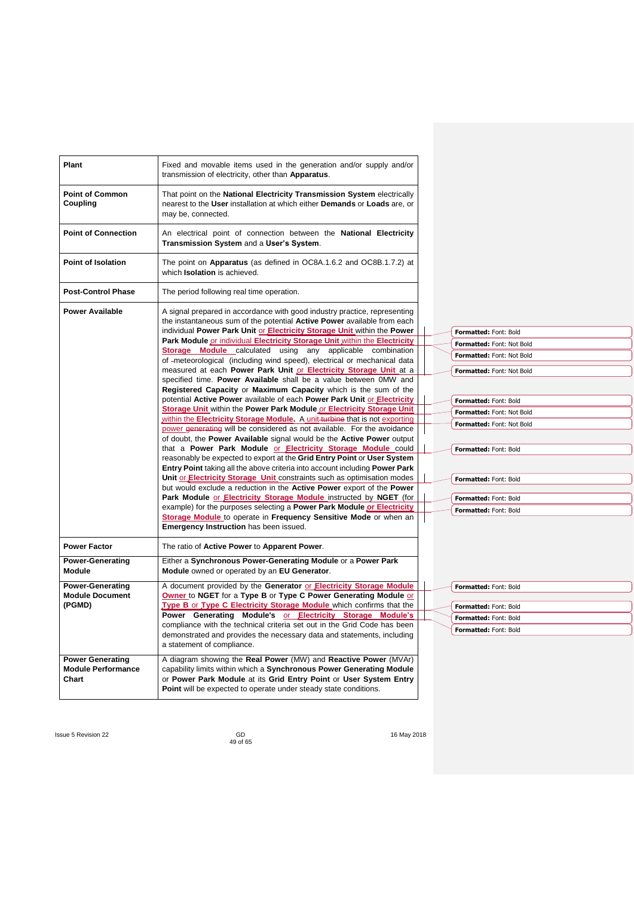| Plant                                                         | Fixed and movable items used in the generation and/or supply and/or<br>transmission of electricity, other than Apparatus.                                                                                                                                                                                                                                                                                                                                                                                                                                                                                                                                                                                                                                                                                                                                                                                                                                                                                                                                                                                                                                                                                                                                                                                                                                                                                                                                                                                                                                                                                                                                                                                                               |                                                                                                                                                                                                                                                                                                     |
|---------------------------------------------------------------|-----------------------------------------------------------------------------------------------------------------------------------------------------------------------------------------------------------------------------------------------------------------------------------------------------------------------------------------------------------------------------------------------------------------------------------------------------------------------------------------------------------------------------------------------------------------------------------------------------------------------------------------------------------------------------------------------------------------------------------------------------------------------------------------------------------------------------------------------------------------------------------------------------------------------------------------------------------------------------------------------------------------------------------------------------------------------------------------------------------------------------------------------------------------------------------------------------------------------------------------------------------------------------------------------------------------------------------------------------------------------------------------------------------------------------------------------------------------------------------------------------------------------------------------------------------------------------------------------------------------------------------------------------------------------------------------------------------------------------------------|-----------------------------------------------------------------------------------------------------------------------------------------------------------------------------------------------------------------------------------------------------------------------------------------------------|
| <b>Point of Common</b><br>Coupling                            | That point on the National Electricity Transmission System electrically<br>nearest to the User installation at which either Demands or Loads are, or<br>may be, connected.                                                                                                                                                                                                                                                                                                                                                                                                                                                                                                                                                                                                                                                                                                                                                                                                                                                                                                                                                                                                                                                                                                                                                                                                                                                                                                                                                                                                                                                                                                                                                              |                                                                                                                                                                                                                                                                                                     |
| <b>Point of Connection</b>                                    | An electrical point of connection between the National Electricity<br>Transmission System and a User's System.                                                                                                                                                                                                                                                                                                                                                                                                                                                                                                                                                                                                                                                                                                                                                                                                                                                                                                                                                                                                                                                                                                                                                                                                                                                                                                                                                                                                                                                                                                                                                                                                                          |                                                                                                                                                                                                                                                                                                     |
| <b>Point of Isolation</b>                                     | The point on <b>Apparatus</b> (as defined in OC8A.1.6.2 and OC8B.1.7.2) at<br>which Isolation is achieved.                                                                                                                                                                                                                                                                                                                                                                                                                                                                                                                                                                                                                                                                                                                                                                                                                                                                                                                                                                                                                                                                                                                                                                                                                                                                                                                                                                                                                                                                                                                                                                                                                              |                                                                                                                                                                                                                                                                                                     |
| <b>Post-Control Phase</b>                                     | The period following real time operation.                                                                                                                                                                                                                                                                                                                                                                                                                                                                                                                                                                                                                                                                                                                                                                                                                                                                                                                                                                                                                                                                                                                                                                                                                                                                                                                                                                                                                                                                                                                                                                                                                                                                                               |                                                                                                                                                                                                                                                                                                     |
| <b>Power Available</b>                                        | A signal prepared in accordance with good industry practice, representing<br>the instantaneous sum of the potential <b>Active Power</b> available from each<br>individual Power Park Unit or Electricity Storage Unit within the Power<br>Park Module or individual Electricity Storage Unit within the Electricity<br>Storage Module calculated using any applicable combination<br>of -meteorological (including wind speed), electrical or mechanical data<br>measured at each Power Park Unit or Electricity Storage Unit at a<br>specified time. Power Available shall be a value between 0MW and<br>Registered Capacity or Maximum Capacity which is the sum of the<br>potential Active Power available of each Power Park Unit or Electricity<br>Storage Unit within the Power Park Module or Electricity Storage Unit<br>within the Electricity Storage Module. A unit-turbine that is not exporting<br>power generating will be considered as not available. For the avoidance<br>of doubt, the Power Available signal would be the Active Power output<br>that a Power Park Module or Electricity Storage Module could<br>reasonably be expected to export at the Grid Entry Point or User System<br>Entry Point taking all the above criteria into account including Power Park<br>Unit or <b>Electricity Storage</b> Unit constraints such as optimisation modes<br>but would exclude a reduction in the <b>Active Power</b> export of the <b>Power</b><br>Park Module or Electricity Storage Module instructed by NGET (for<br>example) for the purposes selecting a Power Park Module or Electricity<br>Storage Module to operate in Frequency Sensitive Mode or when an<br><b>Emergency Instruction has been issued.</b> | Formatted: Font: Bold<br>Formatted: Font: Not Bold<br>Formatted: Font: Not Bold<br>Formatted: Font: Not Bold<br>Formatted: Font: Bold<br>Formatted: Font: Not Bold<br>Formatted: Font: Not Bold<br>Formatted: Font: Bold<br>Formatted: Font: Bold<br>Formatted: Font: Bold<br>Formatted: Font: Bold |
| <b>Power Factor</b>                                           | The ratio of Active Power to Apparent Power.                                                                                                                                                                                                                                                                                                                                                                                                                                                                                                                                                                                                                                                                                                                                                                                                                                                                                                                                                                                                                                                                                                                                                                                                                                                                                                                                                                                                                                                                                                                                                                                                                                                                                            |                                                                                                                                                                                                                                                                                                     |
| <b>Power-Generating</b><br><b>Module</b>                      | Either a Synchronous Power-Generating Module or a Power Park<br>Module owned or operated by an EU Generator.                                                                                                                                                                                                                                                                                                                                                                                                                                                                                                                                                                                                                                                                                                                                                                                                                                                                                                                                                                                                                                                                                                                                                                                                                                                                                                                                                                                                                                                                                                                                                                                                                            |                                                                                                                                                                                                                                                                                                     |
| <b>Power-Generating</b><br><b>Module Document</b><br>(PGMD)   | A document provided by the Generator or Electricity Storage Module<br>Owner to NGET for a Type B or Type C Power Generating Module or<br>Type B or Type C Electricity Storage Module which confirms that the<br>Power Generating Module's or Electricity Storage Module's<br>compliance with the technical criteria set out in the Grid Code has been<br>demonstrated and provides the necessary data and statements, including<br>a statement of compliance.                                                                                                                                                                                                                                                                                                                                                                                                                                                                                                                                                                                                                                                                                                                                                                                                                                                                                                                                                                                                                                                                                                                                                                                                                                                                           | Formatted: Font: Bold<br>Formatted: Font: Bold<br>Formatted: Font: Bold<br>Formatted: Font: Bold                                                                                                                                                                                                    |
| <b>Power Generating</b><br><b>Module Performance</b><br>Chart | A diagram showing the Real Power (MW) and Reactive Power (MVAr)<br>capability limits within which a Synchronous Power Generating Module<br>or Power Park Module at its Grid Entry Point or User System Entry<br>Point will be expected to operate under steady state conditions.                                                                                                                                                                                                                                                                                                                                                                                                                                                                                                                                                                                                                                                                                                                                                                                                                                                                                                                                                                                                                                                                                                                                                                                                                                                                                                                                                                                                                                                        |                                                                                                                                                                                                                                                                                                     |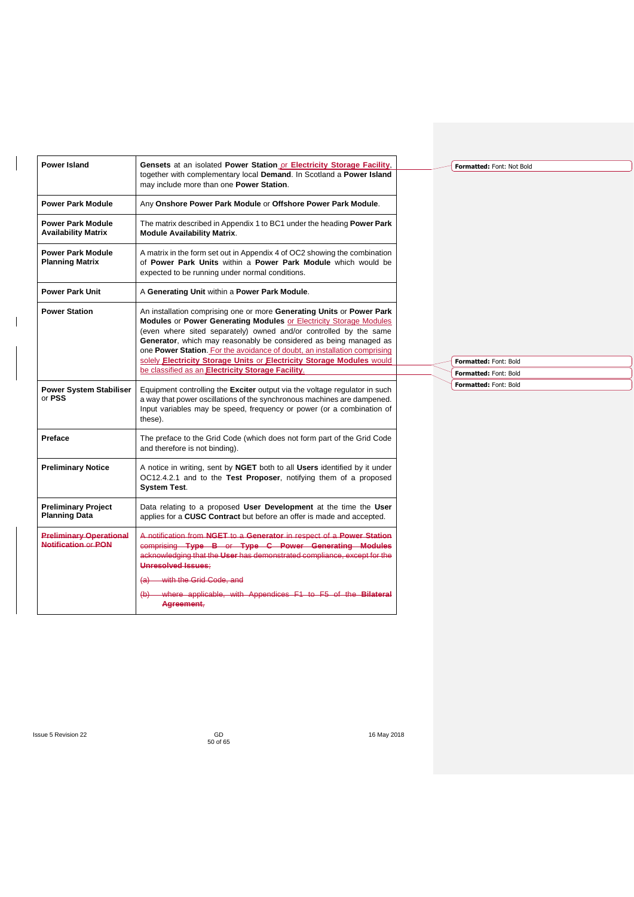| <b>Power Island</b>                                          | Gensets at an isolated Power Station or Electricity Storage Facility,<br>together with complementary local Demand. In Scotland a Power Island<br>may include more than one Power Station.                                                                                                                                                                                                                                                   |  | Formatted: Font: Not Bold |
|--------------------------------------------------------------|---------------------------------------------------------------------------------------------------------------------------------------------------------------------------------------------------------------------------------------------------------------------------------------------------------------------------------------------------------------------------------------------------------------------------------------------|--|---------------------------|
| <b>Power Park Module</b>                                     | Any Onshore Power Park Module or Offshore Power Park Module.                                                                                                                                                                                                                                                                                                                                                                                |  |                           |
| <b>Power Park Module</b><br><b>Availability Matrix</b>       | The matrix described in Appendix 1 to BC1 under the heading <b>Power Park</b><br><b>Module Availability Matrix.</b>                                                                                                                                                                                                                                                                                                                         |  |                           |
| <b>Power Park Module</b><br><b>Planning Matrix</b>           | A matrix in the form set out in Appendix 4 of OC2 showing the combination<br>of Power Park Units within a Power Park Module which would be<br>expected to be running under normal conditions.                                                                                                                                                                                                                                               |  |                           |
| <b>Power Park Unit</b>                                       | A Generating Unit within a Power Park Module.                                                                                                                                                                                                                                                                                                                                                                                               |  |                           |
| <b>Power Station</b>                                         | An installation comprising one or more Generating Units or Power Park<br>Modules or Power Generating Modules or Electricity Storage Modules<br>(even where sited separately) owned and/or controlled by the same<br>Generator, which may reasonably be considered as being managed as<br>one Power Station. For the avoidance of doubt, an installation comprising<br>solely Electricity Storage Units or Electricity Storage Modules would |  | Formatted: Font: Bold     |
|                                                              | be classified as an Electricity Storage Facility.                                                                                                                                                                                                                                                                                                                                                                                           |  | Formatted: Font: Bold     |
| <b>Power System Stabiliser</b><br>or PSS                     | Equipment controlling the Exciter output via the voltage regulator in such<br>a way that power oscillations of the synchronous machines are dampened.<br>Input variables may be speed, frequency or power (or a combination of<br>these).                                                                                                                                                                                                   |  | Formatted: Font: Bold     |
| Preface                                                      | The preface to the Grid Code (which does not form part of the Grid Code<br>and therefore is not binding).                                                                                                                                                                                                                                                                                                                                   |  |                           |
| <b>Preliminary Notice</b>                                    | A notice in writing, sent by NGET both to all Users identified by it under<br>OC12.4.2.1 and to the Test Proposer, notifying them of a proposed<br><b>System Test.</b>                                                                                                                                                                                                                                                                      |  |                           |
| <b>Preliminary Project</b><br><b>Planning Data</b>           | Data relating to a proposed User Development at the time the User<br>applies for a CUSC Contract but before an offer is made and accepted.                                                                                                                                                                                                                                                                                                  |  |                           |
| <b>Preliminary Operational</b><br><b>Notification or PON</b> | A notification from NGET to a Generator in respect of a Power Station<br>comprising Type B or Type C Power Generating Modules<br>acknowledging that the User has demonstrated compliance, except for the<br><b>Unresolved Issues:</b>                                                                                                                                                                                                       |  |                           |
|                                                              | with the Grid Code, and<br>$\left( a\right)$                                                                                                                                                                                                                                                                                                                                                                                                |  |                           |
|                                                              | (b) where applicable, with Appendices F1 to F5 of the Bilateral<br>Agreement,                                                                                                                                                                                                                                                                                                                                                               |  |                           |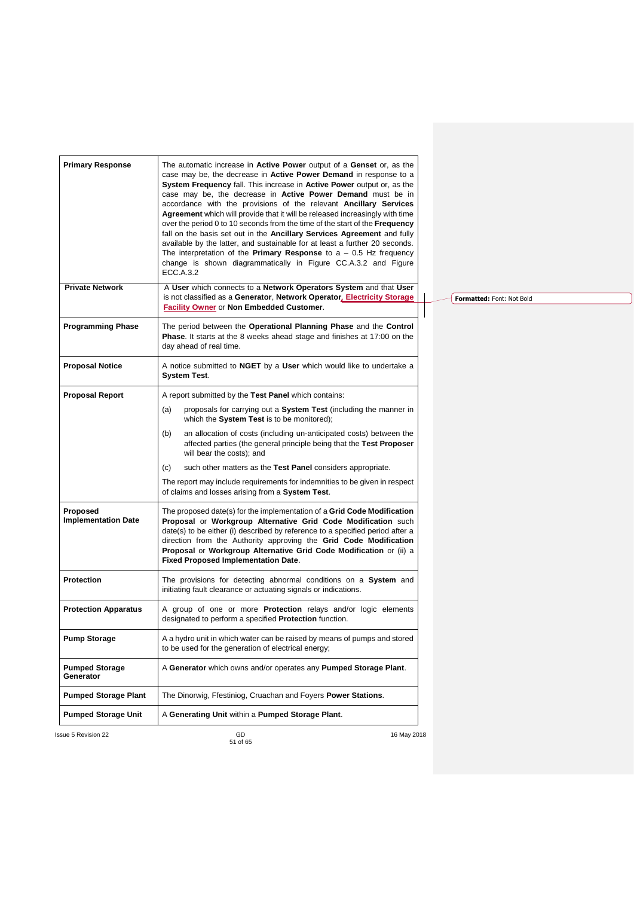| <b>Primary Response</b>                | The automatic increase in <b>Active Power</b> output of a <b>Genset</b> or, as the<br>case may be, the decrease in <b>Active Power Demand</b> in response to a<br>System Frequency fall. This increase in Active Power output or, as the<br>case may be, the decrease in <b>Active Power Demand</b> must be in<br>accordance with the provisions of the relevant <b>Ancillary Services</b><br>Agreement which will provide that it will be released increasingly with time<br>over the period 0 to 10 seconds from the time of the start of the <b>Frequency</b><br>fall on the basis set out in the Ancillary Services Agreement and fully<br>available by the latter, and sustainable for at least a further 20 seconds.<br>The interpretation of the <b>Primary Response</b> to $a - 0.5$ Hz frequency<br>change is shown diagrammatically in Figure CC.A.3.2 and Figure<br><b>ECC.A.3.2</b> |  |                           |  |
|----------------------------------------|-------------------------------------------------------------------------------------------------------------------------------------------------------------------------------------------------------------------------------------------------------------------------------------------------------------------------------------------------------------------------------------------------------------------------------------------------------------------------------------------------------------------------------------------------------------------------------------------------------------------------------------------------------------------------------------------------------------------------------------------------------------------------------------------------------------------------------------------------------------------------------------------------|--|---------------------------|--|
| <b>Private Network</b>                 | A User which connects to a Network Operators System and that User<br>is not classified as a Generator, Network Operator, Electricity Storage<br><b>Facility Owner</b> or Non Embedded Customer.                                                                                                                                                                                                                                                                                                                                                                                                                                                                                                                                                                                                                                                                                                 |  | Formatted: Font: Not Bold |  |
| <b>Programming Phase</b>               | The period between the Operational Planning Phase and the Control<br>Phase. It starts at the 8 weeks ahead stage and finishes at 17:00 on the<br>day ahead of real time.                                                                                                                                                                                                                                                                                                                                                                                                                                                                                                                                                                                                                                                                                                                        |  |                           |  |
| <b>Proposal Notice</b>                 | A notice submitted to <b>NGET</b> by a <b>User</b> which would like to undertake a<br><b>System Test.</b>                                                                                                                                                                                                                                                                                                                                                                                                                                                                                                                                                                                                                                                                                                                                                                                       |  |                           |  |
| <b>Proposal Report</b>                 | A report submitted by the Test Panel which contains:                                                                                                                                                                                                                                                                                                                                                                                                                                                                                                                                                                                                                                                                                                                                                                                                                                            |  |                           |  |
|                                        | proposals for carrying out a System Test (including the manner in<br>(a)<br>which the System Test is to be monitored);                                                                                                                                                                                                                                                                                                                                                                                                                                                                                                                                                                                                                                                                                                                                                                          |  |                           |  |
|                                        | an allocation of costs (including un-anticipated costs) between the<br>(b)<br>affected parties (the general principle being that the Test Proposer<br>will bear the costs); and                                                                                                                                                                                                                                                                                                                                                                                                                                                                                                                                                                                                                                                                                                                 |  |                           |  |
|                                        | such other matters as the Test Panel considers appropriate.<br>(c)                                                                                                                                                                                                                                                                                                                                                                                                                                                                                                                                                                                                                                                                                                                                                                                                                              |  |                           |  |
|                                        | The report may include requirements for indemnities to be given in respect<br>of claims and losses arising from a System Test.                                                                                                                                                                                                                                                                                                                                                                                                                                                                                                                                                                                                                                                                                                                                                                  |  |                           |  |
| Proposed<br><b>Implementation Date</b> | The proposed date(s) for the implementation of a <b>Grid Code Modification</b><br>Proposal or Workgroup Alternative Grid Code Modification such<br>date(s) to be either (i) described by reference to a specified period after a<br>direction from the Authority approving the Grid Code Modification<br>Proposal or Workgroup Alternative Grid Code Modification or (ii) a<br>Fixed Proposed Implementation Date.                                                                                                                                                                                                                                                                                                                                                                                                                                                                              |  |                           |  |
| <b>Protection</b>                      | The provisions for detecting abnormal conditions on a System and<br>initiating fault clearance or actuating signals or indications.                                                                                                                                                                                                                                                                                                                                                                                                                                                                                                                                                                                                                                                                                                                                                             |  |                           |  |
| <b>Protection Apparatus</b>            | A group of one or more <b>Protection</b> relays and/or logic elements<br>designated to perform a specified <b>Protection</b> function.                                                                                                                                                                                                                                                                                                                                                                                                                                                                                                                                                                                                                                                                                                                                                          |  |                           |  |
| <b>Pump Storage</b>                    | A a hydro unit in which water can be raised by means of pumps and stored<br>to be used for the generation of electrical energy;                                                                                                                                                                                                                                                                                                                                                                                                                                                                                                                                                                                                                                                                                                                                                                 |  |                           |  |
| <b>Pumped Storage</b><br>Generator     | A Generator which owns and/or operates any Pumped Storage Plant.                                                                                                                                                                                                                                                                                                                                                                                                                                                                                                                                                                                                                                                                                                                                                                                                                                |  |                           |  |
| <b>Pumped Storage Plant</b>            | The Dinorwig, Ffestiniog, Cruachan and Foyers Power Stations.                                                                                                                                                                                                                                                                                                                                                                                                                                                                                                                                                                                                                                                                                                                                                                                                                                   |  |                           |  |
| <b>Pumped Storage Unit</b>             | A Generating Unit within a Pumped Storage Plant.                                                                                                                                                                                                                                                                                                                                                                                                                                                                                                                                                                                                                                                                                                                                                                                                                                                |  |                           |  |
|                                        |                                                                                                                                                                                                                                                                                                                                                                                                                                                                                                                                                                                                                                                                                                                                                                                                                                                                                                 |  |                           |  |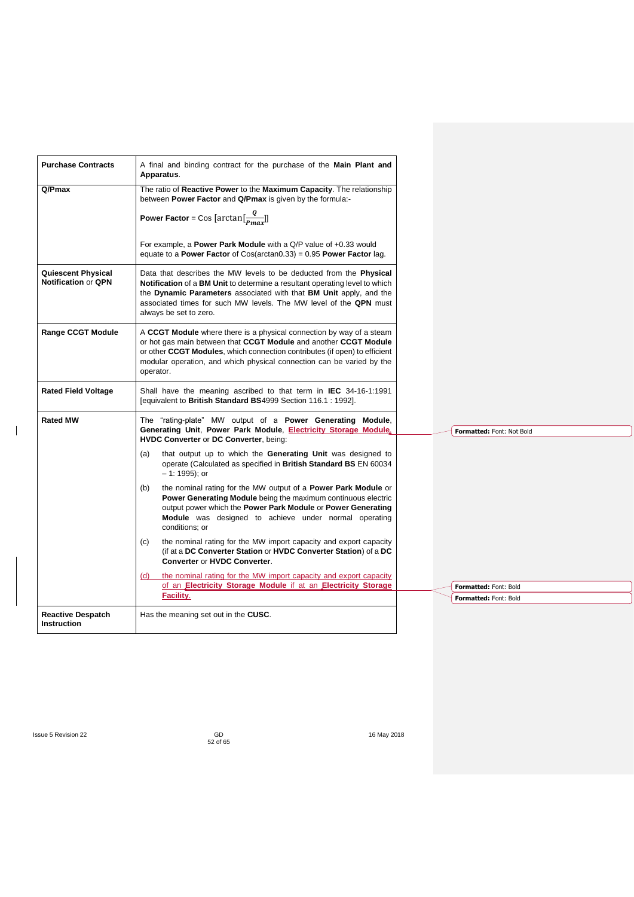| <b>Purchase Contracts</b>                               | A final and binding contract for the purchase of the Main Plant and<br>Apparatus.                                                                                                                                                                                                                                      |                                                       |
|---------------------------------------------------------|------------------------------------------------------------------------------------------------------------------------------------------------------------------------------------------------------------------------------------------------------------------------------------------------------------------------|-------------------------------------------------------|
| Q/Pmax                                                  | The ratio of Reactive Power to the Maximum Capacity. The relationship<br>between Power Factor and Q/Pmax is given by the formula:-                                                                                                                                                                                     |                                                       |
|                                                         | <b>Power Factor</b> = Cos [arctan $\left[\frac{Q}{P_{max}}\right]$ ]                                                                                                                                                                                                                                                   |                                                       |
|                                                         | For example, a Power Park Module with a Q/P value of +0.33 would<br>equate to a Power Factor of Cos(arctan0.33) = $0.95$ Power Factor lag.                                                                                                                                                                             |                                                       |
| <b>Quiescent Physical</b><br><b>Notification or QPN</b> | Data that describes the MW levels to be deducted from the Physical<br>Notification of a BM Unit to determine a resultant operating level to which<br>the Dynamic Parameters associated with that BM Unit apply, and the<br>associated times for such MW levels. The MW level of the QPN must<br>always be set to zero. |                                                       |
| <b>Range CCGT Module</b>                                | A CCGT Module where there is a physical connection by way of a steam<br>or hot gas main between that CCGT Module and another CCGT Module<br>or other CCGT Modules, which connection contributes (if open) to efficient<br>modular operation, and which physical connection can be varied by the<br>operator.           |                                                       |
| <b>Rated Field Voltage</b>                              | Shall have the meaning ascribed to that term in <b>IEC</b> 34-16-1:1991<br>[equivalent to British Standard BS4999 Section 116.1 : 1992].                                                                                                                                                                               |                                                       |
| <b>Rated MW</b>                                         | The "rating-plate" MW output of a <b>Power Generating Module</b> ,<br>Generating Unit, Power Park Module, Electricity Storage Module.<br>HVDC Converter or DC Converter, being:                                                                                                                                        | Formatted: Font: Not Bold                             |
|                                                         | that output up to which the Generating Unit was designed to<br>(a)<br>operate (Calculated as specified in British Standard BS EN 60034<br>$-1: 1995$ ; or                                                                                                                                                              |                                                       |
|                                                         | the nominal rating for the MW output of a <b>Power Park Module</b> or<br>(b)<br>Power Generating Module being the maximum continuous electric<br>output power which the Power Park Module or Power Generating<br><b>Module</b> was designed to achieve under normal operating<br>conditions: or                        |                                                       |
|                                                         | the nominal rating for the MW import capacity and export capacity<br>(C)<br>(if at a DC Converter Station or HVDC Converter Station) of a DC<br><b>Converter or HVDC Converter.</b>                                                                                                                                    |                                                       |
|                                                         | the nominal rating for the MW import capacity and export capacity<br>(d)<br>of an Electricity Storage Module if at an Electricity Storage                                                                                                                                                                              |                                                       |
|                                                         | Facility.                                                                                                                                                                                                                                                                                                              | Formatted: Font: Bold<br><b>Formatted: Font: Bold</b> |
| <b>Reactive Despatch</b><br><b>Instruction</b>          | Has the meaning set out in the CUSC.                                                                                                                                                                                                                                                                                   |                                                       |

 $\begin{array}{c} \hline \end{array}$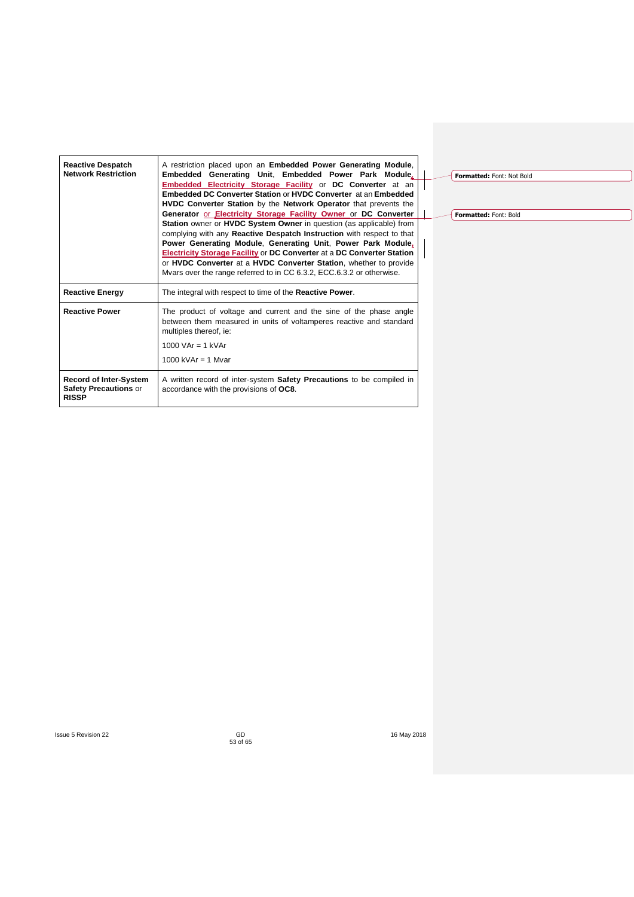| <b>Reactive Despatch</b><br><b>Network Restriction</b>                                     | A restriction placed upon an <b>Embedded Power Generating Module.</b><br>Embedded Generating Unit, Embedded Power Park Module,<br><b>Embedded Electricity Storage Facility or DC Converter</b> at an<br>Embedded DC Converter Station or HVDC Converter at an Embedded<br><b>HVDC Converter Station</b> by the <b>Network Operator</b> that prevents the<br>Generator or Electricity Storage Facility Owner or DC Converter<br>Station owner or HVDC System Owner in question (as applicable) from<br>complying with any Reactive Despatch Instruction with respect to that<br>Power Generating Module, Generating Unit, Power Park Module,<br>Electricity Storage Facility or DC Converter at a DC Converter Station<br>or HVDC Converter at a HVDC Converter Station, whether to provide |  |  |  |
|--------------------------------------------------------------------------------------------|--------------------------------------------------------------------------------------------------------------------------------------------------------------------------------------------------------------------------------------------------------------------------------------------------------------------------------------------------------------------------------------------------------------------------------------------------------------------------------------------------------------------------------------------------------------------------------------------------------------------------------------------------------------------------------------------------------------------------------------------------------------------------------------------|--|--|--|
|                                                                                            | Myars over the range referred to in CC 6.3.2, ECC 6.3.2 or otherwise.                                                                                                                                                                                                                                                                                                                                                                                                                                                                                                                                                                                                                                                                                                                      |  |  |  |
| <b>Reactive Energy</b><br>The integral with respect to time of the <b>Reactive Power</b> . |                                                                                                                                                                                                                                                                                                                                                                                                                                                                                                                                                                                                                                                                                                                                                                                            |  |  |  |
| <b>Reactive Power</b>                                                                      | The product of voltage and current and the sine of the phase angle<br>between them measured in units of voltamperes reactive and standard<br>multiples thereof, ie:<br>1000 VAr = $1$ kVAr                                                                                                                                                                                                                                                                                                                                                                                                                                                                                                                                                                                                 |  |  |  |
|                                                                                            | 1000 kVAr $=$ 1 Myar                                                                                                                                                                                                                                                                                                                                                                                                                                                                                                                                                                                                                                                                                                                                                                       |  |  |  |
| <b>Record of Inter-System</b><br><b>Safety Precautions or</b><br><b>RISSP</b>              | A written record of inter-system Safety Precautions to be compiled in<br>accordance with the provisions of OC8.                                                                                                                                                                                                                                                                                                                                                                                                                                                                                                                                                                                                                                                                            |  |  |  |

**Formatted:** Font: Not Bold

**Formatted:** Font: Bold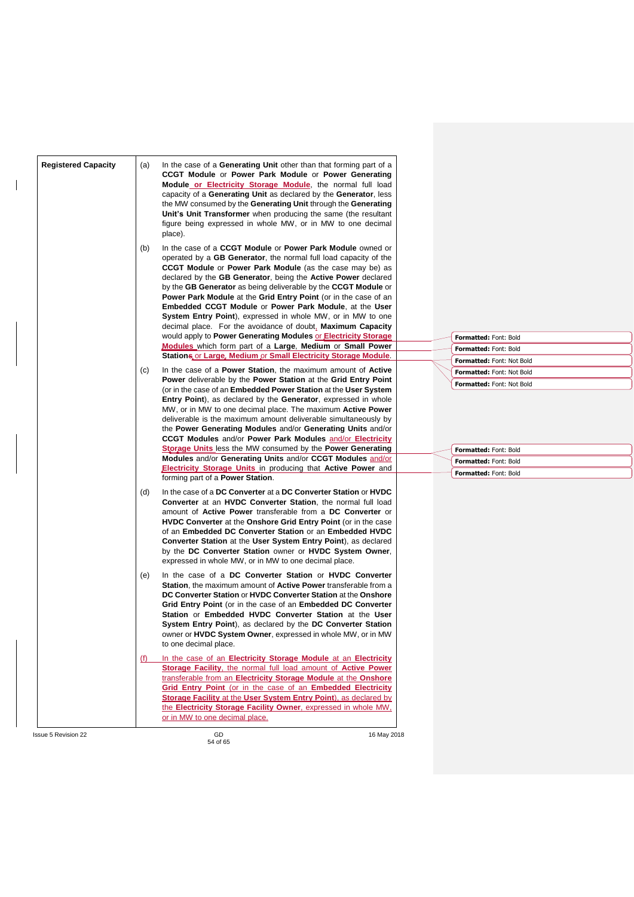| <b>Registered Capacity</b> | In the case of a <b>Generating Unit</b> other than that forming part of a<br>(a)<br>CCGT Module or Power Park Module or Power Generating<br>Module or Electricity Storage Module, the normal full load<br>capacity of a Generating Unit as declared by the Generator, less<br>the MW consumed by the Generating Unit through the Generating<br>Unit's Unit Transformer when producing the same (the resultant<br>figure being expressed in whole MW, or in MW to one decimal<br>place).<br>In the case of a CCGT Module or Power Park Module owned or<br>(b)<br>operated by a GB Generator, the normal full load capacity of the<br><b>CCGT Module or Power Park Module</b> (as the case may be) as<br>declared by the GB Generator, being the Active Power declared<br>by the GB Generator as being deliverable by the CCGT Module or<br><b>Power Park Module at the Grid Entry Point (or in the case of an</b><br><b>Embedded CCGT Module or Power Park Module, at the User</b> |                                  |
|----------------------------|-----------------------------------------------------------------------------------------------------------------------------------------------------------------------------------------------------------------------------------------------------------------------------------------------------------------------------------------------------------------------------------------------------------------------------------------------------------------------------------------------------------------------------------------------------------------------------------------------------------------------------------------------------------------------------------------------------------------------------------------------------------------------------------------------------------------------------------------------------------------------------------------------------------------------------------------------------------------------------------|----------------------------------|
|                            | <b>System Entry Point</b> ), expressed in whole MW, or in MW to one<br>decimal place. For the avoidance of doubt, Maximum Capacity<br>would apply to Power Generating Modules or Electricity Storage<br><b>Modules</b> which form part of a Large, Medium or Small Power                                                                                                                                                                                                                                                                                                                                                                                                                                                                                                                                                                                                                                                                                                          | Formatted: Font: Bold            |
|                            | Stations or Large, Medium or Small Electricity Storage Module                                                                                                                                                                                                                                                                                                                                                                                                                                                                                                                                                                                                                                                                                                                                                                                                                                                                                                                     | Formatted: Font: Bold            |
|                            |                                                                                                                                                                                                                                                                                                                                                                                                                                                                                                                                                                                                                                                                                                                                                                                                                                                                                                                                                                                   | Formatted: Font: Not Bold        |
|                            | In the case of a <b>Power Station</b> , the maximum amount of <b>Active</b><br>(C)                                                                                                                                                                                                                                                                                                                                                                                                                                                                                                                                                                                                                                                                                                                                                                                                                                                                                                | Formatted: Font: Not Bold        |
|                            | Power deliverable by the Power Station at the Grid Entry Point<br>(or in the case of an Embedded Power Station at the User System                                                                                                                                                                                                                                                                                                                                                                                                                                                                                                                                                                                                                                                                                                                                                                                                                                                 | <b>Formatted: Font: Not Bold</b> |
|                            | Entry Point), as declared by the Generator, expressed in whole<br>MW, or in MW to one decimal place. The maximum <b>Active Power</b><br>deliverable is the maximum amount deliverable simultaneously by<br>the Power Generating Modules and/or Generating Units and/or                                                                                                                                                                                                                                                                                                                                                                                                                                                                                                                                                                                                                                                                                                            |                                  |
|                            | <b>CCGT Modules and/or Power Park Modules and/or Electricity</b>                                                                                                                                                                                                                                                                                                                                                                                                                                                                                                                                                                                                                                                                                                                                                                                                                                                                                                                  |                                  |
|                            | <b>Storage Units</b> less the MW consumed by the <b>Power Generating</b>                                                                                                                                                                                                                                                                                                                                                                                                                                                                                                                                                                                                                                                                                                                                                                                                                                                                                                          | Formatted: Font: Bold            |
|                            | Modules and/or Generating Units and/or CCGT Modules and/or                                                                                                                                                                                                                                                                                                                                                                                                                                                                                                                                                                                                                                                                                                                                                                                                                                                                                                                        | Formatted: Font: Bold            |
|                            | <b>Electricity Storage Units</b> in producing that <b>Active Power</b> and                                                                                                                                                                                                                                                                                                                                                                                                                                                                                                                                                                                                                                                                                                                                                                                                                                                                                                        | Formatted: Font: Bold            |
|                            | forming part of a <b>Power Station</b> .                                                                                                                                                                                                                                                                                                                                                                                                                                                                                                                                                                                                                                                                                                                                                                                                                                                                                                                                          |                                  |
|                            | In the case of a DC Converter at a DC Converter Station or HVDC<br>(d)<br><b>Converter</b> at an <b>HVDC Converter Station</b> , the normal full load<br>amount of <b>Active Power</b> transferable from a DC Converter or<br><b>HVDC Converter</b> at the <b>Onshore Grid Entry Point</b> (or in the case<br>of an Embedded DC Converter Station or an Embedded HVDC<br>Converter Station at the User System Entry Point), as declared<br>by the DC Converter Station owner or HVDC System Owner,<br>expressed in whole MW, or in MW to one decimal place.                                                                                                                                                                                                                                                                                                                                                                                                                       |                                  |
|                            | In the case of a DC Converter Station or HVDC Converter<br>(e)<br><b>Station, the maximum amount of Active Power transferable from a</b><br>DC Converter Station or HVDC Converter Station at the Onshore<br>Grid Entry Point (or in the case of an Embedded DC Converter<br>Station or Embedded HVDC Converter Station at the User<br>System Entry Point), as declared by the DC Converter Station<br>owner or <b>HVDC System Owner</b> , expressed in whole MW, or in MW<br>to one decimal place.                                                                                                                                                                                                                                                                                                                                                                                                                                                                               |                                  |
|                            | In the case of an Electricity Storage Module at an Electricity<br>(t)<br>Storage Facility, the normal full load amount of Active Power<br>transferable from an Electricity Storage Module at the Onshore<br>Grid Entry Point (or in the case of an Embedded Electricity<br>Storage Facility at the User System Entry Point), as declared by<br>the Electricity Storage Facility Owner, expressed in whole MW,<br>or in MW to one decimal place.                                                                                                                                                                                                                                                                                                                                                                                                                                                                                                                                   |                                  |
| <b>Issue 5 Revision 22</b> | GD<br>16 May 2018                                                                                                                                                                                                                                                                                                                                                                                                                                                                                                                                                                                                                                                                                                                                                                                                                                                                                                                                                                 |                                  |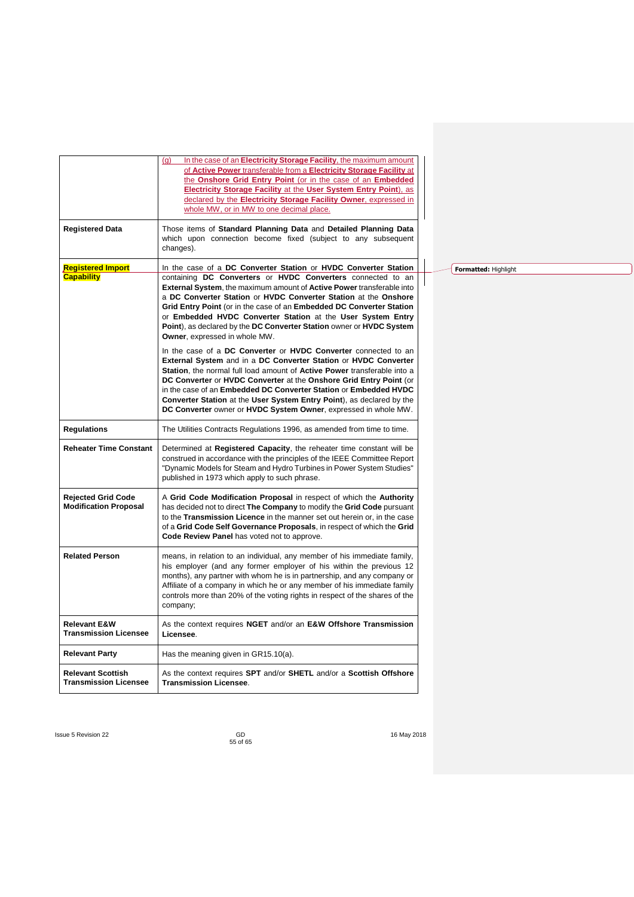|                                                           | In the case of an Electricity Storage Facility, the maximum amount<br>(g)<br>of Active Power transferable from a Electricity Storage Facility at<br>the Onshore Grid Entry Point (or in the case of an Embedded<br>Electricity Storage Facility at the User System Entry Point), as<br>declared by the Electricity Storage Facility Owner, expressed in<br>whole MW, or in MW to one decimal place.                                                                                                                        |
|-----------------------------------------------------------|----------------------------------------------------------------------------------------------------------------------------------------------------------------------------------------------------------------------------------------------------------------------------------------------------------------------------------------------------------------------------------------------------------------------------------------------------------------------------------------------------------------------------|
| <b>Registered Data</b>                                    | Those items of Standard Planning Data and Detailed Planning Data<br>which upon connection become fixed (subject to any subsequent<br>changes).                                                                                                                                                                                                                                                                                                                                                                             |
| <b>Registered Import</b><br><b>Capability</b>             | In the case of a DC Converter Station or HVDC Converter Station<br>containing DC Converters or HVDC Converters connected to an<br>External System, the maximum amount of Active Power transferable into<br>a DC Converter Station or HVDC Converter Station at the Onshore<br>Grid Entry Point (or in the case of an Embedded DC Converter Station<br>or Embedded HVDC Converter Station at the User System Entry<br>Point), as declared by the DC Converter Station owner or HVDC System<br>Owner, expressed in whole MW. |
|                                                           | In the case of a DC Converter or HVDC Converter connected to an<br>External System and in a DC Converter Station or HVDC Converter<br>Station, the normal full load amount of Active Power transferable into a<br>DC Converter or HVDC Converter at the Onshore Grid Entry Point (or<br>in the case of an Embedded DC Converter Station or Embedded HVDC<br>Converter Station at the User System Entry Point), as declared by the<br>DC Converter owner or HVDC System Owner, expressed in whole MW.                       |
| <b>Regulations</b>                                        | The Utilities Contracts Regulations 1996, as amended from time to time.                                                                                                                                                                                                                                                                                                                                                                                                                                                    |
| <b>Reheater Time Constant</b>                             | Determined at Registered Capacity, the reheater time constant will be<br>construed in accordance with the principles of the IEEE Committee Report<br>"Dynamic Models for Steam and Hydro Turbines in Power System Studies"<br>published in 1973 which apply to such phrase.                                                                                                                                                                                                                                                |
| <b>Rejected Grid Code</b><br><b>Modification Proposal</b> | A Grid Code Modification Proposal in respect of which the Authority<br>has decided not to direct The Company to modify the Grid Code pursuant<br>to the Transmission Licence in the manner set out herein or, in the case<br>of a Grid Code Self Governance Proposals, in respect of which the Grid<br>Code Review Panel has voted not to approve.                                                                                                                                                                         |
| <b>Related Person</b>                                     | means, in relation to an individual, any member of his immediate family,<br>his employer (and any former employer of his within the previous 12<br>months), any partner with whom he is in partnership, and any company or<br>Affiliate of a company in which he or any member of his immediate family<br>controls more than 20% of the voting rights in respect of the shares of the<br>company;                                                                                                                          |
| <b>Relevant E&amp;W</b><br><b>Transmission Licensee</b>   | As the context requires NGET and/or an E&W Offshore Transmission<br>Licensee.                                                                                                                                                                                                                                                                                                                                                                                                                                              |
| <b>Relevant Party</b>                                     | Has the meaning given in GR15.10(a).                                                                                                                                                                                                                                                                                                                                                                                                                                                                                       |
| <b>Relevant Scottish</b><br><b>Transmission Licensee</b>  | As the context requires SPT and/or SHETL and/or a Scottish Offshore<br><b>Transmission Licensee.</b>                                                                                                                                                                                                                                                                                                                                                                                                                       |
|                                                           |                                                                                                                                                                                                                                                                                                                                                                                                                                                                                                                            |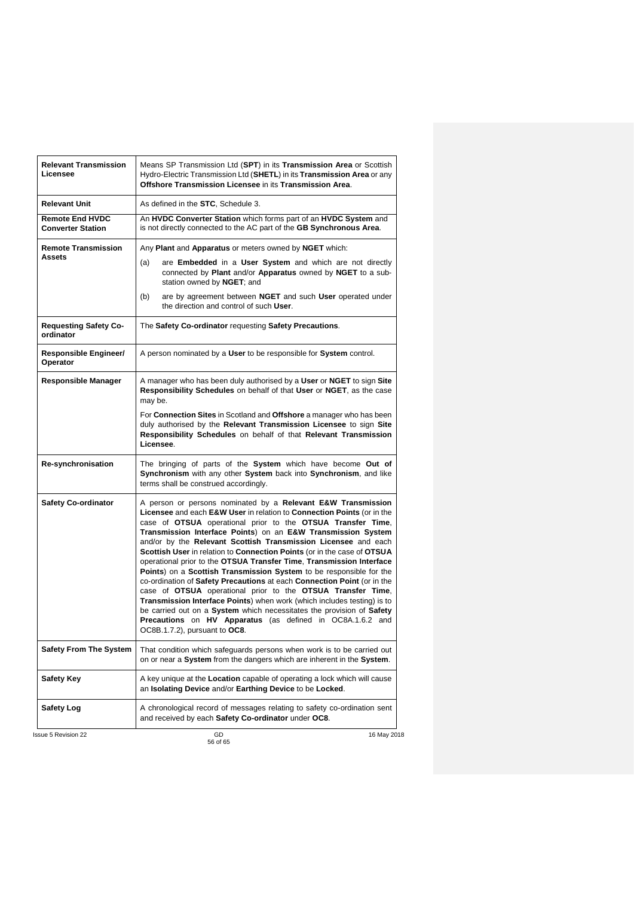| <b>Relevant Transmission</b><br>Licensee           | Means SP Transmission Ltd (SPT) in its Transmission Area or Scottish<br>Hydro-Electric Transmission Ltd (SHETL) in its Transmission Area or any<br>Offshore Transmission Licensee in its Transmission Area.                                                                                                                                                                                                                                                                                                                                                                                                                                                                                                                                                                                                                                                                                                                                                   |
|----------------------------------------------------|---------------------------------------------------------------------------------------------------------------------------------------------------------------------------------------------------------------------------------------------------------------------------------------------------------------------------------------------------------------------------------------------------------------------------------------------------------------------------------------------------------------------------------------------------------------------------------------------------------------------------------------------------------------------------------------------------------------------------------------------------------------------------------------------------------------------------------------------------------------------------------------------------------------------------------------------------------------|
| <b>Relevant Unit</b>                               | As defined in the STC, Schedule 3.                                                                                                                                                                                                                                                                                                                                                                                                                                                                                                                                                                                                                                                                                                                                                                                                                                                                                                                            |
| <b>Remote End HVDC</b><br><b>Converter Station</b> | An HVDC Converter Station which forms part of an HVDC System and<br>is not directly connected to the AC part of the GB Synchronous Area.                                                                                                                                                                                                                                                                                                                                                                                                                                                                                                                                                                                                                                                                                                                                                                                                                      |
| <b>Remote Transmission</b>                         | Any Plant and Apparatus or meters owned by NGET which:                                                                                                                                                                                                                                                                                                                                                                                                                                                                                                                                                                                                                                                                                                                                                                                                                                                                                                        |
| <b>Assets</b>                                      | are Embedded in a User System and which are not directly<br>(a)<br>connected by Plant and/or Apparatus owned by NGET to a sub-<br>station owned by NGET; and                                                                                                                                                                                                                                                                                                                                                                                                                                                                                                                                                                                                                                                                                                                                                                                                  |
|                                                    | are by agreement between NGET and such User operated under<br>(b)<br>the direction and control of such User.                                                                                                                                                                                                                                                                                                                                                                                                                                                                                                                                                                                                                                                                                                                                                                                                                                                  |
| <b>Requesting Safety Co-</b><br>ordinator          | The Safety Co-ordinator requesting Safety Precautions.                                                                                                                                                                                                                                                                                                                                                                                                                                                                                                                                                                                                                                                                                                                                                                                                                                                                                                        |
| Responsible Engineer/<br>Operator                  | A person nominated by a User to be responsible for System control.                                                                                                                                                                                                                                                                                                                                                                                                                                                                                                                                                                                                                                                                                                                                                                                                                                                                                            |
| <b>Responsible Manager</b>                         | A manager who has been duly authorised by a User or NGET to sign Site<br>Responsibility Schedules on behalf of that User or NGET, as the case<br>may be.                                                                                                                                                                                                                                                                                                                                                                                                                                                                                                                                                                                                                                                                                                                                                                                                      |
|                                                    | For Connection Sites in Scotland and Offshore a manager who has been<br>duly authorised by the Relevant Transmission Licensee to sign Site<br>Responsibility Schedules on behalf of that Relevant Transmission<br>Licensee.                                                                                                                                                                                                                                                                                                                                                                                                                                                                                                                                                                                                                                                                                                                                   |
| Re-synchronisation                                 | The bringing of parts of the System which have become Out of<br>Synchronism with any other System back into Synchronism, and like<br>terms shall be construed accordingly.                                                                                                                                                                                                                                                                                                                                                                                                                                                                                                                                                                                                                                                                                                                                                                                    |
| <b>Safety Co-ordinator</b>                         | A person or persons nominated by a Relevant E&W Transmission<br>Licensee and each E&W User in relation to Connection Points (or in the<br>case of OTSUA operational prior to the OTSUA Transfer Time,<br>Transmission Interface Points) on an E&W Transmission System<br>and/or by the Relevant Scottish Transmission Licensee and each<br>Scottish User in relation to Connection Points (or in the case of OTSUA<br>operational prior to the OTSUA Transfer Time, Transmission Interface<br>Points) on a Scottish Transmission System to be responsible for the<br>co-ordination of Safety Precautions at each Connection Point (or in the<br>case of OTSUA operational prior to the OTSUA Transfer Time,<br>Transmission Interface Points) when work (which includes testing) is to<br>be carried out on a System which necessitates the provision of Safety<br>Precautions on HV Apparatus (as defined in OC8A.1.6.2 and<br>OC8B.1.7.2), pursuant to OC8. |
| <b>Safety From The System</b>                      | That condition which safeguards persons when work is to be carried out<br>on or near a System from the dangers which are inherent in the System.                                                                                                                                                                                                                                                                                                                                                                                                                                                                                                                                                                                                                                                                                                                                                                                                              |
| <b>Safety Key</b>                                  | A key unique at the Location capable of operating a lock which will cause<br>an Isolating Device and/or Earthing Device to be Locked.                                                                                                                                                                                                                                                                                                                                                                                                                                                                                                                                                                                                                                                                                                                                                                                                                         |
| <b>Safety Log</b>                                  | A chronological record of messages relating to safety co-ordination sent<br>and received by each Safety Co-ordinator under OC8.                                                                                                                                                                                                                                                                                                                                                                                                                                                                                                                                                                                                                                                                                                                                                                                                                               |
| <b>Issue 5 Revision 22</b>                         | GD<br>16 May 2018                                                                                                                                                                                                                                                                                                                                                                                                                                                                                                                                                                                                                                                                                                                                                                                                                                                                                                                                             |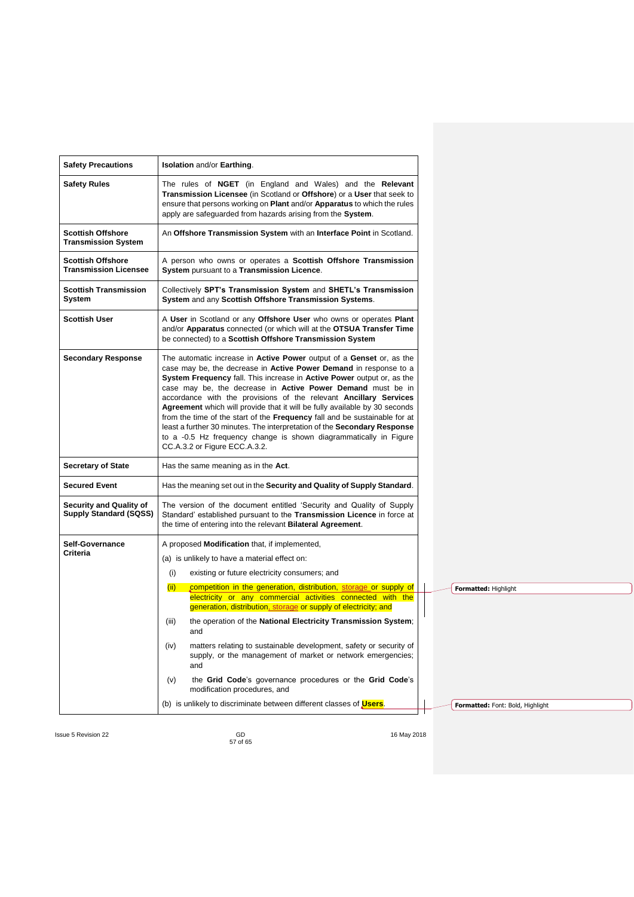| <b>Safety Precautions</b>                                       | <b>Isolation and/or Earthing.</b>                                                                                                                                                                                                                                                                                                                                                                                                                                                                                                                                                                                                                                                                              |                                  |
|-----------------------------------------------------------------|----------------------------------------------------------------------------------------------------------------------------------------------------------------------------------------------------------------------------------------------------------------------------------------------------------------------------------------------------------------------------------------------------------------------------------------------------------------------------------------------------------------------------------------------------------------------------------------------------------------------------------------------------------------------------------------------------------------|----------------------------------|
| <b>Safety Rules</b>                                             | The rules of NGET (in England and Wales) and the Relevant<br>Transmission Licensee (in Scotland or Offshore) or a User that seek to<br>ensure that persons working on <b>Plant</b> and/or <b>Apparatus</b> to which the rules<br>apply are safeguarded from hazards arising from the System.                                                                                                                                                                                                                                                                                                                                                                                                                   |                                  |
| <b>Scottish Offshore</b><br><b>Transmission System</b>          | An Offshore Transmission System with an Interface Point in Scotland.                                                                                                                                                                                                                                                                                                                                                                                                                                                                                                                                                                                                                                           |                                  |
| <b>Scottish Offshore</b><br><b>Transmission Licensee</b>        | A person who owns or operates a Scottish Offshore Transmission<br>System pursuant to a Transmission Licence.                                                                                                                                                                                                                                                                                                                                                                                                                                                                                                                                                                                                   |                                  |
| <b>Scottish Transmission</b><br>System                          | Collectively SPT's Transmission System and SHETL's Transmission<br>System and any Scottish Offshore Transmission Systems.                                                                                                                                                                                                                                                                                                                                                                                                                                                                                                                                                                                      |                                  |
| <b>Scottish User</b>                                            | A User in Scotland or any Offshore User who owns or operates Plant<br>and/or Apparatus connected (or which will at the OTSUA Transfer Time<br>be connected) to a Scottish Offshore Transmission System                                                                                                                                                                                                                                                                                                                                                                                                                                                                                                         |                                  |
| <b>Secondary Response</b>                                       | The automatic increase in Active Power output of a Genset or, as the<br>case may be, the decrease in Active Power Demand in response to a<br>System Frequency fall. This increase in Active Power output or, as the<br>case may be, the decrease in Active Power Demand must be in<br>accordance with the provisions of the relevant Ancillary Services<br>Agreement which will provide that it will be fully available by 30 seconds<br>from the time of the start of the Frequency fall and be sustainable for at<br>least a further 30 minutes. The interpretation of the Secondary Response<br>to a -0.5 Hz frequency change is shown diagrammatically in Figure<br>CC.A.3.2 or Figure ECC.A.3.2.          |                                  |
| <b>Secretary of State</b>                                       | Has the same meaning as in the Act.                                                                                                                                                                                                                                                                                                                                                                                                                                                                                                                                                                                                                                                                            |                                  |
| <b>Secured Event</b>                                            | Has the meaning set out in the Security and Quality of Supply Standard.                                                                                                                                                                                                                                                                                                                                                                                                                                                                                                                                                                                                                                        |                                  |
| <b>Security and Quality of</b><br><b>Supply Standard (SQSS)</b> | The version of the document entitled 'Security and Quality of Supply<br>Standard' established pursuant to the Transmission Licence in force at<br>the time of entering into the relevant <b>Bilateral Agreement</b> .                                                                                                                                                                                                                                                                                                                                                                                                                                                                                          |                                  |
| Self-Governance<br>Criteria                                     | A proposed Modification that, if implemented,<br>(a) is unlikely to have a material effect on:<br>(i)<br>existing or future electricity consumers; and<br>(ii)<br>competition in the generation, distribution, storage or supply of<br>electricity or any commercial activities connected with the<br>generation, distribution, storage or supply of electricity; and<br>the operation of the National Electricity Transmission System;<br>(iii)<br>and<br>(iv)<br>matters relating to sustainable development, safety or security of<br>supply, or the management of market or network emergencies;<br>and<br>the Grid Code's governance procedures or the Grid Code's<br>(v)<br>modification procedures, and | Formatted: Highlight             |
|                                                                 | (b) is unlikely to discriminate between different classes of <b>Users</b> .                                                                                                                                                                                                                                                                                                                                                                                                                                                                                                                                                                                                                                    | Formatted: Font: Bold, Highlight |

GD<br>57 of 65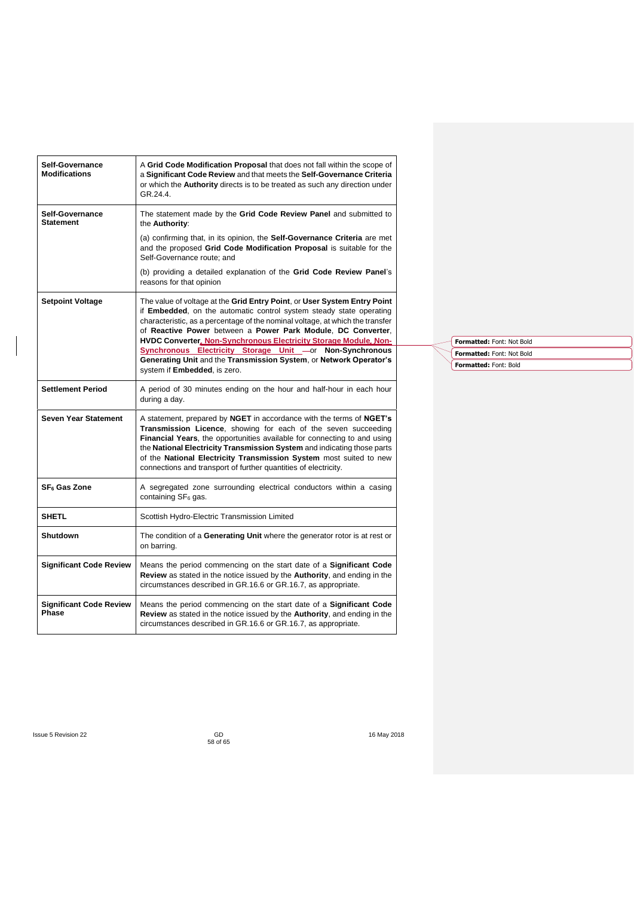| Self-Governance<br><b>Modifications</b> | A Grid Code Modification Proposal that does not fall within the scope of<br>a Significant Code Review and that meets the Self-Governance Criteria<br>or which the <b>Authority</b> directs is to be treated as such any direction under<br>GR.24.4.                                                                                                                                                                                    |                                                        |  |
|-----------------------------------------|----------------------------------------------------------------------------------------------------------------------------------------------------------------------------------------------------------------------------------------------------------------------------------------------------------------------------------------------------------------------------------------------------------------------------------------|--------------------------------------------------------|--|
| Self-Governance<br><b>Statement</b>     | The statement made by the Grid Code Review Panel and submitted to<br>the Authority:                                                                                                                                                                                                                                                                                                                                                    |                                                        |  |
|                                         | (a) confirming that, in its opinion, the Self-Governance Criteria are met<br>and the proposed Grid Code Modification Proposal is suitable for the<br>Self-Governance route; and                                                                                                                                                                                                                                                        |                                                        |  |
|                                         | (b) providing a detailed explanation of the Grid Code Review Panel's<br>reasons for that opinion                                                                                                                                                                                                                                                                                                                                       |                                                        |  |
| <b>Setpoint Voltage</b>                 | The value of voltage at the Grid Entry Point, or User System Entry Point<br>if Embedded, on the automatic control system steady state operating<br>characteristic, as a percentage of the nominal voltage, at which the transfer<br>of Reactive Power between a Power Park Module, DC Converter,<br>HVDC Converter, Non-Synchronous Electricity Storage Module, Non-                                                                   |                                                        |  |
|                                         | Synchronous Electricity Storage Unit -or Non-Synchronous                                                                                                                                                                                                                                                                                                                                                                               | Formatted: Font: Not Bold<br>Formatted: Font: Not Bold |  |
|                                         | Generating Unit and the Transmission System, or Network Operator's<br>system if Embedded, is zero.                                                                                                                                                                                                                                                                                                                                     | Formatted: Font: Bold                                  |  |
| <b>Settlement Period</b>                | A period of 30 minutes ending on the hour and half-hour in each hour<br>during a day.                                                                                                                                                                                                                                                                                                                                                  |                                                        |  |
| <b>Seven Year Statement</b>             | A statement, prepared by NGET in accordance with the terms of NGET's<br>Transmission Licence, showing for each of the seven succeeding<br>Financial Years, the opportunities available for connecting to and using<br>the National Electricity Transmission System and indicating those parts<br>of the National Electricity Transmission System most suited to new<br>connections and transport of further quantities of electricity. |                                                        |  |
| SF <sub>6</sub> Gas Zone                | A segregated zone surrounding electrical conductors within a casing<br>containing SF <sub>6</sub> gas.                                                                                                                                                                                                                                                                                                                                 |                                                        |  |
| <b>SHETL</b>                            | Scottish Hydro-Electric Transmission Limited                                                                                                                                                                                                                                                                                                                                                                                           |                                                        |  |
| <b>Shutdown</b>                         | The condition of a Generating Unit where the generator rotor is at rest or<br>on barring.                                                                                                                                                                                                                                                                                                                                              |                                                        |  |
| <b>Significant Code Review</b>          | Means the period commencing on the start date of a Significant Code<br>Review as stated in the notice issued by the Authority, and ending in the<br>circumstances described in GR.16.6 or GR.16.7, as appropriate.                                                                                                                                                                                                                     |                                                        |  |
| <b>Significant Code Review</b><br>Phase | Means the period commencing on the start date of a Significant Code<br>Review as stated in the notice issued by the Authority, and ending in the<br>circumstances described in GR.16.6 or GR.16.7, as appropriate.                                                                                                                                                                                                                     |                                                        |  |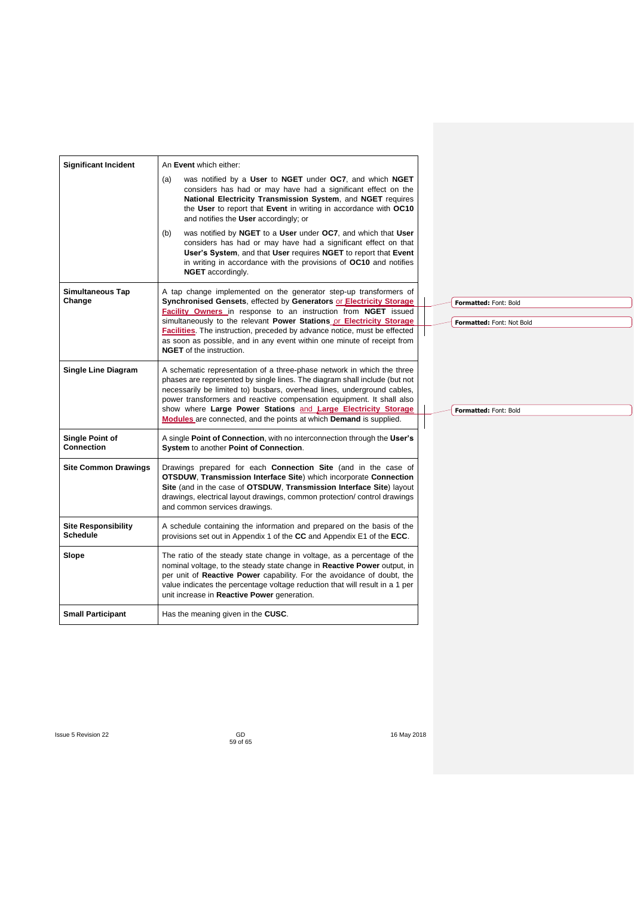| <b>Significant Incident</b>                   | An Event which either:                                                                                                                                                                                                                                                                                                                                                                                                                                                   |
|-----------------------------------------------|--------------------------------------------------------------------------------------------------------------------------------------------------------------------------------------------------------------------------------------------------------------------------------------------------------------------------------------------------------------------------------------------------------------------------------------------------------------------------|
|                                               | was notified by a User to NGET under OC7, and which NGET<br>(a)<br>considers has had or may have had a significant effect on the<br>National Electricity Transmission System, and NGET requires<br>the User to report that Event in writing in accordance with OC10<br>and notifies the User accordingly; or                                                                                                                                                             |
|                                               | was notified by NGET to a User under OC7, and which that User<br>(b)<br>considers has had or may have had a significant effect on that<br>User's System, and that User requires NGET to report that Event<br>in writing in accordance with the provisions of OC10 and notifies<br><b>NGET</b> accordingly.                                                                                                                                                               |
| Simultaneous Tap<br>Change                    | A tap change implemented on the generator step-up transformers of<br>Synchronised Gensets, effected by Generators or Electricity Storage<br>Formatted: Font: Bold<br><b>Facility Owners</b> in response to an instruction from <b>NGET</b> issued                                                                                                                                                                                                                        |
|                                               | simultaneously to the relevant Power Stations or Electricity Storage<br>Formatted: Font: Not Bold<br>Facilities. The instruction, preceded by advance notice, must be effected<br>as soon as possible, and in any event within one minute of receipt from<br><b>NGET</b> of the instruction.                                                                                                                                                                             |
| <b>Single Line Diagram</b>                    | A schematic representation of a three-phase network in which the three<br>phases are represented by single lines. The diagram shall include (but not<br>necessarily be limited to) busbars, overhead lines, underground cables,<br>power transformers and reactive compensation equipment. It shall also<br>show where Large Power Stations and Large Electricity Storage<br>Formatted: Font: Bold<br>Modules are connected, and the points at which Demand is supplied. |
| Single Point of<br><b>Connection</b>          | A single Point of Connection, with no interconnection through the User's<br>System to another Point of Connection.                                                                                                                                                                                                                                                                                                                                                       |
| <b>Site Common Drawings</b>                   | Drawings prepared for each Connection Site (and in the case of<br>OTSDUW, Transmission Interface Site) which incorporate Connection<br>Site (and in the case of OTSDUW, Transmission Interface Site) layout<br>drawings, electrical layout drawings, common protection/control drawings<br>and common services drawings.                                                                                                                                                 |
| <b>Site Responsibility</b><br><b>Schedule</b> | A schedule containing the information and prepared on the basis of the<br>provisions set out in Appendix 1 of the CC and Appendix E1 of the ECC.                                                                                                                                                                                                                                                                                                                         |
| Slope                                         | The ratio of the steady state change in voltage, as a percentage of the<br>nominal voltage, to the steady state change in Reactive Power output, in<br>per unit of Reactive Power capability. For the avoidance of doubt, the<br>value indicates the percentage voltage reduction that will result in a 1 per<br>unit increase in Reactive Power generation.                                                                                                             |
| <b>Small Participant</b>                      | Has the meaning given in the CUSC.                                                                                                                                                                                                                                                                                                                                                                                                                                       |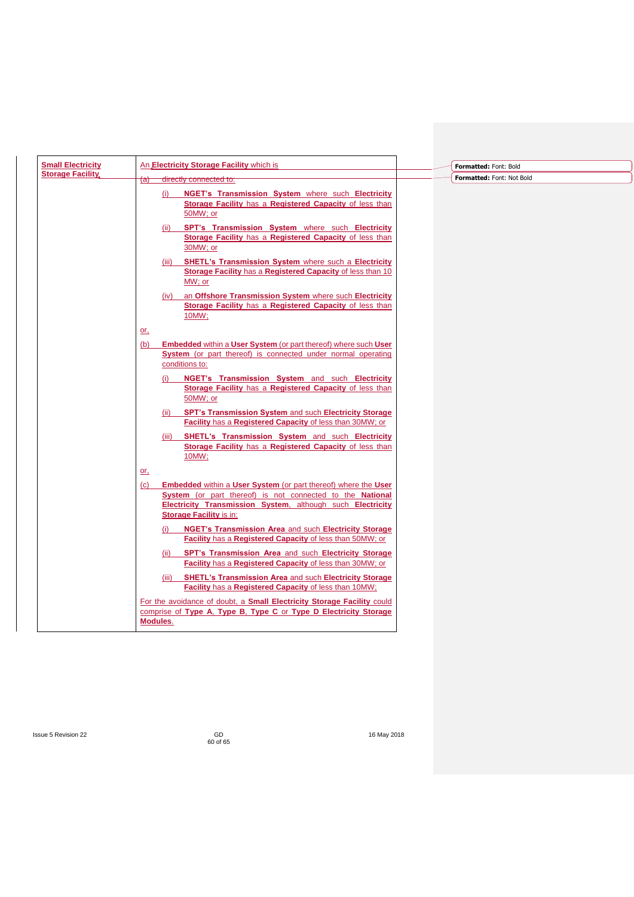| <b>Small Electricity</b> |          | An Electricity Storage Facility which is                                                                                                                                                                                           | Formatted: Font: Bold     |
|--------------------------|----------|------------------------------------------------------------------------------------------------------------------------------------------------------------------------------------------------------------------------------------|---------------------------|
| <b>Storage Facility</b>  |          |                                                                                                                                                                                                                                    | Formatted: Font: Not Bold |
|                          | (a)      | directly connected to:                                                                                                                                                                                                             |                           |
|                          |          | NGET's Transmission System where such Electricity<br>(i)<br>Storage Facility has a Registered Capacity of less than                                                                                                                |                           |
|                          |          | 50MW; or                                                                                                                                                                                                                           |                           |
|                          |          | SPT's Transmission System where such Electricity<br>(ii)<br>Storage Facility has a Registered Capacity of less than<br>30MW; or                                                                                                    |                           |
|                          |          | SHETL's Transmission System where such a Electricity<br>(iii)<br>Storage Facility has a Registered Capacity of less than 10<br>MW; or                                                                                              |                           |
|                          |          | an Offshore Transmission System where such Electricity<br>(iv)<br>Storage Facility has a Registered Capacity of less than<br>10MW;                                                                                                 |                           |
|                          | or.      |                                                                                                                                                                                                                                    |                           |
|                          | (b)      | <b>Embedded within a User System (or part thereof) where such User</b><br>System (or part thereof) is connected under normal operating<br>conditions to:                                                                           |                           |
|                          |          | NGET's Transmission System and such Electricity<br>Storage Facility has a Registered Capacity of less than<br>50MW; or                                                                                                             |                           |
|                          |          | SPT's Transmission System and such Electricity Storage<br>(ii)<br>Facility has a Registered Capacity of less than 30MW; or                                                                                                         |                           |
|                          |          | SHETL's Transmission System and such Electricity<br>(iii)<br>Storage Facility has a Registered Capacity of less than<br>10MW;                                                                                                      |                           |
|                          | or.      |                                                                                                                                                                                                                                    |                           |
|                          | (c)      | <b>Embedded within a User System (or part thereof) where the User</b><br>System (or part thereof) is not connected to the National<br>Electricity Transmission System, although such Electricity<br><b>Storage Facility is in:</b> |                           |
|                          |          | NGET's Transmission Area and such Electricity Storage<br>(i)<br>Facility has a Registered Capacity of less than 50MW; or                                                                                                           |                           |
|                          |          | SPT's Transmission Area and such Electricity Storage<br>(ii)<br><b>Facility</b> has a <b>Registered Capacity</b> of less than 30MW; or                                                                                             |                           |
|                          |          | <b>SHETL's Transmission Area and such Electricity Storage</b><br>(iii)<br>Facility has a Registered Capacity of less than 10MW;                                                                                                    |                           |
|                          |          | For the avoidance of doubt, a Small Electricity Storage Facility could                                                                                                                                                             |                           |
|                          | Modules. | comprise of Type A, Type B, Type C or Type D Electricity Storage                                                                                                                                                                   |                           |
|                          |          |                                                                                                                                                                                                                                    |                           |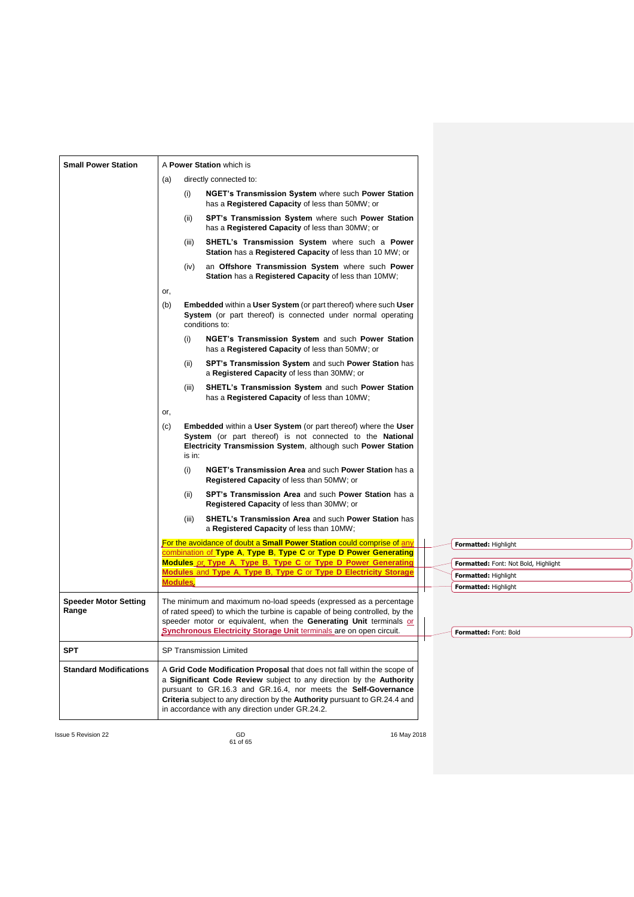| <b>Small Power Station</b>            | A Power Station which is |        |                                                                                                                                                                                                                                                                                                                                                    |  |                                      |
|---------------------------------------|--------------------------|--------|----------------------------------------------------------------------------------------------------------------------------------------------------------------------------------------------------------------------------------------------------------------------------------------------------------------------------------------------------|--|--------------------------------------|
|                                       | (a)                      |        | directly connected to:                                                                                                                                                                                                                                                                                                                             |  |                                      |
|                                       |                          | (i)    | <b>NGET's Transmission System where such Power Station</b><br>has a Registered Capacity of less than 50MW; or                                                                                                                                                                                                                                      |  |                                      |
|                                       |                          | (ii)   | SPT's Transmission System where such Power Station<br>has a Registered Capacity of less than 30MW; or                                                                                                                                                                                                                                              |  |                                      |
|                                       |                          | (iii)  | SHETL's Transmission System where such a Power<br>Station has a Registered Capacity of less than 10 MW; or                                                                                                                                                                                                                                         |  |                                      |
|                                       |                          | (iv)   | an Offshore Transmission System where such Power<br>Station has a Registered Capacity of less than 10MW;                                                                                                                                                                                                                                           |  |                                      |
|                                       | or,                      |        |                                                                                                                                                                                                                                                                                                                                                    |  |                                      |
|                                       | (b)                      |        | <b>Embedded within a User System (or part thereof) where such User</b><br>System (or part thereof) is connected under normal operating<br>conditions to:                                                                                                                                                                                           |  |                                      |
|                                       |                          | (i)    | NGET's Transmission System and such Power Station<br>has a <b>Registered Capacity</b> of less than 50MW; or                                                                                                                                                                                                                                        |  |                                      |
|                                       |                          | (ii)   | SPT's Transmission System and such Power Station has<br>a Registered Capacity of less than 30MW; or                                                                                                                                                                                                                                                |  |                                      |
|                                       |                          | (iii)  | SHETL's Transmission System and such Power Station<br>has a <b>Registered Capacity</b> of less than 10MW;                                                                                                                                                                                                                                          |  |                                      |
|                                       | or,                      |        |                                                                                                                                                                                                                                                                                                                                                    |  |                                      |
|                                       | (c)                      | is in: | <b>Embedded within a User System (or part thereof) where the User</b><br>System (or part thereof) is not connected to the National<br>Electricity Transmission System, although such Power Station                                                                                                                                                 |  |                                      |
|                                       |                          | (i)    | NGET's Transmission Area and such Power Station has a<br><b>Registered Capacity of less than 50MW; or</b>                                                                                                                                                                                                                                          |  |                                      |
|                                       |                          | (ii)   | SPT's Transmission Area and such Power Station has a<br><b>Registered Capacity of less than 30MW; or</b>                                                                                                                                                                                                                                           |  |                                      |
|                                       |                          | (iii)  | <b>SHETL's Transmission Area and such Power Station has</b><br>a Registered Capacity of less than 10MW;                                                                                                                                                                                                                                            |  |                                      |
|                                       |                          |        | For the avoidance of doubt a <b>Small Power Station</b> could comprise of any<br>combination of Type A, Type B, Type C or Type D Power Generating                                                                                                                                                                                                  |  | <b>Formatted: Highlight</b>          |
|                                       |                          |        | Modules or Type A. Type B. Type C or Type D Power Generating                                                                                                                                                                                                                                                                                       |  | Formatted: Font: Not Bold, Highlight |
|                                       | <b>Modules</b> ,         |        | Modules and Type A. Type B. Type C or Type D Electricity Storage                                                                                                                                                                                                                                                                                   |  | Formatted: Highlight                 |
|                                       |                          |        |                                                                                                                                                                                                                                                                                                                                                    |  | <b>Formatted: Highlight</b>          |
| <b>Speeder Motor Setting</b><br>Range |                          |        | The minimum and maximum no-load speeds (expressed as a percentage<br>of rated speed) to which the turbine is capable of being controlled, by the<br>speeder motor or equivalent, when the Generating Unit terminals or<br>Synchronous Electricity Storage Unit terminals are on open circuit.                                                      |  | Formatted: Font: Bold                |
| <b>SPT</b>                            |                          |        | <b>SP Transmission Limited</b>                                                                                                                                                                                                                                                                                                                     |  |                                      |
| <b>Standard Modifications</b>         |                          |        | A Grid Code Modification Proposal that does not fall within the scope of<br>a Significant Code Review subject to any direction by the Authority<br>pursuant to GR.16.3 and GR.16.4, nor meets the Self-Governance<br>Criteria subject to any direction by the Authority pursuant to GR.24.4 and<br>in accordance with any direction under GR.24.2. |  |                                      |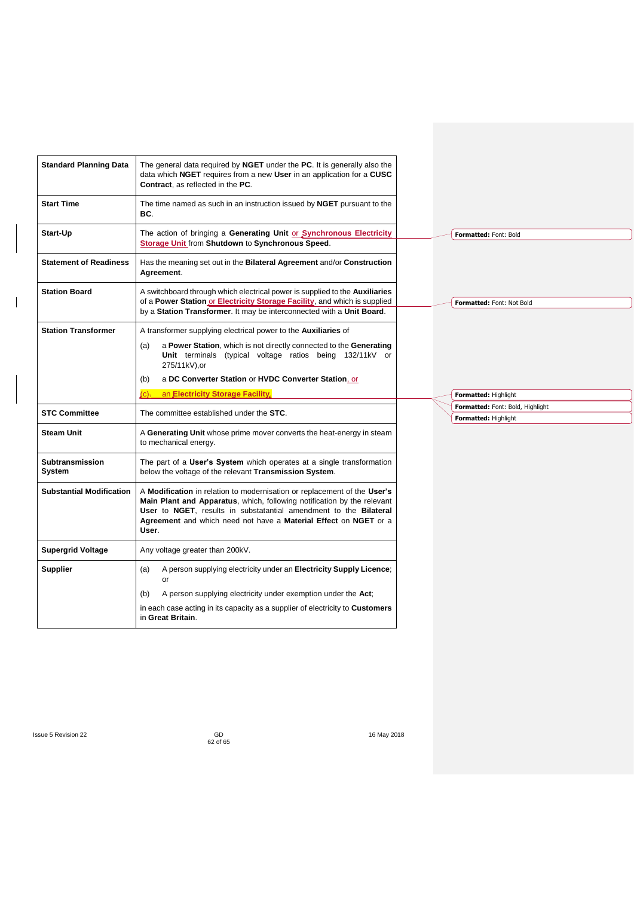| <b>Standard Planning Data</b>    | The general data required by NGET under the PC. It is generally also the<br>data which NGET requires from a new User in an application for a CUSC<br><b>Contract.</b> as reflected in the PC.                                                                                                         |
|----------------------------------|-------------------------------------------------------------------------------------------------------------------------------------------------------------------------------------------------------------------------------------------------------------------------------------------------------|
| <b>Start Time</b>                | The time named as such in an instruction issued by NGET pursuant to the<br>BC.                                                                                                                                                                                                                        |
| Start-Up                         | The action of bringing a Generating Unit or Synchronous Electricity<br>Storage Unit from Shutdown to Synchronous Speed.                                                                                                                                                                               |
| <b>Statement of Readiness</b>    | Has the meaning set out in the Bilateral Agreement and/or Construction<br>Agreement.                                                                                                                                                                                                                  |
| <b>Station Board</b>             | A switchboard through which electrical power is supplied to the <b>Auxiliaries</b><br>of a Power Station or Electricity Storage Facility, and which is supplied<br>by a Station Transformer. It may be interconnected with a Unit Board.                                                              |
| <b>Station Transformer</b>       | A transformer supplying electrical power to the <b>Auxiliaries</b> of<br>a Power Station, which is not directly connected to the Generating<br>(a)<br>Unit terminals (typical voltage ratios being 132/11kV or<br>275/11kV).or<br>a DC Converter Station or HVDC Converter Station, or<br>(b)         |
|                                  | an Electricity Storage Facility.<br>$(C)$ $-$                                                                                                                                                                                                                                                         |
| <b>STC Committee</b>             | The committee established under the STC.                                                                                                                                                                                                                                                              |
| <b>Steam Unit</b>                | A Generating Unit whose prime mover converts the heat-energy in steam<br>to mechanical energy.                                                                                                                                                                                                        |
| <b>Subtransmission</b><br>System | The part of a User's System which operates at a single transformation<br>below the voltage of the relevant Transmission System.                                                                                                                                                                       |
| <b>Substantial Modification</b>  | A Modification in relation to modernisation or replacement of the User's<br>Main Plant and Apparatus, which, following notification by the relevant<br>User to NGET, results in substatantial amendment to the Bilateral<br>Agreement and which need not have a Material Effect on NGET or a<br>User. |
| <b>Supergrid Voltage</b>         | Any voltage greater than 200kV.                                                                                                                                                                                                                                                                       |
| <b>Supplier</b>                  | A person supplying electricity under an Electricity Supply Licence;<br>(a)<br>or                                                                                                                                                                                                                      |
|                                  | A person supplying electricity under exemption under the Act;<br>(b)                                                                                                                                                                                                                                  |
|                                  | in each case acting in its capacity as a supplier of electricity to <b>Customers</b><br>in Great Britain.                                                                                                                                                                                             |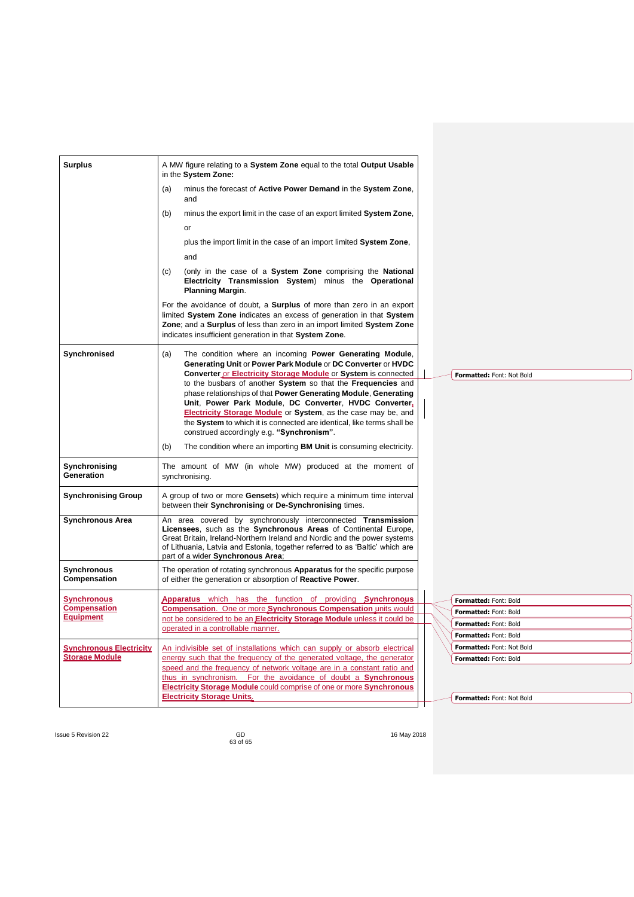| <b>Surplus</b>                                          | A MW figure relating to a System Zone equal to the total Output Usable<br>in the System Zone:                                                                                                                                                                                                                                                                                     |
|---------------------------------------------------------|-----------------------------------------------------------------------------------------------------------------------------------------------------------------------------------------------------------------------------------------------------------------------------------------------------------------------------------------------------------------------------------|
|                                                         | (a)<br>minus the forecast of Active Power Demand in the System Zone,<br>and                                                                                                                                                                                                                                                                                                       |
|                                                         | minus the export limit in the case of an export limited System Zone,<br>(b)                                                                                                                                                                                                                                                                                                       |
|                                                         | or                                                                                                                                                                                                                                                                                                                                                                                |
|                                                         | plus the import limit in the case of an import limited System Zone,                                                                                                                                                                                                                                                                                                               |
|                                                         | and                                                                                                                                                                                                                                                                                                                                                                               |
|                                                         | (only in the case of a System Zone comprising the National<br>(c)<br>Electricity Transmission System) minus the Operational<br><b>Planning Margin.</b>                                                                                                                                                                                                                            |
|                                                         | For the avoidance of doubt, a <b>Surplus</b> of more than zero in an export<br>limited System Zone indicates an excess of generation in that System<br>Zone; and a Surplus of less than zero in an import limited System Zone<br>indicates insufficient generation in that System Zone.                                                                                           |
| Synchronised                                            | The condition where an incoming <b>Power Generating Module</b> ,<br>(a)<br>Generating Unit or Power Park Module or DC Converter or HVDC<br>Converter or Electricity Storage Module or System is connected<br>Formatted: Font: Not Bold                                                                                                                                            |
|                                                         | to the busbars of another System so that the Frequencies and<br>phase relationships of that Power Generating Module, Generating<br>Unit, Power Park Module, DC Converter, HVDC Converter,<br>Electricity Storage Module or System, as the case may be, and<br>the System to which it is connected are identical, like terms shall be<br>construed accordingly e.g. "Synchronism". |
|                                                         | The condition where an importing BM Unit is consuming electricity.<br>(b)                                                                                                                                                                                                                                                                                                         |
| Synchronising<br>Generation                             | The amount of MW (in whole MW) produced at the moment of<br>synchronising.                                                                                                                                                                                                                                                                                                        |
| <b>Synchronising Group</b>                              | A group of two or more Gensets) which require a minimum time interval<br>between their Synchronising or De-Synchronising times.                                                                                                                                                                                                                                                   |
| <b>Synchronous Area</b>                                 | An area covered by synchronously interconnected Transmission<br>Licensees, such as the Synchronous Areas of Continental Europe,<br>Great Britain, Ireland-Northern Ireland and Nordic and the power systems<br>of Lithuania, Latvia and Estonia, together referred to as 'Baltic' which are<br>part of a wider Synchronous Area;                                                  |
| Synchronous<br>Compensation                             | The operation of rotating synchronous <b>Apparatus</b> for the specific purpose<br>of either the generation or absorption of Reactive Power.                                                                                                                                                                                                                                      |
| <b>Synchronous</b>                                      | Apparatus which has the function of providing Synchronous<br>Formatted: Font: Bold                                                                                                                                                                                                                                                                                                |
| <b>Compensation</b><br><b>Equipment</b>                 | Compensation. One or more Synchronous Compensation units would<br>Formatted: Font: Bold<br>not be considered to be an Electricity Storage Module unless it could be                                                                                                                                                                                                               |
|                                                         | Formatted: Font: Bold<br>operated in a controllable manner.                                                                                                                                                                                                                                                                                                                       |
|                                                         | Formatted: Font: Bold                                                                                                                                                                                                                                                                                                                                                             |
| <b>Synchronous Electricity</b><br><b>Storage Module</b> | An indivisible set of installations which can supply or absorb electrical<br>Formatted: Font: Not Bold<br>energy such that the frequency of the generated voltage, the generator<br>Formatted: Font: Bold                                                                                                                                                                         |
|                                                         | speed and the frequency of network voltage are in a constant ratio and<br>thus in synchronism. For the avoidance of doubt a Synchronous<br>Electricity Storage Module could comprise of one or more Synchronous                                                                                                                                                                   |
|                                                         | <b>Electricity Storage Units,</b><br>Formatted: Font: Not Bold                                                                                                                                                                                                                                                                                                                    |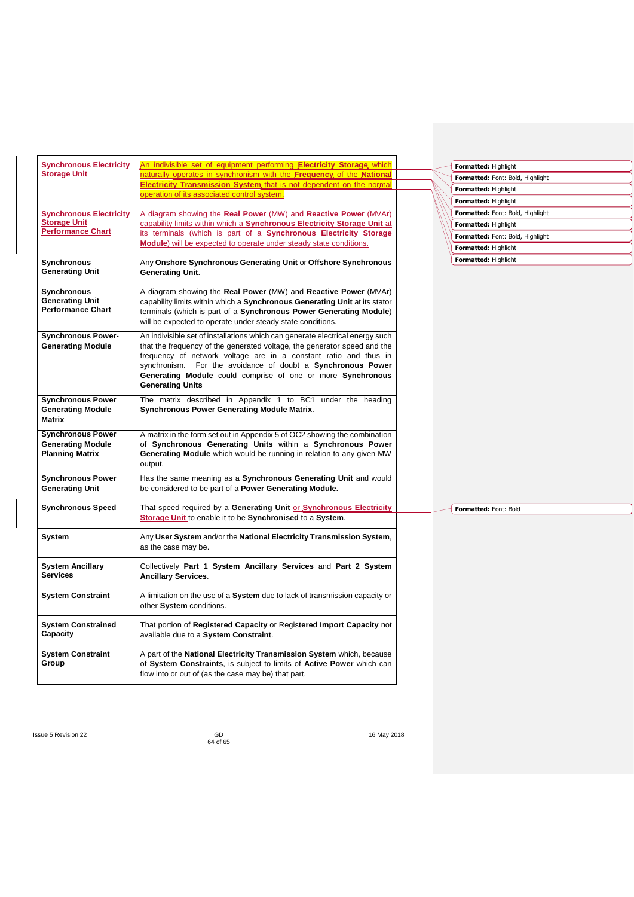| <b>Synchronous Electricity</b>                                          | An indivisible set of equipment performing <b>Electricity Storage</b> which                                                                                                                                                                                                                                                                                                            | Formatted: Highlight             |
|-------------------------------------------------------------------------|----------------------------------------------------------------------------------------------------------------------------------------------------------------------------------------------------------------------------------------------------------------------------------------------------------------------------------------------------------------------------------------|----------------------------------|
| <b>Storage Unit</b>                                                     | naturally operates in synchronism with the Frequency of the National                                                                                                                                                                                                                                                                                                                   | Formatted: Font: Bold, Highlight |
|                                                                         | Electricity Transmission System that is not dependent on the normal                                                                                                                                                                                                                                                                                                                    | Formatted: Highlight             |
|                                                                         | operation of its associated control system.                                                                                                                                                                                                                                                                                                                                            | Formatted: Highlight             |
| <b>Synchronous Electricity</b>                                          | A diagram showing the Real Power (MW) and Reactive Power (MVAr)                                                                                                                                                                                                                                                                                                                        | Formatted: Font: Bold, Highlight |
| <b>Storage Unit</b>                                                     | capability limits within which a Synchronous Electricity Storage Unit at                                                                                                                                                                                                                                                                                                               | Formatted: Highlight             |
| <b>Performance Chart</b>                                                | its terminals (which is part of a Synchronous Electricity Storage                                                                                                                                                                                                                                                                                                                      | Formatted: Font: Bold, Highlight |
|                                                                         | Module) will be expected to operate under steady state conditions.                                                                                                                                                                                                                                                                                                                     | Formatted: Highlight             |
| Synchronous<br><b>Generating Unit</b>                                   | Any Onshore Synchronous Generating Unit or Offshore Synchronous<br><b>Generating Unit.</b>                                                                                                                                                                                                                                                                                             | Formatted: Highlight             |
| Synchronous<br><b>Generating Unit</b><br><b>Performance Chart</b>       | A diagram showing the Real Power (MW) and Reactive Power (MVAr)<br>capability limits within which a Synchronous Generating Unit at its stator<br>terminals (which is part of a Synchronous Power Generating Module)<br>will be expected to operate under steady state conditions.                                                                                                      |                                  |
| <b>Synchronous Power-</b><br><b>Generating Module</b>                   | An indivisible set of installations which can generate electrical energy such<br>that the frequency of the generated voltage, the generator speed and the<br>frequency of network voltage are in a constant ratio and thus in<br>synchronism. For the avoidance of doubt a Synchronous Power<br>Generating Module could comprise of one or more Synchronous<br><b>Generating Units</b> |                                  |
| <b>Synchronous Power</b><br><b>Generating Module</b><br><b>Matrix</b>   | The matrix described in Appendix 1 to BC1 under the heading<br><b>Synchronous Power Generating Module Matrix.</b>                                                                                                                                                                                                                                                                      |                                  |
| <b>Synchronous Power</b><br><b>Generating Module</b><br>Planning Matrix | A matrix in the form set out in Appendix 5 of OC2 showing the combination<br>of Synchronous Generating Units within a Synchronous Power<br>Generating Module which would be running in relation to any given MW<br>output.                                                                                                                                                             |                                  |
| <b>Synchronous Power</b><br><b>Generating Unit</b>                      | Has the same meaning as a Synchronous Generating Unit and would<br>be considered to be part of a Power Generating Module.                                                                                                                                                                                                                                                              |                                  |
| <b>Synchronous Speed</b>                                                | That speed required by a Generating Unit or Synchronous Electricity<br>Storage Unit to enable it to be Synchronised to a System.                                                                                                                                                                                                                                                       | Formatted: Font: Bold            |
| System                                                                  | Any User System and/or the National Electricity Transmission System,<br>as the case may be.                                                                                                                                                                                                                                                                                            |                                  |
| <b>System Ancillary</b><br><b>Services</b>                              | Collectively Part 1 System Ancillary Services and Part 2 System<br><b>Ancillary Services.</b>                                                                                                                                                                                                                                                                                          |                                  |
| <b>System Constraint</b>                                                | A limitation on the use of a System due to lack of transmission capacity or<br>other System conditions.                                                                                                                                                                                                                                                                                |                                  |
| <b>System Constrained</b><br>Capacity                                   | That portion of Registered Capacity or Registered Import Capacity not<br>available due to a System Constraint.                                                                                                                                                                                                                                                                         |                                  |
| <b>System Constraint</b><br>Group                                       | A part of the National Electricity Transmission System which, because<br>of System Constraints, is subject to limits of Active Power which can<br>flow into or out of (as the case may be) that part.                                                                                                                                                                                  |                                  |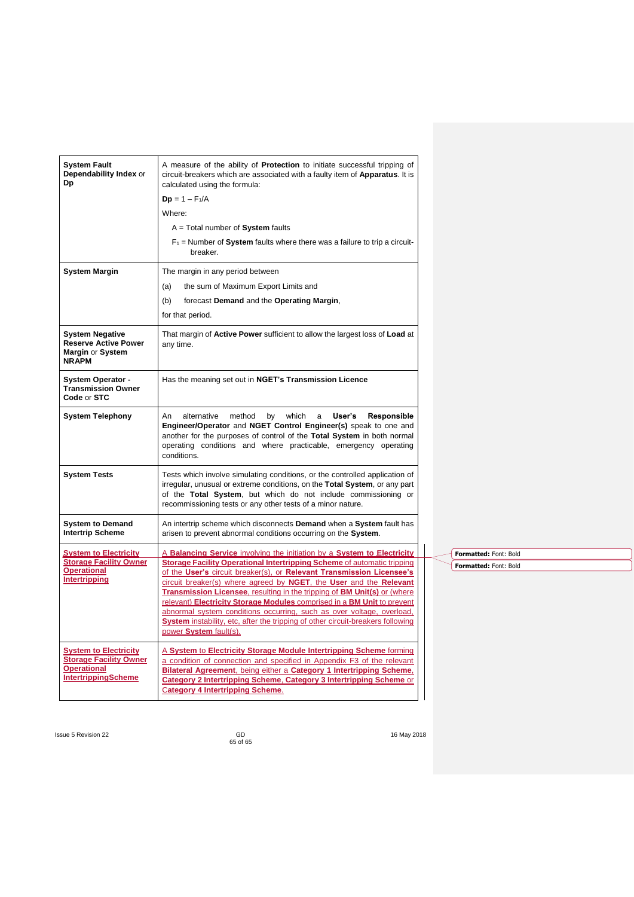| <b>System Fault</b><br>Dependability Index or<br>Dp                                       | A measure of the ability of <b>Protection</b> to initiate successful tripping of<br>circuit-breakers which are associated with a faulty item of <b>Apparatus</b> . It is<br>calculated using the formula:                                                                                               |  |                       |
|-------------------------------------------------------------------------------------------|---------------------------------------------------------------------------------------------------------------------------------------------------------------------------------------------------------------------------------------------------------------------------------------------------------|--|-----------------------|
|                                                                                           | $Dp = 1 - F_1/A$                                                                                                                                                                                                                                                                                        |  |                       |
|                                                                                           | Where:                                                                                                                                                                                                                                                                                                  |  |                       |
|                                                                                           | $A = Total number of System faults$                                                                                                                                                                                                                                                                     |  |                       |
|                                                                                           | $F_1$ = Number of System faults where there was a failure to trip a circuit-<br>breaker.                                                                                                                                                                                                                |  |                       |
| <b>System Margin</b>                                                                      | The margin in any period between                                                                                                                                                                                                                                                                        |  |                       |
|                                                                                           | the sum of Maximum Export Limits and<br>(a)                                                                                                                                                                                                                                                             |  |                       |
|                                                                                           | forecast Demand and the Operating Margin,<br>(b)                                                                                                                                                                                                                                                        |  |                       |
|                                                                                           | for that period.                                                                                                                                                                                                                                                                                        |  |                       |
| <b>System Negative</b><br><b>Reserve Active Power</b><br>Margin or System<br><b>NRAPM</b> | That margin of <b>Active Power</b> sufficient to allow the largest loss of <b>Load</b> at<br>any time.                                                                                                                                                                                                  |  |                       |
| <b>System Operator -</b><br><b>Transmission Owner</b><br>Code or STC                      | Has the meaning set out in NGET's Transmission Licence                                                                                                                                                                                                                                                  |  |                       |
| <b>System Telephony</b>                                                                   | An<br>alternative<br>User's<br>Responsible<br>method<br>by<br>which<br>a<br>Engineer/Operator and NGET Control Engineer(s) speak to one and<br>another for the purposes of control of the Total System in both normal<br>operating conditions and where practicable, emergency operating<br>conditions. |  |                       |
| <b>System Tests</b>                                                                       | Tests which involve simulating conditions, or the controlled application of<br>irregular, unusual or extreme conditions, on the Total System, or any part<br>of the Total System, but which do not include commissioning or<br>recommissioning tests or any other tests of a minor nature.              |  |                       |
| <b>System to Demand</b><br><b>Intertrip Scheme</b>                                        | An intertrip scheme which disconnects <b>Demand</b> when a System fault has<br>arisen to prevent abnormal conditions occurring on the System.                                                                                                                                                           |  |                       |
| <b>System to Electricity</b>                                                              | A Balancing Service involving the initiation by a System to Electricity                                                                                                                                                                                                                                 |  | Formatted: Font: Bold |
| <b>Storage Facility Owner</b><br><b>Operational</b>                                       | <b>Storage Facility Operational Intertripping Scheme of automatic tripping</b>                                                                                                                                                                                                                          |  | Formatted: Font: Bold |
| <b>Intertripping</b>                                                                      | of the User's circuit breaker(s), or Relevant Transmission Licensee's<br>circuit breaker(s) where agreed by NGET, the User and the Relevant                                                                                                                                                             |  |                       |
|                                                                                           | Transmission Licensee, resulting in the tripping of BM Unit(s) or (where                                                                                                                                                                                                                                |  |                       |
|                                                                                           | relevant) Electricity Storage Modules comprised in a BM Unit to prevent<br>abnormal system conditions occurring, such as over voltage, overload,                                                                                                                                                        |  |                       |
|                                                                                           | System instability, etc, after the tripping of other circuit-breakers following<br>power System fault(s).                                                                                                                                                                                               |  |                       |
| <b>System to Electricity</b>                                                              | A System to Electricity Storage Module Intertripping Scheme forming                                                                                                                                                                                                                                     |  |                       |
| <b>Storage Facility Owner</b>                                                             | a condition of connection and specified in Appendix F3 of the relevant                                                                                                                                                                                                                                  |  |                       |
| <b>Operational</b><br><b>IntertrippingScheme</b>                                          | Bilateral Agreement, being either a Category 1 Intertripping Scheme,<br>Category 2 Intertripping Scheme, Category 3 Intertripping Scheme or                                                                                                                                                             |  |                       |
|                                                                                           | <b>Category 4 Intertripping Scheme.</b>                                                                                                                                                                                                                                                                 |  |                       |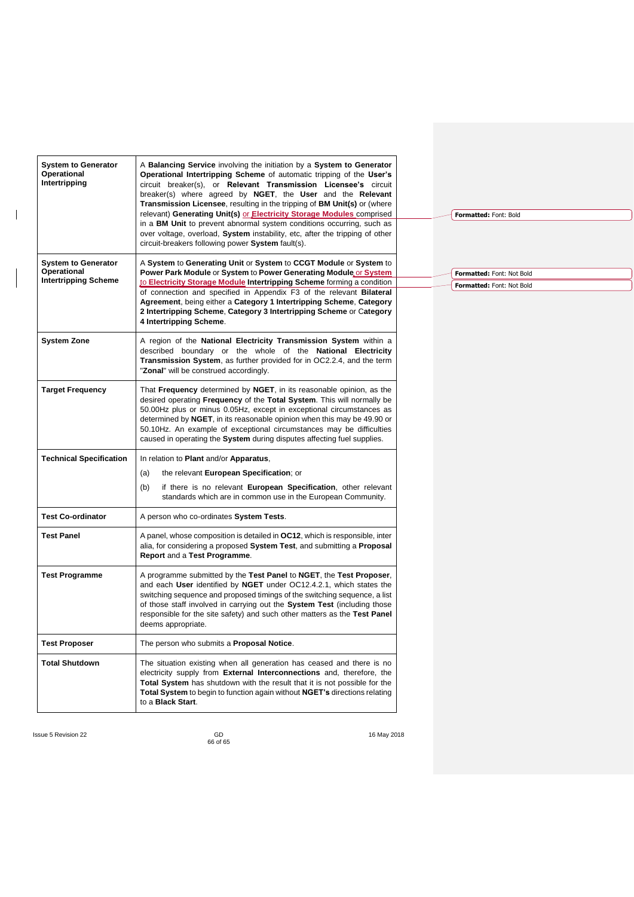| <b>System to Generator</b><br>Operational<br>Intertripping | A <b>Balancing Service</b> involving the initiation by a <b>System to Generator</b><br>Operational Intertripping Scheme of automatic tripping of the User's<br>circuit breaker(s), or Relevant Transmission Licensee's circuit<br>breaker(s) where agreed by NGET, the User and the Relevant<br><b>Transmission Licensee</b> , resulting in the tripping of <b>BM Unit(s)</b> or (where<br>relevant) Generating Unit(s) or Electricity Storage Modules comprised<br>in a BM Unit to prevent abnormal system conditions occurring, such as<br>over voltage, overload, System instability, etc, after the tripping of other<br>circuit-breakers following power System fault(s). |  | Formatted: Font: Bold     |  |
|------------------------------------------------------------|--------------------------------------------------------------------------------------------------------------------------------------------------------------------------------------------------------------------------------------------------------------------------------------------------------------------------------------------------------------------------------------------------------------------------------------------------------------------------------------------------------------------------------------------------------------------------------------------------------------------------------------------------------------------------------|--|---------------------------|--|
| <b>System to Generator</b>                                 | A System to Generating Unit or System to CCGT Module or System to                                                                                                                                                                                                                                                                                                                                                                                                                                                                                                                                                                                                              |  |                           |  |
| Operational<br><b>Intertripping Scheme</b>                 | Power Park Module or System to Power Generating Module or System<br>to Electricity Storage Module Intertripping Scheme forming a condition                                                                                                                                                                                                                                                                                                                                                                                                                                                                                                                                     |  | Formatted: Font: Not Bold |  |
|                                                            | of connection and specified in Appendix F3 of the relevant Bilateral<br>Agreement, being either a Category 1 Intertripping Scheme, Category<br>2 Intertripping Scheme, Category 3 Intertripping Scheme or Category<br>4 Intertripping Scheme.                                                                                                                                                                                                                                                                                                                                                                                                                                  |  | Formatted: Font: Not Bold |  |
| <b>System Zone</b>                                         | A region of the National Electricity Transmission System within a<br>described boundary or the whole of the National Electricity<br>Transmission System, as further provided for in OC2.2.4, and the term<br>"Zonal" will be construed accordingly.                                                                                                                                                                                                                                                                                                                                                                                                                            |  |                           |  |
| <b>Target Frequency</b>                                    | That Frequency determined by NGET, in its reasonable opinion, as the<br>desired operating Frequency of the Total System. This will normally be<br>50.00Hz plus or minus 0.05Hz, except in exceptional circumstances as<br>determined by NGET, in its reasonable opinion when this may be 49.90 or<br>50.10Hz. An example of exceptional circumstances may be difficulties<br>caused in operating the System during disputes affecting fuel supplies.                                                                                                                                                                                                                           |  |                           |  |
| <b>Technical Specification</b>                             | In relation to Plant and/or Apparatus,                                                                                                                                                                                                                                                                                                                                                                                                                                                                                                                                                                                                                                         |  |                           |  |
|                                                            | the relevant European Specification; or<br>(a)                                                                                                                                                                                                                                                                                                                                                                                                                                                                                                                                                                                                                                 |  |                           |  |
|                                                            | if there is no relevant <b>European Specification</b> , other relevant<br>(b)<br>standards which are in common use in the European Community.                                                                                                                                                                                                                                                                                                                                                                                                                                                                                                                                  |  |                           |  |
| <b>Test Co-ordinator</b>                                   | A person who co-ordinates System Tests.                                                                                                                                                                                                                                                                                                                                                                                                                                                                                                                                                                                                                                        |  |                           |  |
| <b>Test Panel</b>                                          | A panel, whose composition is detailed in <b>OC12</b> , which is responsible, inter<br>alia, for considering a proposed System Test, and submitting a Proposal<br>Report and a Test Programme.                                                                                                                                                                                                                                                                                                                                                                                                                                                                                 |  |                           |  |
| <b>Test Programme</b>                                      | A programme submitted by the Test Panel to NGET, the Test Proposer,<br>and each User identified by NGET under OC12.4.2.1, which states the<br>switching sequence and proposed timings of the switching sequence, a list<br>of those staff involved in carrying out the System Test (including those<br>responsible for the site safety) and such other matters as the Test Panel<br>deems appropriate.                                                                                                                                                                                                                                                                         |  |                           |  |
| <b>Test Proposer</b>                                       | The person who submits a <b>Proposal Notice</b> .                                                                                                                                                                                                                                                                                                                                                                                                                                                                                                                                                                                                                              |  |                           |  |
| <b>Total Shutdown</b>                                      | The situation existing when all generation has ceased and there is no<br>electricity supply from External Interconnections and, therefore, the<br>Total System has shutdown with the result that it is not possible for the<br>Total System to begin to function again without NGET's directions relating<br>to a Black Start.                                                                                                                                                                                                                                                                                                                                                 |  |                           |  |
|                                                            |                                                                                                                                                                                                                                                                                                                                                                                                                                                                                                                                                                                                                                                                                |  |                           |  |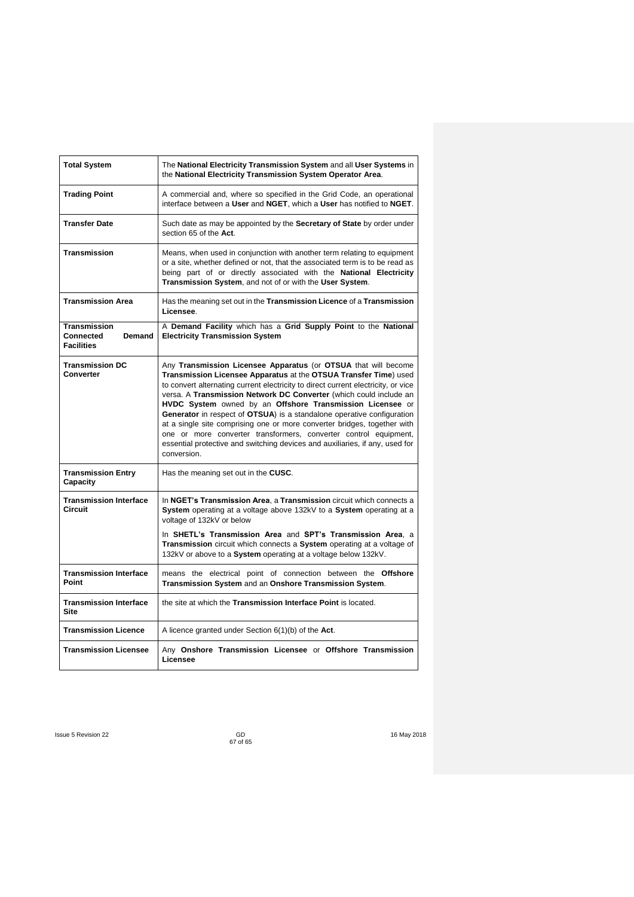| <b>Total System</b>                                      | The National Electricity Transmission System and all User Systems in<br>the National Electricity Transmission System Operator Area.                                                                                                                                                                                                                                                                                                                                                                                                                                                                                                                                                 |
|----------------------------------------------------------|-------------------------------------------------------------------------------------------------------------------------------------------------------------------------------------------------------------------------------------------------------------------------------------------------------------------------------------------------------------------------------------------------------------------------------------------------------------------------------------------------------------------------------------------------------------------------------------------------------------------------------------------------------------------------------------|
| <b>Trading Point</b>                                     | A commercial and, where so specified in the Grid Code, an operational<br>interface between a User and NGET, which a User has notified to NGET.                                                                                                                                                                                                                                                                                                                                                                                                                                                                                                                                      |
| <b>Transfer Date</b>                                     | Such date as may be appointed by the Secretary of State by order under<br>section 65 of the Act.                                                                                                                                                                                                                                                                                                                                                                                                                                                                                                                                                                                    |
| Transmission                                             | Means, when used in conjunction with another term relating to equipment<br>or a site, whether defined or not, that the associated term is to be read as<br>being part of or directly associated with the National Electricity<br>Transmission System, and not of or with the User System.                                                                                                                                                                                                                                                                                                                                                                                           |
| <b>Transmission Area</b>                                 | Has the meaning set out in the Transmission Licence of a Transmission<br>Licensee.                                                                                                                                                                                                                                                                                                                                                                                                                                                                                                                                                                                                  |
| Transmission<br>Connected<br>Demand<br><b>Facilities</b> | A Demand Facility which has a Grid Supply Point to the National<br><b>Electricity Transmission System</b>                                                                                                                                                                                                                                                                                                                                                                                                                                                                                                                                                                           |
| <b>Transmission DC</b><br>Converter                      | Any Transmission Licensee Apparatus (or OTSUA that will become<br>Transmission Licensee Apparatus at the OTSUA Transfer Time) used<br>to convert alternating current electricity to direct current electricity, or vice<br>versa. A Transmission Network DC Converter (which could include an<br>HVDC System owned by an Offshore Transmission Licensee or<br>Generator in respect of OTSUA) is a standalone operative configuration<br>at a single site comprising one or more converter bridges, together with<br>one or more converter transformers, converter control equipment,<br>essential protective and switching devices and auxiliaries, if any, used for<br>conversion. |
| <b>Transmission Entry</b><br>Capacity                    | Has the meaning set out in the CUSC.                                                                                                                                                                                                                                                                                                                                                                                                                                                                                                                                                                                                                                                |
| <b>Transmission Interface</b><br>Circuit                 | In NGET's Transmission Area, a Transmission circuit which connects a<br>System operating at a voltage above 132kV to a System operating at a<br>voltage of 132kV or below<br>In SHETL's Transmission Area and SPT's Transmission Area, a<br>Transmission circuit which connects a System operating at a voltage of<br>132kV or above to a System operating at a voltage below 132kV.                                                                                                                                                                                                                                                                                                |
| <b>Transmission Interface</b><br>Point                   | means the electrical point of connection between the Offshore<br>Transmission System and an Onshore Transmission System.                                                                                                                                                                                                                                                                                                                                                                                                                                                                                                                                                            |
| <b>Transmission Interface</b><br>Site                    | the site at which the Transmission Interface Point is located.                                                                                                                                                                                                                                                                                                                                                                                                                                                                                                                                                                                                                      |
| <b>Transmission Licence</b>                              | A licence granted under Section $6(1)(b)$ of the Act.                                                                                                                                                                                                                                                                                                                                                                                                                                                                                                                                                                                                                               |
| <b>Transmission Licensee</b>                             | Any Onshore Transmission Licensee or Offshore Transmission<br>Licensee                                                                                                                                                                                                                                                                                                                                                                                                                                                                                                                                                                                                              |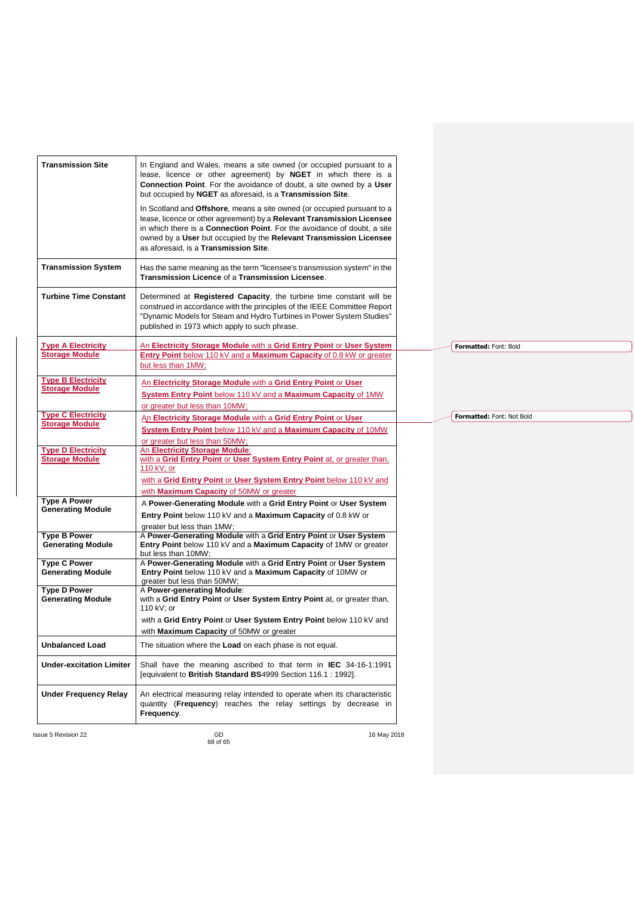| <b>Transmission Site</b>                           | In England and Wales, means a site owned (or occupied pursuant to a<br>lease, licence or other agreement) by NGET in which there is a<br><b>Connection Point.</b> For the avoidance of doubt, a site owned by a User<br>but occupied by NGET as aforesaid, is a Transmission Site.                                                           |                           |
|----------------------------------------------------|----------------------------------------------------------------------------------------------------------------------------------------------------------------------------------------------------------------------------------------------------------------------------------------------------------------------------------------------|---------------------------|
|                                                    | In Scotland and Offshore, means a site owned (or occupied pursuant to a<br>lease, licence or other agreement) by a Relevant Transmission Licensee<br>in which there is a Connection Point. For the avoidance of doubt, a site<br>owned by a User but occupied by the Relevant Transmission Licensee<br>as aforesaid, is a Transmission Site. |                           |
| <b>Transmission System</b>                         | Has the same meaning as the term "licensee's transmission system" in the<br>Transmission Licence of a Transmission Licensee.                                                                                                                                                                                                                 |                           |
| <b>Turbine Time Constant</b>                       | Determined at Registered Capacity, the turbine time constant will be<br>construed in accordance with the principles of the IEEE Committee Report<br>"Dynamic Models for Steam and Hydro Turbines in Power System Studies"<br>published in 1973 which apply to such phrase.                                                                   |                           |
| <b>Type A Electricity</b>                          | An Electricity Storage Module with a Grid Entry Point or User System                                                                                                                                                                                                                                                                         | Formatted: Font: Bold     |
| <b>Storage Module</b>                              | Entry Point below 110 kV and a Maximum Capacity of 0.8 kW or greater<br>but less than 1MW;                                                                                                                                                                                                                                                   |                           |
| <b>Type B Electricity</b><br><b>Storage Module</b> | An Electricity Storage Module with a Grid Entry Point or User<br>System Entry Point below 110 kV and a Maximum Capacity of 1MW<br>or greater but less than 10MW;                                                                                                                                                                             |                           |
| <b>Type C Electricity</b><br><b>Storage Module</b> | An Electricity Storage Module with a Grid Entry Point or User<br>System Entry Point below 110 kV and a Maximum Capacity of 10MW<br>or greater but less than 50MW;                                                                                                                                                                            | Formatted: Font: Not Bold |
| <b>Type D Electricity</b><br><b>Storage Module</b> | An Electricity Storage Module:<br>with a Grid Entry Point or User System Entry Point at, or greater than,<br>110 kV; or<br>with a Grid Entry Point or User System Entry Point below 110 kV and                                                                                                                                               |                           |
| <b>Type A Power</b>                                | with <b>Maximum Capacity</b> of 50MW or greater                                                                                                                                                                                                                                                                                              |                           |
| <b>Generating Module</b>                           | A Power-Generating Module with a Grid Entry Point or User System<br>Entry Point below 110 kV and a Maximum Capacity of 0.8 kW or<br>greater but less than 1MW;                                                                                                                                                                               |                           |
| <b>Type B Power</b><br><b>Generating Module</b>    | A Power-Generating Module with a Grid Entry Point or User System<br>Entry Point below 110 kV and a Maximum Capacity of 1MW or greater<br>but less than 10MW;                                                                                                                                                                                 |                           |
| <b>Type C Power</b><br><b>Generating Module</b>    | A Power-Generating Module with a Grid Entry Point or User System<br>Entry Point below 110 kV and a Maximum Capacity of 10MW or<br>greater but less than 50MW;                                                                                                                                                                                |                           |
| <b>Type D Power</b><br><b>Generating Module</b>    | A Power-generating Module:<br>with a Grid Entry Point or User System Entry Point at, or greater than,<br>110 kV; or                                                                                                                                                                                                                          |                           |
|                                                    | with a Grid Entry Point or User System Entry Point below 110 kV and<br>with Maximum Capacity of 50MW or greater                                                                                                                                                                                                                              |                           |
| <b>Unbalanced Load</b>                             | The situation where the Load on each phase is not equal.                                                                                                                                                                                                                                                                                     |                           |
| <b>Under-excitation Limiter</b>                    | Shall have the meaning ascribed to that term in <b>IEC</b> 34-16-1:1991<br>[equivalent to British Standard BS4999 Section 116.1 : 1992].                                                                                                                                                                                                     |                           |
| <b>Under Frequency Relay</b>                       | An electrical measuring relay intended to operate when its characteristic<br>quantity ( <b>Frequency</b> ) reaches the relay settings by decrease in<br>Frequency.                                                                                                                                                                           |                           |
| ssue 5 Revision 22                                 | GD<br>16 May 2018<br>68 of 65                                                                                                                                                                                                                                                                                                                |                           |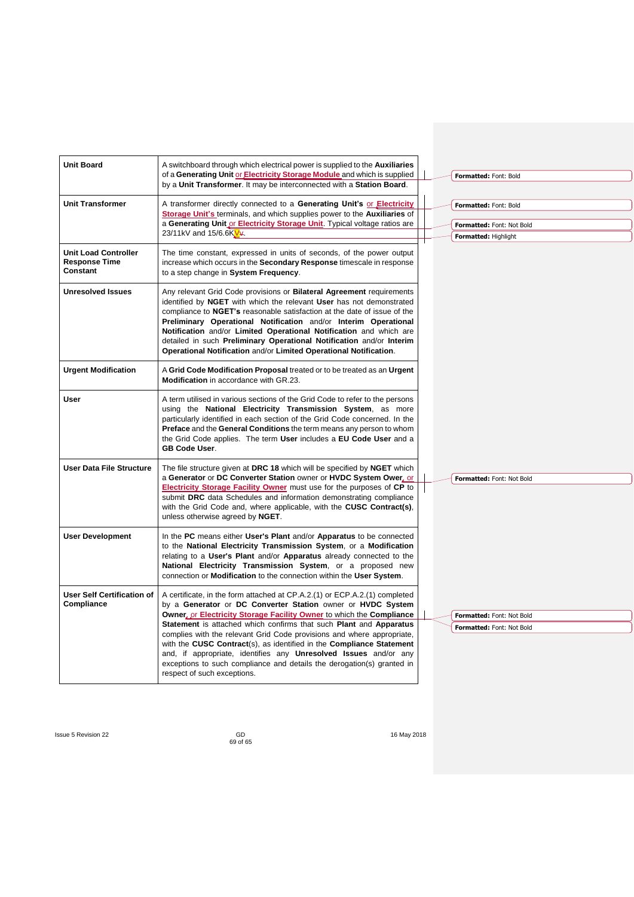| <b>Unit Board</b>                                               | A switchboard through which electrical power is supplied to the <b>Auxiliaries</b><br>of a Generating Unit or Electricity Storage Module and which is supplied<br>by a Unit Transformer. It may be interconnected with a Station Board.                                                                                                                                                                                                                                                                                                                                                                                       | Formatted: Font: Bold                                                      |
|-----------------------------------------------------------------|-------------------------------------------------------------------------------------------------------------------------------------------------------------------------------------------------------------------------------------------------------------------------------------------------------------------------------------------------------------------------------------------------------------------------------------------------------------------------------------------------------------------------------------------------------------------------------------------------------------------------------|----------------------------------------------------------------------------|
| <b>Unit Transformer</b>                                         | A transformer directly connected to a Generating Unit's or Electricity<br>Storage Unit's terminals, and which supplies power to the Auxiliaries of<br>a Generating Unit or Electricity Storage Unit. Typical voltage ratios are<br>23/11kV and 15/6.6KV                                                                                                                                                                                                                                                                                                                                                                       | Formatted: Font: Bold<br>Formatted: Font: Not Bold<br>Formatted: Highlight |
| <b>Unit Load Controller</b><br><b>Response Time</b><br>Constant | The time constant, expressed in units of seconds, of the power output<br>increase which occurs in the Secondary Response timescale in response<br>to a step change in System Frequency.                                                                                                                                                                                                                                                                                                                                                                                                                                       |                                                                            |
| <b>Unresolved Issues</b>                                        | Any relevant Grid Code provisions or <b>Bilateral Agreement</b> requirements<br>identified by NGET with which the relevant User has not demonstrated<br>compliance to <b>NGET's</b> reasonable satisfaction at the date of issue of the<br>Preliminary Operational Notification and/or Interim Operational<br>Notification and/or Limited Operational Notification and which are<br>detailed in such Preliminary Operational Notification and/or Interim<br>Operational Notification and/or Limited Operational Notification.                                                                                                 |                                                                            |
| <b>Urgent Modification</b>                                      | A Grid Code Modification Proposal treated or to be treated as an Urgent<br><b>Modification</b> in accordance with GR.23.                                                                                                                                                                                                                                                                                                                                                                                                                                                                                                      |                                                                            |
| <b>User</b>                                                     | A term utilised in various sections of the Grid Code to refer to the persons<br>using the National Electricity Transmission System, as more<br>particularly identified in each section of the Grid Code concerned. In the<br>Preface and the General Conditions the term means any person to whom<br>the Grid Code applies. The term User includes a EU Code User and a<br><b>GB Code User.</b>                                                                                                                                                                                                                               |                                                                            |
| <b>User Data File Structure</b>                                 | The file structure given at DRC 18 which will be specified by NGET which<br>a Generator or DC Converter Station owner or HVDC System Ower, or<br>Electricity Storage Facility Owner must use for the purposes of CP to<br>submit DRC data Schedules and information demonstrating compliance<br>with the Grid Code and, where applicable, with the CUSC Contract(s),<br>unless otherwise agreed by NGET.                                                                                                                                                                                                                      | Formatted: Font: Not Bold                                                  |
| <b>User Development</b>                                         | In the PC means either User's Plant and/or Apparatus to be connected<br>to the National Electricity Transmission System, or a Modification<br>relating to a User's Plant and/or Apparatus already connected to the<br>National Electricity Transmission System, or a proposed new<br>connection or Modification to the connection within the User System.                                                                                                                                                                                                                                                                     |                                                                            |
| <b>User Self Certification of</b><br>Compliance                 | A certificate, in the form attached at CP.A.2.(1) or ECP.A.2.(1) completed<br>by a Generator or DC Converter Station owner or HVDC System<br>Owner, or Electricity Storage Facility Owner to which the Compliance<br>Statement is attached which confirms that such Plant and Apparatus<br>complies with the relevant Grid Code provisions and where appropriate,<br>with the CUSC Contract(s), as identified in the Compliance Statement<br>and, if appropriate, identifies any <b>Unresolved Issues</b> and/or any<br>exceptions to such compliance and details the derogation(s) granted in<br>respect of such exceptions. | Formatted: Font: Not Bold<br>Formatted: Font: Not Bold                     |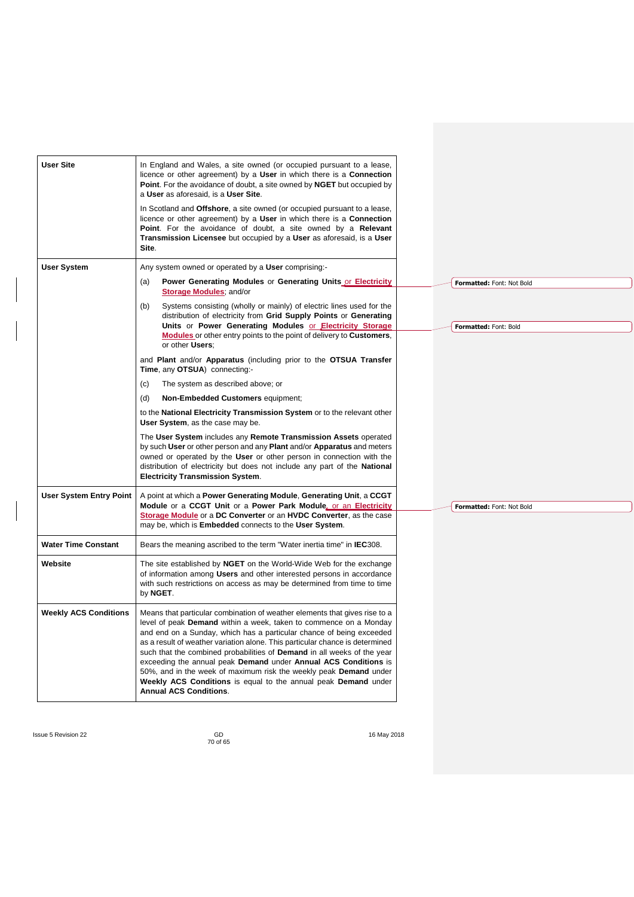| <b>User Site</b>               | In England and Wales, a site owned (or occupied pursuant to a lease,<br>licence or other agreement) by a User in which there is a Connection<br>Point. For the avoidance of doubt, a site owned by NGET but occupied by<br>a User as aforesaid, is a User Site.<br>In Scotland and Offshore, a site owned (or occupied pursuant to a lease,<br>licence or other agreement) by a User in which there is a Connection<br>Point. For the avoidance of doubt, a site owned by a Relevant<br><b>Transmission Licensee</b> but occupied by a User as aforesaid, is a User<br>Site.                                                                |                           |
|--------------------------------|---------------------------------------------------------------------------------------------------------------------------------------------------------------------------------------------------------------------------------------------------------------------------------------------------------------------------------------------------------------------------------------------------------------------------------------------------------------------------------------------------------------------------------------------------------------------------------------------------------------------------------------------|---------------------------|
|                                |                                                                                                                                                                                                                                                                                                                                                                                                                                                                                                                                                                                                                                             |                           |
| <b>User System</b>             | Any system owned or operated by a User comprising:-                                                                                                                                                                                                                                                                                                                                                                                                                                                                                                                                                                                         |                           |
|                                | Power Generating Modules or Generating Units or Electricity<br>(a)<br>Storage Modules, and/or                                                                                                                                                                                                                                                                                                                                                                                                                                                                                                                                               | Formatted: Font: Not Bold |
|                                | Systems consisting (wholly or mainly) of electric lines used for the<br>(b)<br>distribution of electricity from Grid Supply Points or Generating<br>Units or Power Generating Modules or Electricity Storage                                                                                                                                                                                                                                                                                                                                                                                                                                | Formatted: Font: Bold     |
|                                | <b>Modules</b> or other entry points to the point of delivery to <b>Customers</b> ,<br>or other Users:                                                                                                                                                                                                                                                                                                                                                                                                                                                                                                                                      |                           |
|                                | and Plant and/or Apparatus (including prior to the OTSUA Transfer<br>Time, any OTSUA) connecting:-                                                                                                                                                                                                                                                                                                                                                                                                                                                                                                                                          |                           |
|                                | The system as described above; or<br>(C)                                                                                                                                                                                                                                                                                                                                                                                                                                                                                                                                                                                                    |                           |
|                                | (d)<br><b>Non-Embedded Customers equipment;</b>                                                                                                                                                                                                                                                                                                                                                                                                                                                                                                                                                                                             |                           |
|                                | to the National Electricity Transmission System or to the relevant other<br>User System, as the case may be.                                                                                                                                                                                                                                                                                                                                                                                                                                                                                                                                |                           |
|                                | The User System includes any Remote Transmission Assets operated<br>by such User or other person and any Plant and/or Apparatus and meters<br>owned or operated by the User or other person in connection with the<br>distribution of electricity but does not include any part of the National<br><b>Electricity Transmission System.</b>                                                                                                                                                                                                                                                                                                  |                           |
| <b>User System Entry Point</b> | A point at which a Power Generating Module, Generating Unit, a CCGT                                                                                                                                                                                                                                                                                                                                                                                                                                                                                                                                                                         |                           |
|                                | Module or a CCGT Unit or a Power Park Module, or an Electricity<br><b>Storage Module</b> or a DC Converter or an HVDC Converter, as the case<br>may be, which is <b>Embedded</b> connects to the User System.                                                                                                                                                                                                                                                                                                                                                                                                                               | Formatted: Font: Not Bold |
| <b>Water Time Constant</b>     | Bears the meaning ascribed to the term "Water inertia time" in IEC308.                                                                                                                                                                                                                                                                                                                                                                                                                                                                                                                                                                      |                           |
| Website                        | The site established by <b>NGET</b> on the World-Wide Web for the exchange<br>of information among Users and other interested persons in accordance<br>with such restrictions on access as may be determined from time to time<br>by NGET.                                                                                                                                                                                                                                                                                                                                                                                                  |                           |
| <b>Weekly ACS Conditions</b>   | Means that particular combination of weather elements that gives rise to a<br>level of peak Demand within a week, taken to commence on a Monday<br>and end on a Sunday, which has a particular chance of being exceeded<br>as a result of weather variation alone. This particular chance is determined<br>such that the combined probabilities of <b>Demand</b> in all weeks of the year<br>exceeding the annual peak Demand under Annual ACS Conditions is<br>50%, and in the week of maximum risk the weekly peak <b>Demand</b> under<br>Weekly ACS Conditions is equal to the annual peak Demand under<br><b>Annual ACS Conditions.</b> |                           |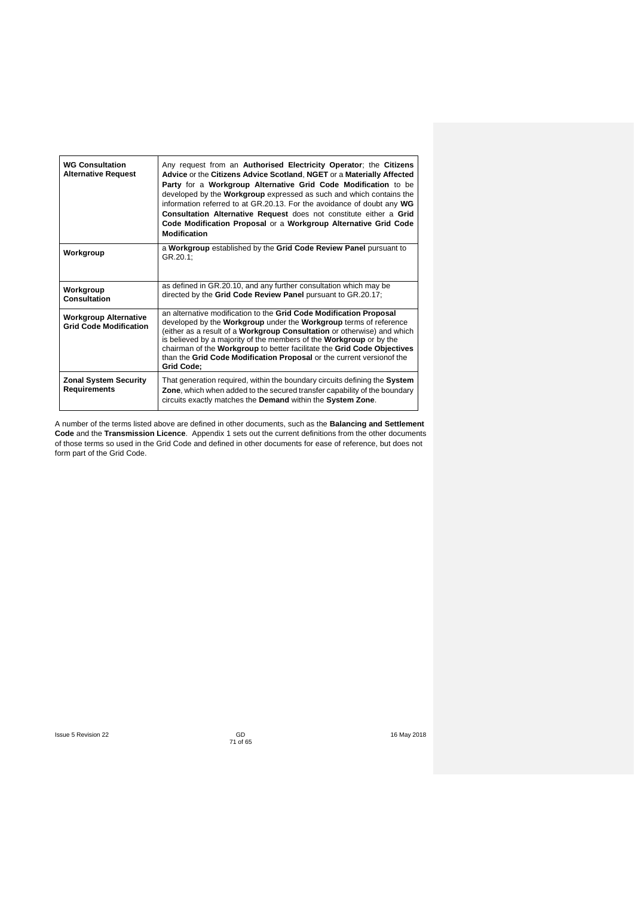| <b>WG Consultation</b><br><b>Alternative Request</b>          | Any request from an Authorised Electricity Operator; the Citizens<br>Advice or the Citizens Advice Scotland, NGET or a Materially Affected<br>Party for a Workgroup Alternative Grid Code Modification to be<br>developed by the <b>Workgroup</b> expressed as such and which contains the<br>information referred to at GR.20.13. For the avoidance of doubt any WG<br>Consultation Alternative Request does not constitute either a Grid<br>Code Modification Proposal or a Workgroup Alternative Grid Code<br><b>Modification</b> |
|---------------------------------------------------------------|--------------------------------------------------------------------------------------------------------------------------------------------------------------------------------------------------------------------------------------------------------------------------------------------------------------------------------------------------------------------------------------------------------------------------------------------------------------------------------------------------------------------------------------|
| Workgroup                                                     | a Workgroup established by the Grid Code Review Panel pursuant to<br>GR.20.1:                                                                                                                                                                                                                                                                                                                                                                                                                                                        |
| Workgroup<br>Consultation                                     | as defined in GR.20.10, and any further consultation which may be<br>directed by the Grid Code Review Panel pursuant to GR.20.17;                                                                                                                                                                                                                                                                                                                                                                                                    |
| <b>Workgroup Alternative</b><br><b>Grid Code Modification</b> | an alternative modification to the Grid Code Modification Proposal<br>developed by the <b>Workgroup</b> under the <b>Workgroup</b> terms of reference<br>(either as a result of a Workgroup Consultation or otherwise) and which<br>is believed by a majority of the members of the <b>Workgroup</b> or by the<br>chairman of the Workgroup to better facilitate the Grid Code Objectives<br>than the Grid Code Modification Proposal or the current version of the<br><b>Grid Code:</b>                                             |
| <b>Zonal System Security</b><br><b>Requirements</b>           | That generation required, within the boundary circuits defining the System<br>Zone, which when added to the secured transfer capability of the boundary<br>circuits exactly matches the Demand within the System Zone.                                                                                                                                                                                                                                                                                                               |

A number of the terms listed above are defined in other documents, such as the **Balancing and Settlement Code** and the **Transmission Licence**. Appendix 1 sets out the current definitions from the other documents of those terms so used in the Grid Code and defined in other documents for ease of reference, but does not form part of the Grid Code.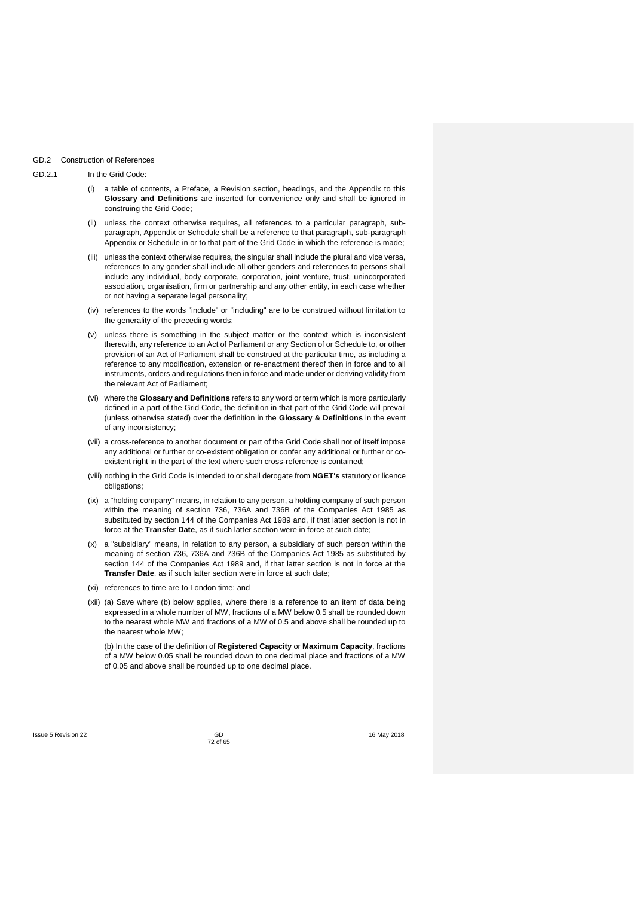## GD.2 Construction of References

## GD.2.1 In the Grid Code:

- (i) a table of contents, a Preface, a Revision section, headings, and the Appendix to this **Glossary and Definitions** are inserted for convenience only and shall be ignored in construing the Grid Code;
- (ii) unless the context otherwise requires, all references to a particular paragraph, subparagraph, Appendix or Schedule shall be a reference to that paragraph, sub-paragraph Appendix or Schedule in or to that part of the Grid Code in which the reference is made;
- (iii) unless the context otherwise requires, the singular shall include the plural and vice versa, references to any gender shall include all other genders and references to persons shall include any individual, body corporate, corporation, joint venture, trust, unincorporated association, organisation, firm or partnership and any other entity, in each case whether or not having a separate legal personality;
- (iv) references to the words "include" or "including" are to be construed without limitation to the generality of the preceding words;
- (v) unless there is something in the subject matter or the context which is inconsistent therewith, any reference to an Act of Parliament or any Section of or Schedule to, or other provision of an Act of Parliament shall be construed at the particular time, as including a reference to any modification, extension or re-enactment thereof then in force and to all instruments, orders and regulations then in force and made under or deriving validity from the relevant Act of Parliament;
- (vi) where the **Glossary and Definitions** refers to any word or term which is more particularly defined in a part of the Grid Code, the definition in that part of the Grid Code will prevail (unless otherwise stated) over the definition in the **Glossary & Definitions** in the event of any inconsistency;
- (vii) a cross-reference to another document or part of the Grid Code shall not of itself impose any additional or further or co-existent obligation or confer any additional or further or coexistent right in the part of the text where such cross-reference is contained;
- (viii) nothing in the Grid Code is intended to or shall derogate from **NGET's** statutory or licence obligations;
- (ix) a "holding company" means, in relation to any person, a holding company of such person within the meaning of section 736, 736A and 736B of the Companies Act 1985 as substituted by section 144 of the Companies Act 1989 and, if that latter section is not in force at the **Transfer Date**, as if such latter section were in force at such date;
- (x) a "subsidiary" means, in relation to any person, a subsidiary of such person within the meaning of section 736, 736A and 736B of the Companies Act 1985 as substituted by section 144 of the Companies Act 1989 and, if that latter section is not in force at the **Transfer Date**, as if such latter section were in force at such date;
- (xi) references to time are to London time; and
- (xii) (a) Save where (b) below applies, where there is a reference to an item of data being expressed in a whole number of MW, fractions of a MW below 0.5 shall be rounded down to the nearest whole MW and fractions of a MW of 0.5 and above shall be rounded up to the nearest whole MW;

(b) In the case of the definition of **Registered Capacity** or **Maximum Capacity**, fractions of a MW below 0.05 shall be rounded down to one decimal place and fractions of a MW of 0.05 and above shall be rounded up to one decimal place.

GD<br>72 of 65